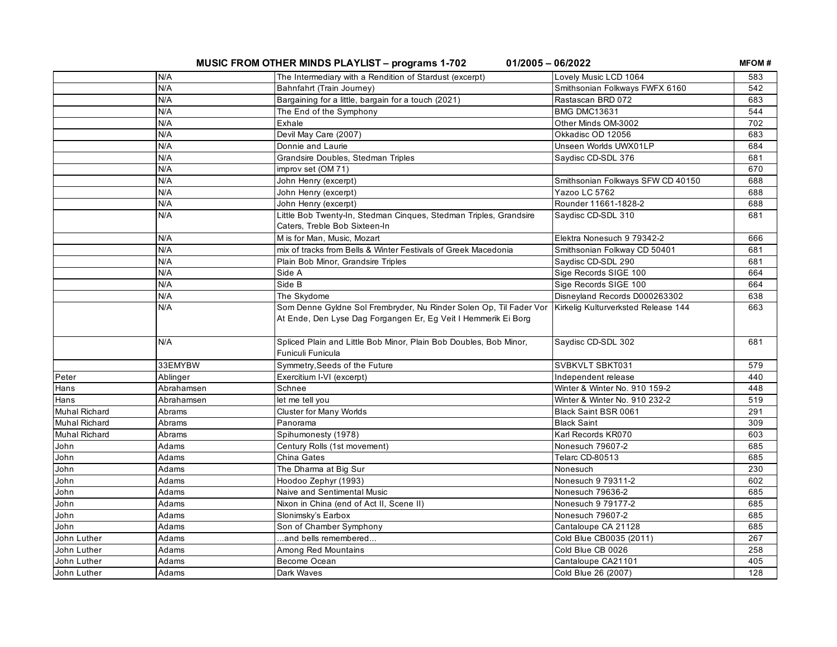**MUSIC FROM OTHER MINDS PLAYLIST – programs 1-702 01/2005 – 06/2022**

**MFOM #**

| N/A<br>The Intermediary with a Rendition of Stardust (excerpt)<br>Lovely Music LCD 1064<br>583<br>N/A<br>Bahnfahrt (Train Journey)<br>Smithsonian Folkways FWFX 6160<br>542<br>N/A<br>Rastascan BRD 072<br>Bargaining for a little, bargain for a touch (2021)<br>683<br><b>BMG DMC13631</b><br>N/A<br>The End of the Symphony<br>544<br>N/A<br>702<br>Other Minds OM-3002<br>Exhale<br>N/A<br>Devil May Care (2007)<br>Okkadisc OD 12056<br>683<br>Unseen Worlds UWX01LP<br>N/A<br>Donnie and Laurie<br>684<br>N/A<br>Saydisc CD-SDL 376<br>Grandsire Doubles, Stedman Triples<br>681<br>N/A<br>improv set (OM 71)<br>670<br>N/A<br>John Henry (excerpt)<br>Smithsonian Folkways SFW CD 40150<br>688<br>N/A<br>688<br>John Henry (excerpt)<br>Yazoo LC 5762<br>N/A<br>Rounder 11661-1828-2<br>John Henry (excerpt)<br>688<br>N/A<br>Little Bob Twenty-In, Stedman Cinques, Stedman Triples, Grandsire<br>Saydisc CD-SDL 310<br>681<br>Caters, Treble Bob Sixteen-In<br>M is for Man, Music, Mozart<br>Elektra Nonesuch 9 79342-2<br>N/A<br>666<br>N/A<br>mix of tracks from Bells & Winter Festivals of Greek Macedonia<br>681<br>Smithsonian Folkway CD 50401<br>N/A<br>Savdisc CD-SDL 290<br>Plain Bob Minor, Grandsire Triples<br>681<br>N/A<br>Side A<br>Sige Records SIGE 100<br>664<br>N/A<br>Side B<br>Sige Records SIGE 100<br>664<br>N/A<br>The Skydome<br>Disneyland Records D000263302<br>638<br>N/A<br>Som Denne Gyldne Sol Frembryder, Nu Rinder Solen Op, Til Fader Vor<br>Kirkelig Kulturverksted Release 144<br>663<br>At Ende, Den Lyse Dag Forgangen Er, Eg Veit I Hemmerik Ei Borg<br>N/A<br>Spliced Plain and Little Bob Minor, Plain Bob Doubles, Bob Minor,<br>Saydisc CD-SDL 302<br>681<br>Funiculi Funicula<br>33EMYBW<br>SVBKVLT SBKT031<br>Symmetry, Seeds of the Future<br>579<br>Peter<br>Exercitium I-VI (excerpt)<br>Independent release<br>440<br>Ablinger<br>Schnee<br>Winter & Winter No. 910 159-2<br>448<br>Hans<br>Abrahamsen<br>519<br>Hans<br>let me tell you<br>Winter & Winter No. 910 232-2<br>Abrahamsen<br><b>Muhal Richard</b><br>Abrams<br><b>Cluster for Many Worlds</b><br>Black Saint BSR 0061<br>291<br><b>Muhal Richard</b><br>Abrams<br>309<br>Panorama<br><b>Black Saint</b><br><b>Muhal Richard</b><br>Spihumonesty (1978)<br>Karl Records KR070<br>Abrams<br>603<br>John<br>Century Rolls (1st movement)<br>Nonesuch 79607-2<br>Adams<br>685<br>John<br>Adams<br>685<br>China Gates<br>Telarc CD-80513<br>John<br>Adams<br>The Dharma at Big Sur<br>230<br>Nonesuch<br>John<br>Hoodoo Zephyr (1993)<br>Nonesuch 9 79311-2<br>Adams<br>602<br>John<br>Naive and Sentimental Music<br>Nonesuch 79636-2<br>Adams<br>685<br>John<br>Adams<br>Nixon in China (end of Act II, Scene II)<br>Nonesuch 9 79177-2<br>685<br>John<br>Slonimsky's Earbox<br>Nonesuch 79607-2<br>685<br>Adams<br>John<br>Adams<br>Son of Chamber Symphony<br>Cantaloupe CA 21128<br>685<br>John Luther<br>Adams<br>and bells remembered<br>Cold Blue CB0035 (2011)<br>267<br>John Luther<br>Among Red Mountains<br>Cold Blue CB 0026<br>258<br>Adams<br>John Luther<br>Become Ocean<br>Cantaloupe CA21101<br>405<br>Adams<br>John Luther<br>Adams<br>Dark Waves<br>Cold Blue 26 (2007)<br>128 |  |  |  |
|-------------------------------------------------------------------------------------------------------------------------------------------------------------------------------------------------------------------------------------------------------------------------------------------------------------------------------------------------------------------------------------------------------------------------------------------------------------------------------------------------------------------------------------------------------------------------------------------------------------------------------------------------------------------------------------------------------------------------------------------------------------------------------------------------------------------------------------------------------------------------------------------------------------------------------------------------------------------------------------------------------------------------------------------------------------------------------------------------------------------------------------------------------------------------------------------------------------------------------------------------------------------------------------------------------------------------------------------------------------------------------------------------------------------------------------------------------------------------------------------------------------------------------------------------------------------------------------------------------------------------------------------------------------------------------------------------------------------------------------------------------------------------------------------------------------------------------------------------------------------------------------------------------------------------------------------------------------------------------------------------------------------------------------------------------------------------------------------------------------------------------------------------------------------------------------------------------------------------------------------------------------------------------------------------------------------------------------------------------------------------------------------------------------------------------------------------------------------------------------------------------------------------------------------------------------------------------------------------------------------------------------------------------------------------------------------------------------------------------------------------------------------------------------------------------------------------------------------------------------------------------------------------------------------------------------------------------------------------------------------------------------------------------------------------------------------------------------------------------------------------------------------------------------------------------------------------------------------------|--|--|--|
|                                                                                                                                                                                                                                                                                                                                                                                                                                                                                                                                                                                                                                                                                                                                                                                                                                                                                                                                                                                                                                                                                                                                                                                                                                                                                                                                                                                                                                                                                                                                                                                                                                                                                                                                                                                                                                                                                                                                                                                                                                                                                                                                                                                                                                                                                                                                                                                                                                                                                                                                                                                                                                                                                                                                                                                                                                                                                                                                                                                                                                                                                                                                                                                                                         |  |  |  |
|                                                                                                                                                                                                                                                                                                                                                                                                                                                                                                                                                                                                                                                                                                                                                                                                                                                                                                                                                                                                                                                                                                                                                                                                                                                                                                                                                                                                                                                                                                                                                                                                                                                                                                                                                                                                                                                                                                                                                                                                                                                                                                                                                                                                                                                                                                                                                                                                                                                                                                                                                                                                                                                                                                                                                                                                                                                                                                                                                                                                                                                                                                                                                                                                                         |  |  |  |
|                                                                                                                                                                                                                                                                                                                                                                                                                                                                                                                                                                                                                                                                                                                                                                                                                                                                                                                                                                                                                                                                                                                                                                                                                                                                                                                                                                                                                                                                                                                                                                                                                                                                                                                                                                                                                                                                                                                                                                                                                                                                                                                                                                                                                                                                                                                                                                                                                                                                                                                                                                                                                                                                                                                                                                                                                                                                                                                                                                                                                                                                                                                                                                                                                         |  |  |  |
|                                                                                                                                                                                                                                                                                                                                                                                                                                                                                                                                                                                                                                                                                                                                                                                                                                                                                                                                                                                                                                                                                                                                                                                                                                                                                                                                                                                                                                                                                                                                                                                                                                                                                                                                                                                                                                                                                                                                                                                                                                                                                                                                                                                                                                                                                                                                                                                                                                                                                                                                                                                                                                                                                                                                                                                                                                                                                                                                                                                                                                                                                                                                                                                                                         |  |  |  |
|                                                                                                                                                                                                                                                                                                                                                                                                                                                                                                                                                                                                                                                                                                                                                                                                                                                                                                                                                                                                                                                                                                                                                                                                                                                                                                                                                                                                                                                                                                                                                                                                                                                                                                                                                                                                                                                                                                                                                                                                                                                                                                                                                                                                                                                                                                                                                                                                                                                                                                                                                                                                                                                                                                                                                                                                                                                                                                                                                                                                                                                                                                                                                                                                                         |  |  |  |
|                                                                                                                                                                                                                                                                                                                                                                                                                                                                                                                                                                                                                                                                                                                                                                                                                                                                                                                                                                                                                                                                                                                                                                                                                                                                                                                                                                                                                                                                                                                                                                                                                                                                                                                                                                                                                                                                                                                                                                                                                                                                                                                                                                                                                                                                                                                                                                                                                                                                                                                                                                                                                                                                                                                                                                                                                                                                                                                                                                                                                                                                                                                                                                                                                         |  |  |  |
|                                                                                                                                                                                                                                                                                                                                                                                                                                                                                                                                                                                                                                                                                                                                                                                                                                                                                                                                                                                                                                                                                                                                                                                                                                                                                                                                                                                                                                                                                                                                                                                                                                                                                                                                                                                                                                                                                                                                                                                                                                                                                                                                                                                                                                                                                                                                                                                                                                                                                                                                                                                                                                                                                                                                                                                                                                                                                                                                                                                                                                                                                                                                                                                                                         |  |  |  |
|                                                                                                                                                                                                                                                                                                                                                                                                                                                                                                                                                                                                                                                                                                                                                                                                                                                                                                                                                                                                                                                                                                                                                                                                                                                                                                                                                                                                                                                                                                                                                                                                                                                                                                                                                                                                                                                                                                                                                                                                                                                                                                                                                                                                                                                                                                                                                                                                                                                                                                                                                                                                                                                                                                                                                                                                                                                                                                                                                                                                                                                                                                                                                                                                                         |  |  |  |
|                                                                                                                                                                                                                                                                                                                                                                                                                                                                                                                                                                                                                                                                                                                                                                                                                                                                                                                                                                                                                                                                                                                                                                                                                                                                                                                                                                                                                                                                                                                                                                                                                                                                                                                                                                                                                                                                                                                                                                                                                                                                                                                                                                                                                                                                                                                                                                                                                                                                                                                                                                                                                                                                                                                                                                                                                                                                                                                                                                                                                                                                                                                                                                                                                         |  |  |  |
|                                                                                                                                                                                                                                                                                                                                                                                                                                                                                                                                                                                                                                                                                                                                                                                                                                                                                                                                                                                                                                                                                                                                                                                                                                                                                                                                                                                                                                                                                                                                                                                                                                                                                                                                                                                                                                                                                                                                                                                                                                                                                                                                                                                                                                                                                                                                                                                                                                                                                                                                                                                                                                                                                                                                                                                                                                                                                                                                                                                                                                                                                                                                                                                                                         |  |  |  |
|                                                                                                                                                                                                                                                                                                                                                                                                                                                                                                                                                                                                                                                                                                                                                                                                                                                                                                                                                                                                                                                                                                                                                                                                                                                                                                                                                                                                                                                                                                                                                                                                                                                                                                                                                                                                                                                                                                                                                                                                                                                                                                                                                                                                                                                                                                                                                                                                                                                                                                                                                                                                                                                                                                                                                                                                                                                                                                                                                                                                                                                                                                                                                                                                                         |  |  |  |
|                                                                                                                                                                                                                                                                                                                                                                                                                                                                                                                                                                                                                                                                                                                                                                                                                                                                                                                                                                                                                                                                                                                                                                                                                                                                                                                                                                                                                                                                                                                                                                                                                                                                                                                                                                                                                                                                                                                                                                                                                                                                                                                                                                                                                                                                                                                                                                                                                                                                                                                                                                                                                                                                                                                                                                                                                                                                                                                                                                                                                                                                                                                                                                                                                         |  |  |  |
|                                                                                                                                                                                                                                                                                                                                                                                                                                                                                                                                                                                                                                                                                                                                                                                                                                                                                                                                                                                                                                                                                                                                                                                                                                                                                                                                                                                                                                                                                                                                                                                                                                                                                                                                                                                                                                                                                                                                                                                                                                                                                                                                                                                                                                                                                                                                                                                                                                                                                                                                                                                                                                                                                                                                                                                                                                                                                                                                                                                                                                                                                                                                                                                                                         |  |  |  |
|                                                                                                                                                                                                                                                                                                                                                                                                                                                                                                                                                                                                                                                                                                                                                                                                                                                                                                                                                                                                                                                                                                                                                                                                                                                                                                                                                                                                                                                                                                                                                                                                                                                                                                                                                                                                                                                                                                                                                                                                                                                                                                                                                                                                                                                                                                                                                                                                                                                                                                                                                                                                                                                                                                                                                                                                                                                                                                                                                                                                                                                                                                                                                                                                                         |  |  |  |
|                                                                                                                                                                                                                                                                                                                                                                                                                                                                                                                                                                                                                                                                                                                                                                                                                                                                                                                                                                                                                                                                                                                                                                                                                                                                                                                                                                                                                                                                                                                                                                                                                                                                                                                                                                                                                                                                                                                                                                                                                                                                                                                                                                                                                                                                                                                                                                                                                                                                                                                                                                                                                                                                                                                                                                                                                                                                                                                                                                                                                                                                                                                                                                                                                         |  |  |  |
|                                                                                                                                                                                                                                                                                                                                                                                                                                                                                                                                                                                                                                                                                                                                                                                                                                                                                                                                                                                                                                                                                                                                                                                                                                                                                                                                                                                                                                                                                                                                                                                                                                                                                                                                                                                                                                                                                                                                                                                                                                                                                                                                                                                                                                                                                                                                                                                                                                                                                                                                                                                                                                                                                                                                                                                                                                                                                                                                                                                                                                                                                                                                                                                                                         |  |  |  |
|                                                                                                                                                                                                                                                                                                                                                                                                                                                                                                                                                                                                                                                                                                                                                                                                                                                                                                                                                                                                                                                                                                                                                                                                                                                                                                                                                                                                                                                                                                                                                                                                                                                                                                                                                                                                                                                                                                                                                                                                                                                                                                                                                                                                                                                                                                                                                                                                                                                                                                                                                                                                                                                                                                                                                                                                                                                                                                                                                                                                                                                                                                                                                                                                                         |  |  |  |
|                                                                                                                                                                                                                                                                                                                                                                                                                                                                                                                                                                                                                                                                                                                                                                                                                                                                                                                                                                                                                                                                                                                                                                                                                                                                                                                                                                                                                                                                                                                                                                                                                                                                                                                                                                                                                                                                                                                                                                                                                                                                                                                                                                                                                                                                                                                                                                                                                                                                                                                                                                                                                                                                                                                                                                                                                                                                                                                                                                                                                                                                                                                                                                                                                         |  |  |  |
|                                                                                                                                                                                                                                                                                                                                                                                                                                                                                                                                                                                                                                                                                                                                                                                                                                                                                                                                                                                                                                                                                                                                                                                                                                                                                                                                                                                                                                                                                                                                                                                                                                                                                                                                                                                                                                                                                                                                                                                                                                                                                                                                                                                                                                                                                                                                                                                                                                                                                                                                                                                                                                                                                                                                                                                                                                                                                                                                                                                                                                                                                                                                                                                                                         |  |  |  |
|                                                                                                                                                                                                                                                                                                                                                                                                                                                                                                                                                                                                                                                                                                                                                                                                                                                                                                                                                                                                                                                                                                                                                                                                                                                                                                                                                                                                                                                                                                                                                                                                                                                                                                                                                                                                                                                                                                                                                                                                                                                                                                                                                                                                                                                                                                                                                                                                                                                                                                                                                                                                                                                                                                                                                                                                                                                                                                                                                                                                                                                                                                                                                                                                                         |  |  |  |
|                                                                                                                                                                                                                                                                                                                                                                                                                                                                                                                                                                                                                                                                                                                                                                                                                                                                                                                                                                                                                                                                                                                                                                                                                                                                                                                                                                                                                                                                                                                                                                                                                                                                                                                                                                                                                                                                                                                                                                                                                                                                                                                                                                                                                                                                                                                                                                                                                                                                                                                                                                                                                                                                                                                                                                                                                                                                                                                                                                                                                                                                                                                                                                                                                         |  |  |  |
|                                                                                                                                                                                                                                                                                                                                                                                                                                                                                                                                                                                                                                                                                                                                                                                                                                                                                                                                                                                                                                                                                                                                                                                                                                                                                                                                                                                                                                                                                                                                                                                                                                                                                                                                                                                                                                                                                                                                                                                                                                                                                                                                                                                                                                                                                                                                                                                                                                                                                                                                                                                                                                                                                                                                                                                                                                                                                                                                                                                                                                                                                                                                                                                                                         |  |  |  |
|                                                                                                                                                                                                                                                                                                                                                                                                                                                                                                                                                                                                                                                                                                                                                                                                                                                                                                                                                                                                                                                                                                                                                                                                                                                                                                                                                                                                                                                                                                                                                                                                                                                                                                                                                                                                                                                                                                                                                                                                                                                                                                                                                                                                                                                                                                                                                                                                                                                                                                                                                                                                                                                                                                                                                                                                                                                                                                                                                                                                                                                                                                                                                                                                                         |  |  |  |
|                                                                                                                                                                                                                                                                                                                                                                                                                                                                                                                                                                                                                                                                                                                                                                                                                                                                                                                                                                                                                                                                                                                                                                                                                                                                                                                                                                                                                                                                                                                                                                                                                                                                                                                                                                                                                                                                                                                                                                                                                                                                                                                                                                                                                                                                                                                                                                                                                                                                                                                                                                                                                                                                                                                                                                                                                                                                                                                                                                                                                                                                                                                                                                                                                         |  |  |  |
|                                                                                                                                                                                                                                                                                                                                                                                                                                                                                                                                                                                                                                                                                                                                                                                                                                                                                                                                                                                                                                                                                                                                                                                                                                                                                                                                                                                                                                                                                                                                                                                                                                                                                                                                                                                                                                                                                                                                                                                                                                                                                                                                                                                                                                                                                                                                                                                                                                                                                                                                                                                                                                                                                                                                                                                                                                                                                                                                                                                                                                                                                                                                                                                                                         |  |  |  |
|                                                                                                                                                                                                                                                                                                                                                                                                                                                                                                                                                                                                                                                                                                                                                                                                                                                                                                                                                                                                                                                                                                                                                                                                                                                                                                                                                                                                                                                                                                                                                                                                                                                                                                                                                                                                                                                                                                                                                                                                                                                                                                                                                                                                                                                                                                                                                                                                                                                                                                                                                                                                                                                                                                                                                                                                                                                                                                                                                                                                                                                                                                                                                                                                                         |  |  |  |
|                                                                                                                                                                                                                                                                                                                                                                                                                                                                                                                                                                                                                                                                                                                                                                                                                                                                                                                                                                                                                                                                                                                                                                                                                                                                                                                                                                                                                                                                                                                                                                                                                                                                                                                                                                                                                                                                                                                                                                                                                                                                                                                                                                                                                                                                                                                                                                                                                                                                                                                                                                                                                                                                                                                                                                                                                                                                                                                                                                                                                                                                                                                                                                                                                         |  |  |  |
|                                                                                                                                                                                                                                                                                                                                                                                                                                                                                                                                                                                                                                                                                                                                                                                                                                                                                                                                                                                                                                                                                                                                                                                                                                                                                                                                                                                                                                                                                                                                                                                                                                                                                                                                                                                                                                                                                                                                                                                                                                                                                                                                                                                                                                                                                                                                                                                                                                                                                                                                                                                                                                                                                                                                                                                                                                                                                                                                                                                                                                                                                                                                                                                                                         |  |  |  |
|                                                                                                                                                                                                                                                                                                                                                                                                                                                                                                                                                                                                                                                                                                                                                                                                                                                                                                                                                                                                                                                                                                                                                                                                                                                                                                                                                                                                                                                                                                                                                                                                                                                                                                                                                                                                                                                                                                                                                                                                                                                                                                                                                                                                                                                                                                                                                                                                                                                                                                                                                                                                                                                                                                                                                                                                                                                                                                                                                                                                                                                                                                                                                                                                                         |  |  |  |
|                                                                                                                                                                                                                                                                                                                                                                                                                                                                                                                                                                                                                                                                                                                                                                                                                                                                                                                                                                                                                                                                                                                                                                                                                                                                                                                                                                                                                                                                                                                                                                                                                                                                                                                                                                                                                                                                                                                                                                                                                                                                                                                                                                                                                                                                                                                                                                                                                                                                                                                                                                                                                                                                                                                                                                                                                                                                                                                                                                                                                                                                                                                                                                                                                         |  |  |  |
|                                                                                                                                                                                                                                                                                                                                                                                                                                                                                                                                                                                                                                                                                                                                                                                                                                                                                                                                                                                                                                                                                                                                                                                                                                                                                                                                                                                                                                                                                                                                                                                                                                                                                                                                                                                                                                                                                                                                                                                                                                                                                                                                                                                                                                                                                                                                                                                                                                                                                                                                                                                                                                                                                                                                                                                                                                                                                                                                                                                                                                                                                                                                                                                                                         |  |  |  |
|                                                                                                                                                                                                                                                                                                                                                                                                                                                                                                                                                                                                                                                                                                                                                                                                                                                                                                                                                                                                                                                                                                                                                                                                                                                                                                                                                                                                                                                                                                                                                                                                                                                                                                                                                                                                                                                                                                                                                                                                                                                                                                                                                                                                                                                                                                                                                                                                                                                                                                                                                                                                                                                                                                                                                                                                                                                                                                                                                                                                                                                                                                                                                                                                                         |  |  |  |
|                                                                                                                                                                                                                                                                                                                                                                                                                                                                                                                                                                                                                                                                                                                                                                                                                                                                                                                                                                                                                                                                                                                                                                                                                                                                                                                                                                                                                                                                                                                                                                                                                                                                                                                                                                                                                                                                                                                                                                                                                                                                                                                                                                                                                                                                                                                                                                                                                                                                                                                                                                                                                                                                                                                                                                                                                                                                                                                                                                                                                                                                                                                                                                                                                         |  |  |  |
|                                                                                                                                                                                                                                                                                                                                                                                                                                                                                                                                                                                                                                                                                                                                                                                                                                                                                                                                                                                                                                                                                                                                                                                                                                                                                                                                                                                                                                                                                                                                                                                                                                                                                                                                                                                                                                                                                                                                                                                                                                                                                                                                                                                                                                                                                                                                                                                                                                                                                                                                                                                                                                                                                                                                                                                                                                                                                                                                                                                                                                                                                                                                                                                                                         |  |  |  |
|                                                                                                                                                                                                                                                                                                                                                                                                                                                                                                                                                                                                                                                                                                                                                                                                                                                                                                                                                                                                                                                                                                                                                                                                                                                                                                                                                                                                                                                                                                                                                                                                                                                                                                                                                                                                                                                                                                                                                                                                                                                                                                                                                                                                                                                                                                                                                                                                                                                                                                                                                                                                                                                                                                                                                                                                                                                                                                                                                                                                                                                                                                                                                                                                                         |  |  |  |
|                                                                                                                                                                                                                                                                                                                                                                                                                                                                                                                                                                                                                                                                                                                                                                                                                                                                                                                                                                                                                                                                                                                                                                                                                                                                                                                                                                                                                                                                                                                                                                                                                                                                                                                                                                                                                                                                                                                                                                                                                                                                                                                                                                                                                                                                                                                                                                                                                                                                                                                                                                                                                                                                                                                                                                                                                                                                                                                                                                                                                                                                                                                                                                                                                         |  |  |  |
|                                                                                                                                                                                                                                                                                                                                                                                                                                                                                                                                                                                                                                                                                                                                                                                                                                                                                                                                                                                                                                                                                                                                                                                                                                                                                                                                                                                                                                                                                                                                                                                                                                                                                                                                                                                                                                                                                                                                                                                                                                                                                                                                                                                                                                                                                                                                                                                                                                                                                                                                                                                                                                                                                                                                                                                                                                                                                                                                                                                                                                                                                                                                                                                                                         |  |  |  |
|                                                                                                                                                                                                                                                                                                                                                                                                                                                                                                                                                                                                                                                                                                                                                                                                                                                                                                                                                                                                                                                                                                                                                                                                                                                                                                                                                                                                                                                                                                                                                                                                                                                                                                                                                                                                                                                                                                                                                                                                                                                                                                                                                                                                                                                                                                                                                                                                                                                                                                                                                                                                                                                                                                                                                                                                                                                                                                                                                                                                                                                                                                                                                                                                                         |  |  |  |
|                                                                                                                                                                                                                                                                                                                                                                                                                                                                                                                                                                                                                                                                                                                                                                                                                                                                                                                                                                                                                                                                                                                                                                                                                                                                                                                                                                                                                                                                                                                                                                                                                                                                                                                                                                                                                                                                                                                                                                                                                                                                                                                                                                                                                                                                                                                                                                                                                                                                                                                                                                                                                                                                                                                                                                                                                                                                                                                                                                                                                                                                                                                                                                                                                         |  |  |  |
|                                                                                                                                                                                                                                                                                                                                                                                                                                                                                                                                                                                                                                                                                                                                                                                                                                                                                                                                                                                                                                                                                                                                                                                                                                                                                                                                                                                                                                                                                                                                                                                                                                                                                                                                                                                                                                                                                                                                                                                                                                                                                                                                                                                                                                                                                                                                                                                                                                                                                                                                                                                                                                                                                                                                                                                                                                                                                                                                                                                                                                                                                                                                                                                                                         |  |  |  |
|                                                                                                                                                                                                                                                                                                                                                                                                                                                                                                                                                                                                                                                                                                                                                                                                                                                                                                                                                                                                                                                                                                                                                                                                                                                                                                                                                                                                                                                                                                                                                                                                                                                                                                                                                                                                                                                                                                                                                                                                                                                                                                                                                                                                                                                                                                                                                                                                                                                                                                                                                                                                                                                                                                                                                                                                                                                                                                                                                                                                                                                                                                                                                                                                                         |  |  |  |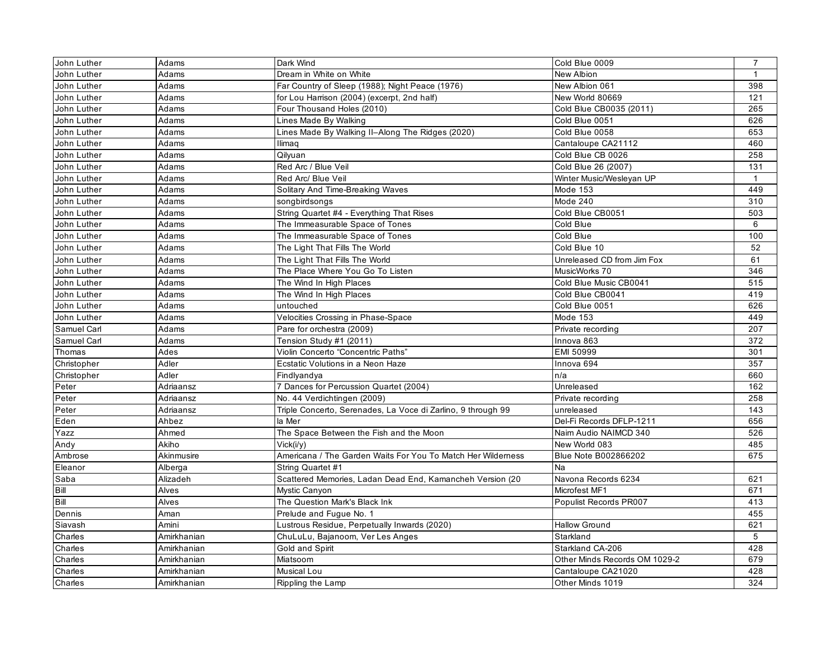| John Luther | Adams       | Dark Wind                                                    | Cold Blue 0009                | $\overline{7}$ |
|-------------|-------------|--------------------------------------------------------------|-------------------------------|----------------|
| John Luther | Adams       | Dream in White on White                                      | New Albion                    | $\mathbf{1}$   |
| John Luther | Adams       | Far Country of Sleep (1988); Night Peace (1976)              | New Albion 061                | 398            |
| John Luther | Adams       | for Lou Harrison (2004) (excerpt, 2nd half)                  | New World 80669               | 121            |
| John Luther | Adams       | Four Thousand Holes (2010)                                   | Cold Blue CB0035 (2011)       | 265            |
| John Luther | Adams       | Lines Made By Walking                                        | Cold Blue 0051                | 626            |
| John Luther | Adams       | Lines Made By Walking Il-Along The Ridges (2020)             | Cold Blue 0058                | 653            |
| John Luther | Adams       | Ilimaq                                                       | Cantaloupe CA21112            | 460            |
| John Luther | Adams       | Qilyuan                                                      | Cold Blue CB 0026             | 258            |
| John Luther | Adams       | Red Arc / Blue Veil                                          | Cold Blue 26 (2007)           | 131            |
| John Luther | Adams       | Red Arc/ Blue Veil                                           | Winter Music/Wesleyan UP      | $\mathbf{1}$   |
| John Luther | Adams       | Solitary And Time-Breaking Waves                             | Mode 153                      | 449            |
| John Luther | Adams       | songbirdsongs                                                | Mode 240                      | 310            |
| John Luther | Adams       | String Quartet #4 - Everything That Rises                    | Cold Blue CB0051              | 503            |
| John Luther | Adams       | The Immeasurable Space of Tones                              | Cold Blue                     | 6              |
| John Luther | Adams       | The Immeasurable Space of Tones                              | Cold Blue                     | 100            |
| John Luther | Adams       | The Light That Fills The World                               | Cold Blue 10                  | 52             |
| John Luther | Adams       | The Light That Fills The World                               | Unreleased CD from Jim Fox    | 61             |
| John Luther | Adams       | The Place Where You Go To Listen                             | MusicWorks 70                 | 346            |
| John Luther | Adams       | The Wind In High Places                                      | Cold Blue Music CB0041        | 515            |
| John Luther | Adams       | The Wind In High Places                                      | Cold Blue CB0041              | 419            |
| John Luther | Adams       | untouched                                                    | Cold Blue 0051                | 626            |
| John Luther | Adams       | Velocities Crossing in Phase-Space                           | Mode 153                      | 449            |
| Samuel Carl | Adams       | Pare for orchestra (2009)                                    | Private recording             | 207            |
| Samuel Carl | Adams       | Tension Study #1 (2011)                                      | Innova 863                    | 372            |
| Thomas      | Ades        | Violin Concerto "Concentric Paths"                           | EMI 50999                     | 301            |
| Christopher | Adler       | Ecstatic Volutions in a Neon Haze                            | Innova 694                    | 357            |
| Christopher | Adler       | Findlyandya                                                  | n/a                           | 660            |
| Peter       | Adriaansz   | 7 Dances for Percussion Quartet (2004)                       | Unreleased                    | 162            |
| Peter       | Adriaansz   | No. 44 Verdichtingen (2009)                                  | Private recording             | 258            |
| Peter       | Adriaansz   | Triple Concerto, Serenades, La Voce di Zarlino, 9 through 99 | unreleased                    | 143            |
| Eden        | Ahbez       | la Mer                                                       | Del-Fi Records DFLP-1211      | 656            |
| Yazz        | Ahmed       | The Space Between the Fish and the Moon                      | Naim Audio NAIMCD 340         | 526            |
| Andy        | Akiho       | Vick(i/y)                                                    | New World 083                 | 485            |
| Ambrose     | Akinmusire  | Americana / The Garden Waits For You To Match Her Wilderness | Blue Note B002866202          | 675            |
| Eleanor     | Alberga     | String Quartet #1                                            | Na                            |                |
| Saba        | Alizadeh    | Scattered Memories, Ladan Dead End, Kamancheh Version (20    | Navona Records 6234           | 621            |
| Bill        | Alves       | Mystic Canyon                                                | Microfest MF1                 | 671            |
| Bill        | Alves       | The Question Mark's Black Ink                                | Populist Records PR007        | 413            |
| Dennis      | Aman        | Prelude and Fugue No. 1                                      |                               | 455            |
| Siavash     | Amini       | Lustrous Residue, Perpetually Inwards (2020)                 | <b>Hallow Ground</b>          | 621            |
| Charles     | Amirkhanian | ChuLuLu, Bajanoom, Ver Les Anges                             | Starkland                     | 5              |
| Charles     | Amirkhanian | Gold and Spirit                                              | Starkland CA-206              | 428            |
| Charles     | Amirkhanian | Miatsoom                                                     | Other Minds Records OM 1029-2 | 679            |
| Charles     | Amirkhanian | Musical Lou                                                  | Cantaloupe CA21020            | 428            |
| Charles     | Amirkhanian | Rippling the Lamp                                            | Other Minds 1019              | 324            |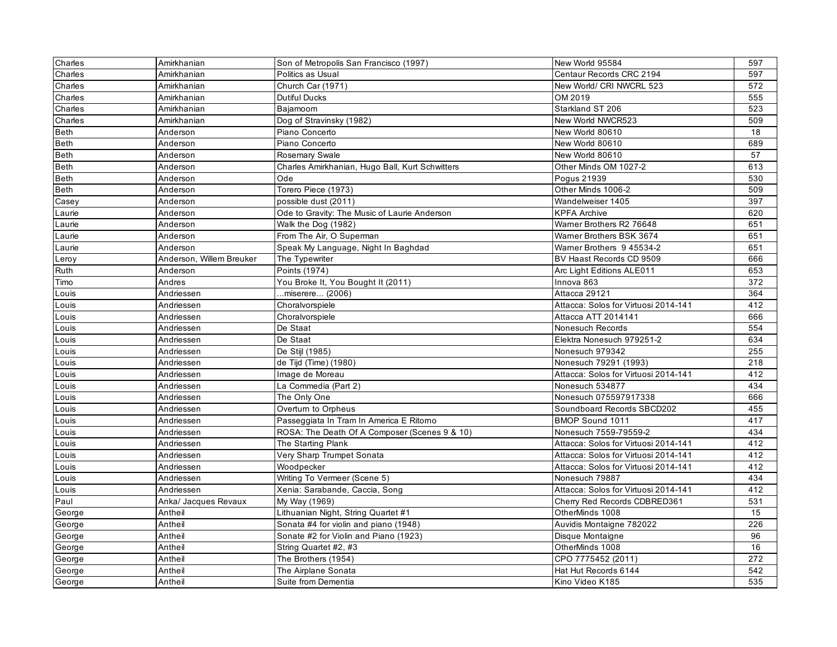| Charles     | Amirkhanian              | Son of Metropolis San Francisco (1997)          | New World 95584                      | 597 |
|-------------|--------------------------|-------------------------------------------------|--------------------------------------|-----|
| Charles     | Amirkhanian              | Politics as Usual                               | Centaur Records CRC 2194             | 597 |
| Charles     | Amirkhanian              | Church Car (1971)                               | New World/ CRI NWCRL 523             | 572 |
| Charles     | Amirkhanian              | <b>Dutiful Ducks</b>                            | OM 2019                              | 555 |
| Charles     | Amirkhanian              | Bajamoom                                        | Starkland ST 206                     | 523 |
| Charles     | Amirkhanian              | Dog of Stravinsky (1982)                        | New World NWCR523                    | 509 |
| Beth        | Anderson                 | Piano Concerto                                  | New World 80610                      | 18  |
| <b>Beth</b> | Anderson                 | Piano Concerto                                  | New World 80610                      | 689 |
| Beth        | Anderson                 | <b>Rosemary Swale</b>                           | New World 80610                      | 57  |
| Beth        | Anderson                 | Charles Amirkhanian, Hugo Ball, Kurt Schwitters | Other Minds OM 1027-2                | 613 |
| <b>Beth</b> | Anderson                 | Ode                                             | Pogus 21939                          | 530 |
| <b>Beth</b> | Anderson                 | Torero Piece (1973)                             | Other Minds 1006-2                   | 509 |
| Casey       | Anderson                 | possible dust (2011)                            | Wandelweiser 1405                    | 397 |
| Laurie      | Anderson                 | Ode to Gravity: The Music of Laurie Anderson    | <b>KPFA Archive</b>                  | 620 |
| Laurie      | Anderson                 | Walk the Dog (1982)                             | Wamer Brothers R2 76648              | 651 |
| Laurie      | Anderson                 | From The Air, O Superman                        | Wamer Brothers BSK 3674              | 651 |
| Laurie      | Anderson                 | Speak My Language, Night In Baghdad             | Wamer Brothers 9 45534-2             | 651 |
| Leroy       | Anderson, Willem Breuker | The Typewriter                                  | BV Haast Records CD 9509             | 666 |
| Ruth        | Anderson                 | Points (1974)                                   | Arc Light Editions ALE011            | 653 |
| Timo        | Andres                   | You Broke It, You Bought It (2011)              | Innova 863                           | 372 |
| Louis       | Andriessen               | .miserere (2006)                                | Attacca 29121                        | 364 |
| Louis       | Andriessen               | Choralvorspiele                                 | Attacca: Solos for Virtuosi 2014-141 | 412 |
| Louis       | Andriessen               | Choralvorspiele                                 | Attacca ATT 2014141                  | 666 |
| Louis       | Andriessen               | De Staat                                        | Nonesuch Records                     | 554 |
| Louis       | Andriessen               | De Staat                                        | Elektra Nonesuch 979251-2            | 634 |
| Louis       | Andriessen               | De Stijl (1985)                                 | Nonesuch 979342                      | 255 |
| Louis       | Andriessen               | de Tijd (Time) (1980)                           | Nonesuch 79291 (1993)                | 218 |
| Louis       | Andriessen               | Image de Moreau                                 | Attacca: Solos for Virtuosi 2014-141 | 412 |
| Louis       | Andriessen               | La Commedia (Part 2)                            | Nonesuch 534877                      | 434 |
| Louis       | Andriessen               | The Only One                                    | Nonesuch 075597917338                | 666 |
| Louis       | Andriessen               | Overturn to Orpheus                             | Soundboard Records SBCD202           | 455 |
| Louis       | Andriessen               | Passeggiata In Tram In America E Ritorno        | <b>BMOP Sound 1011</b>               | 417 |
| Louis       | Andriessen               | ROSA: The Death Of A Composer (Scenes 9 & 10)   | Nonesuch 7559-79559-2                | 434 |
| Louis       | Andriessen               | The Starting Plank                              | Attacca: Solos for Virtuosi 2014-141 | 412 |
| Louis       | Andriessen               | Very Sharp Trumpet Sonata                       | Attacca: Solos for Virtuosi 2014-141 | 412 |
| Louis       | Andriessen               | Woodpecker                                      | Attacca: Solos for Virtuosi 2014-141 | 412 |
| Louis       | Andriessen               | Writing To Vermeer (Scene 5)                    | Nonesuch 79887                       | 434 |
| Louis       | Andriessen               | Xenia: Sarabande, Caccia, Song                  | Attacca: Solos for Virtuosi 2014-141 | 412 |
| Paul        | Anka/ Jacques Revaux     | My Way (1969)                                   | Cherry Red Records CDBRED361         | 531 |
| George      | Antheil                  | Lithuanian Night, String Quartet #1             | OtherMinds 1008                      | 15  |
| George      | Antheil                  | Sonata #4 for violin and piano (1948)           | Auvidis Montaigne 782022             | 226 |
| George      | Antheil                  | Sonate #2 for Violin and Piano (1923)           | Disque Montaigne                     | 96  |
| George      | Antheil                  | String Quartet #2, #3                           | OtherMinds 1008                      | 16  |
| George      | Antheil                  | The Brothers (1954)                             | CPO 7775452 (2011)                   | 272 |
| George      | Antheil                  | The Airplane Sonata                             | Hat Hut Records 6144                 | 542 |
| George      | Antheil                  | Suite from Dementia                             | Kino Video K185                      | 535 |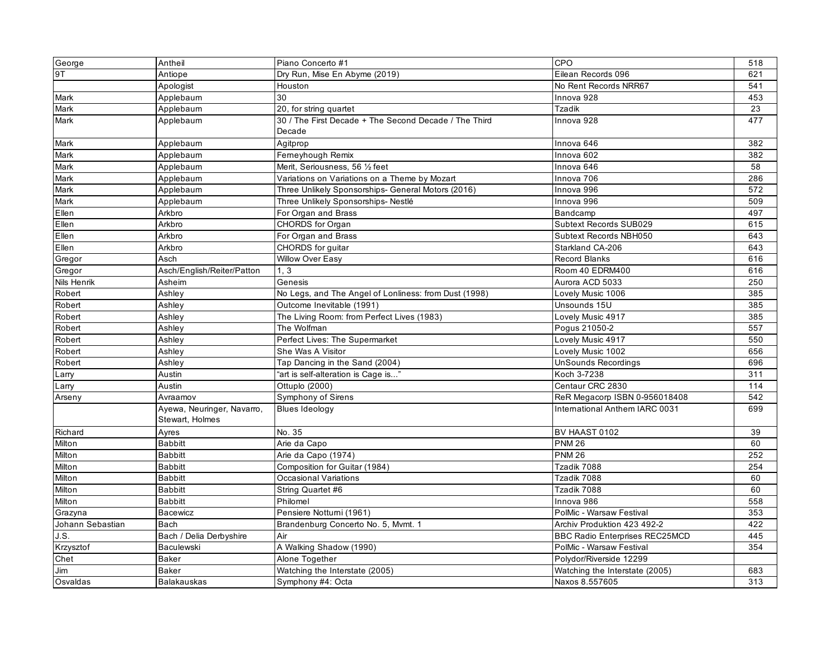| George           | Antheil                    | Piano Concerto #1                                     | CPO                                   | 518 |
|------------------|----------------------------|-------------------------------------------------------|---------------------------------------|-----|
| 9T               | Antiope                    | Dry Run, Mise En Abyme (2019)                         | Eilean Records 096                    | 621 |
|                  | Apologist                  | Houston                                               | No Rent Records NRR67                 | 541 |
| Mark             | Applebaum                  | 30                                                    | Innova 928                            | 453 |
| Mark             | Applebaum                  | 20, for string quartet                                | Tzadik                                | 23  |
| Mark             | Applebaum                  | 30 / The First Decade + The Second Decade / The Third | Innova 928                            | 477 |
|                  |                            | Decade                                                |                                       |     |
| Mark             | Applebaum                  | Agitprop                                              | Innova 646                            | 382 |
| Mark             | Applebaum                  | Ferneyhough Remix                                     | Innova 602                            | 382 |
| Mark             | Applebaum                  | Merit, Seriousness, 56 1/2 feet                       | Innova 646                            | 58  |
| Mark             | Applebaum                  | Variations on Variations on a Theme by Mozart         | Innova 706                            | 286 |
| Mark             | Applebaum                  | Three Unlikely Sponsorships- General Motors (2016)    | Innova 996                            | 572 |
| Mark             | Applebaum                  | Three Unlikely Sponsorships- Nestlé                   | Innova 996                            | 509 |
| Ellen            | Arkbro                     | For Organ and Brass                                   | Bandcamp                              | 497 |
| Ellen            | Arkbro                     | CHORDS for Organ                                      | Subtext Records SUB029                | 615 |
| Ellen            | Arkbro                     | For Organ and Brass                                   | Subtext Records NBH050                | 643 |
| Ellen            | Arkbro                     | CHORDS for guitar                                     | Starkland CA-206                      | 643 |
| Gregor           | Asch                       | Willow Over Easy                                      | <b>Record Blanks</b>                  | 616 |
| Gregor           | Asch/English/Reiter/Patton | 1, 3                                                  | Room 40 EDRM400                       | 616 |
| Nils Henrik      | Asheim                     | Genesis                                               | Aurora ACD 5033                       | 250 |
| Robert           | Ashley                     | No Legs, and The Angel of Lonliness: from Dust (1998) | Lovely Music 1006                     | 385 |
| Robert           | Ashley                     | Outcome Inevitable (1991)                             | Unsounds 15U                          | 385 |
| Robert           | Ashley                     | The Living Room: from Perfect Lives (1983)            | Lovely Music 4917                     | 385 |
| Robert           | Ashley                     | The Wolfman                                           | Pogus 21050-2                         | 557 |
| Robert           | Ashley                     | Perfect Lives: The Supermarket                        | Lovely Music 4917                     | 550 |
| Robert           | Ashley                     | She Was A Visitor                                     | Lovely Music 1002                     | 656 |
| Robert           | Ashley                     | Tap Dancing in the Sand (2004)                        | UnSounds Recordings                   | 696 |
| Larry            | Austin                     | "art is self-alteration is Cage is"                   | Koch 3-7238                           | 311 |
| Larry            | Austin                     | Ottuplo (2000)                                        | Centaur CRC 2830                      | 114 |
| Arseny           | Avraamov                   | Symphony of Sirens                                    | ReR Megacorp ISBN 0-956018408         | 542 |
|                  | Ayewa, Neuringer, Navarro, | <b>Blues Ideology</b>                                 | International Anthem IARC 0031        | 699 |
|                  | Stewart, Holmes            |                                                       |                                       |     |
| Richard          | Ayres                      | No. 35                                                | BV HAAST 0102                         | 39  |
| Milton           | <b>Babbitt</b>             | Arie da Capo                                          | <b>PNM 26</b>                         | 60  |
| Milton           | <b>Babbitt</b>             | Arie da Capo (1974)                                   | <b>PNM 26</b>                         | 252 |
| Milton           | <b>Babbitt</b>             | Composition for Guitar (1984)                         | Tzadik 7088                           | 254 |
| Milton           | <b>Babbitt</b>             | Occasional Variations                                 | Tzadik 7088                           | 60  |
| Milton           | <b>Babbitt</b>             | String Quartet #6                                     | Tzadik 7088                           | 60  |
| Milton           | <b>Babbitt</b>             | Philomel                                              | Innova 986                            | 558 |
| Grazyna          | <b>Bacewicz</b>            | Pensiere Notturni (1961)                              | PolMic - Warsaw Festival              | 353 |
| Johann Sebastian | Bach                       | Brandenburg Concerto No. 5, Mvmt. 1                   | Archiv Produktion 423 492-2           | 422 |
| J.S.             | Bach / Delia Derbyshire    | Air                                                   | <b>BBC Radio Enterprises REC25MCD</b> | 445 |
| Krzysztof        | Baculewski                 | A Walking Shadow (1990)                               | PolMic - Warsaw Festival              | 354 |
| Chet             | <b>Baker</b>               | Alone Together                                        | Polydor/Riverside 12299               |     |
| Jim              | <b>Baker</b>               | Watching the Interstate (2005)                        | Watching the Interstate (2005)        | 683 |
| Osvaldas         | <b>Balakauskas</b>         | Symphony #4: Octa                                     | Naxos 8.557605                        | 313 |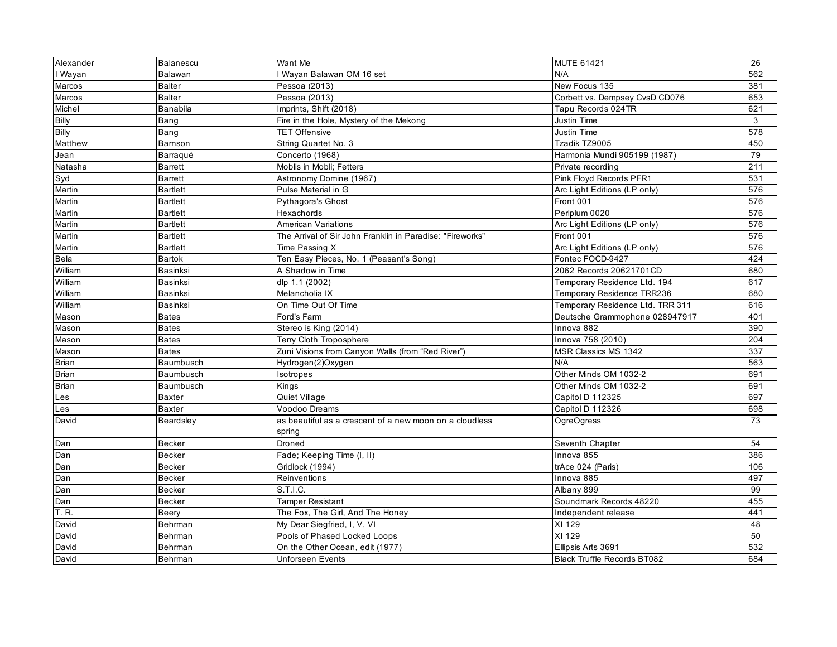| Alexander    | Balanescu       | Want Me                                                   | <b>MUTE 61421</b>                  | 26  |
|--------------|-----------------|-----------------------------------------------------------|------------------------------------|-----|
| I Wayan      | Balawan         | Wayan Balawan OM 16 set                                   | N/A                                | 562 |
| Marcos       | <b>Balter</b>   | Pessoa (2013)                                             | New Focus 135                      | 381 |
| Marcos       | <b>Balter</b>   | Pessoa (2013)                                             | Corbett vs. Dempsey CvsD CD076     | 653 |
| Michel       | <b>Banabila</b> | Imprints, Shift (2018)                                    | Tapu Records 024TR                 | 621 |
| <b>Billy</b> | Bang            | Fire in the Hole, Mystery of the Mekong                   | Justin Time                        | 3   |
| <b>Billy</b> | Bang            | <b>TET Offensive</b>                                      | Justin Time                        | 578 |
| Matthew      | Bamson          | String Quartet No. 3                                      | Tzadik TZ9005                      | 450 |
| Jean         | Barraqué        | Concerto (1968)                                           | Harmonia Mundi 905199 (1987)       | 79  |
| Natasha      | <b>Barrett</b>  | Moblis in Mobli; Fetters                                  | Private recording                  | 211 |
| Syd          | <b>Barrett</b>  | Astronomy Domine (1967)                                   | Pink Floyd Records PFR1            | 531 |
| Martin       | <b>Bartlett</b> | Pulse Material in G                                       | Arc Light Editions (LP only)       | 576 |
| Martin       | <b>Bartlett</b> | Pythagora's Ghost                                         | Front 001                          | 576 |
| Martin       | <b>Bartlett</b> | Hexachords                                                | Periplum 0020                      | 576 |
| Martin       | <b>Bartlett</b> | <b>American Variations</b>                                | Arc Light Editions (LP only)       | 576 |
| Martin       | <b>Bartlett</b> | The Arrival of Sir John Franklin in Paradise: "Fireworks" | Front 001                          | 576 |
| Martin       | <b>Bartlett</b> | Time Passing X                                            | Arc Light Editions (LP only)       | 576 |
| Bela         | <b>Bartok</b>   | Ten Easy Pieces, No. 1 (Peasant's Song)                   | Fontec FOCD-9427                   | 424 |
| William      | Basinksi        | A Shadow in Time                                          | 2062 Records 20621701CD            | 680 |
| William      | Basinksi        | dlp 1.1 (2002)                                            | Temporary Residence Ltd. 194       | 617 |
| William      | Basinksi        | Melancholia IX                                            | Temporary Residence TRR236         | 680 |
| William      | Basinksi        | On Time Out Of Time                                       | Temporary Residence Ltd. TRR 311   | 616 |
| Mason        | <b>Bates</b>    | Ford's Farm                                               | Deutsche Grammophone 028947917     | 401 |
| Mason        | <b>Bates</b>    | Stereo is King (2014)                                     | Innova 882                         | 390 |
| Mason        | <b>Bates</b>    | <b>Terry Cloth Troposphere</b>                            | Innova 758 (2010)                  | 204 |
| Mason        | <b>Bates</b>    | Zuni Visions from Canyon Walls (from "Red River")         | MSR Classics MS 1342               | 337 |
| Brian        | Baumbusch       | Hydrogen(2)Oxygen                                         | N/A                                | 563 |
| <b>Brian</b> | Baumbusch       | Isotropes                                                 | Other Minds OM 1032-2              | 691 |
| <b>Brian</b> | Baumbusch       | Kings                                                     | Other Minds OM 1032-2              | 691 |
| Les          | <b>Baxter</b>   | Quiet Village                                             | Capitol D 112325                   | 697 |
| Les          | Baxter          | Voodoo Dreams                                             | Capitol D 112326                   | 698 |
| David        | Beardsley       | as beautiful as a crescent of a new moon on a cloudless   | OgreOgress                         | 73  |
|              |                 | spring                                                    |                                    |     |
| Dan          | <b>Becker</b>   | Droned                                                    | Seventh Chapter                    | 54  |
| Dan          | <b>Becker</b>   | Fade; Keeping Time (I, II)                                | Innova 855                         | 386 |
| Dan          | <b>Becker</b>   | Gridlock (1994)                                           | trAce 024 (Paris)                  | 106 |
| Dan          | <b>Becker</b>   | Reinventions                                              | Innova 885                         | 497 |
| Dan          | Becker          | S.T.I.C.                                                  | Albany 899                         | 99  |
| Dan          | <b>Becker</b>   | <b>Tamper Resistant</b>                                   | Soundmark Records 48220            | 455 |
| T.R.         | Beery           | The Fox, The Girl, And The Honey                          | Independent release                | 441 |
| David        | Behrman         | My Dear Siegfried, I, V, VI                               | XI 129                             | 48  |
| David        | Behrman         | Pools of Phased Locked Loops                              | XI 129                             | 50  |
| David        | Behrman         | On the Other Ocean, edit (1977)                           | Ellipsis Arts 3691                 | 532 |
| David        | Behrman         | <b>Unforseen Events</b>                                   | <b>Black Truffle Records BT082</b> | 684 |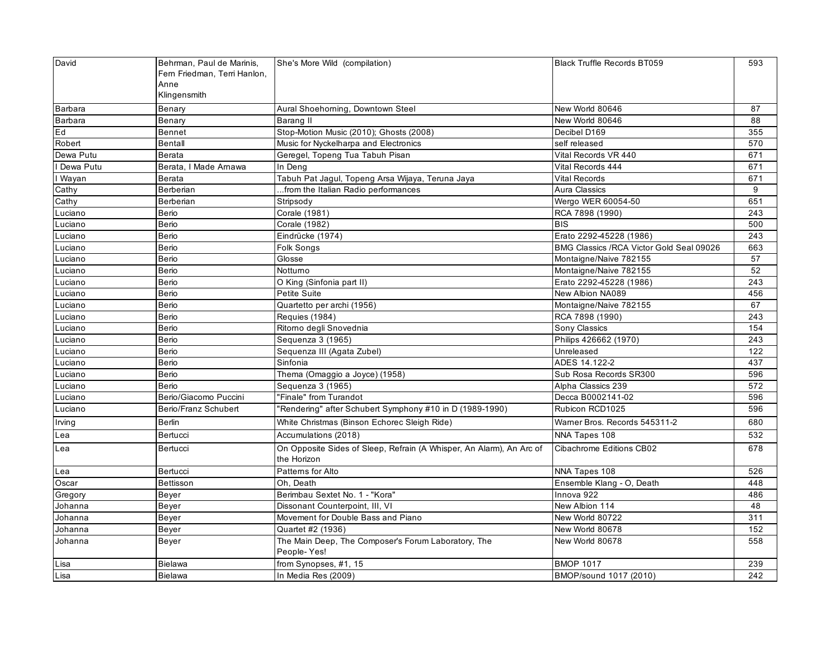| David          | Behrman, Paul de Marinis,<br>Fern Friedman, Terri Hanlon, | She's More Wild (compilation)                                                       | <b>Black Truffle Records BT059</b>        | 593 |
|----------------|-----------------------------------------------------------|-------------------------------------------------------------------------------------|-------------------------------------------|-----|
|                | Anne                                                      |                                                                                     |                                           |     |
|                | Klingensmith                                              |                                                                                     |                                           |     |
| Barbara        | Benary                                                    | Aural Shoehoming, Downtown Steel                                                    | New World 80646                           | 87  |
| <b>Barbara</b> | Benary                                                    | Barang II                                                                           | New World 80646                           | 88  |
| Ed             | Bennet                                                    | Stop-Motion Music (2010); Ghosts (2008)                                             | Decibel D169                              | 355 |
| Robert         | <b>Bentall</b>                                            | Music for Nyckelharpa and Electronics                                               | self released                             | 570 |
| Dewa Putu      | Berata                                                    | Geregel, Topeng Tua Tabuh Pisan                                                     | Vital Records VR 440                      | 671 |
| I Dewa Putu    | Berata, I Made Amawa                                      | In Deng                                                                             | Vital Records 444                         | 671 |
| I Wayan        | Berata                                                    | Tabuh Pat Jagul, Topeng Arsa Wijaya, Teruna Jaya                                    | <b>Vital Records</b>                      | 671 |
| Cathy          | Berberian                                                 | from the Italian Radio performances                                                 | Aura Classics                             | 9   |
| Cathy          | Berberian                                                 | Stripsody                                                                           | Wergo WER 60054-50                        | 651 |
| Luciano        | Berio                                                     | Corale (1981)                                                                       | RCA 7898 (1990)                           | 243 |
| Luciano        | Berio                                                     | Corale (1982)                                                                       | <b>BIS</b>                                | 500 |
| Luciano        | Berio                                                     | Eindrücke (1974)                                                                    | Erato 2292-45228 (1986)                   | 243 |
| Luciano        | Berio                                                     | Folk Songs                                                                          | BMG Classics / RCA Victor Gold Seal 09026 | 663 |
| Luciano        | Berio                                                     | Glosse                                                                              | Montaigne/Naive 782155                    | 57  |
| Luciano        | Berio                                                     | Notturno                                                                            | Montaigne/Naive 782155                    | 52  |
| Luciano        | Berio                                                     | O King (Sinfonia part II)                                                           | Erato 2292-45228 (1986)                   | 243 |
| Luciano        | Berio                                                     | Petite Suite                                                                        | New Albion NA089                          | 456 |
| Luciano        | Berio                                                     | Quartetto per archi (1956)                                                          | Montaigne/Naive 782155                    | 67  |
| Luciano        | Berio                                                     | Requies (1984)                                                                      | RCA 7898 (1990)                           | 243 |
| Luciano        | Berio                                                     | Ritorno degli Snovednia                                                             | Sony Classics                             | 154 |
| Luciano        | Berio                                                     | Sequenza 3 (1965)                                                                   | Philips 426662 (1970)                     | 243 |
| Luciano        | Berio                                                     | Sequenza III (Agata Zubel)                                                          | Unreleased                                | 122 |
| Luciano        | Berio                                                     | Sinfonia                                                                            | ADES 14.122-2                             | 437 |
| Luciano        | Berio                                                     | Thema (Omaggio a Joyce) (1958)                                                      | Sub Rosa Records SR300                    | 596 |
| Luciano        | Berio                                                     | Sequenza 3 (1965)                                                                   | Alpha Classics 239                        | 572 |
| Luciano        | Berio/Giacomo Puccini                                     | "Finale" from Turandot                                                              | Decca B0002141-02                         | 596 |
| Luciano        | Berio/Franz Schubert                                      | 'Rendering" after Schubert Symphony #10 in D (1989-1990)                            | Rubicon RCD1025                           | 596 |
| Irving         | <b>Berlin</b>                                             | White Christmas (Binson Echorec Sleigh Ride)                                        | Wamer Bros. Records 545311-2              | 680 |
| Lea            | Bertucci                                                  | Accumulations (2018)                                                                | NNA Tapes 108                             | 532 |
| Lea            | Bertucci                                                  | On Opposite Sides of Sleep, Refrain (A Whisper, An Alarm), An Arc of<br>the Horizon | Cibachrome Editions CB02                  | 678 |
| Lea            | Bertucci                                                  | Patterns for Alto                                                                   | NNA Tapes 108                             | 526 |
| Oscar          | Bettisson                                                 | Oh. Death                                                                           | Ensemble Klang - O, Death                 | 448 |
| Gregory        | Beyer                                                     | Berimbau Sextet No. 1 - "Kora"                                                      | Innova 922                                | 486 |
| Johanna        | Beyer                                                     | Dissonant Counterpoint, III, VI                                                     | New Albion 114                            | 48  |
| Johanna        | Beyer                                                     | Movement for Double Bass and Piano                                                  | New World 80722                           | 311 |
| Johanna        | Beyer                                                     | Quartet #2 (1936)                                                                   | New World 80678                           | 152 |
| Johanna        | Beyer                                                     | The Main Deep, The Composer's Forum Laboratory, The<br>People-Yes!                  | New World 80678                           | 558 |
| Lisa           | <b>Bielawa</b>                                            | from Synopses, #1, 15                                                               | <b>BMOP 1017</b>                          | 239 |
| Lisa           | <b>Bielawa</b>                                            | In Media Res (2009)                                                                 | BMOP/sound 1017 (2010)                    | 242 |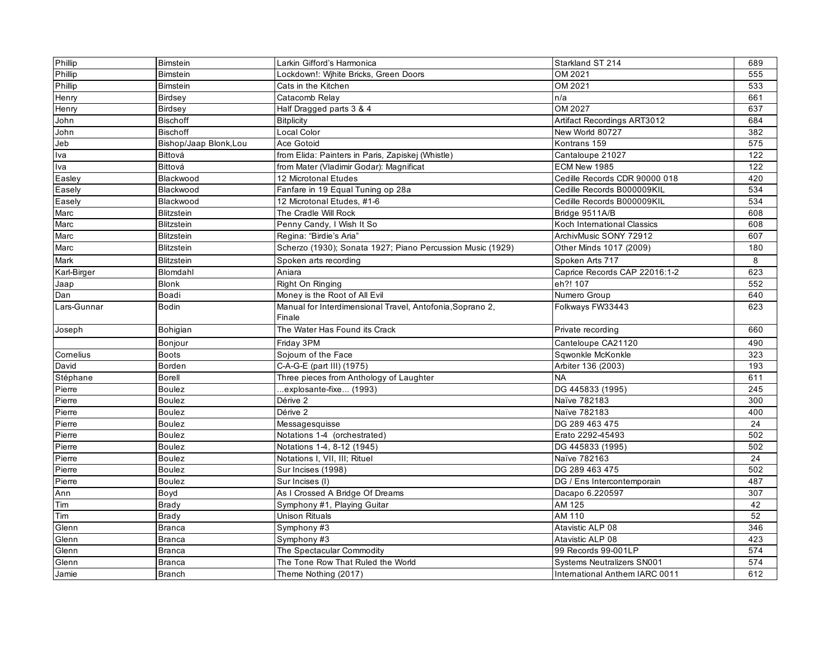| Phillip     | <b>Bimstein</b>        | Larkin Gifford's Harmonica                                          | Starkland ST 214                  | 689 |
|-------------|------------------------|---------------------------------------------------------------------|-----------------------------------|-----|
| Phillip     | Bimstein               | Lockdown!: Wihite Bricks, Green Doors                               | OM 2021                           | 555 |
| Phillip     | <b>Bimstein</b>        | Cats in the Kitchen                                                 | OM 2021                           | 533 |
| Henry       | Birdsey                | Catacomb Relay                                                      | n/a                               | 661 |
| Henry       | Birdsey                | Half Dragged parts 3 & 4                                            | OM 2027                           | 637 |
| John        | <b>Bischoff</b>        | <b>Bitplicity</b>                                                   | Artifact Recordings ART3012       | 684 |
| John        | <b>Bischoff</b>        | Local Color                                                         | New World 80727                   | 382 |
| Jeb         | Bishop/Jaap Blonk, Lou | Ace Gotoid                                                          | Kontrans 159                      | 575 |
| Iva         | Bittová                | from Elida: Painters in Paris, Zapiskej (Whistle)                   | Cantaloupe 21027                  | 122 |
| Iva         | Bittová                | from Mater (Vladimir Godar): Magnificat                             | ECM New 1985                      | 122 |
| Easley      | Blackwood              | 12 Microtonal Etudes                                                | Cedille Records CDR 90000 018     | 420 |
| Easely      | Blackwood              | Fanfare in 19 Equal Tuning op 28a                                   | Cedille Records B000009KIL        | 534 |
| Easely      | Blackwood              | 12 Microtonal Etudes, #1-6                                          | Cedille Records B000009KIL        | 534 |
| Marc        | <b>Blitzstein</b>      | The Cradle Will Rock                                                | Bridge 9511A/B                    | 608 |
| Marc        | Blitzstein             | Penny Candy, I Wish It So                                           | Koch International Classics       | 608 |
| Marc        | <b>Blitzstein</b>      | Regina: "Birdie's Aria"                                             | ArchivMusic SONY 72912            | 607 |
| Marc        | <b>Blitzstein</b>      | Scherzo (1930); Sonata 1927; Piano Percussion Music (1929)          | Other Minds 1017 (2009)           | 180 |
| Mark        | <b>Blitzstein</b>      | Spoken arts recording                                               | Spoken Arts 717                   | 8   |
| Karl-Birger | Blomdahl               | Aniara                                                              | Caprice Records CAP 22016:1-2     | 623 |
| Jaap        | <b>Blonk</b>           | Right On Ringing                                                    | eh?! 107                          | 552 |
| Dan         | Boadi                  | Money is the Root of All Evil                                       | Numero Group                      | 640 |
| Lars-Gunnar | <b>Bodin</b>           | Manual for Interdimensional Travel, Antofonia, Soprano 2,<br>Finale | Folkways FW33443                  | 623 |
| Joseph      | Bohigian               | The Water Has Found its Crack                                       | Private recording                 | 660 |
|             | Bonjour                | Friday 3PM                                                          | Canteloupe CA21120                | 490 |
| Comelius    | <b>Boots</b>           | Sojoum of the Face                                                  | Sqwonkle McKonkle                 | 323 |
| David       | Borden                 | C-A-G-E (part III) (1975)                                           | Arbiter 136 (2003)                | 193 |
| Stéphane    | <b>Borell</b>          | Three pieces from Anthology of Laughter                             | <b>NA</b>                         | 611 |
| Pierre      | <b>Boulez</b>          | explosante-fixe (1993)                                              | DG 445833 (1995)                  | 245 |
| Pierre      | <b>Boulez</b>          | Dérive 2                                                            | Naïve 782183                      | 300 |
| Pierre      | <b>Boulez</b>          | Dérive 2                                                            | Naïve 782183                      | 400 |
| Pierre      | <b>Boulez</b>          | Messagesquisse                                                      | DG 289 463 475                    | 24  |
| Pierre      | <b>Boulez</b>          | Notations 1-4 (orchestrated)                                        | Erato 2292-45493                  | 502 |
| Pierre      | <b>Boulez</b>          | Notations 1-4, 8-12 (1945)                                          | DG 445833 (1995)                  | 502 |
| Pierre      | <b>Boulez</b>          | Notations I, VII, III; Rituel                                       | Naïve 782163                      | 24  |
| Pierre      | <b>Boulez</b>          | Sur Incises (1998)                                                  | DG 289 463 475                    | 502 |
| Pierre      | <b>Boulez</b>          | Sur Incises (I)                                                     | DG / Ens Intercontemporain        | 487 |
| Ann         | Boyd                   | As I Crossed A Bridge Of Dreams                                     | Dacapo 6.220597                   | 307 |
| Tim         | Brady                  | Symphony #1, Playing Guitar                                         | AM 125                            | 42  |
| Tim         | <b>Brady</b>           | <b>Unison Rituals</b>                                               | AM 110                            | 52  |
| Glenn       | <b>Branca</b>          | Symphony #3                                                         | Atavistic ALP 08                  | 346 |
| Glenn       | Branca                 | Symphony #3                                                         | Atavistic ALP 08                  | 423 |
| Glenn       | <b>Branca</b>          | The Spectacular Commodity                                           | 99 Records 99-001LP               | 574 |
| Glenn       | <b>Branca</b>          | The Tone Row That Ruled the World                                   | <b>Systems Neutralizers SN001</b> | 574 |
| Jamie       | <b>Branch</b>          | Theme Nothing (2017)                                                | International Anthem IARC 0011    | 612 |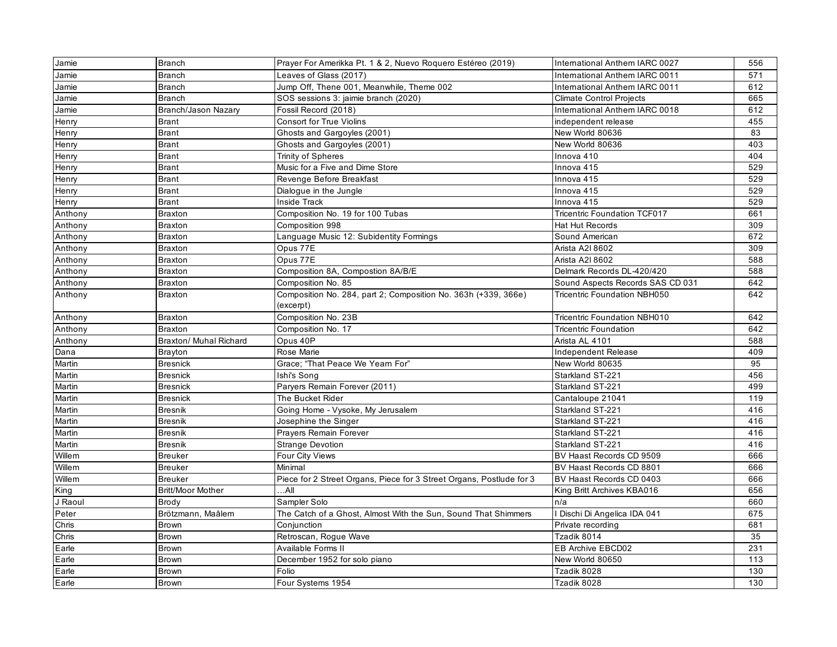| Jamie   | <b>Branch</b>          | Prayer For Amerikka Pt. 1 & 2, Nuevo Roquero Estéreo (2019)          | International Anthem IARC 0027      | 556 |
|---------|------------------------|----------------------------------------------------------------------|-------------------------------------|-----|
| Jamie   | <b>Branch</b>          | Leaves of Glass (2017)                                               | International Anthem IARC 0011      | 571 |
| Jamie   | <b>Branch</b>          | Jump Off, Thene 001, Meanwhile, Theme 002                            | International Anthem IARC 0011      | 612 |
| Jamie   | <b>Branch</b>          | SOS sessions 3: jaimie branch (2020)                                 | <b>Climate Control Projects</b>     | 665 |
| Jamie   | Branch/Jason Nazary    | Fossil Record (2018)                                                 | International Anthem IARC 0018      | 612 |
| Henry   | <b>Brant</b>           | <b>Consort for True Violins</b>                                      | independent release                 | 455 |
| Henry   | <b>Brant</b>           | Ghosts and Gargoyles (2001)                                          | New World 80636                     | 83  |
| Henry   | <b>Brant</b>           | Ghosts and Gargoyles (2001)                                          | New World 80636                     | 403 |
| Henry   | <b>Brant</b>           | Trinity of Spheres                                                   | Innova 410                          | 404 |
| Henry   | <b>Brant</b>           | Music for a Five and Dime Store                                      | Innova 415                          | 529 |
| Henry   | <b>Brant</b>           | Revenge Before Breakfast                                             | Innova 415                          | 529 |
| Henry   | <b>Brant</b>           | Dialogue in the Jungle                                               | Innova 415                          | 529 |
| Henry   | <b>Brant</b>           | <b>Inside Track</b>                                                  | Innova 415                          | 529 |
| Anthony | <b>Braxton</b>         | Composition No. 19 for 100 Tubas                                     | <b>Tricentric Foundation TCF017</b> | 661 |
| Anthony | <b>Braxton</b>         | Composition 998                                                      | <b>Hat Hut Records</b>              | 309 |
| Anthony | <b>Braxton</b>         | Language Music 12: Subidentity Formings                              | Sound American                      | 672 |
| Anthony | <b>Braxton</b>         | Opus 77E                                                             | Arista A2I 8602                     | 309 |
| Anthony | <b>Braxton</b>         | Opus 77E                                                             | Arista A2I 8602                     | 588 |
| Anthony | <b>Braxton</b>         | Composition 8A, Compostion 8A/B/E                                    | Delmark Records DL-420/420          | 588 |
| Anthony | <b>Braxton</b>         | Composition No. 85                                                   | Sound Aspects Records SAS CD 031    | 642 |
| Anthony | <b>Braxton</b>         | Composition No. 284, part 2; Composition No. 363h (+339, 366e)       | Tricentric Foundation NBH050        | 642 |
|         |                        | (excerpt)                                                            |                                     |     |
| Anthony | <b>Braxton</b>         | Composition No. 23B                                                  | Tricentric Foundation NBH010        | 642 |
| Anthony | <b>Braxton</b>         | Composition No. 17                                                   | <b>Tricentric Foundation</b>        | 642 |
| Anthony | Braxton/ Muhal Richard | Opus 40P                                                             | Arista AL 4101                      | 588 |
| Dana    | <b>Brayton</b>         | Rose Marie                                                           | Independent Release                 | 409 |
| Martin  | <b>Bresnick</b>        | Grace; "That Peace We Yeam For"                                      | New World 80635                     | 95  |
| Martin  | <b>Bresnick</b>        | Ishi's Song                                                          | Starkland ST-221                    | 456 |
| Martin  | <b>Bresnick</b>        | Paryers Remain Forever (2011)                                        | Starkland ST-221                    | 499 |
| Martin  | <b>Bresnick</b>        | The Bucket Rider                                                     | Cantaloupe 21041                    | 119 |
| Martin  | <b>Bresnik</b>         | Going Home - Vysoke, My Jerusalem                                    | Starkland ST-221                    | 416 |
| Martin  | <b>Bresnik</b>         | Josephine the Singer                                                 | Starkland ST-221                    | 416 |
| Martin  | <b>Bresnik</b>         | Prayers Remain Forever                                               | Starkland ST-221                    | 416 |
| Martin  | <b>Bresnik</b>         | <b>Strange Devotion</b>                                              | Starkland ST-221                    | 416 |
| Willem  | <b>Breuker</b>         | Four City Views                                                      | BV Haast Records CD 9509            | 666 |
| Willem  | <b>Breuker</b>         | Minimal                                                              | BV Haast Records CD 8801            | 666 |
| Willem  | <b>Breuker</b>         | Piece for 2 Street Organs, Piece for 3 Street Organs, Postlude for 3 | BV Haast Records CD 0403            | 666 |
| King    | Britt/Moor Mother      | All                                                                  | King Britt Archives KBA016          | 656 |
| J Raoul | Brody                  | Sampler Solo                                                         | n/a                                 | 660 |
| Peter   | Brötzmann, Maâlem      | The Catch of a Ghost, Almost With the Sun, Sound That Shimmers       | I Dischi Di Angelica IDA 041        | 675 |
| Chris   | Brown                  | Conjunction                                                          | Private recording                   | 681 |
| Chris   | <b>Brown</b>           | Retroscan, Rogue Wave                                                | Tzadik 8014                         | 35  |
| Earle   | <b>Brown</b>           | Available Forms II                                                   | EB Archive EBCD02                   | 231 |
| Earle   | Brown                  | December 1952 for solo piano                                         | New World 80650                     | 113 |
| Earle   | Brown                  | Folio                                                                | Tzadik 8028                         | 130 |
| Earle   | <b>Brown</b>           | Four Systems 1954                                                    | Tzadik 8028                         | 130 |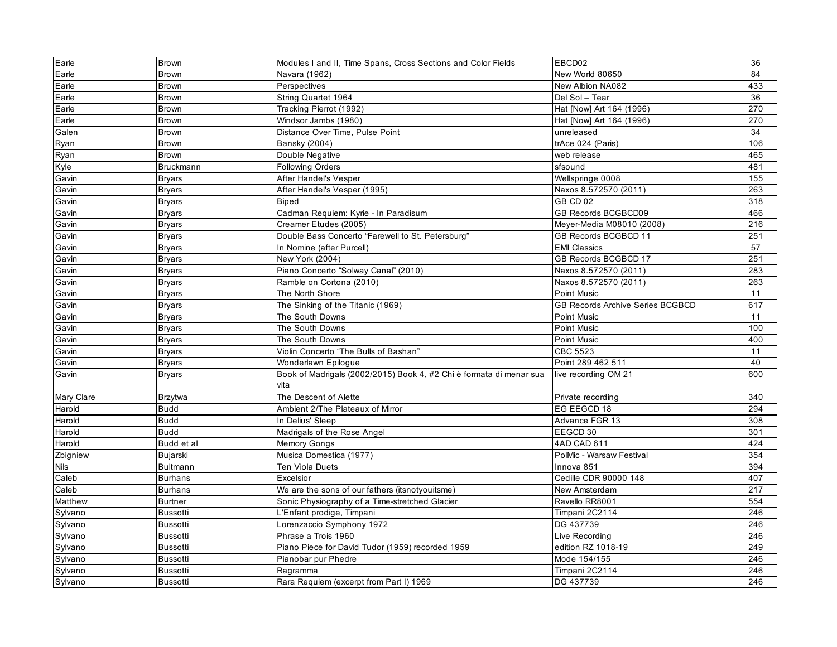| Earle       | <b>Brown</b>    | Modules I and II, Time Spans, Cross Sections and Color Fields       | EBCD02                                  | 36  |
|-------------|-----------------|---------------------------------------------------------------------|-----------------------------------------|-----|
| Earle       | Brown           | Navara (1962)                                                       | New World 80650                         | 84  |
| Earle       | Brown           | Perspectives                                                        | New Albion NA082                        | 433 |
| Earle       | Brown           | String Quartet 1964                                                 | Del Sol - Tear                          | 36  |
| Earle       | <b>Brown</b>    | Tracking Pierrot (1992)                                             | Hat [Now] Art 164 (1996)                | 270 |
| Earle       | Brown           | Windsor Jambs (1980)                                                | Hat [Now] Art 164 (1996)                | 270 |
| Galen       | Brown           | Distance Over Time, Pulse Point                                     | unreleased                              | 34  |
| Ryan        | Brown           | <b>Bansky (2004)</b>                                                | trAce 024 (Paris)                       | 106 |
| Ryan        | <b>Brown</b>    | Double Negative                                                     | web release                             | 465 |
| Kyle        | Bruckmann       | <b>Following Orders</b>                                             | sfsound                                 | 481 |
| Gavin       | <b>Bryars</b>   | After Handel's Vesper                                               | Wellspringe 0008                        | 155 |
| Gavin       | <b>Bryars</b>   | After Handel's Vesper (1995)                                        | Naxos 8.572570 (2011)                   | 263 |
| Gavin       | <b>Bryars</b>   | <b>Biped</b>                                                        | GB CD 02                                | 318 |
| Gavin       | <b>Bryars</b>   | Cadman Requiem: Kyrie - In Paradisum                                | GB Records BCGBCD09                     | 466 |
| Gavin       | <b>Bryars</b>   | Creamer Etudes (2005)                                               | Meyer-Media M08010 (2008)               | 216 |
| Gavin       | <b>Bryars</b>   | Double Bass Concerto "Farewell to St. Petersburg"                   | GB Records BCGBCD 11                    | 251 |
| Gavin       | <b>Bryars</b>   | In Nomine (after Purcell)                                           | <b>EMI Classics</b>                     | 57  |
| Gavin       | <b>Bryars</b>   | New York (2004)                                                     | GB Records BCGBCD 17                    | 251 |
| Gavin       | <b>Bryars</b>   | Piano Concerto "Solway Canal" (2010)                                | Naxos 8.572570 (2011)                   | 283 |
| Gavin       | <b>Bryars</b>   | Ramble on Cortona (2010)                                            | Naxos 8.572570 (2011)                   | 263 |
| Gavin       | <b>Bryars</b>   | The North Shore                                                     | Point Music                             | 11  |
| Gavin       | <b>Bryars</b>   | The Sinking of the Titanic (1969)                                   | <b>GB Records Archive Series BCGBCD</b> | 617 |
| Gavin       | <b>Bryars</b>   | The South Downs                                                     | <b>Point Music</b>                      | 11  |
| Gavin       | <b>Bryars</b>   | The South Downs                                                     | Point Music                             | 100 |
| Gavin       | <b>Bryars</b>   | The South Downs                                                     | Point Music                             | 400 |
| Gavin       | <b>Bryars</b>   | Violin Concerto "The Bulls of Bashan"                               | <b>CBC 5523</b>                         | 11  |
| Gavin       | <b>Bryars</b>   | Wonderlawn Epiloque                                                 | Point 289 462 511                       | 40  |
| Gavin       | <b>Bryars</b>   | Book of Madrigals (2002/2015) Book 4, #2 Chi è formata di menar sua | live recording OM 21                    | 600 |
|             |                 | vita                                                                |                                         |     |
| Mary Clare  | <b>Brzytwa</b>  | The Descent of Alette                                               | Private recording                       | 340 |
| Harold      | <b>Budd</b>     | Ambient 2/The Plateaux of Mirror                                    | EG EEGCD 18                             | 294 |
| Harold      | <b>Budd</b>     | In Delius' Sleep                                                    | Advance FGR 13                          | 308 |
| Harold      | <b>Budd</b>     | Madrigals of the Rose Angel                                         | EEGCD 30                                | 301 |
| Harold      | Budd et al      | <b>Memory Gongs</b>                                                 | 4AD CAD 611                             | 424 |
| Zbigniew    | Bujarski        | Musica Domestica (1977)                                             | PolMic - Warsaw Festival                | 354 |
| <b>Nils</b> | Bultmann        | <b>Ten Viola Duets</b>                                              | Innova 851                              | 394 |
| Caleb       | <b>Burhans</b>  | Excelsior                                                           | Cedille CDR 90000 148                   | 407 |
| Caleb       | <b>Burhans</b>  | We are the sons of our fathers (itsnotyouitsme)                     | New Amsterdam                           | 217 |
| Matthew     | <b>Burtner</b>  | Sonic Physiography of a Time-stretched Glacier                      | Ravello RR8001                          | 554 |
| Sylvano     | <b>Bussotti</b> | L'Enfant prodige, Timpani                                           | Timpani 2C2114                          | 246 |
| Sylvano     | <b>Bussotti</b> | Lorenzaccio Symphony 1972                                           | DG 437739                               | 246 |
| Sylvano     | <b>Bussotti</b> | Phrase a Trois 1960                                                 | Live Recording                          | 246 |
| Sylvano     | <b>Bussotti</b> | Piano Piece for David Tudor (1959) recorded 1959                    | edition RZ 1018-19                      | 249 |
| Sylvano     | <b>Bussotti</b> | Pianobar pur Phedre                                                 | Mode 154/155                            | 246 |
| Sylvano     | <b>Bussotti</b> | Ragramma                                                            | Timpani 2C2114                          | 246 |
| Sylvano     | <b>Bussotti</b> | Rara Requiem (excerpt from Part I) 1969                             | DG 437739                               | 246 |
|             |                 |                                                                     |                                         |     |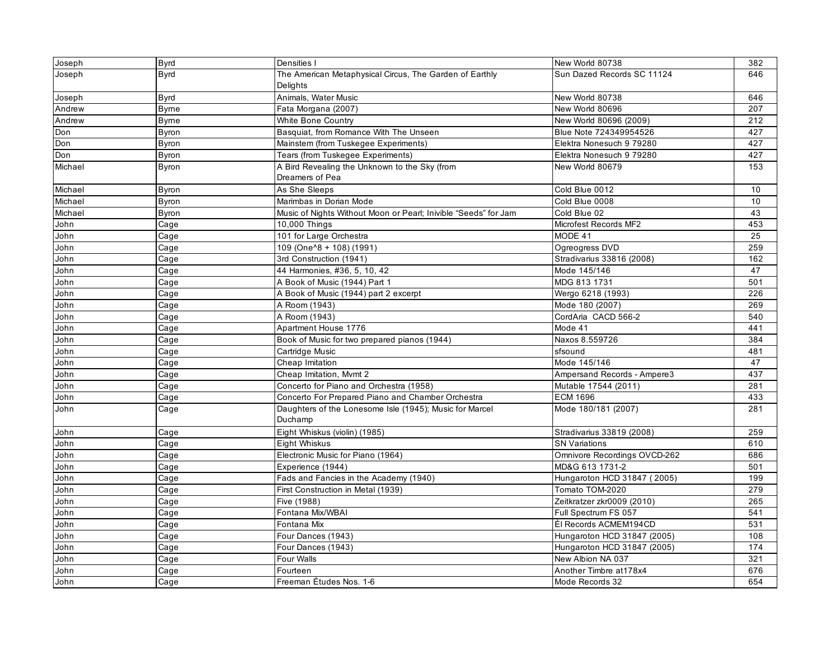| Joseph  | <b>Byrd</b>  | Densities I                                                     | New World 80738              | 382 |
|---------|--------------|-----------------------------------------------------------------|------------------------------|-----|
| Joseph  | <b>Byrd</b>  | The American Metaphysical Circus, The Garden of Earthly         | Sun Dazed Records SC 11124   | 646 |
|         |              | Delights                                                        |                              |     |
| Joseph  | <b>Byrd</b>  | Animals, Water Music                                            | New World 80738              | 646 |
| Andrew  | <b>Byrne</b> | Fata Morgana (2007)                                             | New World 80696              | 207 |
| Andrew  | <b>Byrne</b> | White Bone Country                                              | New World 80696 (2009)       | 212 |
| Don     | <b>Byron</b> | Basquiat, from Romance With The Unseen                          | Blue Note 724349954526       | 427 |
| Don     | Byron        | Mainstem (from Tuskegee Experiments)                            | Elektra Nonesuch 9 79280     | 427 |
| Don     | Byron        | Tears (from Tuskegee Experiments)                               | Elektra Nonesuch 9 79280     | 427 |
| Michael | <b>Byron</b> | A Bird Revealing the Unknown to the Sky (from                   | New World 80679              | 153 |
|         |              | Dreamers of Pea                                                 |                              |     |
| Michael | <b>Byron</b> | As She Sleeps                                                   | Cold Blue 0012               | 10  |
| Michael | <b>Byron</b> | Marimbas in Dorian Mode                                         | Cold Blue 0008               | 10  |
| Michael | Byron        | Music of Nights Without Moon or Pearl; Inivible "Seeds" for Jam | Cold Blue 02                 | 43  |
| John    | Cage         | 10,000 Things                                                   | Microfest Records MF2        | 453 |
| John    | Cage         | 101 for Large Orchestra                                         | MODE 41                      | 25  |
| John    | Cage         | 109 (One <sup>1</sup> 8 + 108) (1991)                           | Ogreogress DVD               | 259 |
| John    | Cage         | 3rd Construction (1941)                                         | Stradivarius 33816 (2008)    | 162 |
| John    | Cage         | 44 Harmonies, #36, 5, 10, 42                                    | Mode 145/146                 | 47  |
| John    | Cage         | A Book of Music (1944) Part 1                                   | MDG 813 1731                 | 501 |
| John    | Cage         | A Book of Music (1944) part 2 excerpt                           | Wergo 6218 (1993)            | 226 |
| John    | Cage         | A Room (1943)                                                   | Mode 180 (2007)              | 269 |
| John    | Cage         | A Room (1943)                                                   | CordAria CACD 566-2          | 540 |
| John    | Cage         | Apartment House 1776                                            | Mode 41                      | 441 |
| John    | Cage         | Book of Music for two prepared pianos (1944)                    | Naxos 8.559726               | 384 |
| John    | Cage         | Cartridge Music                                                 | sfsound                      | 481 |
| John    | Cage         | Cheap Imitation                                                 | Mode 145/146                 | 47  |
| John    | Cage         | Cheap Imitation, Mvmt 2                                         | Ampersand Records - Ampere3  | 437 |
| John    | Cage         | Concerto for Piano and Orchestra (1958)                         | Mutable 17544 (2011)         | 281 |
| John    | Cage         | Concerto For Prepared Piano and Chamber Orchestra               | <b>ECM 1696</b>              | 433 |
| John    | Cage         | Daughters of the Lonesome Isle (1945); Music for Marcel         | Mode 180/181 (2007)          | 281 |
|         |              | Duchamp                                                         |                              |     |
| John    | Cage         | Eight Whiskus (violin) (1985)                                   | Stradivarius 33819 (2008)    | 259 |
| John    | Cage         | <b>Eight Whiskus</b>                                            | <b>SN Variations</b>         | 610 |
| John    | Cage         | Electronic Music for Piano (1964)                               | Omnivore Recordings OVCD-262 | 686 |
| John    | Cage         | Experience (1944)                                               | MD&G 613 1731-2              | 501 |
| John    | Cage         | Fads and Fancies in the Academy (1940)                          | Hungaroton HCD 31847 (2005)  | 199 |
| John    | Cage         | First Construction in Metal (1939)                              | Tomato TOM-2020              | 279 |
| John    | Cage         | Five (1988)                                                     | Zeitkratzer zkr0009 (2010)   | 265 |
| John    | Cage         | Fontana Mix/WBAI                                                | Full Spectrum FS 057         | 541 |
| John    | Cage         | Fontana Mix                                                     | Él Records ACMEM194CD        | 531 |
| John    | Cage         | Four Dances (1943)                                              | Hungaroton HCD 31847 (2005)  | 108 |
| John    | Cage         | Four Dances (1943)                                              | Hungaroton HCD 31847 (2005)  | 174 |
| John    | Cage         | Four Walls                                                      | New Albion NA 037            | 321 |
| John    | Cage         | Fourteen                                                        | Another Timbre at 178x4      | 676 |
| John    | Cage         | Freeman Études Nos. 1-6                                         | Mode Records 32              | 654 |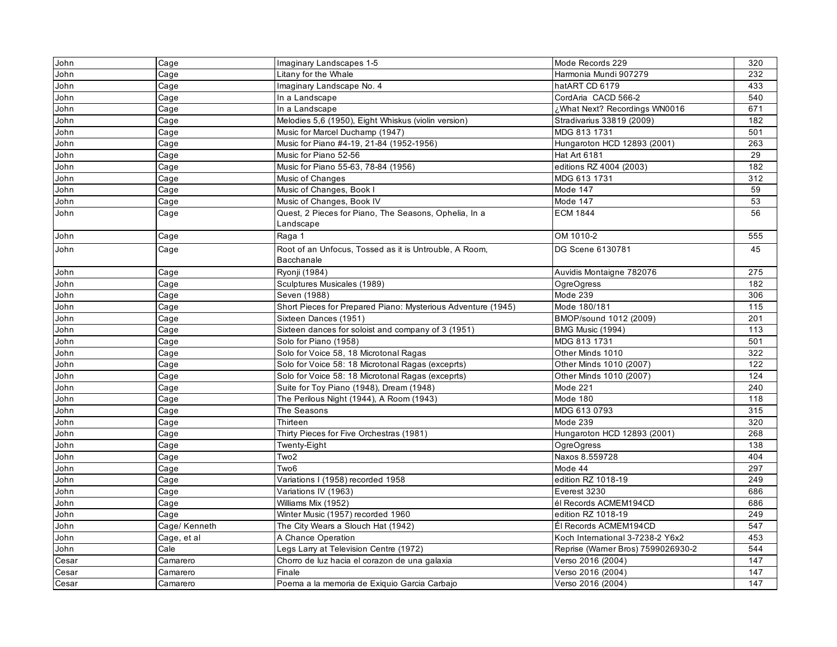| John  | Cage          | Imaginary Landscapes 1-5                                             | Mode Records 229                   | 320 |
|-------|---------------|----------------------------------------------------------------------|------------------------------------|-----|
| John  | Cage          | Litany for the Whale                                                 | Harmonia Mundi 907279              | 232 |
| John  | Cage          | Imaginary Landscape No. 4                                            | hatART CD 6179                     | 433 |
| John  | Cage          | In a Landscape                                                       | CordAria CACD 566-2                | 540 |
| John  | Cage          | In a Landscape                                                       | ¿What Next? Recordings WN0016      | 671 |
| John  | Cage          | Melodies 5,6 (1950), Eight Whiskus (violin version)                  | Stradivarius 33819 (2009)          | 182 |
| John  | Cage          | Music for Marcel Duchamp (1947)                                      | MDG 813 1731                       | 501 |
| John  | Cage          | Music for Piano #4-19, 21-84 (1952-1956)                             | Hungaroton HCD 12893 (2001)        | 263 |
| John  | Cage          | Music for Piano 52-56                                                | <b>Hat Art 6181</b>                | 29  |
| John  | Cage          | Music for Piano 55-63, 78-84 (1956)                                  | editions RZ 4004 (2003)            | 182 |
| John  | Cage          | Music of Changes                                                     | MDG 613 1731                       | 312 |
| John  | Cage          | Music of Changes, Book I                                             | Mode 147                           | 59  |
| John  | Cage          | Music of Changes, Book IV                                            | Mode 147                           | 53  |
| John  | Cage          | Quest, 2 Pieces for Piano, The Seasons, Ophelia, In a                | <b>ECM 1844</b>                    | 56  |
|       |               | Landscape                                                            |                                    |     |
| John  | Cage          | Raga 1                                                               | OM 1010-2                          | 555 |
| John  | Cage          | Root of an Unfocus, Tossed as it is Untrouble, A Room,<br>Bacchanale | DG Scene 6130781                   | 45  |
| John  | Cage          | Ryonji (1984)                                                        | Auvidis Montaigne 782076           | 275 |
| John  | Cage          | Sculptures Musicales (1989)                                          | <b>OgreOgress</b>                  | 182 |
| John  | Cage          | Seven (1988)                                                         | $\overline{\text{Mode}}$ 239       | 306 |
| John  | Cage          | Short Pieces for Prepared Piano: Mysterious Adventure (1945)         | Mode 180/181                       | 115 |
| John  | Cage          | Sixteen Dances (1951)                                                | BMOP/sound 1012 (2009)             | 201 |
| John  | Cage          | Sixteen dances for soloist and company of 3 (1951)                   | BMG Music (1994)                   | 113 |
| John  | Cage          | Solo for Piano (1958)                                                | MDG 813 1731                       | 501 |
| John  | Cage          | Solo for Voice 58, 18 Microtonal Ragas                               | Other Minds 1010                   | 322 |
| John  | Cage          | Solo for Voice 58: 18 Microtonal Ragas (exceprts)                    | Other Minds 1010 (2007)            | 122 |
| John  | Cage          | Solo for Voice 58: 18 Microtonal Ragas (exceprts)                    | Other Minds 1010 (2007)            | 124 |
| John  | Cage          | Suite for Toy Piano (1948), Dream (1948)                             | Mode 221                           | 240 |
| John  | Cage          | The Perilous Night (1944), A Room (1943)                             | Mode 180                           | 118 |
| John  | Cage          | The Seasons                                                          | MDG 613 0793                       | 315 |
| John  | Cage          | Thirteen                                                             | Mode 239                           | 320 |
| John  | Cage          | Thirty Pieces for Five Orchestras (1981)                             | Hungaroton HCD 12893 (2001)        | 268 |
| John  | Cage          | Twenty-Eight                                                         | OgreOgress                         | 138 |
| John  | Cage          | Two2                                                                 | Naxos 8.559728                     | 404 |
| John  | Cage          | Two <sub>6</sub>                                                     | Mode 44                            | 297 |
| John  | Cage          | Variations I (1958) recorded 1958                                    | edition RZ 1018-19                 | 249 |
| John  | Cage          | Variations IV (1963)                                                 | Everest 3230                       | 686 |
| John  | Cage          | Williams Mix (1952)                                                  | él Records ACMEM194CD              | 686 |
| John  | Cage          | Winter Music (1957) recorded 1960                                    | edition RZ 1018-19                 | 249 |
| John  | Cage/ Kenneth | The City Wears a Slouch Hat (1942)                                   | Él Records ACMEM194CD              | 547 |
| John  | Cage, et al   | A Chance Operation                                                   | Koch International 3-7238-2 Y6x2   | 453 |
| John  | Cale          | Legs Larry at Television Centre (1972)                               | Reprise (Warner Bros) 7599026930-2 | 544 |
| Cesar | Camarero      | Chorro de luz hacia el corazon de una galaxia                        | Verso 2016 (2004)                  | 147 |
| Cesar | Camarero      | Finale                                                               | Verso 2016 (2004)                  | 147 |
| Cesar | Camarero      | Poema a la memoria de Exiquio Garcia Carbajo                         | Verso 2016 (2004)                  | 147 |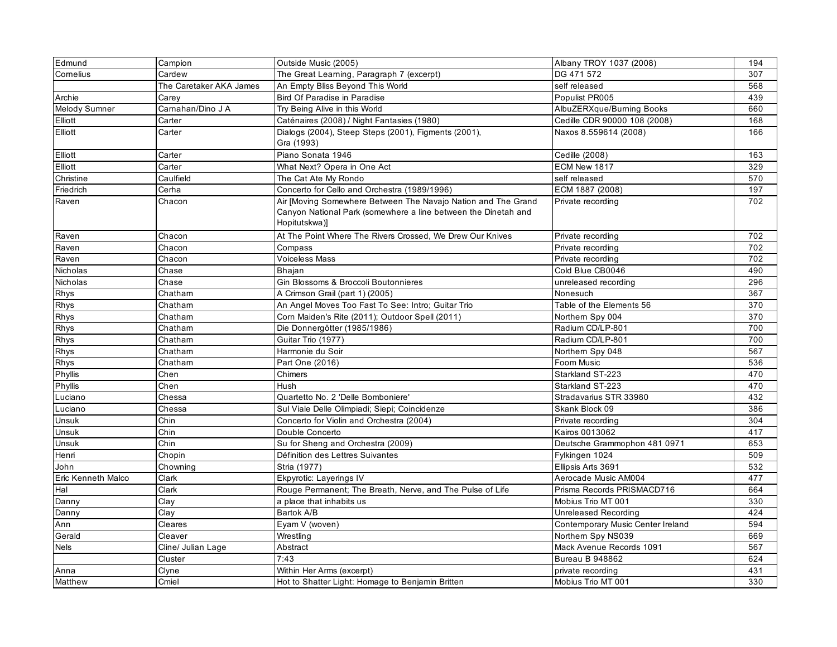| Edmund             | Campion                 | Outside Music (2005)                                                                                                                             | Albany TROY 1037 (2008)           | 194 |
|--------------------|-------------------------|--------------------------------------------------------------------------------------------------------------------------------------------------|-----------------------------------|-----|
| Comelius           | Cardew                  | The Great Learning, Paragraph 7 (excerpt)                                                                                                        | DG 471 572                        | 307 |
|                    | The Caretaker AKA James | An Empty Bliss Beyond This World                                                                                                                 | self released                     | 568 |
| Archie             | Carey                   | Bird Of Paradise in Paradise                                                                                                                     | Populist PR005                    | 439 |
| Melody Sumner      | Camahan/Dino J A        | Try Being Alive in this World                                                                                                                    | AlbuZERXque/Burning Books         | 660 |
| Elliott            | Carter                  | Caténaires (2008) / Night Fantasies (1980)                                                                                                       | Cedille CDR 90000 108 (2008)      | 168 |
| Elliott            | Carter                  | Dialogs (2004), Steep Steps (2001), Figments (2001),<br>Gra (1993)                                                                               | Naxos 8.559614 (2008)             | 166 |
| Elliott            | Carter                  | Piano Sonata 1946                                                                                                                                | Cedille (2008)                    | 163 |
| Elliott            | Carter                  | What Next? Opera in One Act                                                                                                                      | ECM New 1817                      | 329 |
| Christine          | Caulfield               | The Cat Ate My Rondo                                                                                                                             | self released                     | 570 |
| Friedrich          | Cerha                   | Concerto for Cello and Orchestra (1989/1996)                                                                                                     | ECM 1887 (2008)                   | 197 |
| Raven              | Chacon                  | Air [Moving Somewhere Between The Navajo Nation and The Grand<br>Canyon National Park (somewhere a line between the Dinetah and<br>Hopitutskwa)] | Private recording                 | 702 |
| Raven              | Chacon                  | At The Point Where The Rivers Crossed, We Drew Our Knives                                                                                        | Private recording                 | 702 |
| Raven              | Chacon                  | Compass                                                                                                                                          | Private recording                 | 702 |
| Raven              | Chacon                  | <b>Voiceless Mass</b>                                                                                                                            | Private recording                 | 702 |
| Nicholas           | Chase                   | Bhajan                                                                                                                                           | Cold Blue CB0046                  | 490 |
| Nicholas           | Chase                   | Gin Blossoms & Broccoli Boutonnieres                                                                                                             | unreleased recording              | 296 |
| Rhys               | Chatham                 | A Crimson Grail (part 1) (2005)                                                                                                                  | Nonesuch                          | 367 |
| Rhys               | Chatham                 | An Angel Moves Too Fast To See: Intro; Guitar Trio                                                                                               | Table of the Elements 56          | 370 |
| Rhys               | Chatham                 | Corn Maiden's Rite (2011); Outdoor Spell (2011)                                                                                                  | Northern Spy 004                  | 370 |
| Rhys               | Chatham                 | Die Donnergötter (1985/1986)                                                                                                                     | Radium CD/LP-801                  | 700 |
| Rhys               | Chatham                 | Guitar Trio (1977)                                                                                                                               | Radium CD/LP-801                  | 700 |
| Rhys               | Chatham                 | Harmonie du Soir                                                                                                                                 | Northern Spy 048                  | 567 |
| Rhys               | Chatham                 | Part One (2016)                                                                                                                                  | Foom Music                        | 536 |
| Phyllis            | Chen                    | Chimers                                                                                                                                          | Starkland ST-223                  | 470 |
| Phyllis            | Chen                    | Hush                                                                                                                                             | Starkland ST-223                  | 470 |
| Luciano            | Chessa                  | Quartetto No. 2 'Delle Bomboniere'                                                                                                               | Stradavarius STR 33980            | 432 |
| Luciano            | Chessa                  | Sul Viale Delle Olimpiadi; Siepi; Coincidenze                                                                                                    | Skank Block 09                    | 386 |
| Unsuk              | Chin                    | Concerto for Violin and Orchestra (2004)                                                                                                         | Private recording                 | 304 |
| Unsuk              | Chin                    | Double Concerto                                                                                                                                  | Kairos 0013062                    | 417 |
| Unsuk              | Chin                    | Su for Sheng and Orchestra (2009)                                                                                                                | Deutsche Grammophon 481 0971      | 653 |
| Henri              | Chopin                  | Définition des Lettres Suivantes                                                                                                                 | Fylkingen 1024                    | 509 |
| John               | Chowning                | Stria (1977)                                                                                                                                     | Ellipsis Arts 3691                | 532 |
| Eric Kenneth Malco | Clark                   | Ekpyrotic: Layerings IV                                                                                                                          | Aerocade Music AM004              | 477 |
| Hal                | Clark                   | Rouge Permanent; The Breath, Nerve, and The Pulse of Life                                                                                        | Prisma Records PRISMACD716        | 664 |
| Danny              | Clay                    | a place that inhabits us                                                                                                                         | Mobius Trio MT 001                | 330 |
| Danny              | Clay                    | Bartok A/B                                                                                                                                       | Unreleased Recording              | 424 |
| Ann                | Cleares                 | Eyam V (woven)                                                                                                                                   | Contemporary Music Center Ireland | 594 |
| Gerald             | Cleaver                 | Wrestling                                                                                                                                        | Northern Spy NS039                | 669 |
| <b>Nels</b>        | Cline/ Julian Lage      | Abstract                                                                                                                                         | Mack Avenue Records 1091          | 567 |
|                    | Cluster                 | 7:43                                                                                                                                             | <b>Bureau B 948862</b>            | 624 |
| Anna               | Clyne                   | Within Her Arms (excerpt)                                                                                                                        | private recording                 | 431 |
| Matthew            | Cmiel                   | Hot to Shatter Light: Homage to Benjamin Britten                                                                                                 | Mobius Trio MT 001                | 330 |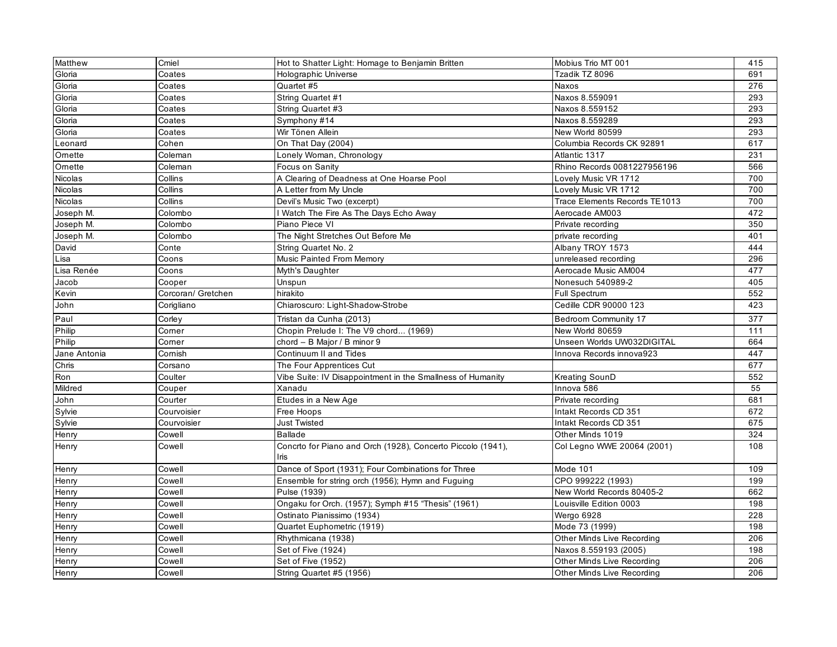| Matthew      | Cmiel              | Hot to Shatter Light: Homage to Benjamin Britten                    | Mobius Trio MT 001                | 415 |
|--------------|--------------------|---------------------------------------------------------------------|-----------------------------------|-----|
| Gloria       | Coates             | Holographic Universe                                                | Tzadik TZ 8096                    | 691 |
| Gloria       | Coates             | Quartet #5                                                          | Naxos                             | 276 |
| Gloria       | Coates             | String Quartet #1                                                   | Naxos 8.559091                    | 293 |
| Gloria       | Coates             | String Quartet #3                                                   | Naxos 8.559152                    | 293 |
| Gloria       | Coates             | Symphony #14                                                        | Naxos 8.559289                    | 293 |
| Gloria       | Coates             | Wir Tönen Allein                                                    | New World 80599                   | 293 |
| Leonard      | Cohen              | On That Day (2004)                                                  | Columbia Records CK 92891         | 617 |
| Omette       | Coleman            | Lonely Woman, Chronology                                            | Atlantic 1317                     | 231 |
| Omette       | Coleman            | Focus on Sanity                                                     | Rhino Records 0081227956196       | 566 |
| Nicolas      | Collins            | A Clearing of Deadness at One Hoarse Pool                           | Lovely Music VR 1712              | 700 |
| Nicolas      | Collins            | A Letter from My Uncle                                              | Lovely Music VR 1712              | 700 |
| Nicolas      | Collins            | Devil's Music Two (excerpt)                                         | Trace Elements Records TE1013     | 700 |
| Joseph M.    | Colombo            | Watch The Fire As The Days Echo Away                                | Aerocade AM003                    | 472 |
| Joseph M.    | Colombo            | Piano Piece VI                                                      | Private recording                 | 350 |
| Joseph M.    | Colombo            | The Night Stretches Out Before Me                                   | private recording                 | 401 |
| David        | Conte              | String Quartet No. 2                                                | Albany TROY 1573                  | 444 |
| Lisa         | Coons              | Music Painted From Memory                                           | unreleased recording              | 296 |
| Lisa Renée   | Coons              | Myth's Daughter                                                     | Aerocade Music AM004              | 477 |
| Jacob        | Cooper             | Unspun                                                              | Nonesuch 540989-2                 | 405 |
| Kevin        | Corcoran/ Gretchen | hirakito                                                            | <b>Full Spectrum</b>              | 552 |
| John         | Corigliano         | Chiaroscuro: Light-Shadow-Strobe                                    | Cedille CDR 90000 123             | 423 |
| Paul         | Corley             | Tristan da Cunha (2013)                                             | <b>Bedroom Community 17</b>       | 377 |
| Philip       | Comer              | Chopin Prelude I: The V9 chord (1969)                               | New World 80659                   | 111 |
| Philip       | Comer              | chord - B Major / B minor 9                                         | Unseen Worlds UW032DIGITAL        | 664 |
| Jane Antonia | Cornish            | Continuum II and Tides                                              | Innova Records innova923          | 447 |
| Chris        | Corsano            | The Four Apprentices Cut                                            |                                   | 677 |
| Ron          | Coulter            | Vibe Suite: IV Disappointment in the Smallness of Humanity          | <b>Kreating SounD</b>             | 552 |
| Mildred      | Couper             | Xanadu                                                              | Innova 586                        | 55  |
| John         | Courter            | Etudes in a New Age                                                 | Private recording                 | 681 |
| Sylvie       | Courvoisier        | Free Hoops                                                          | Intakt Records CD 351             | 672 |
| Sylvie       | Courvoisier        | <b>Just Twisted</b>                                                 | Intakt Records CD 351             | 675 |
| Henry        | Cowell             | <b>Ballade</b>                                                      | Other Minds 1019                  | 324 |
| Henry        | Cowell             | Concrto for Piano and Orch (1928), Concerto Piccolo (1941),<br>Iris | Col Legno WWE 20064 (2001)        | 108 |
| Henry        | Cowell             | Dance of Sport (1931); Four Combinations for Three                  | Mode 101                          | 109 |
| Henry        | Cowell             | Ensemble for string orch (1956); Hymn and Fuguing                   | CPO 999222 (1993)                 | 199 |
| Henry        | Cowell             | Pulse (1939)                                                        | New World Records 80405-2         | 662 |
| Henry        | Cowell             | Ongaku for Orch. (1957); Symph #15 "Thesis" (1961)                  | Louisville Edition 0003           | 198 |
| Henry        | Cowell             | Ostinato Pianissimo (1934)                                          | Wergo 6928                        | 228 |
| Henry        | Cowell             | Quartet Euphometric (1919)                                          | Mode 73 (1999)                    | 198 |
| Henry        | Cowell             | Rhythmicana (1938)                                                  | <b>Other Minds Live Recording</b> | 206 |
| Henry        | Cowell             | Set of Five (1924)                                                  | Naxos 8.559193 (2005)             | 198 |
| Henry        | Cowell             | Set of Five (1952)                                                  | <b>Other Minds Live Recording</b> | 206 |
| Henry        | Cowell             | String Quartet #5 (1956)                                            | <b>Other Minds Live Recording</b> | 206 |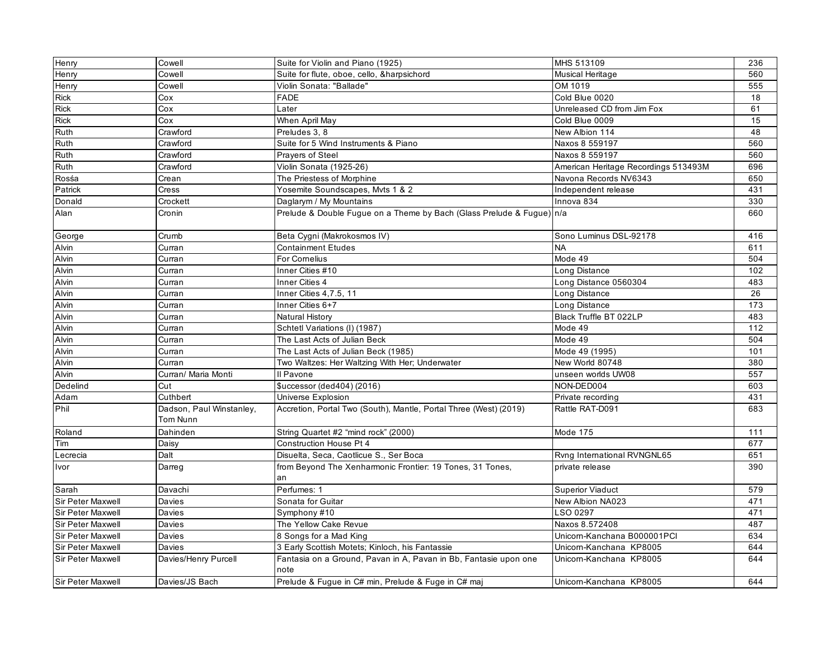| Henry                    | Cowell                               | Suite for Violin and Piano (1925)                                        | MHS 513109                           | 236 |
|--------------------------|--------------------------------------|--------------------------------------------------------------------------|--------------------------------------|-----|
| Henry                    | Cowell                               | Suite for flute, oboe, cello, &harpsichord                               | Musical Heritage                     | 560 |
| Henry                    | Cowell                               | Violin Sonata: "Ballade"                                                 | OM 1019                              | 555 |
| <b>Rick</b>              | Cox                                  | <b>FADE</b>                                                              | Cold Blue 0020                       | 18  |
| <b>Rick</b>              | Cox                                  | Later                                                                    | Unreleased CD from Jim Fox           | 61  |
| Rick                     | Cox                                  | When April May                                                           | Cold Blue 0009                       | 15  |
| Ruth                     | Crawford                             | Preludes 3, 8                                                            | New Albion 114                       | 48  |
| Ruth                     | Crawford                             | Suite for 5 Wind Instruments & Piano                                     | Naxos 8 559197                       | 560 |
| Ruth                     | Crawford                             | Prayers of Steel                                                         | Naxos 8 559197                       | 560 |
| Ruth                     | Crawford                             | Violin Sonata (1925-26)                                                  | American Heritage Recordings 513493M | 696 |
| Rosśa                    | Crean                                | The Priestess of Morphine                                                | Navona Records NV6343                | 650 |
| Patrick                  | Cress                                | Yosemite Soundscapes, Myts 1 & 2                                         | Independent release                  | 431 |
| Donald                   | Crockett                             | Daglarym / My Mountains                                                  | Innova 834                           | 330 |
| Alan                     | Cronin                               | Prelude & Double Fugue on a Theme by Bach (Glass Prelude & Fugue) n/a    |                                      | 660 |
| George                   | Crumb                                | Beta Cygni (Makrokosmos IV)                                              | Sono Luminus DSL-92178               | 416 |
| Alvin                    | Curran                               | <b>Containment Etudes</b>                                                | <b>NA</b>                            | 611 |
| Alvin                    | Curran                               | For Cornelius                                                            | Mode 49                              | 504 |
| Alvin                    | Curran                               | Inner Cities #10                                                         | Long Distance                        | 102 |
| Alvin                    | Curran                               | Inner Cities 4                                                           | Long Distance 0560304                | 483 |
| Alvin                    | Curran                               | Inner Cities 4,7.5, 11                                                   | Long Distance                        | 26  |
| Alvin                    | Curran                               | Inner Cities 6+7                                                         | Long Distance                        | 173 |
| Alvin                    | Curran                               | Natural History                                                          | Black Truffle BT 022LP               | 483 |
| Alvin                    | Curran                               | Schtetl Variations (I) (1987)                                            | Mode 49                              | 112 |
| Alvin                    | Curran                               | The Last Acts of Julian Beck                                             | Mode 49                              | 504 |
| Alvin                    | Curran                               | The Last Acts of Julian Beck (1985)                                      | Mode 49 (1995)                       | 101 |
| Alvin                    | Curran                               | Two Waltzes: Her Waltzing With Her; Underwater                           | New World 80748                      | 380 |
| Alvin                    | Curran/ Maria Monti                  | Il Pavone                                                                | unseen worlds UW08                   | 557 |
| Dedelind                 | Cut                                  | \$uccessor (ded404) (2016)                                               | NON-DED004                           | 603 |
| Adam                     | Cuthbert                             | Universe Explosion                                                       | Private recording                    | 431 |
| Phil                     | Dadson, Paul Winstanley,<br>Tom Nunn | Accretion, Portal Two (South), Mantle, Portal Three (West) (2019)        | Rattle RAT-D091                      | 683 |
| Roland                   | Dahinden                             | String Quartet #2 "mind rock" (2000)                                     | Mode 175                             | 111 |
| Tim                      | Daisy                                | Construction House Pt 4                                                  |                                      | 677 |
| Lecrecia                 | Dalt                                 | Disuelta, Seca, Caotlicue S., Ser Boca                                   | Rvng International RVNGNL65          | 651 |
| Ivor                     | Darreg                               | from Beyond The Xenharmonic Frontier: 19 Tones, 31 Tones,<br>an          | private release                      | 390 |
| Sarah                    | Davachi                              | Perfumes: 1                                                              | <b>Superior Viaduct</b>              | 579 |
| <b>Sir Peter Maxwell</b> | <b>Davies</b>                        | Sonata for Guitar                                                        | New Albion NA023                     | 471 |
| <b>Sir Peter Maxwell</b> | Davies                               | Symphony #10                                                             | LSO 0297                             | 471 |
| Sir Peter Maxwell        | Davies                               | The Yellow Cake Revue                                                    | Naxos 8.572408                       | 487 |
| Sir Peter Maxwell        | Davies                               | 8 Songs for a Mad King                                                   | Unicorn-Kanchana B000001PCI          | 634 |
| Sir Peter Maxwell        | Davies                               | 3 Early Scottish Motets; Kinloch, his Fantassie                          | Unicorn-Kanchana KP8005              | 644 |
| Sir Peter Maxwell        | Davies/Henry Purcell                 | Fantasia on a Ground, Pavan in A, Pavan in Bb, Fantasie upon one<br>note | Unicorn-Kanchana KP8005              | 644 |
| <b>Sir Peter Maxwell</b> | Davies/JS Bach                       | Prelude & Fugue in C# min, Prelude & Fuge in C# maj                      | Unicorn-Kanchana KP8005              | 644 |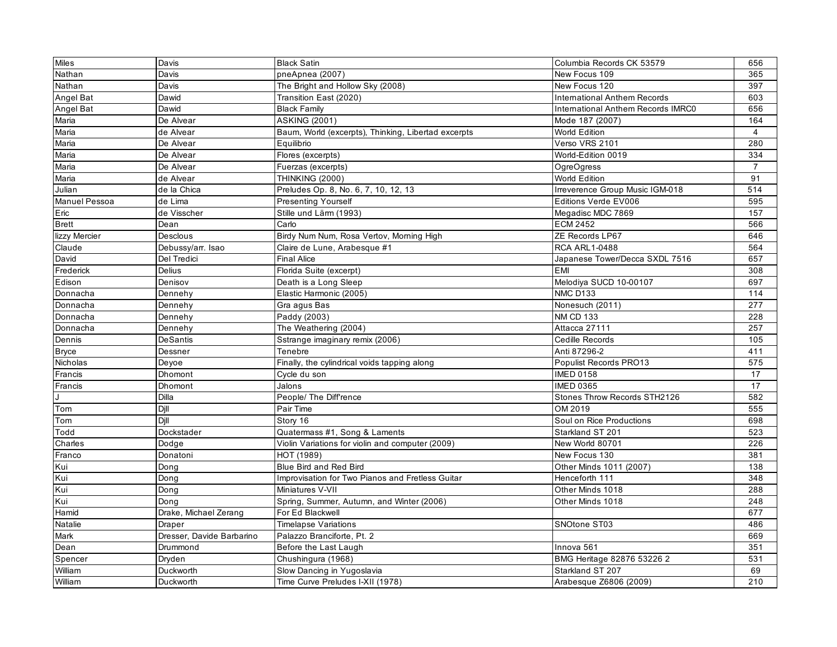| <b>Miles</b>         | Davis                     | <b>Black Satin</b>                                  | Columbia Records CK 53579           | 656              |
|----------------------|---------------------------|-----------------------------------------------------|-------------------------------------|------------------|
| Nathan               | Davis                     | pneApnea (2007)                                     | New Focus 109                       | 365              |
| Nathan               | Davis                     | The Bright and Hollow Sky (2008)                    | New Focus 120                       | 397              |
| Angel Bat            | Dawid                     | Transition East (2020)                              | <b>International Anthem Records</b> | 603              |
| Angel Bat            | Dawid                     | <b>Black Family</b>                                 | International Anthem Records IMRC0  | 656              |
| Maria                | De Alvear                 | <b>ASKING (2001)</b>                                | Mode 187 (2007)                     | 164              |
| Maria                | de Alvear                 | Baum, World (excerpts), Thinking, Libertad excerpts | World Edition                       | $\overline{4}$   |
| Maria                | De Alvear                 | Equilibrio                                          | Verso VRS 2101                      | 280              |
| Maria                | De Alvear                 | Flores (excerpts)                                   | World-Edition 0019                  | 334              |
| Maria                | De Alvear                 | Fuerzas (excerpts)                                  | <b>OgreOgress</b>                   | $\overline{7}$   |
| Maria                | de Alvear                 | <b>THINKING (2000)</b>                              | World Edition                       | 91               |
| Julian               | de la Chica               | Preludes Op. 8, No. 6, 7, 10, 12, 13                | Irreverence Group Music IGM-018     | $\overline{514}$ |
| <b>Manuel Pessoa</b> | de Lima                   | <b>Presenting Yourself</b>                          | Editions Verde EV006                | 595              |
| Eric                 | de Visscher               | Stille und Lärm (1993)                              | Megadisc MDC 7869                   | 157              |
| <b>Brett</b>         | Dean                      | Carlo                                               | <b>ECM 2452</b>                     | 566              |
| lizzy Mercier        | Desclous                  | Birdy Num Num, Rosa Vertov, Morning High            | ZE Records LP67                     | 646              |
| Claude               | Debussy/arr. Isao         | Claire de Lune, Arabesque #1                        | <b>RCA ARL1-0488</b>                | 564              |
| David                | Del Tredici               | <b>Final Alice</b>                                  | Japanese Tower/Decca SXDL 7516      | 657              |
| Frederick            | Delius                    | Florida Suite (excerpt)                             | <b>EMI</b>                          | 308              |
| Edison               | Denisov                   | Death is a Long Sleep                               | Melodiya SUCD 10-00107              | 697              |
| Donnacha             | Dennehy                   | Elastic Harmonic (2005)                             | <b>NMC D133</b>                     | 114              |
| Donnacha             | Dennehy                   | Gra agus Bas                                        | Nonesuch (2011)                     | 277              |
| Donnacha             | Dennehy                   | Paddy (2003)                                        | <b>NM CD 133</b>                    | 228              |
| Donnacha             | Dennehy                   | The Weathering (2004)                               | Attacca 27111                       | 257              |
| Dennis               | <b>DeSantis</b>           | Sstrange imaginary remix (2006)                     | Cedille Records                     | 105              |
| <b>Bryce</b>         | Dessner                   | Tenebre                                             | Anti 87296-2                        | 411              |
| Nicholas             | Deyoe                     | Finally, the cylindrical voids tapping along        | Populist Records PRO13              | 575              |
| Francis              | Dhomont                   | Cycle du son                                        | <b>IMED 0158</b>                    | 17               |
| Francis              | Dhomont                   | Jalons                                              | <b>IMED 0365</b>                    | 17               |
| J                    | Dilla                     | People/ The Diff'rence                              | Stones Throw Records STH2126        | 582              |
| Tom                  | Dill                      | Pair Time                                           | OM 2019                             | 555              |
| Tom                  | Dill                      | Story 16                                            | Soul on Rice Productions            | 698              |
| Todd                 | Dockstader                | Quatermass #1, Song & Laments                       | Starkland ST 201                    | 523              |
| Charles              | Dodge                     | Violin Variations for violin and computer (2009)    | New World 80701                     | 226              |
| Franco               | Donatoni                  | HOT (1989)                                          | New Focus 130                       | 381              |
| Kui                  | Dong                      | Blue Bird and Red Bird                              | Other Minds 1011 (2007)             | 138              |
| Kui                  | Dong                      | Improvisation for Two Pianos and Fretless Guitar    | Henceforth 111                      | 348              |
| Kui                  | Dong                      | Miniatures V-VII                                    | Other Minds 1018                    | 288              |
| Kui                  | Dong                      | Spring, Summer, Autumn, and Winter (2006)           | Other Minds 1018                    | 248              |
| Hamid                | Drake, Michael Zerang     | For Ed Blackwell                                    |                                     | 677              |
| Natalie              | Draper                    | <b>Timelapse Variations</b>                         | SNOtone ST03                        | 486              |
| Mark                 | Dresser, Davide Barbarino | Palazzo Branciforte, Pt. 2                          |                                     | 669              |
| Dean                 | Drummond                  | Before the Last Laugh                               | Innova 561                          | 351              |
| Spencer              | Dryden                    | Chushingura (1968)                                  | BMG Heritage 82876 53226 2          | 531              |
| William              | Duckworth                 | Slow Dancing in Yugoslavia                          | Starkland ST 207                    | 69               |
| William              | Duckworth                 | Time Curve Preludes I-XII (1978)                    | Arabesque Z6806 (2009)              | 210              |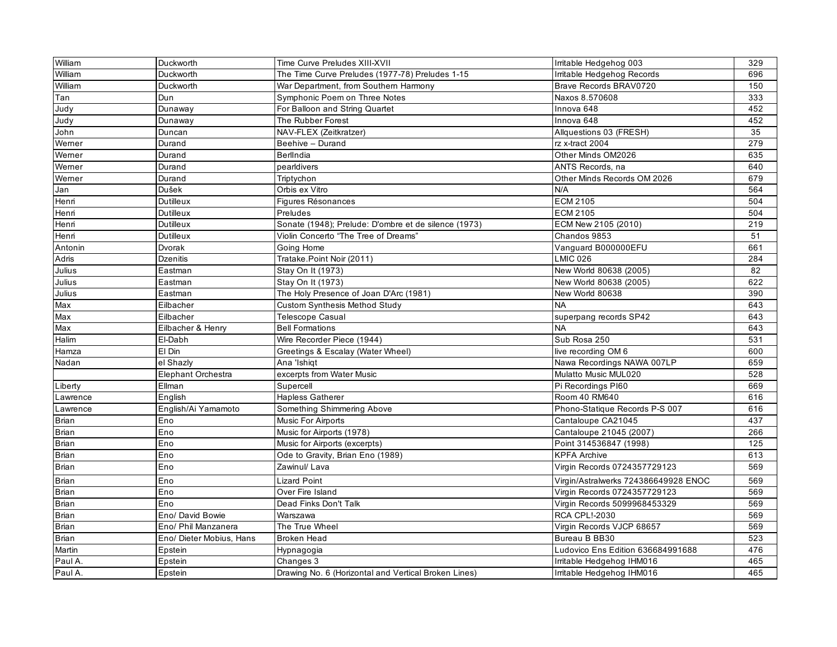| William      | Duckworth                | Time Curve Preludes XIII-XVII                        | Irritable Hedgehog 003               | 329 |
|--------------|--------------------------|------------------------------------------------------|--------------------------------------|-----|
| William      | Duckworth                | The Time Curve Preludes (1977-78) Preludes 1-15      | Irritable Hedgehog Records           | 696 |
| William      | Duckworth                | War Department, from Southern Harmony                | Brave Records BRAV0720               | 150 |
| Tan          | Dun                      | Symphonic Poem on Three Notes                        | Naxos 8.570608                       | 333 |
| Judy         | Dunaway                  | For Balloon and String Quartet                       | Innova 648                           | 452 |
| Judy         | Dunaway                  | The Rubber Forest                                    | Innova 648                           | 452 |
| John         | Duncan                   | NAV-FLEX (Zeitkratzer)                               | Allquestions 03 (FRESH)              | 35  |
| Werner       | Durand                   | Beehive - Durand                                     | rz x-tract 2004                      | 279 |
| Werner       | Durand                   | BerlIndia                                            | Other Minds OM2026                   | 635 |
| Werner       | Durand                   | pearldivers                                          | ANTS Records, na                     | 640 |
| Werner       | Durand                   | Triptychon                                           | Other Minds Records OM 2026          | 679 |
| Jan          | Dušek                    | Orbis ex Vitro                                       | N/A                                  | 564 |
| Henri        | Dutilleux                | Figures Résonances                                   | <b>ECM 2105</b>                      | 504 |
| Henri        | Dutilleux                | Preludes                                             | <b>ECM 2105</b>                      | 504 |
| Henri        | Dutilleux                | Sonate (1948); Prelude: D'ombre et de silence (1973) | ECM New 2105 (2010)                  | 219 |
| Henri        | Dutilleux                | Violin Concerto "The Tree of Dreams"                 | Chandos 9853                         | 51  |
| Antonin      | Dvorak                   | Going Home                                           | Vanquard B000000EFU                  | 661 |
| Adris        | <b>Dzenitis</b>          | Tratake.Point Noir (2011)                            | <b>LMIC 026</b>                      | 284 |
| Julius       | Eastman                  | Stay On It (1973)                                    | New World 80638 (2005)               | 82  |
| Julius       | Eastman                  | Stay On It (1973)                                    | New World 80638 (2005)               | 622 |
| Julius       | Eastman                  | The Holy Presence of Joan D'Arc (1981)               | New World 80638                      | 390 |
| Max          | Eilbacher                | <b>Custom Synthesis Method Study</b>                 | <b>NA</b>                            | 643 |
| Max          | Eilbacher                | <b>Telescope Casual</b>                              | superpang records SP42               | 643 |
| Max          | Eilbacher & Henry        | <b>Bell Formations</b>                               | <b>NA</b>                            | 643 |
| Halim        | El-Dabh                  | Wire Recorder Piece (1944)                           | Sub Rosa 250                         | 531 |
| Hamza        | El Din                   | Greetings & Escalay (Water Wheel)                    | live recording OM 6                  | 600 |
| Nadan        | el Shazly                | Ana 'Ishigt                                          | Nawa Recordings NAWA 007LP           | 659 |
|              | Elephant Orchestra       | excerpts from Water Music                            | Mulatto Music MUL020                 | 528 |
| Liberty      | Ellman                   | Supercell                                            | Pi Recordings PI60                   | 669 |
| Lawrence     | English                  | <b>Hapless Gatherer</b>                              | Room 40 RM640                        | 616 |
| Lawrence     | English/Ai Yamamoto      | Something Shimmering Above                           | Phono-Statique Records P-S 007       | 616 |
| Brian        | Eno                      | Music For Airports                                   | Cantaloupe CA21045                   | 437 |
| <b>Brian</b> | Eno                      | Music for Airports (1978)                            | Cantaloupe 21045 (2007)              | 266 |
| <b>Brian</b> | Eno                      | Music for Airports (excerpts)                        | Point 314536847 (1998)               | 125 |
| Brian        | Eno                      | Ode to Gravity, Brian Eno (1989)                     | <b>KPFA Archive</b>                  | 613 |
| <b>Brian</b> | Eno                      | Zawinul/ Lava                                        | Virgin Records 0724357729123         | 569 |
| <b>Brian</b> | Eno                      | <b>Lizard Point</b>                                  | Virgin/Astralwerks 724386649928 ENOC | 569 |
| <b>Brian</b> | Eno                      | Over Fire Island                                     | Virgin Records 0724357729123         | 569 |
| <b>Brian</b> | Eno                      | Dead Finks Don't Talk                                | Virgin Records 5099968453329         | 569 |
| <b>Brian</b> | Eno/ David Bowie         | Warszawa                                             | <b>RCA CPL!-2030</b>                 | 569 |
| Brian        | Eno/ Phil Manzanera      | The True Wheel                                       | Virgin Records VJCP 68657            | 569 |
| Brian        | Eno/ Dieter Mobius, Hans | <b>Broken Head</b>                                   | Bureau B BB30                        | 523 |
| Martin       | Epstein                  | Hypnagogia                                           | Ludovico Ens Edition 636684991688    | 476 |
| Paul A.      | Epstein                  | Changes 3                                            | Irritable Hedgehog IHM016            | 465 |
| Paul A.      | Epstein                  | Drawing No. 6 (Horizontal and Vertical Broken Lines) | Irritable Hedgehog IHM016            | 465 |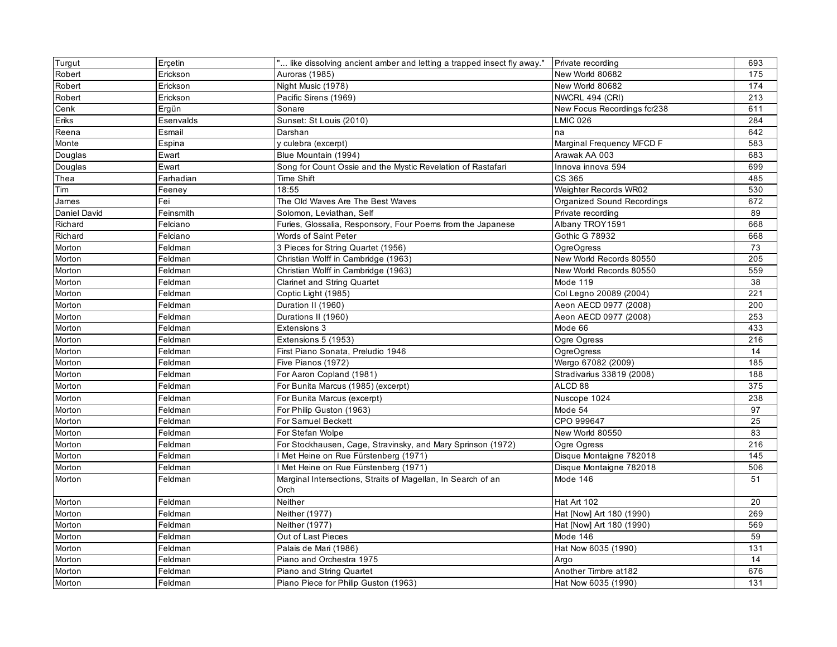| Turgut       | Erçetin   | " like dissolving ancient amber and letting a trapped insect fly away." | Private recording           | 693 |
|--------------|-----------|-------------------------------------------------------------------------|-----------------------------|-----|
| Robert       | Erickson  | Auroras (1985)                                                          | New World 80682             | 175 |
| Robert       | Erickson  | Night Music (1978)                                                      | New World 80682             | 174 |
| Robert       | Erickson  | Pacific Sirens (1969)                                                   | NWCRL 494 (CRI)             | 213 |
| Cenk         | Ergün     | Sonare                                                                  | New Focus Recordings fcr238 | 611 |
| Eriks        | Esenvalds | Sunset: St Louis (2010)                                                 | <b>LMIC 026</b>             | 284 |
| Reena        | Esmail    | Darshan                                                                 | na                          | 642 |
| Monte        | Espina    | y culebra (excerpt)                                                     | Marginal Frequency MFCD F   | 583 |
| Douglas      | Ewart     | Blue Mountain (1994)                                                    | Arawak AA 003               | 683 |
| Douglas      | Ewart     | Song for Count Ossie and the Mystic Revelation of Rastafari             | Innova innova 594           | 699 |
| Thea         | Farhadian | Time Shift                                                              | CS 365                      | 485 |
| Tim          | Feeney    | 18:55                                                                   | Weighter Records WR02       | 530 |
| James        | Fei       | The Old Waves Are The Best Waves                                        | Organized Sound Recordings  | 672 |
| Daniel David | Feinsmith | Solomon, Leviathan, Self                                                | Private recording           | 89  |
| Richard      | Felciano  | Furies, Glossalia, Responsory, Four Poems from the Japanese             | Albany TROY1591             | 668 |
| Richard      | Felciano  | Words of Saint Peter                                                    | <b>Gothic G 78932</b>       | 668 |
| Morton       | Feldman   | 3 Pieces for String Quartet (1956)                                      | <b>OgreOgress</b>           | 73  |
| Morton       | Feldman   | Christian Wolff in Cambridge (1963)                                     | New World Records 80550     | 205 |
| Morton       | Feldman   | Christian Wolff in Cambridge (1963)                                     | New World Records 80550     | 559 |
| Morton       | Feldman   | <b>Clarinet and String Quartet</b>                                      | Mode 119                    | 38  |
| Morton       | Feldman   | Coptic Light (1985)                                                     | Col Legno 20089 (2004)      | 221 |
| Morton       | Feldman   | Duration II (1960)                                                      | Aeon AECD 0977 (2008)       | 200 |
| Morton       | Feldman   | Durations II (1960)                                                     | Aeon AECD 0977 (2008)       | 253 |
| Morton       | Feldman   | Extensions 3                                                            | Mode 66                     | 433 |
| Morton       | Feldman   | Extensions 5 (1953)                                                     | Ogre Ogress                 | 216 |
| Morton       | Feldman   | First Piano Sonata, Preludio 1946                                       | OgreOgress                  | 14  |
| Morton       | Feldman   | Five Pianos (1972)                                                      | Wergo 67082 (2009)          | 185 |
| Morton       | Feldman   | For Aaron Copland (1981)                                                | Stradivarius 33819 (2008)   | 188 |
| Morton       | Feldman   | For Bunita Marcus (1985) (excerpt)                                      | ALCD <sub>88</sub>          | 375 |
| Morton       | Feldman   | For Bunita Marcus (excerpt)                                             | Nuscope 1024                | 238 |
| Morton       | Feldman   | For Philip Guston (1963)                                                | Mode 54                     | 97  |
| Morton       | Feldman   | For Samuel Beckett                                                      | CPO 999647                  | 25  |
| Morton       | Feldman   | For Stefan Wolpe                                                        | New World 80550             | 83  |
| Morton       | Feldman   | For Stockhausen, Cage, Stravinsky, and Mary Sprinson (1972)             | Ogre Ogress                 | 216 |
| Morton       | Feldman   | Met Heine on Rue Fürstenberg (1971)                                     | Disque Montaigne 782018     | 145 |
| Morton       | Feldman   | I Met Heine on Rue Fürstenberg (1971)                                   | Disque Montaigne 782018     | 506 |
| Morton       | Feldman   | Marginal Intersections, Straits of Magellan, In Search of an<br>Orch    | Mode 146                    | 51  |
| Morton       | Feldman   | Neither                                                                 | Hat Art 102                 | 20  |
| Morton       | Feldman   | Neither (1977)                                                          | Hat [Now] Art 180 (1990)    | 269 |
| Morton       | Feldman   | Neither (1977)                                                          | Hat [Now] Art 180 (1990)    | 569 |
| Morton       | Feldman   | Out of Last Pieces                                                      | Mode 146                    | 59  |
| Morton       | Feldman   | Palais de Mari (1986)                                                   | Hat Now 6035 (1990)         | 131 |
| Morton       | Feldman   | Piano and Orchestra 1975                                                | Argo                        | 14  |
| Morton       | Feldman   | Piano and String Quartet                                                | Another Timbre at 182       | 676 |
| Morton       | Feldman   | Piano Piece for Philip Guston (1963)                                    | Hat Now 6035 (1990)         | 131 |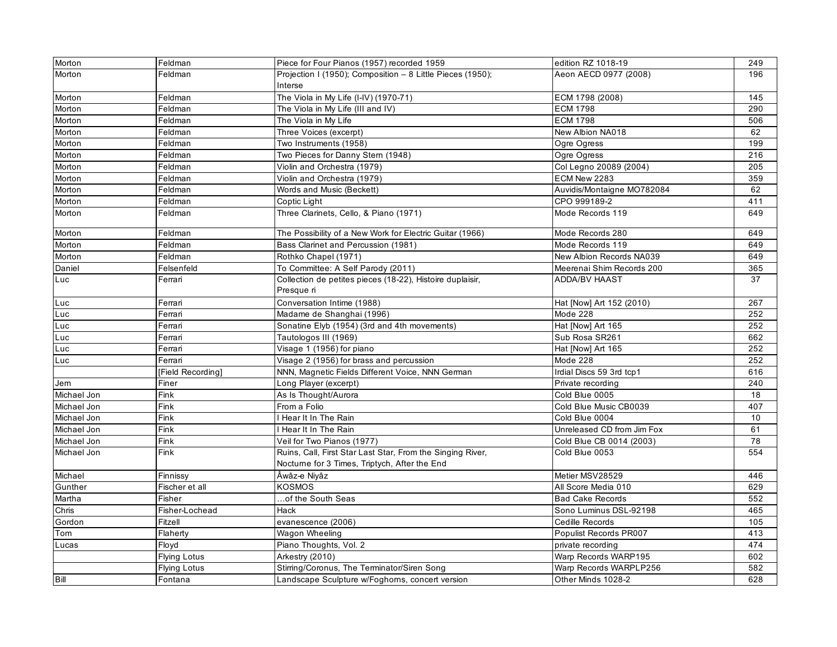| Morton      | Feldman             | Piece for Four Pianos (1957) recorded 1959                 | edition RZ 1018-19         | 249 |
|-------------|---------------------|------------------------------------------------------------|----------------------------|-----|
| Morton      | Feldman             | Projection I (1950); Composition - 8 Little Pieces (1950); | Aeon AECD 0977 (2008)      | 196 |
|             |                     | Interse                                                    |                            |     |
| Morton      | Feldman             | The Viola in My Life (I-IV) (1970-71)                      | ECM 1798 (2008)            | 145 |
| Morton      | Feldman             | The Viola in My Life (III and IV)                          | <b>ECM 1798</b>            | 290 |
| Morton      | Feldman             | The Viola in My Life                                       | <b>ECM 1798</b>            | 506 |
| Morton      | Feldman             | Three Voices (excerpt)                                     | New Albion NA018           | 62  |
| Morton      | Feldman             | Two Instruments (1958)                                     | Ogre Ogress                | 199 |
| Morton      | Feldman             | Two Pieces for Danny Stern (1948)                          | Ogre Ogress                | 216 |
| Morton      | Feldman             | Violin and Orchestra (1979)                                | Col Legno 20089 (2004)     | 205 |
| Morton      | Feldman             | Violin and Orchestra (1979)                                | ECM New 2283               | 359 |
| Morton      | Feldman             | Words and Music (Beckett)                                  | Auvidis/Montaigne MO782084 | 62  |
| Morton      | Feldman             | Coptic Light                                               | CPO 999189-2               | 411 |
| Morton      | Feldman             | Three Clarinets, Cello, & Piano (1971)                     | Mode Records 119           | 649 |
| Morton      | Feldman             | The Possibility of a New Work for Electric Guitar (1966)   | Mode Records 280           | 649 |
| Morton      | Feldman             | Bass Clarinet and Percussion (1981)                        | Mode Records 119           | 649 |
| Morton      | Feldman             | Rothko Chapel (1971)                                       | New Albion Records NA039   | 649 |
| Daniel      | Felsenfeld          | To Committee: A Self Parody (2011)                         | Meerenai Shim Records 200  | 365 |
| Luc         | Ferrari             | Collection de petites pieces (18-22), Histoire duplaisir,  | <b>ADDA/BV HAAST</b>       | 37  |
|             |                     | Presque ri                                                 |                            |     |
| Luc         | Ferrari             | Conversation Intime (1988)                                 | Hat [Now] Art 152 (2010)   | 267 |
| Luc         | Ferrari             | Madame de Shanghai (1996)                                  | Mode 228                   | 252 |
| Luc         | Ferrari             | Sonatine Elyb (1954) (3rd and 4th movements)               | Hat [Now] Art 165          | 252 |
| Luc         | Ferrari             | Tautologos III (1969)                                      | Sub Rosa SR261             | 662 |
| Luc         | Ferrari             | Visage 1 (1956) for piano                                  | Hat [Now] Art 165          | 252 |
| Luc         | Ferrari             | Visage 2 (1956) for brass and percussion                   | Mode 228                   | 252 |
|             | [Field Recording]   | NNN, Magnetic Fields Different Voice, NNN German           | Irdial Discs 59 3rd tcp1   | 616 |
| Jem         | Finer               | Long Player (excerpt)                                      | Private recording          | 240 |
| Michael Jon | Fink                | As Is Thought/Aurora                                       | Cold Blue 0005             | 18  |
| Michael Jon | Fink                | From a Folio                                               | Cold Blue Music CB0039     | 407 |
| Michael Jon | Fink                | Hear It In The Rain                                        | Cold Blue 0004             | 10  |
| Michael Jon | Fink                | Hear It In The Rain                                        | Unreleased CD from Jim Fox | 61  |
| Michael Jon | Fink                | Veil for Two Pianos (1977)                                 | Cold Blue CB 0014 (2003)   | 78  |
| Michael Jon | Fink                | Ruins, Call, First Star Last Star, From the Singing River, | Cold Blue 0053             | 554 |
|             |                     | Noctume for 3 Times, Triptych, After the End               |                            |     |
| Michael     | Finnissy            | Âwâz-e Niyâz                                               | Metier MSV28529            | 446 |
| Gunther     | Fischer et all      | <b>KOSMOS</b>                                              | All Score Media 010        | 629 |
| Martha      | Fisher              | of the South Seas                                          | <b>Bad Cake Records</b>    | 552 |
| Chris       | Fisher-Lochead      | Hack                                                       | Sono Luminus DSL-92198     | 465 |
| Gordon      | Fitzell             | evanescence (2006)                                         | Cedille Records            | 105 |
| Tom         | Flaherty            | Wagon Wheeling                                             | Populist Records PR007     | 413 |
| Lucas       | Floyd               | Piano Thoughts, Vol. 2                                     | private recording          | 474 |
|             | <b>Flying Lotus</b> | Arkestry (2010)                                            | Warp Records WARP195       | 602 |
|             | <b>Flying Lotus</b> | Stirring/Coronus, The Terminator/Siren Song                | Warp Records WARPLP256     | 582 |
| Bill        | Fontana             | Landscape Sculpture w/Foghorns, concert version            | Other Minds 1028-2         | 628 |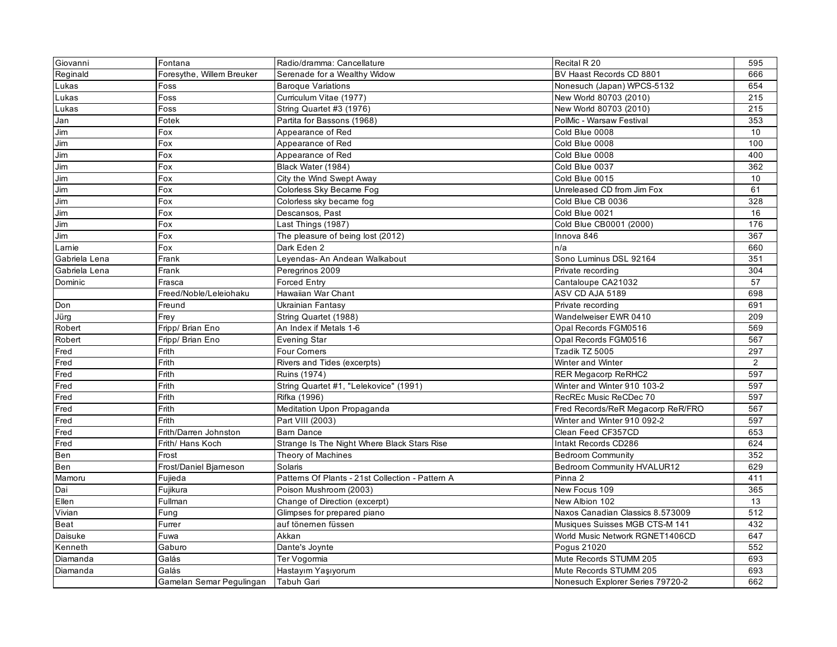| Giovanni      | Fontana                   | Radio/dramma: Cancellature                       | Recital R 20                      | 595 |
|---------------|---------------------------|--------------------------------------------------|-----------------------------------|-----|
| Reginald      | Foresythe, Willem Breuker | Serenade for a Wealthy Widow                     | BV Haast Records CD 8801          | 666 |
| Lukas         | Foss                      | <b>Baroque Variations</b>                        | Nonesuch (Japan) WPCS-5132        | 654 |
| Lukas         | Foss                      | Curriculum Vitae (1977)                          | New World 80703 (2010)            | 215 |
| Lukas         | Foss                      | String Quartet #3 (1976)                         | New World 80703 (2010)            | 215 |
| Jan           | Fotek                     | Partita for Bassons (1968)                       | PolMic - Warsaw Festival          | 353 |
| Jim           | Fox                       | Appearance of Red                                | Cold Blue 0008                    | 10  |
| Jim           | Fox                       | Appearance of Red                                | Cold Blue 0008                    | 100 |
| Jim           | Fox                       | Appearance of Red                                | Cold Blue 0008                    | 400 |
| Jim           | Fox                       | Black Water (1984)                               | Cold Blue 0037                    | 362 |
| Jim           | Fox                       | City the Wind Swept Away                         | Cold Blue 0015                    | 10  |
| Jim           | Fox                       | Colorless Sky Became Fog                         | Unreleased CD from Jim Fox        | 61  |
| Jim           | Fox                       | Colorless sky became fog                         | Cold Blue CB 0036                 | 328 |
| Jim           | Fox                       | Descansos, Past                                  | Cold Blue 0021                    | 16  |
| Jim           | Fox                       | Last Things (1987)                               | Cold Blue CB0001 (2000)           | 176 |
| Jim           | Fox                       | The pleasure of being lost (2012)                | Innova 846                        | 367 |
| Larnie        | Fox                       | Dark Eden 2                                      | n/a                               | 660 |
| Gabriela Lena | Frank                     | Leyendas- An Andean Walkabout                    | Sono Luminus DSL 92164            | 351 |
| Gabriela Lena | Frank                     | Peregrinos 2009                                  | Private recording                 | 304 |
| Dominic       | Frasca                    | <b>Forced Entry</b>                              | Cantaloupe CA21032                | 57  |
|               | Freed/Noble/Leleiohaku    | Hawaiian War Chant                               | ASV CD AJA 5189                   | 698 |
| Don           | Freund                    | Ukrainian Fantasy                                | Private recording                 | 691 |
| Jürg          | Frey                      | String Quartet (1988)                            | Wandelweiser EWR 0410             | 209 |
| Robert        | Fripp/ Brian Eno          | An Index if Metals 1-6                           | Opal Records FGM0516              | 569 |
| Robert        | Fripp/ Brian Eno          | <b>Evening Star</b>                              | Opal Records FGM0516              | 567 |
| Fred          | Frith                     | Four Corners                                     | Tzadik TZ 5005                    | 297 |
| Fred          | Frith                     | Rivers and Tides (excerpts)                      | Winter and Winter                 | 2   |
| Fred          | Frith                     | Ruins (1974)                                     | RER Megacorp ReRHC2               | 597 |
| Fred          | Frith                     | String Quartet #1, "Lelekovice" (1991)           | Winter and Winter 910 103-2       | 597 |
| Fred          | Frith                     | Rifka (1996)                                     | RecREc Music ReCDec 70            | 597 |
| Fred          | Frith                     | Meditation Upon Propaganda                       | Fred Records/ReR Megacorp ReR/FRO | 567 |
| Fred          | Frith                     | Part VIII (2003)                                 | Winter and Winter 910 092-2       | 597 |
| Fred          | Frith/Darren Johnston     | <b>Bam Dance</b>                                 | Clean Feed CF357CD                | 653 |
| Fred          | Frith/ Hans Koch          | Strange Is The Night Where Black Stars Rise      | Intakt Records CD286              | 624 |
| Ben           | Frost                     | Theory of Machines                               | <b>Bedroom Community</b>          | 352 |
| Ben           | Frost/Daniel Bjarneson    | Solaris                                          | Bedroom Community HVALUR12        | 629 |
| Mamoru        | Fujieda                   | Patterns Of Plants - 21st Collection - Pattern A | Pinna 2                           | 411 |
| Dai           | Fujikura                  | Poison Mushroom (2003)                           | New Focus 109                     | 365 |
| Ellen         | Fullman                   | Change of Direction (excerpt)                    | New Albion 102                    | 13  |
| Vivian        | Fung                      | Glimpses for prepared piano                      | Naxos Canadian Classics 8.573009  | 512 |
| Beat          | Furrer                    | auf tönemen füssen                               | Musiques Suisses MGB CTS-M 141    | 432 |
| Daisuke       | Fuwa                      | Akkan                                            | World Music Network RGNET1406CD   | 647 |
| Kenneth       | Gaburo                    | Dante's Joynte                                   | Pogus 21020                       | 552 |
| Diamanda      | Galás                     | Ter Vogormia                                     | Mute Records STUMM 205            | 693 |
| Diamanda      | Galás                     | Hastayım Yaşıyorum                               | Mute Records STUMM 205            | 693 |
|               | Gamelan Semar Pegulingan  | Tabuh Gari                                       | Nonesuch Explorer Series 79720-2  | 662 |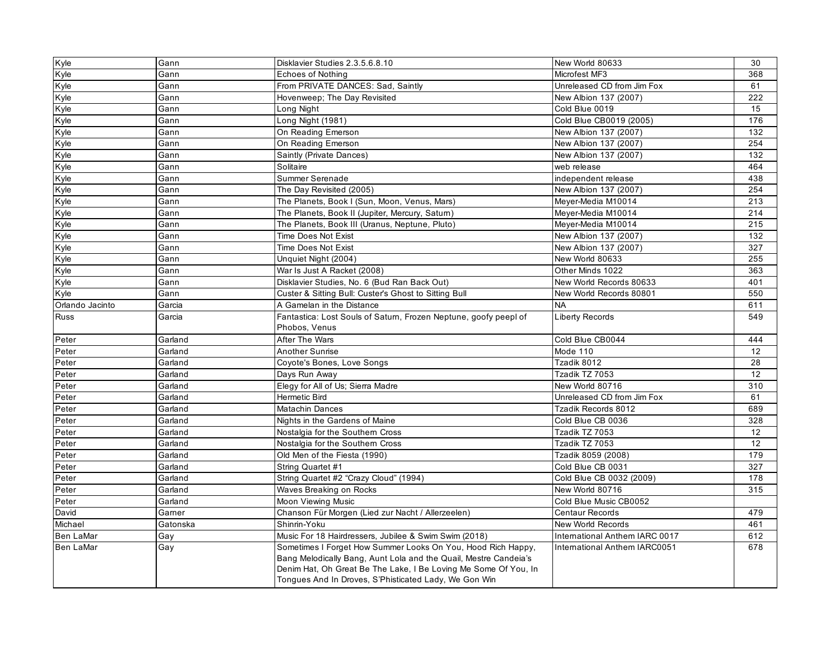| Kyle             | Gann     | Disklavier Studies 2.3.5.6.8.10                                                                                                                                                                                                                              | New World 80633                | 30  |
|------------------|----------|--------------------------------------------------------------------------------------------------------------------------------------------------------------------------------------------------------------------------------------------------------------|--------------------------------|-----|
| Kyle             | Gann     | Echoes of Nothing                                                                                                                                                                                                                                            | Microfest MF3                  | 368 |
| Kyle             | Gann     | From PRIVATE DANCES: Sad, Saintly                                                                                                                                                                                                                            | Unreleased CD from Jim Fox     | 61  |
| Kyle             | Gann     | Hovenweep; The Day Revisited                                                                                                                                                                                                                                 | New Albion 137 (2007)          | 222 |
| Kyle             | Gann     | Long Night                                                                                                                                                                                                                                                   | Cold Blue 0019                 | 15  |
| Kyle             | Gann     | Long Night (1981)                                                                                                                                                                                                                                            | Cold Blue CB0019 (2005)        | 176 |
| Kyle             | Gann     | On Reading Emerson                                                                                                                                                                                                                                           | New Albion 137 (2007)          | 132 |
| Kyle             | Gann     | On Reading Emerson                                                                                                                                                                                                                                           | New Albion 137 (2007)          | 254 |
| Kyle             | Gann     | Saintly (Private Dances)                                                                                                                                                                                                                                     | New Albion 137 (2007)          | 132 |
| Kyle             | Gann     | Solitaire                                                                                                                                                                                                                                                    | web release                    | 464 |
| Kyle             | Gann     | Summer Serenade                                                                                                                                                                                                                                              | independent release            | 438 |
| Kyle             | Gann     | The Day Revisited (2005)                                                                                                                                                                                                                                     | New Albion 137 (2007)          | 254 |
| Kyle             | Gann     | The Planets, Book I (Sun, Moon, Venus, Mars)                                                                                                                                                                                                                 | Meyer-Media M10014             | 213 |
| Kyle             | Gann     | The Planets, Book II (Jupiter, Mercury, Satum)                                                                                                                                                                                                               | Meyer-Media M10014             | 214 |
| Kyle             | Gann     | The Planets, Book III (Uranus, Neptune, Pluto)                                                                                                                                                                                                               | Meyer-Media M10014             | 215 |
| Kyle             | Gann     | <b>Time Does Not Exist</b>                                                                                                                                                                                                                                   | New Albion 137 (2007)          | 132 |
| Kyle             | Gann     | <b>Time Does Not Exist</b>                                                                                                                                                                                                                                   | New Albion 137 (2007)          | 327 |
| Kyle             | Gann     | Unquiet Night (2004)                                                                                                                                                                                                                                         | New World 80633                | 255 |
| Kyle             | Gann     | War Is Just A Racket (2008)                                                                                                                                                                                                                                  | Other Minds 1022               | 363 |
| Kyle             | Gann     | Disklavier Studies, No. 6 (Bud Ran Back Out)                                                                                                                                                                                                                 | New World Records 80633        | 401 |
| Kyle             | Gann     | Custer & Sitting Bull: Custer's Ghost to Sitting Bull                                                                                                                                                                                                        | New World Records 80801        | 550 |
| Orlando Jacinto  | Garcia   | A Gamelan in the Distance                                                                                                                                                                                                                                    | <b>NA</b>                      | 611 |
| <b>Russ</b>      | Garcia   | Fantastica: Lost Souls of Satum, Frozen Neptune, goofy peepl of                                                                                                                                                                                              | Liberty Records                | 549 |
|                  |          | Phobos, Venus                                                                                                                                                                                                                                                |                                |     |
| Peter            | Garland  | After The Wars                                                                                                                                                                                                                                               | Cold Blue CB0044               | 444 |
| Peter            | Garland  | Another Sunrise                                                                                                                                                                                                                                              | Mode 110                       | 12  |
| Peter            | Garland  | Coyote's Bones, Love Songs                                                                                                                                                                                                                                   | Tzadik 8012                    | 28  |
| Peter            | Garland  | Days Run Away                                                                                                                                                                                                                                                | Tzadik TZ 7053                 | 12  |
| Peter            | Garland  | Elegy for All of Us; Sierra Madre                                                                                                                                                                                                                            | New World 80716                | 310 |
| Peter            | Garland  | <b>Hermetic Bird</b>                                                                                                                                                                                                                                         | Unreleased CD from Jim Fox     | 61  |
| Peter            | Garland  | <b>Matachin Dances</b>                                                                                                                                                                                                                                       | Tzadik Records 8012            | 689 |
| Peter            | Garland  | Nights in the Gardens of Maine                                                                                                                                                                                                                               | Cold Blue CB 0036              | 328 |
| Peter            | Garland  | Nostalgia for the Southern Cross                                                                                                                                                                                                                             | Tzadik TZ 7053                 | 12  |
| Peter            | Garland  | Nostalgia for the Southern Cross                                                                                                                                                                                                                             | Tzadik TZ 7053                 | 12  |
| Peter            | Garland  | Old Men of the Fiesta (1990)                                                                                                                                                                                                                                 | Tzadik 8059 (2008)             | 179 |
| Peter            | Garland  | String Quartet #1                                                                                                                                                                                                                                            | Cold Blue CB 0031              | 327 |
| Peter            | Garland  | String Quartet #2 "Crazy Cloud" (1994)                                                                                                                                                                                                                       | Cold Blue CB 0032 (2009)       | 178 |
| Peter            | Garland  | Waves Breaking on Rocks                                                                                                                                                                                                                                      | New World 80716                | 315 |
| Peter            | Garland  | Moon Viewing Music                                                                                                                                                                                                                                           | Cold Blue Music CB0052         |     |
| David            | Garner   | Chanson Für Morgen (Lied zur Nacht / Allerzeelen)                                                                                                                                                                                                            | <b>Centaur Records</b>         | 479 |
| Michael          | Gatonska | Shinrin-Yoku                                                                                                                                                                                                                                                 | <b>New World Records</b>       | 461 |
| <b>Ben LaMar</b> | Gay      | Music For 18 Hairdressers, Jubilee & Swim Swim (2018)                                                                                                                                                                                                        | International Anthem IARC 0017 | 612 |
| Ben LaMar        | Gay      | Sometimes I Forget How Summer Looks On You, Hood Rich Happy,<br>Bang Melodically Bang, Aunt Lola and the Quail, Mestre Candeia's<br>Denim Hat, Oh Great Be The Lake, I Be Loving Me Some Of You, In<br>Tongues And In Droves, S'Phisticated Lady, We Gon Win | International Anthem IARC0051  | 678 |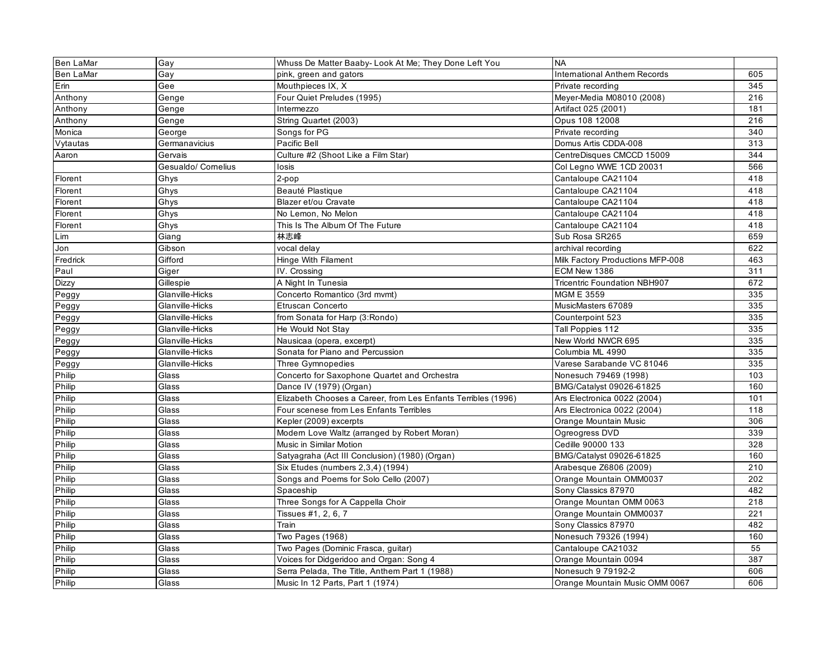| <b>Ben LaMar</b> | Gay                 | Whuss De Matter Baaby- Look At Me; They Done Left You         | <b>NA</b>                           |     |
|------------------|---------------------|---------------------------------------------------------------|-------------------------------------|-----|
| <b>Ben LaMar</b> | Gay                 | pink, green and gators                                        | <b>International Anthem Records</b> | 605 |
| Erin             | Gee                 | Mouthpieces IX, X                                             | Private recording                   | 345 |
| Anthony          | Genge               | Four Quiet Preludes (1995)                                    | Meyer-Media M08010 (2008)           | 216 |
| Anthony          | Genge               | Intermezzo                                                    | Artifact 025 (2001)                 | 181 |
| Anthony          | Genge               | String Quartet (2003)                                         | Opus 108 12008                      | 216 |
| Monica           | George              | Songs for PG                                                  | Private recording                   | 340 |
| Vytautas         | Germanavicius       | Pacific Bell                                                  | Domus Artis CDDA-008                | 313 |
| Aaron            | Gervais             | Culture #2 (Shoot Like a Film Star)                           | CentreDisques CMCCD 15009           | 344 |
|                  | Gesualdo/ Cornelius | losis                                                         | Col Legno WWE 1CD 20031             | 566 |
| Florent          | Ghys                | 2-pop                                                         | Cantaloupe CA21104                  | 418 |
| Florent          | Ghys                | Beauté Plastique                                              | Cantaloupe CA21104                  | 418 |
| Florent          | Ghys                | Blazer et/ou Cravate                                          | Cantaloupe CA21104                  | 418 |
| Florent          | Ghys                | No Lemon, No Melon                                            | Cantaloupe CA21104                  | 418 |
| Florent          | Ghys                | This Is The Album Of The Future                               | Cantaloupe CA21104                  | 418 |
| Lim              | Giang               | 林志峰                                                           | Sub Rosa SR265                      | 659 |
| Jon              | Gibson              | vocal delay                                                   | archival recording                  | 622 |
| Fredrick         | Gifford             | Hinge With Filament                                           | Milk Factory Productions MFP-008    | 463 |
| Paul             | Giger               | IV. Crossing                                                  | ECM New 1386                        | 311 |
| <b>Dizzy</b>     | Gillespie           | A Night In Tunesia                                            | <b>Tricentric Foundation NBH907</b> | 672 |
| Peggy            | Glanville-Hicks     | Concerto Romantico (3rd mvmt)                                 | <b>MGM E 3559</b>                   | 335 |
| Peggy            | Glanville-Hicks     | Etruscan Concerto                                             | MusicMasters 67089                  | 335 |
| Peggy            | Glanville-Hicks     | from Sonata for Harp (3:Rondo)                                | Counterpoint 523                    | 335 |
| Peggy            | Glanville-Hicks     | He Would Not Stay                                             | Tall Poppies 112                    | 335 |
| Peggy            | Glanville-Hicks     | Nausicaa (opera, excerpt)                                     | New World NWCR 695                  | 335 |
| Peggy            | Glanville-Hicks     | Sonata for Piano and Percussion                               | Columbia ML 4990                    | 335 |
| Peggy            | Glanville-Hicks     | Three Gymnopedies                                             | Varese Sarabande VC 81046           | 335 |
| Philip           | Glass               | Concerto for Saxophone Quartet and Orchestra                  | Nonesuch 79469 (1998)               | 103 |
| Philip           | Glass               | Dance IV (1979) (Organ)                                       | BMG/Catalyst 09026-61825            | 160 |
| Philip           | Glass               | Elizabeth Chooses a Career, from Les Enfants Terribles (1996) | Ars Electronica 0022 (2004)         | 101 |
| Philip           | Glass               | Four scenese from Les Enfants Terribles                       | Ars Electronica 0022 (2004)         | 118 |
| Philip           | Glass               | Kepler (2009) excerpts                                        | Orange Mountain Music               | 306 |
| Philip           | Glass               | Modern Love Waltz (arranged by Robert Moran)                  | Ogreogress DVD                      | 339 |
| Philip           | Glass               | Music in Similar Motion                                       | Cedille 90000 133                   | 328 |
| Philip           | Glass               | Satyagraha (Act III Conclusion) (1980) (Organ)                | BMG/Catalyst 09026-61825            | 160 |
| Philip           | Glass               | Six Etudes (numbers 2,3,4) (1994)                             | Arabesque Z6806 (2009)              | 210 |
| Philip           | Glass               | Songs and Poems for Solo Cello (2007)                         | Orange Mountain OMM0037             | 202 |
| Philip           | Glass               | Spaceship                                                     | Sony Classics 87970                 | 482 |
| Philip           | Glass               | Three Songs for A Cappella Choir                              | Orange Mountan OMM 0063             | 218 |
| Philip           | Glass               | Tissues #1, 2, 6, 7                                           | Orange Mountain OMM0037             | 221 |
| Philip           | Glass               | Train                                                         | Sony Classics 87970                 | 482 |
| Philip           | Glass               | <b>Two Pages (1968)</b>                                       | Nonesuch 79326 (1994)               | 160 |
| Philip           | Glass               | Two Pages (Dominic Frasca, guitar)                            | Cantaloupe CA21032                  | 55  |
| Philip           | Glass               | Voices for Didgeridoo and Organ: Song 4                       | Orange Mountain 0094                | 387 |
| Philip           | Glass               | Serra Pelada, The Title, Anthem Part 1 (1988)                 | Nonesuch 9 79192-2                  | 606 |
| Philip           | Glass               | Music In 12 Parts, Part 1 (1974)                              | Orange Mountain Music OMM 0067      | 606 |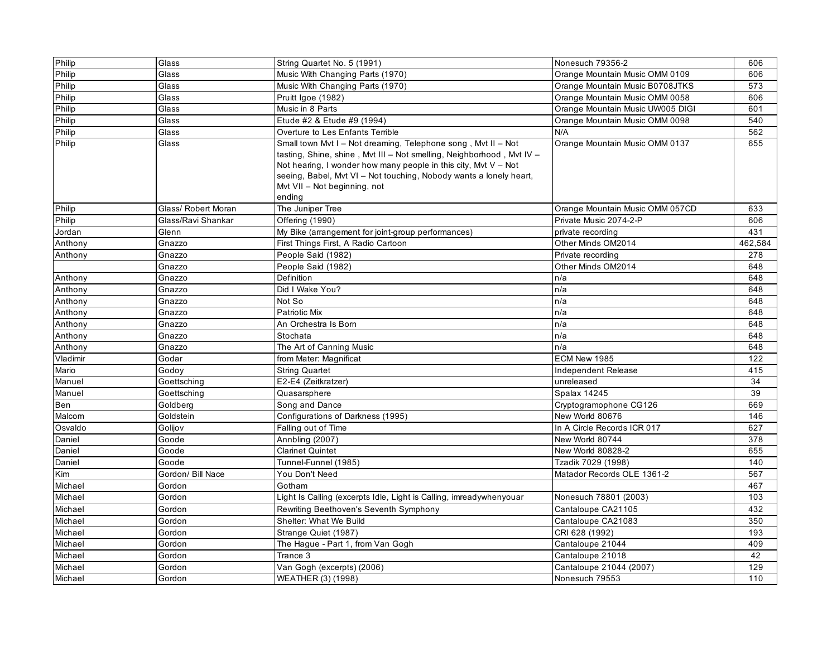| Philip   | Glass               | String Quartet No. 5 (1991)                                                                                                                                                                                                                                                                                                 | Nonesuch 79356-2                 | 606     |
|----------|---------------------|-----------------------------------------------------------------------------------------------------------------------------------------------------------------------------------------------------------------------------------------------------------------------------------------------------------------------------|----------------------------------|---------|
| Philip   | Glass               | Music With Changing Parts (1970)                                                                                                                                                                                                                                                                                            | Orange Mountain Music OMM 0109   | 606     |
| Philip   | Glass               | Music With Changing Parts (1970)                                                                                                                                                                                                                                                                                            | Orange Mountain Music B0708JTKS  | 573     |
| Philip   | Glass               | Pruitt Igoe (1982)                                                                                                                                                                                                                                                                                                          | Orange Mountain Music OMM 0058   | 606     |
| Philip   | Glass               | Music in 8 Parts                                                                                                                                                                                                                                                                                                            | Orange Mountain Music UW005 DIGI | 601     |
| Philip   | Glass               | Etude #2 & Etude #9 (1994)                                                                                                                                                                                                                                                                                                  | Orange Mountain Music OMM 0098   | 540     |
| Philip   | Glass               | Overture to Les Enfants Terrible                                                                                                                                                                                                                                                                                            | N/A                              | 562     |
| Philip   | Glass               | Small town Mvt I - Not dreaming, Telephone song, Mvt II - Not<br>tasting, Shine, shine, Mvt III - Not smelling, Neighborhood, Mvt IV -<br>Not hearing, I wonder how many people in this city, Mvt $V - Not$<br>seeing, Babel, Mvt VI - Not touching, Nobody wants a lonely heart,<br>Myt VII - Not beginning, not<br>ending | Orange Mountain Music OMM 0137   | 655     |
| Philip   | Glass/ Robert Moran | The Juniper Tree                                                                                                                                                                                                                                                                                                            | Orange Mountain Music OMM 057CD  | 633     |
| Philip   | Glass/Ravi Shankar  | Offering (1990)                                                                                                                                                                                                                                                                                                             | Private Music 2074-2-P           | 606     |
| Jordan   | Glenn               | My Bike (arrangement for joint-group performances)                                                                                                                                                                                                                                                                          | private recording                | 431     |
| Anthony  | Gnazzo              | First Things First, A Radio Cartoon                                                                                                                                                                                                                                                                                         | Other Minds OM2014               | 462,584 |
| Anthony  | Gnazzo              | People Said (1982)                                                                                                                                                                                                                                                                                                          | Private recording                | 278     |
|          | Gnazzo              | People Said (1982)                                                                                                                                                                                                                                                                                                          | Other Minds OM2014               | 648     |
| Anthony  | Gnazzo              | Definition                                                                                                                                                                                                                                                                                                                  | n/a                              | 648     |
| Anthony  | Gnazzo              | Did I Wake You?                                                                                                                                                                                                                                                                                                             | n/a                              | 648     |
| Anthony  | Gnazzo              | Not So                                                                                                                                                                                                                                                                                                                      | n/a                              | 648     |
| Anthony  | Gnazzo              | <b>Patriotic Mix</b>                                                                                                                                                                                                                                                                                                        | n/a                              | 648     |
| Anthony  | Gnazzo              | An Orchestra Is Born                                                                                                                                                                                                                                                                                                        | n/a                              | 648     |
| Anthony  | Gnazzo              | Stochata                                                                                                                                                                                                                                                                                                                    | n/a                              | 648     |
| Anthony  | Gnazzo              | The Art of Canning Music                                                                                                                                                                                                                                                                                                    | n/a                              | 648     |
| Vladimir | Godar               | from Mater: Magnificat                                                                                                                                                                                                                                                                                                      | ECM New 1985                     | 122     |
| Mario    | Godoy               | <b>String Quartet</b>                                                                                                                                                                                                                                                                                                       | Independent Release              | 415     |
| Manuel   | Goettsching         | E2-E4 (Zeitkratzer)                                                                                                                                                                                                                                                                                                         | unreleased                       | 34      |
| Manuel   | Goettsching         | Quasarsphere                                                                                                                                                                                                                                                                                                                | Spalax 14245                     | 39      |
| Ben      | Goldberg            | Song and Dance                                                                                                                                                                                                                                                                                                              | Cryptogramophone CG126           | 669     |
| Malcom   | Goldstein           | Configurations of Darkness (1995)                                                                                                                                                                                                                                                                                           | New World 80676                  | 146     |
| Osvaldo  | Golijov             | Falling out of Time                                                                                                                                                                                                                                                                                                         | In A Circle Records ICR 017      | 627     |
| Daniel   | Goode               | Annbling (2007)                                                                                                                                                                                                                                                                                                             | New World 80744                  | 378     |
| Daniel   | Goode               | Clarinet Quintet                                                                                                                                                                                                                                                                                                            | New World 80828-2                | 655     |
| Daniel   | Goode               | Tunnel-Funnel (1985)                                                                                                                                                                                                                                                                                                        | Tzadik 7029 (1998)               | 140     |
| Kim      | Gordon/ Bill Nace   | You Don't Need                                                                                                                                                                                                                                                                                                              | Matador Records OLE 1361-2       | 567     |
| Michael  | Gordon              | Gotham                                                                                                                                                                                                                                                                                                                      |                                  | 467     |
| Michael  | Gordon              | Light Is Calling (excerpts Idle, Light is Calling, imreadywhenyouar                                                                                                                                                                                                                                                         | Nonesuch 78801 (2003)            | 103     |
| Michael  | Gordon              | Rewriting Beethoven's Seventh Symphony                                                                                                                                                                                                                                                                                      | Cantaloupe CA21105               | 432     |
| Michael  | Gordon              | Shelter: What We Build                                                                                                                                                                                                                                                                                                      | Cantaloupe CA21083               | 350     |
| Michael  | Gordon              | Strange Quiet (1987)                                                                                                                                                                                                                                                                                                        | CRI 628 (1992)                   | 193     |
| Michael  | Gordon              | The Hague - Part 1, from Van Gogh                                                                                                                                                                                                                                                                                           | Cantaloupe 21044                 | 409     |
| Michael  | Gordon              | Trance 3                                                                                                                                                                                                                                                                                                                    | Cantaloupe 21018                 | 42      |
| Michael  | Gordon              | Van Gogh (excerpts) (2006)                                                                                                                                                                                                                                                                                                  | Cantaloupe 21044 (2007)          | 129     |
| Michael  | Gordon              | WEATHER (3) (1998)                                                                                                                                                                                                                                                                                                          | Nonesuch 79553                   | 110     |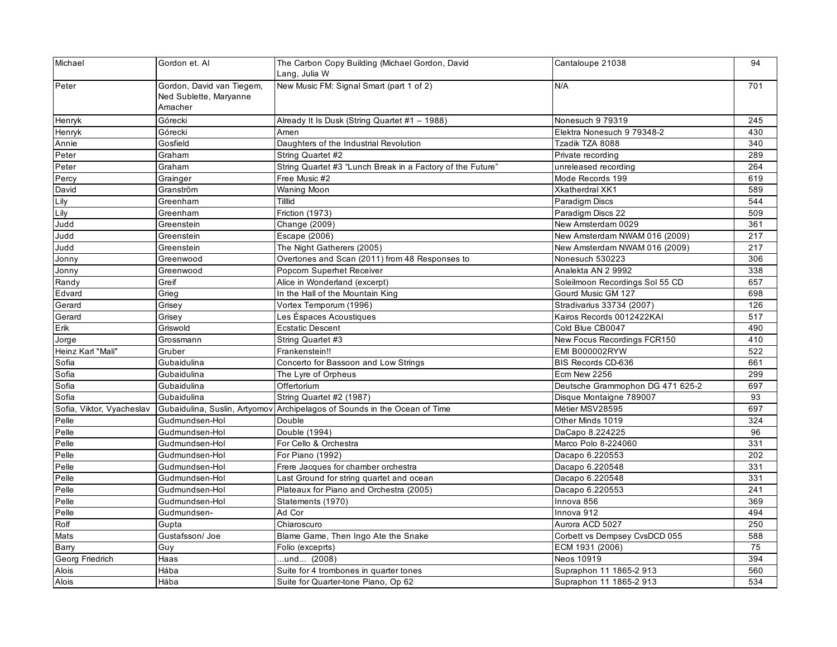| Michael                   | Gordon et. Al                | The Carbon Copy Building (Michael Gordon, David            | Cantaloupe 21038                 | 94  |
|---------------------------|------------------------------|------------------------------------------------------------|----------------------------------|-----|
|                           |                              | Lang, Julia W                                              |                                  |     |
| Peter                     | Gordon, David van Tiegem,    | New Music FM: Signal Smart (part 1 of 2)                   | N/A                              | 701 |
|                           | Ned Sublette, Maryanne       |                                                            |                                  |     |
|                           | Amacher                      |                                                            |                                  |     |
| Henryk                    | Górecki                      | Already It Is Dusk (String Quartet #1 - 1988)              | Nonesuch 9 79319                 | 245 |
| Henryk                    | Górecki                      | Amen                                                       | Elektra Nonesuch 9 79348-2       | 430 |
| Annie                     | Gosfield                     | Daughters of the Industrial Revolution                     | Tzadik TZA 8088                  | 340 |
| Peter                     | Graham                       | String Quartet #2                                          | Private recording                | 289 |
| Peter                     | Graham                       | String Quartet #3 "Lunch Break in a Factory of the Future" | unreleased recording             | 264 |
| Percy                     | Grainger                     | Free Music #2                                              | Mode Records 199                 | 619 |
| David                     | Granström                    | <b>Waning Moon</b>                                         | <b>Xkatherdral XK1</b>           | 589 |
| Lily                      | Greenham                     | Tilllid                                                    | Paradigm Discs                   | 544 |
| Lily                      | Greenham                     | <b>Friction (1973)</b>                                     | Paradigm Discs 22                | 509 |
| Judd                      | Greenstein                   | Change (2009)                                              | New Amsterdam 0029               | 361 |
| Judd                      | Greenstein                   | Escape (2006)                                              | New Amsterdam NWAM 016 (2009)    | 217 |
| Judd                      | Greenstein                   | The Night Gatherers (2005)                                 | New Amsterdam NWAM 016 (2009)    | 217 |
| Jonny                     | Greenwood                    | Overtones and Scan (2011) from 48 Responses to             | Nonesuch 530223                  | 306 |
| Jonny                     | Greenwood                    | Popcorn Superhet Receiver                                  | Analekta AN 2 9992               | 338 |
| Randy                     | Greif                        | Alice in Wonderland (excerpt)                              | Soleilmoon Recordings Sol 55 CD  | 657 |
| Edvard                    | Grieg                        | In the Hall of the Mountain King                           | Gourd Music GM 127               | 698 |
| Gerard                    | Grisey                       | Vortex Temporum (1996)                                     | Stradivarius 33734 (2007)        | 126 |
| Gerard                    | Grisey                       | Les Éspaces Acoustiques                                    | Kairos Records 0012422KAI        | 517 |
| Erik                      | Griswold                     | <b>Ecstatic Descent</b>                                    | Cold Blue CB0047                 | 490 |
| Jorge                     | Grossmann                    | String Quartet #3                                          | New Focus Recordings FCR150      | 410 |
| Heinz Karl "Mali"         | Gruber                       | Frankenstein!!                                             | <b>EMI B000002RYW</b>            | 522 |
| Sofia                     | Gubaidulina                  | Concerto for Bassoon and Low Strings                       | BIS Records CD-636               | 661 |
| Sofia                     | Gubaidulina                  | The Lyre of Orpheus                                        | Ecm New 2256                     | 299 |
| Sofia                     | Gubaidulina                  | Offertorium                                                | Deutsche Grammophon DG 471 625-2 | 697 |
| Sofia                     | Gubaidulina                  | String Quartet #2 (1987)                                   | Disque Montaigne 789007          | 93  |
| Sofia, Viktor, Vyacheslav | Gubaidulina, Suslin, Artyomo | Archipelagos of Sounds in the Ocean of Time                | Métier MSV28595                  | 697 |
| Pelle                     | Gudmundsen-Hol               | Double                                                     | Other Minds 1019                 | 324 |
| Pelle                     | Gudmundsen-Hol               | Double (1994)                                              | DaCapo 8.224225                  | 96  |
| Pelle                     | Gudmundsen-Hol               | For Cello & Orchestra                                      | Marco Polo 8-224060              | 331 |
| Pelle                     | Gudmundsen-Hol               | For Piano (1992)                                           | Dacapo 6.220553                  | 202 |
| Pelle                     | Gudmundsen-Hol               | Frere Jacques for chamber orchestra                        | Dacapo 6.220548                  | 331 |
| Pelle                     | Gudmundsen-Hol               | Last Ground for string quartet and ocean                   | Dacapo 6.220548                  | 331 |
| Pelle                     | Gudmundsen-Hol               | Plateaux for Piano and Orchestra (2005)                    | Dacapo 6.220553                  | 241 |
| Pelle                     | Gudmundsen-Hol               | Statements (1970)                                          | Innova 856                       | 369 |
| Pelle                     | Gudmundsen-                  | Ad Cor                                                     | Innova 912                       | 494 |
| Rolf                      | Gupta                        | Chiaroscuro                                                | Aurora ACD 5027                  | 250 |
| Mats                      | Gustafsson/Joe               | Blame Game, Then Ingo Ate the Snake                        | Corbett vs Dempsey CvsDCD 055    | 588 |
| Barry                     | Guy                          | Folio (exceprts)                                           | ECM 1931 (2006)                  | 75  |
| Georg Friedrich           | Haas                         | und (2008)                                                 | Neos 10919                       | 394 |
| Alois                     | Hába                         | Suite for 4 trombones in quarter tones                     | Supraphon 11 1865-2 913          | 560 |
| Alois                     | Hába                         | Suite for Quarter-tone Piano, Op 62                        | Supraphon 11 1865-2 913          | 534 |
|                           |                              |                                                            |                                  |     |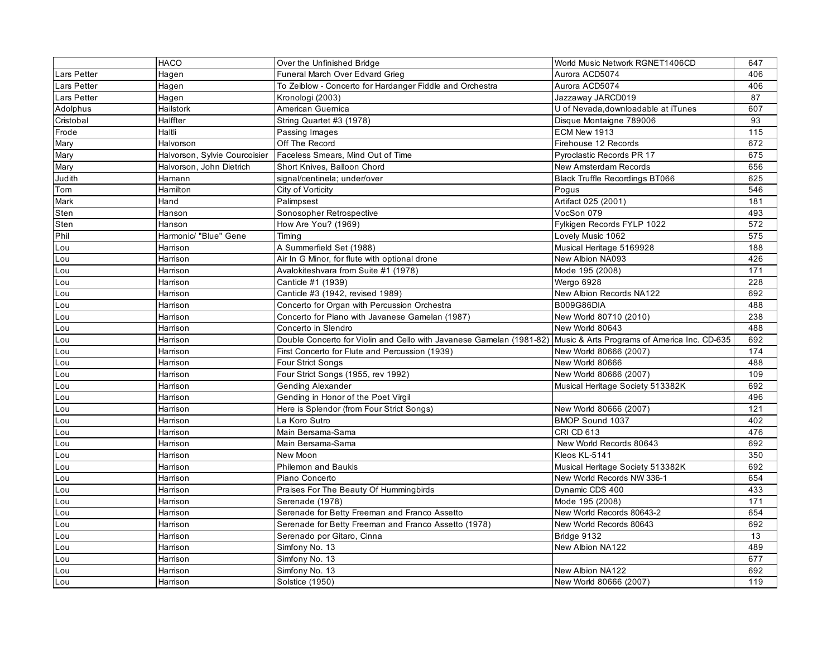|                    | HACO                          | Over the Unfinished Bridge                                           | World Music Network RGNET1406CD              | 647 |
|--------------------|-------------------------------|----------------------------------------------------------------------|----------------------------------------------|-----|
| <b>Lars Petter</b> | Hagen                         | Funeral March Over Edvard Grieg                                      | Aurora ACD5074                               | 406 |
| <b>Lars Petter</b> | Hagen                         | To Zeiblow - Concerto for Hardanger Fiddle and Orchestra             | Aurora ACD5074                               | 406 |
| <b>Lars Petter</b> | Hagen                         | Kronologi (2003)                                                     | Jazzaway JARCD019                            | 87  |
| Adolphus           | Hailstork                     | American Guernica                                                    | U of Nevada, downloadable at iTunes          | 607 |
| Cristobal          | Halffter                      | String Quartet #3 (1978)                                             | Disque Montaigne 789006                      | 93  |
| Frode              | Haltli                        | Passing Images                                                       | ECM New 1913                                 | 115 |
| Mary               | Halvorson                     | Off The Record                                                       | Firehouse 12 Records                         | 672 |
| Mary               | Halvorson, Sylvie Courcoisier | Faceless Smears, Mind Out of Time                                    | Pyroclastic Records PR 17                    | 675 |
| Mary               | Halvorson, John Dietrich      | Short Knives, Balloon Chord                                          | <b>New Amsterdam Records</b>                 | 656 |
| Judith             | Hamann                        | signal/centinela; under/over                                         | <b>Black Truffle Recordings BT066</b>        | 625 |
| Tom                | Hamilton                      | City of Vorticity                                                    | Pogus                                        | 546 |
| Mark               | Hand                          | Palimpsest                                                           | Artifact 025 (2001)                          | 181 |
| Sten               | Hanson                        | Sonosopher Retrospective                                             | VocSon 079                                   | 493 |
| Sten               | Hanson                        | How Are You? (1969)                                                  | Fylkigen Records FYLP 1022                   | 572 |
| Phil               | Harmonic/ "Blue" Gene         | Timing                                                               | Lovely Music 1062                            | 575 |
| Lou                | Harrison                      | A Summerfield Set (1988)                                             | Musical Heritage 5169928                     | 188 |
| Lou                | Harrison                      | Air In G Minor, for flute with optional drone                        | New Albion NA093                             | 426 |
| Lou                | Harrison                      | Avalokiteshvara from Suite #1 (1978)                                 | Mode 195 (2008)                              | 171 |
| Lou                | Harrison                      | Canticle #1 (1939)                                                   | Wergo 6928                                   | 228 |
| Lou                | Harrison                      | Canticle #3 (1942, revised 1989)                                     | New Albion Records NA122                     | 692 |
| Lou                | Harrison                      | Concerto for Organ with Percussion Orchestra                         | B009G86DIA                                   | 488 |
| Lou                | Harrison                      | Concerto for Piano with Javanese Gamelan (1987)                      | New World 80710 (2010)                       | 238 |
| Lou                | Harrison                      | Concerto in Slendro                                                  | New World 80643                              | 488 |
| Lou                | Harrison                      | Double Concerto for Violin and Cello with Javanese Gamelan (1981-82) | Music & Arts Programs of America Inc. CD-635 | 692 |
| Lou                | Harrison                      | First Concerto for Flute and Percussion (1939)                       | New World 80666 (2007)                       | 174 |
| Lou                | Harrison                      | Four Strict Songs                                                    | New World 80666                              | 488 |
| Lou                | Harrison                      | Four Strict Songs (1955, rev 1992)                                   | New World 80666 (2007)                       | 109 |
| Lou                | Harrison                      | <b>Gending Alexander</b>                                             | Musical Heritage Society 513382K             | 692 |
| Lou                | Harrison                      | Gending in Honor of the Poet Virgil                                  |                                              | 496 |
| Lou                | Harrison                      | Here is Splendor (from Four Strict Songs)                            | New World 80666 (2007)                       | 121 |
| Lou                | Harrison                      | La Koro Sutro                                                        | BMOP Sound 1037                              | 402 |
| Lou                | Harrison                      | Main Bersama-Sama                                                    | <b>CRI CD 613</b>                            | 476 |
| Lou                | Harrison                      | Main Bersama-Sama                                                    | New World Records 80643                      | 692 |
| Lou                | Harrison                      | New Moon                                                             | Kleos KL-5141                                | 350 |
| Lou                | Harrison                      | <b>Philemon and Baukis</b>                                           | Musical Heritage Society 513382K             | 692 |
| Lou                | Harrison                      | Piano Concerto                                                       | New World Records NW 336-1                   | 654 |
| Lou                | Harrison                      | Praises For The Beauty Of Hummingbirds                               | Dynamic CDS 400                              | 433 |
| Lou                | Harrison                      | Serenade (1978)                                                      | Mode 195 (2008)                              | 171 |
| Lou                | Harrison                      | Serenade for Betty Freeman and Franco Assetto                        | New World Records 80643-2                    | 654 |
| Lou                | Harrison                      | Serenade for Betty Freeman and Franco Assetto (1978)                 | New World Records 80643                      | 692 |
| Lou                | Harrison                      | Serenado por Gitaro, Cinna                                           | Bridge 9132                                  | 13  |
| Lou                | Harrison                      | Simfony No. 13                                                       | New Albion NA122                             | 489 |
| Lou                | Harrison                      | Simfony No. 13                                                       |                                              | 677 |
| Lou                | Harrison                      | Simfony No. 13                                                       | New Albion NA122                             | 692 |
| Lou                | Harrison                      | Solstice (1950)                                                      | New World 80666 (2007)                       | 119 |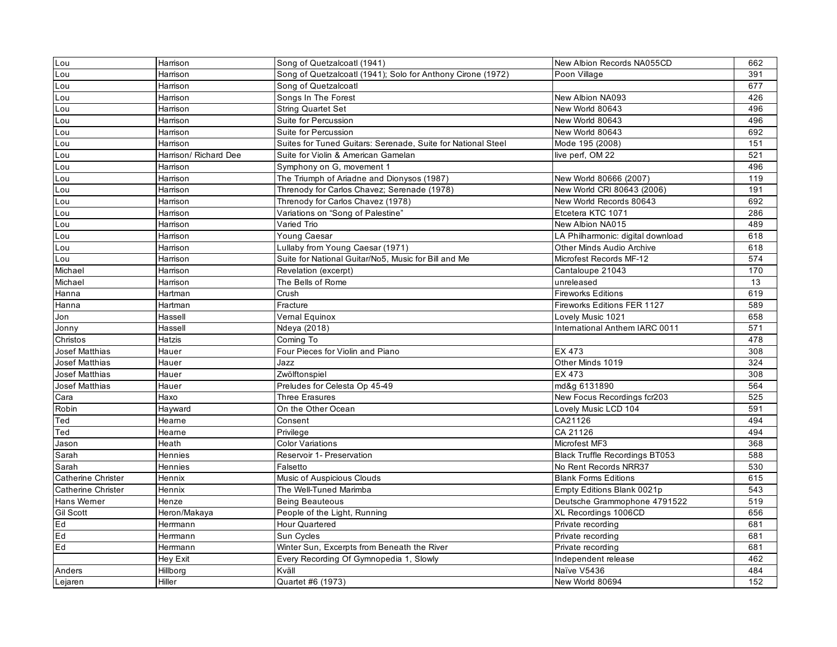| Lou                       | Harrison              | Song of Quetzalcoatl (1941)                                  | New Albion Records NA055CD            | 662 |
|---------------------------|-----------------------|--------------------------------------------------------------|---------------------------------------|-----|
| Lou                       | Harrison              | Song of Quetzalcoatl (1941); Solo for Anthony Cirone (1972)  | Poon Village                          | 391 |
| Lou<br>Lou                | Harrison              | Song of Quetzalcoatl                                         |                                       | 677 |
|                           | Harrison              | Songs In The Forest                                          | New Albion NA093                      | 426 |
| Lou                       | Harrison              | <b>String Quartet Set</b>                                    | New World 80643                       | 496 |
| Lou                       | Harrison              | Suite for Percussion                                         | New World 80643                       | 496 |
| Lou                       | Harrison              | Suite for Percussion                                         | New World 80643                       | 692 |
| Lou                       | Harrison              | Suites for Tuned Guitars: Serenade, Suite for National Steel | Mode 195 (2008)                       | 151 |
| Lou                       | Harrison/ Richard Dee | Suite for Violin & American Gamelan                          | live perf, OM 22                      | 521 |
| Lou                       | Harrison              | Symphony on G, movement 1                                    |                                       | 496 |
| Lou                       | Harrison              | The Triumph of Ariadne and Dionysos (1987)                   | New World 80666 (2007)                | 119 |
| Lou                       | Harrison              | Threnody for Carlos Chavez; Serenade (1978)                  | New World CRI 80643 (2006)            | 191 |
| Lou                       | Harrison              | Threnody for Carlos Chavez (1978)                            | New World Records 80643               | 692 |
| Lou                       | Harrison              | Variations on "Song of Palestine"                            | Etcetera KTC 1071                     | 286 |
| Lou                       | Harrison              | Varied Trio                                                  | New Albion NA015                      | 489 |
| Lou                       | Harrison              | Young Caesar                                                 | LA Philharmonic: digital download     | 618 |
| Lou                       | Harrison              | Lullaby from Young Caesar (1971)                             | <b>Other Minds Audio Archive</b>      | 618 |
| Lou                       | Harrison              | Suite for National Guitar/No5, Music for Bill and Me         | Microfest Records MF-12               | 574 |
| Michael                   | Harrison              | Revelation (excerpt)                                         | Cantaloupe 21043                      | 170 |
| Michael                   | Harrison              | The Bells of Rome                                            | unreleased                            | 13  |
| Hanna                     | Hartman               | Crush                                                        | <b>Fireworks Editions</b>             | 619 |
| Hanna                     | Hartman               | Fracture                                                     | Fireworks Editions FER 1127           | 589 |
| Jon                       | Hassell               | Vernal Equinox                                               | Lovely Music 1021                     | 658 |
| Jonny                     | Hassell               | Ndeya (2018)                                                 | International Anthem IARC 0011        | 571 |
| Christos                  | Hatzis                | Coming To                                                    |                                       | 478 |
| Josef Matthias            | Hauer                 | Four Pieces for Violin and Piano                             | EX 473                                | 308 |
| Josef Matthias            | Hauer                 | Jazz                                                         | Other Minds 1019                      | 324 |
| Josef Matthias            | Hauer                 | Zwölftonspiel                                                | EX 473                                | 308 |
| Josef Matthias            | Hauer                 | Preludes for Celesta Op 45-49                                | md&g 6131890                          | 564 |
| Cara                      | Haxo                  | Three Erasures                                               | New Focus Recordings fcr203           | 525 |
| Robin                     | Hayward               | On the Other Ocean                                           | Lovely Music LCD 104                  | 591 |
| Ted                       | Hearne                | Consent                                                      | CA21126                               | 494 |
| Ted                       | Hearne                | Privilege                                                    | CA 21126                              | 494 |
| Jason                     | Heath                 | <b>Color Variations</b>                                      | Microfest MF3                         | 368 |
| Sarah                     | Hennies               | Reservoir 1- Preservation                                    | <b>Black Truffle Recordings BT053</b> | 588 |
| Sarah                     | Hennies               | Falsetto                                                     | No Rent Records NRR37                 | 530 |
| Catherine Christer        | Hennix                | Music of Auspicious Clouds                                   | <b>Blank Forms Editions</b>           | 615 |
| <b>Catherine Christer</b> | Hennix                | The Well-Tuned Marimba                                       | Empty Editions Blank 0021p            | 543 |
| Hans Wemer                | Henze                 | <b>Being Beauteous</b>                                       | Deutsche Grammophone 4791522          | 519 |
| <b>Gil Scott</b>          | Heron/Makaya          | People of the Light, Running                                 | XL Recordings 1006CD                  | 656 |
| Ed                        | Herrmann              | Hour Quartered                                               | Private recording                     | 681 |
| Ed                        | Herrmann              | Sun Cycles                                                   | Private recording                     | 681 |
| Ed                        | Herrmann              | Winter Sun, Excerpts from Beneath the River                  | Private recording                     | 681 |
|                           | Hey Exit              | Every Recording Of Gymnopedia 1, Slowly                      | Independent release                   | 462 |
| Anders                    | Hillborg              | Kväll                                                        | Naïve V5436                           | 484 |
| Lejaren                   | Hiller                | Quartet #6 (1973)                                            | New World 80694                       | 152 |
|                           |                       |                                                              |                                       |     |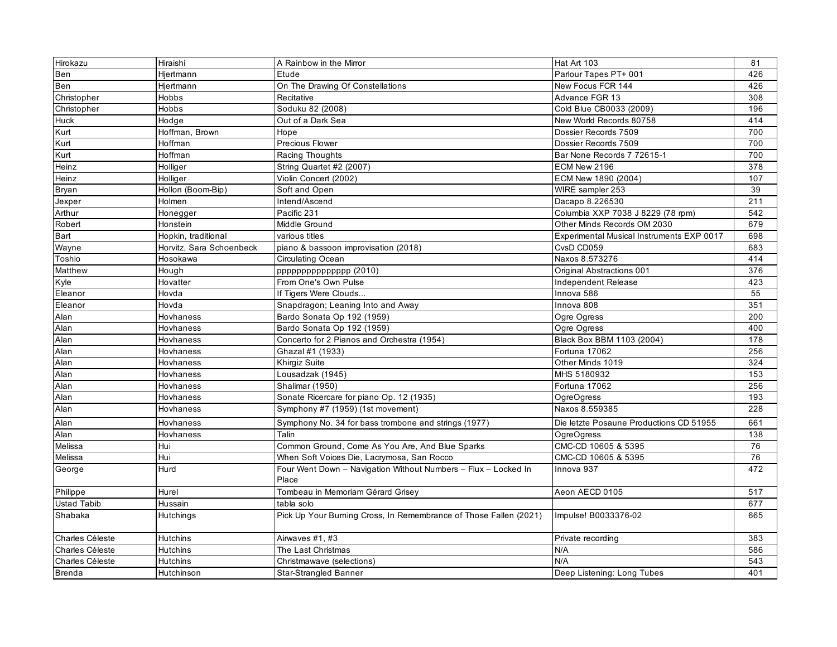| Hirokazu           | Hiraishi                 | A Rainbow in the Mirror                                           | Hat Art 103                               | 81  |
|--------------------|--------------------------|-------------------------------------------------------------------|-------------------------------------------|-----|
| Ben                | Hjertmann                | Etude                                                             | Parlour Tapes PT+ 001                     | 426 |
| Ben                | Hjertmann                | On The Drawing Of Constellations                                  | New Focus FCR 144                         | 426 |
| Christopher        | Hobbs                    | Recitative                                                        | Advance FGR 13                            | 308 |
| Christopher        | Hobbs                    | Soduku 82 (2008)                                                  | Cold Blue CB0033 (2009)                   | 196 |
| Huck               | Hodge                    | Out of a Dark Sea                                                 | New World Records 80758                   | 414 |
| Kurt               | Hoffman, Brown           | Hope                                                              | Dossier Records 7509                      | 700 |
| Kurt               | Hoffman                  | Precious Flower                                                   | Dossier Records 7509                      | 700 |
| Kurt               | Hoffman                  | Racing Thoughts                                                   | Bar None Records 7 72615-1                | 700 |
| Heinz              | Holliger                 | String Quartet #2 (2007)                                          | ECM New 2196                              | 378 |
| Heinz              | Holliger                 | Violin Concert (2002)                                             | ECM New 1890 (2004)                       | 107 |
| <b>Bryan</b>       | Hollon (Boom-Bip)        | Soft and Open                                                     | WIRE sampler 253                          | 39  |
| Jexper             | Holmen                   | Intend/Ascend                                                     | Dacapo 8.226530                           | 211 |
| Arthur             | Honegger                 | Pacific 231                                                       | Columbia XXP 7038 J 8229 (78 rpm)         | 542 |
| Robert             | Honstein                 | Middle Ground                                                     | Other Minds Records OM 2030               | 679 |
| Bart               | Hopkin, traditional      | various titles                                                    | Experimental Musical Instruments EXP 0017 | 698 |
| Wayne              | Horvitz, Sara Schoenbeck | piano & bassoon improvisation (2018)                              | CvsD CD059                                | 683 |
| Toshio             | Hosokawa                 | <b>Circulating Ocean</b>                                          | Naxos 8.573276                            | 414 |
| Matthew            | Hough                    | ppppppppppppppp (2010)                                            | Original Abstractions 001                 | 376 |
| Kyle               | Hovatter                 | From One's Own Pulse                                              | Independent Release                       | 423 |
| Eleanor            | Hovda                    | If Tigers Were Clouds                                             | Innova 586                                | 55  |
| Eleanor            | Hovda                    | Snapdragon; Leaning Into and Away                                 | Innova 808                                | 351 |
| Alan               | Hovhaness                | Bardo Sonata Op 192 (1959)                                        | Ogre Ogress                               | 200 |
| Alan               | Hovhaness                | Bardo Sonata Op 192 (1959)                                        | Ogre Ogress                               | 400 |
| Alan               | Hovhaness                | Concerto for 2 Pianos and Orchestra (1954)                        | Black Box BBM 1103 (2004)                 | 178 |
| Alan               | Hovhaness                | Ghazal #1 (1933)                                                  | Fortuna 17062                             | 256 |
| Alan               | Hovhaness                | Khirgiz Suite                                                     | Other Minds 1019                          | 324 |
| Alan               | Hovhaness                | Lousadzak (1945)                                                  | MHS 5180932                               | 153 |
| Alan               | Hovhaness                | Shalimar (1950)                                                   | Fortuna 17062                             | 256 |
| Alan               | Hovhaness                | Sonate Ricercare for piano Op. 12 (1935)                          | <b>OgreOgress</b>                         | 193 |
| Alan               | Hovhaness                | Symphony #7 (1959) (1st movement)                                 | Naxos 8.559385                            | 228 |
| Alan               | Hovhaness                | Symphony No. 34 for bass trombone and strings (1977)              | Die letzte Posaune Productions CD 51955   | 661 |
| Alan               | Hovhaness                | Talin                                                             | OgreOgress                                | 138 |
| Melissa            | Hui                      | Common Ground, Come As You Are, And Blue Sparks                   | CMC-CD 10605 & 5395                       | 76  |
| Melissa            | Hui                      | When Soft Voices Die, Lacrymosa, San Rocco                        | CMC-CD 10605 & 5395                       | 76  |
| George             | Hurd                     | Four Went Down - Navigation Without Numbers - Flux - Locked In    | Innova 937                                | 472 |
|                    |                          | Place                                                             |                                           |     |
| Philippe           | Hurel                    | Tombeau in Memoriam Gérard Grisey                                 | Aeon AECD 0105                            | 517 |
| <b>Ustad Tabib</b> | Hussain                  | tabla solo                                                        |                                           | 677 |
| Shabaka            | Hutchings                | Pick Up Your Burning Cross, In Remembrance of Those Fallen (2021) | Impulse! B0033376-02                      | 665 |
| Charles Céleste    | Hutchins                 | Airwaves #1, #3                                                   | Private recording                         | 383 |
| Charles Céleste    | <b>Hutchins</b>          | The Last Christmas                                                | N/A                                       | 586 |
| Charles Céleste    | Hutchins                 | Christmawave (selections)                                         | N/A                                       | 543 |
| <b>Brenda</b>      | Hutchinson               | Star-Strangled Banner                                             | Deep Listening: Long Tubes                | 401 |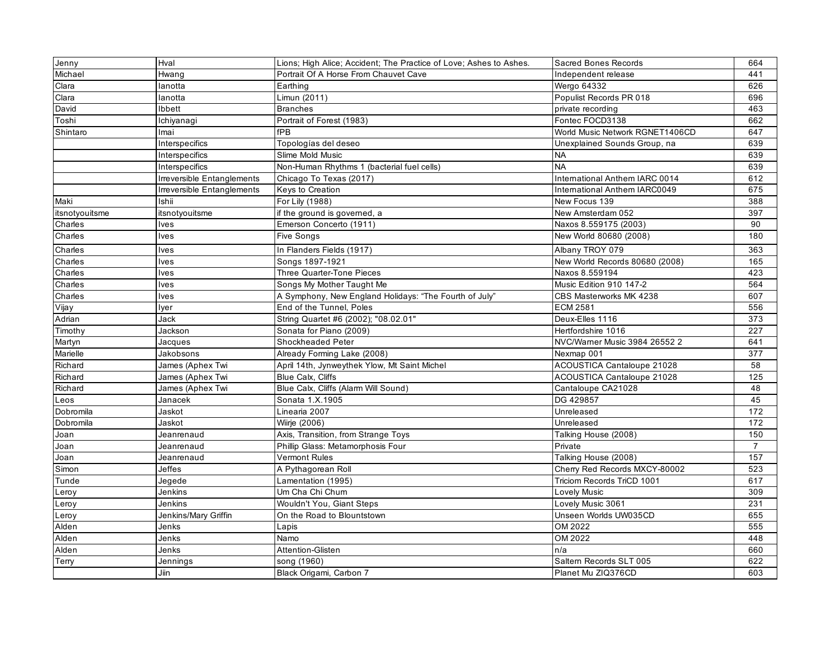| Jenny          | Hval                       | Lions; High Alice; Accident; The Practice of Love; Ashes to Ashes. | Sacred Bones Records              | 664            |
|----------------|----------------------------|--------------------------------------------------------------------|-----------------------------------|----------------|
| Michael        | Hwang                      | Portrait Of A Horse From Chauvet Cave                              | Independent release               | 441            |
| Clara          | lanotta                    | Earthing                                                           | Wergo 64332                       | 626            |
| Clara          | lanotta                    | Limun (2011)                                                       | Populist Records PR 018           | 696            |
| David          | Ibbett                     | <b>Branches</b>                                                    | private recording                 | 463            |
| Toshi          | Ichiyanagi                 | Portrait of Forest (1983)                                          | Fontec FOCD3138                   | 662            |
| Shintaro       | Imai                       | fPB                                                                | World Music Network RGNET1406CD   | 647            |
|                | Interspecifics             | Topologías del deseo                                               | Unexplained Sounds Group, na      | 639            |
|                | Interspecifics             | Slime Mold Music                                                   | <b>NA</b>                         | 639            |
|                | Interspecifics             | Non-Human Rhythms 1 (bacterial fuel cells)                         | <b>NA</b>                         | 639            |
|                | Irreversible Entanglements | Chicago To Texas (2017)                                            | International Anthem IARC 0014    | 612            |
|                | Irreversible Entanglements | Keys to Creation                                                   | International Anthem IARC0049     | 675            |
| Maki           | Ishii                      | For Lily (1988)                                                    | New Focus 139                     | 388            |
| itsnotyouitsme | itsnotyouitsme             | if the ground is governed, a                                       | New Amsterdam 052                 | 397            |
| Charles        | lves                       | Emerson Concerto (1911)                                            | Naxos 8.559175 (2003)             | 90             |
| Charles        | <b>Ives</b>                | <b>Five Songs</b>                                                  | New World 80680 (2008)            | 180            |
| Charles        | Ives                       | In Flanders Fields (1917)                                          | Albany TROY 079                   | 363            |
| Charles        | lves                       | Songs 1897-1921                                                    | New World Records 80680 (2008)    | 165            |
| Charles        | lves                       | <b>Three Quarter-Tone Pieces</b>                                   | Naxos 8.559194                    | 423            |
| Charles        | lves                       | Songs My Mother Taught Me                                          | Music Edition 910 147-2           | 564            |
| Charles        | Ives                       | A Symphony, New England Holidays: "The Fourth of July"             | CBS Masterworks MK 4238           | 607            |
| Vijay          | lyer                       | End of the Tunnel, Poles                                           | <b>ECM 2581</b>                   | 556            |
| Adrian         | Jack                       | String Quartet #6 (2002); "08.02.01"                               | Deux-Elles 1116                   | 373            |
| Timothy        | Jackson                    | Sonata for Piano (2009)                                            | Hertfordshire 1016                | 227            |
| Martyn         | Jacques                    | <b>Shockheaded Peter</b>                                           | NVC/Warner Music 3984 26552 2     | 641            |
| Marielle       | Jakobsons                  | Already Forming Lake (2008)                                        | Nexmap 001                        | 377            |
| Richard        | James (Aphex Twi           | April 14th, Jynweythek Ylow, Mt Saint Michel                       | ACOUSTICA Cantaloupe 21028        | 58             |
| Richard        | James (Aphex Twi           | Blue Calx, Cliffs                                                  | <b>ACOUSTICA Cantaloupe 21028</b> | 125            |
| Richard        | James (Aphex Twi           | Blue Calx, Cliffs (Alarm Will Sound)                               | Cantaloupe CA21028                | 48             |
| Leos           | Janacek                    | Sonata 1.X.1905                                                    | DG 429857                         | 45             |
| Dobromila      | Jaskot                     | Linearia 2007                                                      | Unreleased                        | 172            |
| Dobromila      | Jaskot                     | Wiirje (2006)                                                      | Unreleased                        | 172            |
| Joan           | Jeanrenaud                 | Axis, Transition, from Strange Toys                                | Talking House (2008)              | 150            |
| Joan           | Jeanrenaud                 | Phillip Glass: Metamorphosis Four                                  | Private                           | $\overline{7}$ |
| Joan           | Jeanrenaud                 | Vermont Rules                                                      | Talking House (2008)              | 157            |
| Simon          | Jeffes                     | A Pythagorean Roll                                                 | Cherry Red Records MXCY-80002     | 523            |
| Tunde          | Jegede                     | Lamentation (1995)                                                 | Triciom Records TriCD 1001        | 617            |
| Leroy          | Jenkins                    | Um Cha Chi Chum                                                    | Lovely Music                      | 309            |
| Leroy          | Jenkins                    | Wouldn't You, Giant Steps                                          | Lovely Music 3061                 | 231            |
| Leroy          | Jenkins/Mary Griffin       | On the Road to Blountstown                                         | Unseen Worlds UW035CD             | 655            |
| Alden          | Jenks                      | Lapis                                                              | OM 2022                           | 555            |
| Alden          | Jenks                      | Namo                                                               | OM 2022                           | 448            |
| Alden          | Jenks                      | Attention-Glisten                                                  | n/a                               | 660            |
| Terry          | Jennings                   | song (1960)                                                        | Saltern Records SLT 005           | 622            |
|                | Jiin                       | Black Origami, Carbon 7                                            | Planet Mu ZIQ376CD                | 603            |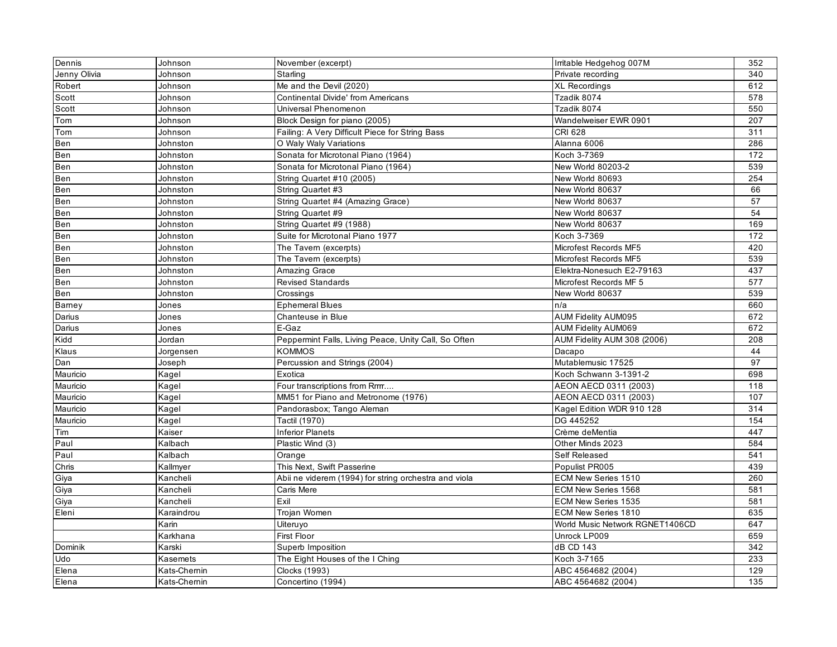| Dennis       | Johnson     | November (excerpt)                                    | Irritable Hedgehog 007M         | 352 |
|--------------|-------------|-------------------------------------------------------|---------------------------------|-----|
| Jenny Olivia | Johnson     | Starling                                              | Private recording               | 340 |
| Robert       | Johnson     | Me and the Devil (2020)                               | <b>XL Recordings</b>            | 612 |
| Scott        | Johnson     | <b>Continental Divide' from Americans</b>             | Tzadik 8074                     | 578 |
| Scott        | Johnson     | Universal Phenomenon                                  | Tzadik 8074                     | 550 |
| Tom          | Johnson     | Block Design for piano (2005)                         | Wandelweiser EWR 0901           | 207 |
| Tom          | Johnson     | Failing: A Very Difficult Piece for String Bass       | CRI 628                         | 311 |
| Ben          | Johnston    | O Waly Waly Variations                                | Alanna 6006                     | 286 |
| Ben          | Johnston    | Sonata for Microtonal Piano (1964)                    | Koch 3-7369                     | 172 |
| Ben          | Johnston    | Sonata for Microtonal Piano (1964)                    | New World 80203-2               | 539 |
| Ben          | Johnston    | String Quartet #10 (2005)                             | New World 80693                 | 254 |
| Ben          | Johnston    | String Quartet #3                                     | New World 80637                 | 66  |
| Ben          | Johnston    | String Quartet #4 (Amazing Grace)                     | New World 80637                 | 57  |
| Ben          | Johnston    | String Quartet #9                                     | New World 80637                 | 54  |
| Ben          | Johnston    | String Quartet #9 (1988)                              | New World 80637                 | 169 |
| Ben          | Johnston    | Suite for Microtonal Piano 1977                       | Koch 3-7369                     | 172 |
| Ben          | Johnston    | The Tavem (excerpts)                                  | Microfest Records MF5           | 420 |
| Ben          | Johnston    | The Tavern (excerpts)                                 | Microfest Records MF5           | 539 |
| Ben          | Johnston    | Amazing Grace                                         | Elektra-Nonesuch E2-79163       | 437 |
| Ben          | Johnston    | <b>Revised Standards</b>                              | Microfest Records MF 5          | 577 |
| Ben          | Johnston    | Crossings                                             | New World 80637                 | 539 |
| Bamey        | Jones       | <b>Ephemeral Blues</b>                                | n/a                             | 660 |
| Darius       | Jones       | Chanteuse in Blue                                     | <b>AUM Fidelity AUM095</b>      | 672 |
| Darius       | Jones       | E-Gaz                                                 | <b>AUM Fidelity AUM069</b>      | 672 |
| Kidd         | Jordan      | Peppermint Falls, Living Peace, Unity Call, So Often  | AUM Fidelity AUM 308 (2006)     | 208 |
| Klaus        | Jorgensen   | KOMMOS                                                | Dacapo                          | 44  |
| Dan          | Joseph      | Percussion and Strings (2004)                         | Mutablemusic 17525              | 97  |
| Mauricio     | Kagel       | Exotica                                               | Koch Schwann 3-1391-2           | 698 |
| Mauricio     | Kagel       | Four transcriptions from Rrrrr                        | AEON AECD 0311 (2003)           | 118 |
| Mauricio     | Kagel       | MM51 for Piano and Metronome (1976)                   | AEON AECD 0311 (2003)           | 107 |
| Mauricio     | Kagel       | Pandorasbox; Tango Aleman                             | Kagel Edition WDR 910 128       | 314 |
| Mauricio     | Kagel       | Tactil (1970)                                         | DG 445252                       | 154 |
| Tim          | Kaiser      | <b>Inferior Planets</b>                               | Crème deMentia                  | 447 |
| Paul         | Kalbach     | Plastic Wind (3)                                      | Other Minds 2023                | 584 |
| Paul         | Kalbach     | Orange                                                | Self Released                   | 541 |
| Chris        | Kallmyer    | This Next, Swift Passerine                            | Populist PR005                  | 439 |
| Giya         | Kancheli    | Abii ne viderem (1994) for string orchestra and viola | ECM New Series 1510             | 260 |
| Giya         | Kancheli    | Caris Mere                                            | ECM New Series 1568             | 581 |
| Giya         | Kancheli    | Exil                                                  | ECM New Series 1535             | 581 |
| Eleni        | Karaindrou  | Trojan Women                                          | ECM New Series 1810             | 635 |
|              | Karin       | Uiteruyo                                              | World Music Network RGNET1406CD | 647 |
|              | Karkhana    | First Floor                                           | Unrock LP009                    | 659 |
| Dominik      | Karski      | Superb Imposition                                     | dB CD 143                       | 342 |
| Udo          | Kasemets    | The Eight Houses of the I Ching                       | Koch 3-7165                     | 233 |
| Elena        | Kats-Chemin | Clocks (1993)                                         | ABC 4564682 (2004)              | 129 |
| Elena        | Kats-Chemin | Concertino (1994)                                     | ABC 4564682 (2004)              | 135 |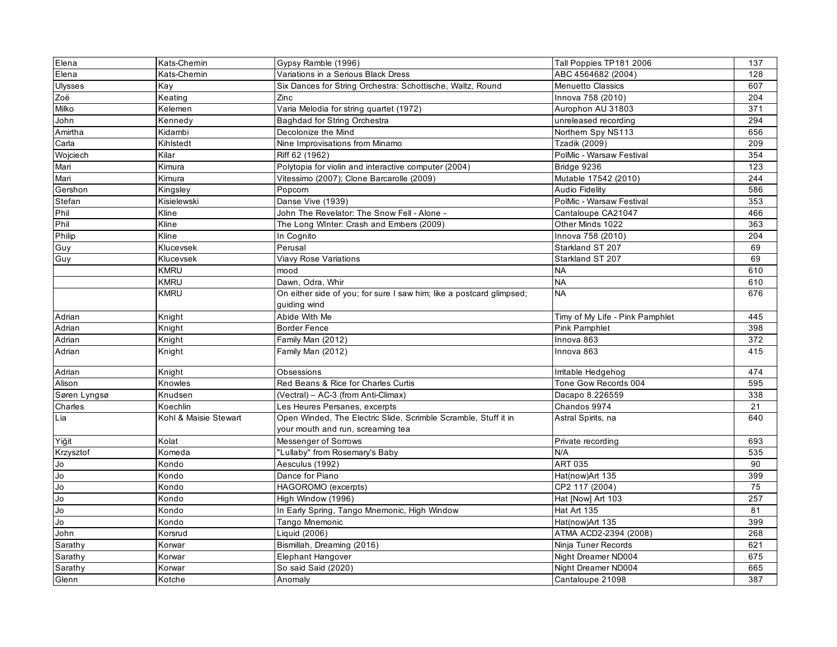| Elena            | Kats-Chernin          | Gypsy Ramble (1996)                                                                                  | Tall Poppies TP181 2006         | 137 |
|------------------|-----------------------|------------------------------------------------------------------------------------------------------|---------------------------------|-----|
| Elena            | Kats-Chernin          | Variations in a Serious Black Dress                                                                  | ABC 4564682 (2004)              | 128 |
| <b>Ulysses</b>   | Kay                   | Six Dances for String Orchestra: Schottische, Waltz, Round                                           | <b>Menuetto Classics</b>        | 607 |
| Zoë              | Keating               | Zinc                                                                                                 | Innova 758 (2010)               | 204 |
| Milko            | Kelemen               | Varia Melodia for string quartet (1972)                                                              | Aurophon AU 31803               | 371 |
| John             | Kennedy               | Baghdad for String Orchestra                                                                         | unreleased recording            | 294 |
| Amirtha          | Kidambi               | Decolonize the Mind                                                                                  | Northern Spy NS113              | 656 |
| Carla            | Kihlstedt             | Nine Improvisations from Minamo                                                                      | Tzadik (2009)                   | 209 |
| Wojciech         | Kilar                 | Riff 62 (1962)                                                                                       | PolMic - Warsaw Festival        | 354 |
| Mari             | Kimura                | Polytopia for violin and interactive computer (2004)                                                 | Bridge 9236                     | 123 |
| Mari             | Kimura                | Vitessimo (2007); Clone Barcarolle (2009)                                                            | Mutable 17542 (2010)            | 244 |
| Gershon          | Kingsley              | Popcorn                                                                                              | <b>Audio Fidelity</b>           | 586 |
| Stefan           | Kisielewski           | Danse Vive (1939)                                                                                    | PolMic - Warsaw Festival        | 353 |
| Phil             | Kline                 | John The Revelator: The Snow Fell - Alone -                                                          | Cantaloupe CA21047              | 466 |
| Phil             | Kline                 | The Long Winter: Crash and Embers (2009)                                                             | Other Minds 1022                | 363 |
| Philip           | Kline                 | In Cognito                                                                                           | Innova 758 (2010)               | 204 |
| Guy              | Klucevsek             | Perusal                                                                                              | Starkland ST 207                | 69  |
| Guy              | Klucevsek             | Viavy Rose Variations                                                                                | Starkland ST 207                | 69  |
|                  | <b>KMRU</b>           | mood                                                                                                 | <b>NA</b>                       | 610 |
|                  | <b>KMRU</b>           | Dawn, Odra, Whir                                                                                     | <b>NA</b>                       | 610 |
|                  | <b>KMRU</b>           | On either side of you; for sure I saw him; like a postcard glimpsed;                                 | <b>NA</b>                       | 676 |
|                  |                       | guiding wind                                                                                         |                                 |     |
| Adrian           | Knight                | Abide With Me                                                                                        | Timy of My Life - Pink Pamphlet | 445 |
| Adrian           | Knight                | <b>Border Fence</b>                                                                                  | <b>Pink Pamphlet</b>            | 398 |
| Adrian           | Knight                | Family Man (2012)                                                                                    | Innova 863                      | 372 |
| Adrian           | Knight                | Family Man (2012)                                                                                    | Innova 863                      | 415 |
| Adrian           | Knight                | Obsessions                                                                                           | Irritable Hedgehog              | 474 |
| Alison           | Knowles               | Red Beans & Rice for Charles Curtis                                                                  | Tone Gow Records 004            | 595 |
| Søren Lyngsø     | Knudsen               | (Vectral) - AC-3 (from Anti-Climax)                                                                  | Dacapo 8.226559                 | 338 |
| Charles          | Koechlin              | Les Heures Persanes, excerpts                                                                        | Chandos 9974                    | 21  |
| Lia              | Kohl & Maisie Stewart | Open Winded, The Electric Slide, Scrimble Scramble, Stuff it in<br>your mouth and run, screaming tea | Astral Spirits, na              | 640 |
| Yiğit            | Kolat                 | Messenger of Sorrows                                                                                 | Private recording               | 693 |
| Krzysztof        | Komeda                | "Lullaby" from Rosemary's Baby                                                                       | N/A                             | 535 |
| $\overline{J_0}$ | Kondo                 | Aesculus (1992)                                                                                      | <b>ART 035</b>                  | 90  |
| 9                | Kondo                 | Dance for Piano                                                                                      | Hat(now)Art 135                 | 399 |
| Jo               | Kondo                 | HAGOROMO (excerpts)                                                                                  | CP2 117 (2004)                  | 75  |
| Jo               | Kondo                 | High Window (1996)                                                                                   | Hat [Now] Art 103               | 257 |
| Jo               | Kondo                 | In Early Spring, Tango Mnemonic, High Window                                                         | Hat Art 135                     | 81  |
| J <sub>O</sub>   | Kondo                 | Tango Mnemonic                                                                                       | Hat(now)Art 135                 | 399 |
| John             | Korsrud               | Liquid (2006)                                                                                        | ATMA ACD2-2394 (2008)           | 268 |
| Sarathy          | Korwar                | Bismillah, Dreaming (2016)                                                                           | Ninja Tuner Records             | 621 |
| Sarathy          | Korwar                | Elephant Hangover                                                                                    | Night Dreamer ND004             | 675 |
| Sarathy          | Korwar                | So said Said (2020)                                                                                  | Night Dreamer ND004             | 665 |
| Glenn            | Kotche                | Anomaly                                                                                              | Cantaloupe 21098                | 387 |
|                  |                       |                                                                                                      |                                 |     |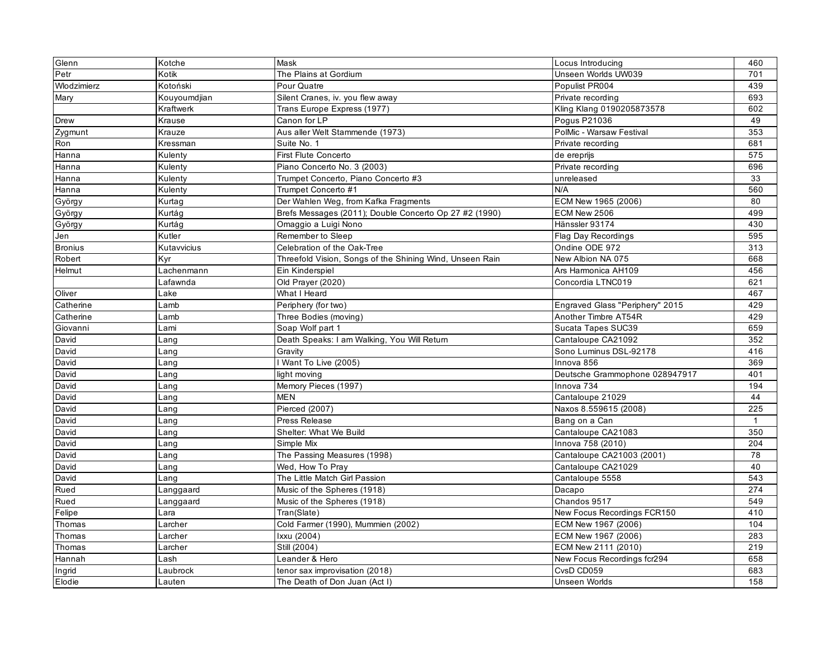| Glenn          | Kotche           | Mask                                                     | Locus Introducing               | 460          |
|----------------|------------------|----------------------------------------------------------|---------------------------------|--------------|
| Petr           | Kotik            | The Plains at Gordium                                    | Unseen Worlds UW039             | 701          |
| Wlodzimierz    | Kotoński         | Pour Quatre                                              | Populist PR004                  | 439          |
| Mary           | Kouyoumdjian     | Silent Cranes, iv. you flew away                         | Private recording               | 693          |
|                | <b>Kraftwerk</b> | Trans Europe Express (1977)                              | Kling Klang 0190205873578       | 602          |
| Drew           | Krause           | Canon for LP                                             | Pogus P21036                    | 49           |
| Zygmunt        | Krauze           | Aus aller Welt Stammende (1973)                          | PolMic - Warsaw Festival        | 353          |
| Ron            | Kressman         | Suite No. 1                                              | Private recording               | 681          |
| Hanna          | Kulenty          | <b>First Flute Concerto</b>                              | de ereprijs                     | 575          |
| Hanna          | Kulenty          | Piano Concerto No. 3 (2003)                              | Private recording               | 696          |
| Hanna          | Kulenty          | Trumpet Concerto, Piano Concerto #3                      | unreleased                      | 33           |
| Hanna          | Kulenty          | Trumpet Concerto #1                                      | N/A                             | 560          |
| György         | Kurtag           | Der Wahlen Weg, from Kafka Fragments                     | ECM New 1965 (2006)             | 80           |
| György         | Kurtág           | Brefs Messages (2011); Double Concerto Op 27 #2 (1990)   | ECM New 2506                    | 499          |
| György         | Kurtág           | Omaggio a Luigi Nono                                     | Hänssler 93174                  | 430          |
| Jen            | Kutler           | Remember to Sleep                                        | <b>Flag Day Recordings</b>      | 595          |
| <b>Bronius</b> | Kutavvicius      | Celebration of the Oak-Tree                              | Ondine ODE 972                  | 313          |
| Robert         | Kyr              | Threefold Vision, Songs of the Shining Wind, Unseen Rain | New Albion NA 075               | 668          |
| Helmut         | Lachenmann       | Ein Kinderspiel                                          | Ars Harmonica AH109             | 456          |
|                | Lafawnda         | Old Prayer (2020)                                        | Concordia LTNC019               | 621          |
| Oliver         | Lake             | What I Heard                                             |                                 | 467          |
| Catherine      | Lamb             | Periphery (for two)                                      | Engraved Glass "Periphery" 2015 | 429          |
| Catherine      | Lamb             | Three Bodies (moving)                                    | Another Timbre AT54R            | 429          |
| Giovanni       | Lami             | Soap Wolf part 1                                         | Sucata Tapes SUC39              | 659          |
| David          | Lang             | Death Speaks: I am Walking, You Will Return              | Cantaloupe CA21092              | 352          |
| David          | Lang             | Gravity                                                  | Sono Luminus DSL-92178          | 416          |
| David          | Lang             | Want To Live (2005)                                      | Innova 856                      | 369          |
| David          | Lang             | light moving                                             | Deutsche Grammophone 028947917  | 401          |
| David          | Lang             | Memory Pieces (1997)                                     | Innova 734                      | 194          |
| David          | Lang             | <b>MEN</b>                                               | Cantaloupe 21029                | 44           |
| David          | Lang             | Pierced (2007)                                           | Naxos 8.559615 (2008)           | 225          |
| David          | Lang             | Press Release                                            | Bang on a Can                   | $\mathbf{1}$ |
| David          | Lang             | Shelter: What We Build                                   | Cantaloupe CA21083              | 350          |
| David          | Lang             | Simple Mix                                               | Innova 758 (2010)               | 204          |
| David          | Lang             | The Passing Measures (1998)                              | Cantaloupe CA21003 (2001)       | 78           |
| David          | ∟ang             | Wed, How To Pray                                         | Cantaloupe CA21029              | 40           |
| David          | Lanq             | The Little Match Girl Passion                            | Cantaloupe 5558                 | 543          |
| Rued           | Langgaard        | Music of the Spheres (1918)                              | Dacapo                          | 274          |
| Rued           | Langgaard        | Music of the Spheres (1918)                              | Chandos 9517                    | 549          |
| Felipe         | Lara             | Tran(Slate)                                              | New Focus Recordings FCR150     | 410          |
| Thomas         | Larcher          | Cold Farmer (1990), Mummien (2002)                       | ECM New 1967 (2006)             | 104          |
| Thomas         | Larcher          | Ixxu (2004)                                              | ECM New 1967 (2006)             | 283          |
| Thomas         | Larcher          | Still (2004)                                             | ECM New 2111 (2010)             | 219          |
| Hannah         | Lash             | Leander & Hero                                           | New Focus Recordings fcr294     | 658          |
| Ingrid         | Laubrock         | tenor sax improvisation (2018)                           | CvsD CD059                      | 683          |
| Elodie         | Lauten           | The Death of Don Juan (Act I)                            | <b>Unseen Worlds</b>            | 158          |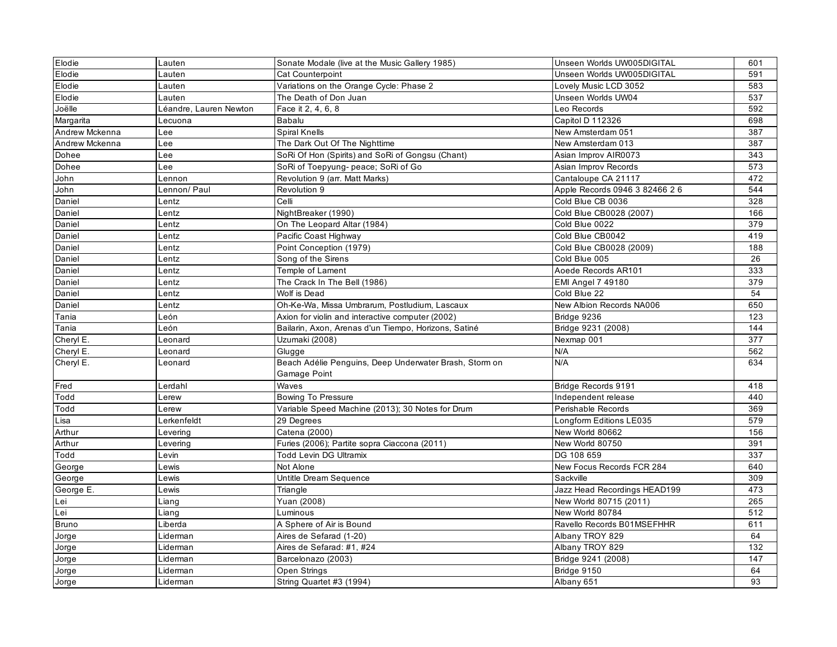| Elodie         | Lauten                 | Sonate Modale (live at the Music Gallery 1985)         | Unseen Worlds UW005DIGITAL     | 601 |
|----------------|------------------------|--------------------------------------------------------|--------------------------------|-----|
| Elodie         | Lauten                 | Cat Counterpoint                                       | Unseen Worlds UW005DIGITAL     | 591 |
| Elodie         | Lauten                 | Variations on the Orange Cycle: Phase 2                | Lovely Music LCD 3052          | 583 |
| Elodie         | Lauten                 | The Death of Don Juan                                  | Unseen Worlds UW04             | 537 |
| Joëlle         | Léandre, Lauren Newton | Face it 2, 4, 6, 8                                     | Leo Records                    | 592 |
| Margarita      | Lecuona                | Babalu                                                 | Capitol D 112326               | 698 |
| Andrew Mckenna | Lee                    | Spiral Knells                                          | New Amsterdam 051              | 387 |
| Andrew Mckenna | Lee                    | The Dark Out Of The Nighttime                          | New Amsterdam 013              | 387 |
| Dohee          | Lee                    | SoRi Of Hon (Spirits) and SoRi of Gongsu (Chant)       | Asian Improv AIR0073           | 343 |
| Dohee          | Lee                    | SoRi of Toepyung- peace; SoRi of Go                    | Asian Improv Records           | 573 |
| John           | Lennon                 | Revolution 9 (arr. Matt Marks)                         | Cantaloupe CA 21117            | 472 |
| John           | Lennon/ Paul           | Revolution 9                                           | Apple Records 0946 3 82466 2 6 | 544 |
| Daniel         | Lentz                  | Celli                                                  | Cold Blue CB 0036              | 328 |
| Daniel         | Lentz                  | NightBreaker (1990)                                    | Cold Blue CB0028 (2007)        | 166 |
| Daniel         | Lentz                  | On The Leopard Altar (1984)                            | Cold Blue 0022                 | 379 |
| Daniel         | Lentz                  | Pacific Coast Highway                                  | Cold Blue CB0042               | 419 |
| Daniel         | Lentz                  | Point Conception (1979)                                | Cold Blue CB0028 (2009)        | 188 |
| Daniel         | Lentz                  | Song of the Sirens                                     | Cold Blue 005                  | 26  |
| Daniel         | Lentz                  | Temple of Lament                                       | Aoede Records AR101            | 333 |
| Daniel         | Lentz                  | The Crack In The Bell (1986)                           | <b>EMI Angel 7 49180</b>       | 379 |
| Daniel         | Lentz                  | Wolf is Dead                                           | Cold Blue 22                   | 54  |
| Daniel         | Lentz                  | Oh-Ke-Wa, Missa Umbrarum, Postludium, Lascaux          | New Albion Records NA006       | 650 |
| Tania          | León                   | Axion for violin and interactive computer (2002)       | Bridge 9236                    | 123 |
| Tania          | León                   | Bailarin, Axon, Arenas d'un Tiempo, Horizons, Satiné   | Bridge 9231 (2008)             | 144 |
| Cheryl E.      | Leonard                | Uzumaki (2008)                                         | Nexmap 001                     | 377 |
| Cheryl E.      | Leonard                | Glugge                                                 | N/A                            | 562 |
| Cheryl E.      | Leonard                | Beach Adélie Penguins, Deep Underwater Brash, Storm on | N/A                            | 634 |
|                |                        | Gamage Point                                           |                                |     |
| Fred           | Lerdahl                | Waves                                                  | Bridge Records 9191            | 418 |
| Todd           | Lerew                  | <b>Bowing To Pressure</b>                              | Independent release            | 440 |
| Todd           | Lerew                  | Variable Speed Machine (2013); 30 Notes for Drum       | Perishable Records             | 369 |
| Lisa           | Lerkenfeldt            | 29 Degrees                                             | Longform Editions LE035        | 579 |
| Arthur         | Levering               | Catena (2000)                                          | New World 80662                | 156 |
| Arthur         | Levering               | Furies (2006); Partite sopra Ciaccona (2011)           | New World 80750                | 391 |
| Todd           | Levin                  | <b>Todd Levin DG Ultramix</b>                          | DG 108 659                     | 337 |
| George         | Lewis                  | Not Alone                                              | New Focus Records FCR 284      | 640 |
| George         | Lewis                  | Untitle Dream Sequence                                 | Sackville                      | 309 |
| George E.      | Lewis                  | Triangle                                               | Jazz Head Recordings HEAD199   | 473 |
| Lei            | Liang                  | Yuan (2008)                                            | New World 80715 (2011)         | 265 |
| Lei            | Liang                  | Luminous                                               | New World 80784                | 512 |
| <b>Bruno</b>   | Liberda                | A Sphere of Air is Bound                               | Ravello Records B01MSEFHHR     | 611 |
| Jorge          | Liderman               | Aires de Sefarad (1-20)                                | Albany TROY 829                | 64  |
| Jorge          | Liderman               | Aires de Sefarad: #1, #24                              | Albany TROY 829                | 132 |
| Jorge          | Liderman               | Barcelonazo (2003)                                     | Bridge 9241 (2008)             | 147 |
| Jorge          | Liderman               | Open Strings                                           | Bridge 9150                    | 64  |
| Jorge          | Liderman               | String Quartet #3 (1994)                               | Albany 651                     | 93  |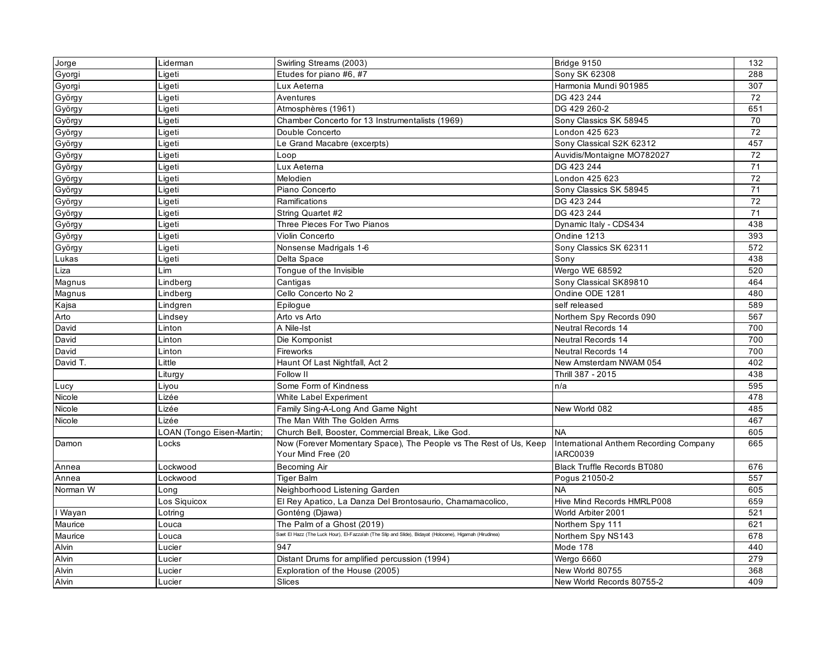| Gyorgi<br>Etudes for piano #6, #7<br>288<br>Ligeti<br><b>Sony SK 62308</b><br>Gyorgi<br>Ligeti<br>Lux Aeterna<br>Harmonia Mundi 901985<br>307<br>$\overline{72}$<br>Aventures<br>DG 423 244<br>György<br>Ligeti<br>651<br>György<br>Ligeti<br>Atmosphères (1961)<br>DG 429 260-2<br>Chamber Concerto for 13 Instrumentalists (1969)<br>Sony Classics SK 58945<br>Ligeti<br>70<br>György<br>72<br>London 425 623<br>György<br>Ligeti<br>Double Concerto<br>457<br>Ligeti<br>Le Grand Macabre (excerpts)<br>Sony Classical S2K 62312<br>György<br>72<br>György<br>Ligeti<br>Auvidis/Montaigne MO782027<br>Loop<br>DG 423 244<br>71<br>György<br>Ligeti<br>Lux Aeterna<br>$\overline{72}$<br>London 425 623<br>Ligeti<br>Melodien<br>György<br>$\overline{71}$<br>Ligeti<br>Piano Concerto<br>Sony Classics SK 58945<br>György<br>72<br>György<br>Ligeti<br>Ramifications<br>DG 423 244<br>DG 423 244<br>71<br>György<br>Ligeti<br>String Quartet #2<br>Ligeti<br>Three Pieces For Two Pianos<br>Dynamic Italy - CDS434<br>438<br>György<br>Ondine 1213<br>393<br>Violin Concerto<br>Ligeti<br>György<br>572<br>Ligeti<br>Nonsense Madrigals 1-6<br>Sony Classics SK 62311<br>György<br>Delta Space<br>438<br>Lukas<br>Ligeti<br>Sony<br>Tongue of the Invisible<br>Wergo WE 68592<br>520<br>Liza<br>Lim<br>Lindberg<br>Cantigas<br>Sony Classical SK89810<br>464<br>Magnus<br>Cello Concerto No 2<br>Magnus<br>Lindberg<br>Ondine ODE 1281<br>480<br>589<br>Kajsa<br>Epilogue<br>self released<br>Lindgren<br>Arto<br>567<br>Lindsey<br>Arto vs Arto<br>Northern Spy Records 090<br>David<br>A Nile-Ist<br><b>Neutral Records 14</b><br>700<br>Linton<br>700<br>David<br>Linton<br>Die Komponist<br>Neutral Records 14<br>700<br>David<br>Fireworks<br><b>Neutral Records 14</b><br>Linton<br>Little<br>402<br>David T.<br>Haunt Of Last Nightfall, Act 2<br>New Amsterdam NWAM 054<br>Follow II<br>Thrill 387 - 2015<br>438<br>Liturgy<br>Some Form of Kindness<br>595<br>Lucy<br>Livou<br>n/a<br>Nicole<br>Lizée<br>White Label Experiment<br>478<br>Lizée<br>Family Sing-A-Long And Game Night<br>485<br>Nicole<br>New World 082<br>The Man With The Golden Arms<br>Lizée<br>467<br>Nicole<br>LOAN (Tongo Eisen-Martin;<br>Church Bell, Booster, Commercial Break, Like God.<br><b>NA</b><br>605<br>Now (Forever Momentary Space), The People vs The Rest of Us, Keep<br>International Anthem Recording Company<br>665<br>Damon<br>Locks<br>Your Mind Free (20<br><b>IARC0039</b><br><b>Black Truffle Records BT080</b><br>676<br>Annea<br>Lockwood<br><b>Becoming Air</b><br>Annea<br><b>Tiger Balm</b><br>Pogus 21050-2<br>557<br>Lockwood<br><b>NA</b><br>605<br>Norman W<br>Neighborhood Listening Garden<br>Long<br>659<br>Los Siquicox<br>El Rey Apatico, La Danza Del Brontosaurio, Chamamacolico.<br>Hive Mind Records HMRLP008<br>Gonténg (Djawa)<br>World Arbiter 2001<br>521<br>I Wayan<br>Lotring<br>The Palm of a Ghost (2019)<br>621<br>Maurice<br>Northern Spy 111<br>Louca<br>.<br>Saet El Hazz (The Luck Hour), El-Fazza'ah (The Slip and Slide), Bidayat (Holocene), Higamah (Hirudinea)<br>Maurice<br>Northern Spy NS143<br>678<br>Louca<br>Alvin<br>947<br>Mode 178<br>440<br>Lucier<br>Alvin<br>Distant Drums for amplified percussion (1994)<br>Wergo 6660<br>279<br>Lucier<br>Alvin<br>New World 80755<br>Exploration of the House (2005)<br>368<br>Lucier | Jorge | Liderman | Swirling Streams (2003) | Bridge 9150               | 132 |
|------------------------------------------------------------------------------------------------------------------------------------------------------------------------------------------------------------------------------------------------------------------------------------------------------------------------------------------------------------------------------------------------------------------------------------------------------------------------------------------------------------------------------------------------------------------------------------------------------------------------------------------------------------------------------------------------------------------------------------------------------------------------------------------------------------------------------------------------------------------------------------------------------------------------------------------------------------------------------------------------------------------------------------------------------------------------------------------------------------------------------------------------------------------------------------------------------------------------------------------------------------------------------------------------------------------------------------------------------------------------------------------------------------------------------------------------------------------------------------------------------------------------------------------------------------------------------------------------------------------------------------------------------------------------------------------------------------------------------------------------------------------------------------------------------------------------------------------------------------------------------------------------------------------------------------------------------------------------------------------------------------------------------------------------------------------------------------------------------------------------------------------------------------------------------------------------------------------------------------------------------------------------------------------------------------------------------------------------------------------------------------------------------------------------------------------------------------------------------------------------------------------------------------------------------------------------------------------------------------------------------------------------------------------------------------------------------------------------------------------------------------------------------------------------------------------------------------------------------------------------------------------------------------------------------------------------------------------------------------------------------------------------------------------------------------------------------------------------------------------------------------------------------------------------------------------------------------------------------------------------------------------------------------------------------------------------------------------------------------------------------------|-------|----------|-------------------------|---------------------------|-----|
|                                                                                                                                                                                                                                                                                                                                                                                                                                                                                                                                                                                                                                                                                                                                                                                                                                                                                                                                                                                                                                                                                                                                                                                                                                                                                                                                                                                                                                                                                                                                                                                                                                                                                                                                                                                                                                                                                                                                                                                                                                                                                                                                                                                                                                                                                                                                                                                                                                                                                                                                                                                                                                                                                                                                                                                                                                                                                                                                                                                                                                                                                                                                                                                                                                                                                                                                                                                    |       |          |                         |                           |     |
|                                                                                                                                                                                                                                                                                                                                                                                                                                                                                                                                                                                                                                                                                                                                                                                                                                                                                                                                                                                                                                                                                                                                                                                                                                                                                                                                                                                                                                                                                                                                                                                                                                                                                                                                                                                                                                                                                                                                                                                                                                                                                                                                                                                                                                                                                                                                                                                                                                                                                                                                                                                                                                                                                                                                                                                                                                                                                                                                                                                                                                                                                                                                                                                                                                                                                                                                                                                    |       |          |                         |                           |     |
|                                                                                                                                                                                                                                                                                                                                                                                                                                                                                                                                                                                                                                                                                                                                                                                                                                                                                                                                                                                                                                                                                                                                                                                                                                                                                                                                                                                                                                                                                                                                                                                                                                                                                                                                                                                                                                                                                                                                                                                                                                                                                                                                                                                                                                                                                                                                                                                                                                                                                                                                                                                                                                                                                                                                                                                                                                                                                                                                                                                                                                                                                                                                                                                                                                                                                                                                                                                    |       |          |                         |                           |     |
|                                                                                                                                                                                                                                                                                                                                                                                                                                                                                                                                                                                                                                                                                                                                                                                                                                                                                                                                                                                                                                                                                                                                                                                                                                                                                                                                                                                                                                                                                                                                                                                                                                                                                                                                                                                                                                                                                                                                                                                                                                                                                                                                                                                                                                                                                                                                                                                                                                                                                                                                                                                                                                                                                                                                                                                                                                                                                                                                                                                                                                                                                                                                                                                                                                                                                                                                                                                    |       |          |                         |                           |     |
|                                                                                                                                                                                                                                                                                                                                                                                                                                                                                                                                                                                                                                                                                                                                                                                                                                                                                                                                                                                                                                                                                                                                                                                                                                                                                                                                                                                                                                                                                                                                                                                                                                                                                                                                                                                                                                                                                                                                                                                                                                                                                                                                                                                                                                                                                                                                                                                                                                                                                                                                                                                                                                                                                                                                                                                                                                                                                                                                                                                                                                                                                                                                                                                                                                                                                                                                                                                    |       |          |                         |                           |     |
|                                                                                                                                                                                                                                                                                                                                                                                                                                                                                                                                                                                                                                                                                                                                                                                                                                                                                                                                                                                                                                                                                                                                                                                                                                                                                                                                                                                                                                                                                                                                                                                                                                                                                                                                                                                                                                                                                                                                                                                                                                                                                                                                                                                                                                                                                                                                                                                                                                                                                                                                                                                                                                                                                                                                                                                                                                                                                                                                                                                                                                                                                                                                                                                                                                                                                                                                                                                    |       |          |                         |                           |     |
|                                                                                                                                                                                                                                                                                                                                                                                                                                                                                                                                                                                                                                                                                                                                                                                                                                                                                                                                                                                                                                                                                                                                                                                                                                                                                                                                                                                                                                                                                                                                                                                                                                                                                                                                                                                                                                                                                                                                                                                                                                                                                                                                                                                                                                                                                                                                                                                                                                                                                                                                                                                                                                                                                                                                                                                                                                                                                                                                                                                                                                                                                                                                                                                                                                                                                                                                                                                    |       |          |                         |                           |     |
|                                                                                                                                                                                                                                                                                                                                                                                                                                                                                                                                                                                                                                                                                                                                                                                                                                                                                                                                                                                                                                                                                                                                                                                                                                                                                                                                                                                                                                                                                                                                                                                                                                                                                                                                                                                                                                                                                                                                                                                                                                                                                                                                                                                                                                                                                                                                                                                                                                                                                                                                                                                                                                                                                                                                                                                                                                                                                                                                                                                                                                                                                                                                                                                                                                                                                                                                                                                    |       |          |                         |                           |     |
|                                                                                                                                                                                                                                                                                                                                                                                                                                                                                                                                                                                                                                                                                                                                                                                                                                                                                                                                                                                                                                                                                                                                                                                                                                                                                                                                                                                                                                                                                                                                                                                                                                                                                                                                                                                                                                                                                                                                                                                                                                                                                                                                                                                                                                                                                                                                                                                                                                                                                                                                                                                                                                                                                                                                                                                                                                                                                                                                                                                                                                                                                                                                                                                                                                                                                                                                                                                    |       |          |                         |                           |     |
|                                                                                                                                                                                                                                                                                                                                                                                                                                                                                                                                                                                                                                                                                                                                                                                                                                                                                                                                                                                                                                                                                                                                                                                                                                                                                                                                                                                                                                                                                                                                                                                                                                                                                                                                                                                                                                                                                                                                                                                                                                                                                                                                                                                                                                                                                                                                                                                                                                                                                                                                                                                                                                                                                                                                                                                                                                                                                                                                                                                                                                                                                                                                                                                                                                                                                                                                                                                    |       |          |                         |                           |     |
|                                                                                                                                                                                                                                                                                                                                                                                                                                                                                                                                                                                                                                                                                                                                                                                                                                                                                                                                                                                                                                                                                                                                                                                                                                                                                                                                                                                                                                                                                                                                                                                                                                                                                                                                                                                                                                                                                                                                                                                                                                                                                                                                                                                                                                                                                                                                                                                                                                                                                                                                                                                                                                                                                                                                                                                                                                                                                                                                                                                                                                                                                                                                                                                                                                                                                                                                                                                    |       |          |                         |                           |     |
|                                                                                                                                                                                                                                                                                                                                                                                                                                                                                                                                                                                                                                                                                                                                                                                                                                                                                                                                                                                                                                                                                                                                                                                                                                                                                                                                                                                                                                                                                                                                                                                                                                                                                                                                                                                                                                                                                                                                                                                                                                                                                                                                                                                                                                                                                                                                                                                                                                                                                                                                                                                                                                                                                                                                                                                                                                                                                                                                                                                                                                                                                                                                                                                                                                                                                                                                                                                    |       |          |                         |                           |     |
|                                                                                                                                                                                                                                                                                                                                                                                                                                                                                                                                                                                                                                                                                                                                                                                                                                                                                                                                                                                                                                                                                                                                                                                                                                                                                                                                                                                                                                                                                                                                                                                                                                                                                                                                                                                                                                                                                                                                                                                                                                                                                                                                                                                                                                                                                                                                                                                                                                                                                                                                                                                                                                                                                                                                                                                                                                                                                                                                                                                                                                                                                                                                                                                                                                                                                                                                                                                    |       |          |                         |                           |     |
|                                                                                                                                                                                                                                                                                                                                                                                                                                                                                                                                                                                                                                                                                                                                                                                                                                                                                                                                                                                                                                                                                                                                                                                                                                                                                                                                                                                                                                                                                                                                                                                                                                                                                                                                                                                                                                                                                                                                                                                                                                                                                                                                                                                                                                                                                                                                                                                                                                                                                                                                                                                                                                                                                                                                                                                                                                                                                                                                                                                                                                                                                                                                                                                                                                                                                                                                                                                    |       |          |                         |                           |     |
|                                                                                                                                                                                                                                                                                                                                                                                                                                                                                                                                                                                                                                                                                                                                                                                                                                                                                                                                                                                                                                                                                                                                                                                                                                                                                                                                                                                                                                                                                                                                                                                                                                                                                                                                                                                                                                                                                                                                                                                                                                                                                                                                                                                                                                                                                                                                                                                                                                                                                                                                                                                                                                                                                                                                                                                                                                                                                                                                                                                                                                                                                                                                                                                                                                                                                                                                                                                    |       |          |                         |                           |     |
|                                                                                                                                                                                                                                                                                                                                                                                                                                                                                                                                                                                                                                                                                                                                                                                                                                                                                                                                                                                                                                                                                                                                                                                                                                                                                                                                                                                                                                                                                                                                                                                                                                                                                                                                                                                                                                                                                                                                                                                                                                                                                                                                                                                                                                                                                                                                                                                                                                                                                                                                                                                                                                                                                                                                                                                                                                                                                                                                                                                                                                                                                                                                                                                                                                                                                                                                                                                    |       |          |                         |                           |     |
|                                                                                                                                                                                                                                                                                                                                                                                                                                                                                                                                                                                                                                                                                                                                                                                                                                                                                                                                                                                                                                                                                                                                                                                                                                                                                                                                                                                                                                                                                                                                                                                                                                                                                                                                                                                                                                                                                                                                                                                                                                                                                                                                                                                                                                                                                                                                                                                                                                                                                                                                                                                                                                                                                                                                                                                                                                                                                                                                                                                                                                                                                                                                                                                                                                                                                                                                                                                    |       |          |                         |                           |     |
|                                                                                                                                                                                                                                                                                                                                                                                                                                                                                                                                                                                                                                                                                                                                                                                                                                                                                                                                                                                                                                                                                                                                                                                                                                                                                                                                                                                                                                                                                                                                                                                                                                                                                                                                                                                                                                                                                                                                                                                                                                                                                                                                                                                                                                                                                                                                                                                                                                                                                                                                                                                                                                                                                                                                                                                                                                                                                                                                                                                                                                                                                                                                                                                                                                                                                                                                                                                    |       |          |                         |                           |     |
|                                                                                                                                                                                                                                                                                                                                                                                                                                                                                                                                                                                                                                                                                                                                                                                                                                                                                                                                                                                                                                                                                                                                                                                                                                                                                                                                                                                                                                                                                                                                                                                                                                                                                                                                                                                                                                                                                                                                                                                                                                                                                                                                                                                                                                                                                                                                                                                                                                                                                                                                                                                                                                                                                                                                                                                                                                                                                                                                                                                                                                                                                                                                                                                                                                                                                                                                                                                    |       |          |                         |                           |     |
|                                                                                                                                                                                                                                                                                                                                                                                                                                                                                                                                                                                                                                                                                                                                                                                                                                                                                                                                                                                                                                                                                                                                                                                                                                                                                                                                                                                                                                                                                                                                                                                                                                                                                                                                                                                                                                                                                                                                                                                                                                                                                                                                                                                                                                                                                                                                                                                                                                                                                                                                                                                                                                                                                                                                                                                                                                                                                                                                                                                                                                                                                                                                                                                                                                                                                                                                                                                    |       |          |                         |                           |     |
|                                                                                                                                                                                                                                                                                                                                                                                                                                                                                                                                                                                                                                                                                                                                                                                                                                                                                                                                                                                                                                                                                                                                                                                                                                                                                                                                                                                                                                                                                                                                                                                                                                                                                                                                                                                                                                                                                                                                                                                                                                                                                                                                                                                                                                                                                                                                                                                                                                                                                                                                                                                                                                                                                                                                                                                                                                                                                                                                                                                                                                                                                                                                                                                                                                                                                                                                                                                    |       |          |                         |                           |     |
|                                                                                                                                                                                                                                                                                                                                                                                                                                                                                                                                                                                                                                                                                                                                                                                                                                                                                                                                                                                                                                                                                                                                                                                                                                                                                                                                                                                                                                                                                                                                                                                                                                                                                                                                                                                                                                                                                                                                                                                                                                                                                                                                                                                                                                                                                                                                                                                                                                                                                                                                                                                                                                                                                                                                                                                                                                                                                                                                                                                                                                                                                                                                                                                                                                                                                                                                                                                    |       |          |                         |                           |     |
|                                                                                                                                                                                                                                                                                                                                                                                                                                                                                                                                                                                                                                                                                                                                                                                                                                                                                                                                                                                                                                                                                                                                                                                                                                                                                                                                                                                                                                                                                                                                                                                                                                                                                                                                                                                                                                                                                                                                                                                                                                                                                                                                                                                                                                                                                                                                                                                                                                                                                                                                                                                                                                                                                                                                                                                                                                                                                                                                                                                                                                                                                                                                                                                                                                                                                                                                                                                    |       |          |                         |                           |     |
|                                                                                                                                                                                                                                                                                                                                                                                                                                                                                                                                                                                                                                                                                                                                                                                                                                                                                                                                                                                                                                                                                                                                                                                                                                                                                                                                                                                                                                                                                                                                                                                                                                                                                                                                                                                                                                                                                                                                                                                                                                                                                                                                                                                                                                                                                                                                                                                                                                                                                                                                                                                                                                                                                                                                                                                                                                                                                                                                                                                                                                                                                                                                                                                                                                                                                                                                                                                    |       |          |                         |                           |     |
|                                                                                                                                                                                                                                                                                                                                                                                                                                                                                                                                                                                                                                                                                                                                                                                                                                                                                                                                                                                                                                                                                                                                                                                                                                                                                                                                                                                                                                                                                                                                                                                                                                                                                                                                                                                                                                                                                                                                                                                                                                                                                                                                                                                                                                                                                                                                                                                                                                                                                                                                                                                                                                                                                                                                                                                                                                                                                                                                                                                                                                                                                                                                                                                                                                                                                                                                                                                    |       |          |                         |                           |     |
|                                                                                                                                                                                                                                                                                                                                                                                                                                                                                                                                                                                                                                                                                                                                                                                                                                                                                                                                                                                                                                                                                                                                                                                                                                                                                                                                                                                                                                                                                                                                                                                                                                                                                                                                                                                                                                                                                                                                                                                                                                                                                                                                                                                                                                                                                                                                                                                                                                                                                                                                                                                                                                                                                                                                                                                                                                                                                                                                                                                                                                                                                                                                                                                                                                                                                                                                                                                    |       |          |                         |                           |     |
|                                                                                                                                                                                                                                                                                                                                                                                                                                                                                                                                                                                                                                                                                                                                                                                                                                                                                                                                                                                                                                                                                                                                                                                                                                                                                                                                                                                                                                                                                                                                                                                                                                                                                                                                                                                                                                                                                                                                                                                                                                                                                                                                                                                                                                                                                                                                                                                                                                                                                                                                                                                                                                                                                                                                                                                                                                                                                                                                                                                                                                                                                                                                                                                                                                                                                                                                                                                    |       |          |                         |                           |     |
|                                                                                                                                                                                                                                                                                                                                                                                                                                                                                                                                                                                                                                                                                                                                                                                                                                                                                                                                                                                                                                                                                                                                                                                                                                                                                                                                                                                                                                                                                                                                                                                                                                                                                                                                                                                                                                                                                                                                                                                                                                                                                                                                                                                                                                                                                                                                                                                                                                                                                                                                                                                                                                                                                                                                                                                                                                                                                                                                                                                                                                                                                                                                                                                                                                                                                                                                                                                    |       |          |                         |                           |     |
|                                                                                                                                                                                                                                                                                                                                                                                                                                                                                                                                                                                                                                                                                                                                                                                                                                                                                                                                                                                                                                                                                                                                                                                                                                                                                                                                                                                                                                                                                                                                                                                                                                                                                                                                                                                                                                                                                                                                                                                                                                                                                                                                                                                                                                                                                                                                                                                                                                                                                                                                                                                                                                                                                                                                                                                                                                                                                                                                                                                                                                                                                                                                                                                                                                                                                                                                                                                    |       |          |                         |                           |     |
|                                                                                                                                                                                                                                                                                                                                                                                                                                                                                                                                                                                                                                                                                                                                                                                                                                                                                                                                                                                                                                                                                                                                                                                                                                                                                                                                                                                                                                                                                                                                                                                                                                                                                                                                                                                                                                                                                                                                                                                                                                                                                                                                                                                                                                                                                                                                                                                                                                                                                                                                                                                                                                                                                                                                                                                                                                                                                                                                                                                                                                                                                                                                                                                                                                                                                                                                                                                    |       |          |                         |                           |     |
|                                                                                                                                                                                                                                                                                                                                                                                                                                                                                                                                                                                                                                                                                                                                                                                                                                                                                                                                                                                                                                                                                                                                                                                                                                                                                                                                                                                                                                                                                                                                                                                                                                                                                                                                                                                                                                                                                                                                                                                                                                                                                                                                                                                                                                                                                                                                                                                                                                                                                                                                                                                                                                                                                                                                                                                                                                                                                                                                                                                                                                                                                                                                                                                                                                                                                                                                                                                    |       |          |                         |                           |     |
|                                                                                                                                                                                                                                                                                                                                                                                                                                                                                                                                                                                                                                                                                                                                                                                                                                                                                                                                                                                                                                                                                                                                                                                                                                                                                                                                                                                                                                                                                                                                                                                                                                                                                                                                                                                                                                                                                                                                                                                                                                                                                                                                                                                                                                                                                                                                                                                                                                                                                                                                                                                                                                                                                                                                                                                                                                                                                                                                                                                                                                                                                                                                                                                                                                                                                                                                                                                    |       |          |                         |                           |     |
|                                                                                                                                                                                                                                                                                                                                                                                                                                                                                                                                                                                                                                                                                                                                                                                                                                                                                                                                                                                                                                                                                                                                                                                                                                                                                                                                                                                                                                                                                                                                                                                                                                                                                                                                                                                                                                                                                                                                                                                                                                                                                                                                                                                                                                                                                                                                                                                                                                                                                                                                                                                                                                                                                                                                                                                                                                                                                                                                                                                                                                                                                                                                                                                                                                                                                                                                                                                    |       |          |                         |                           |     |
|                                                                                                                                                                                                                                                                                                                                                                                                                                                                                                                                                                                                                                                                                                                                                                                                                                                                                                                                                                                                                                                                                                                                                                                                                                                                                                                                                                                                                                                                                                                                                                                                                                                                                                                                                                                                                                                                                                                                                                                                                                                                                                                                                                                                                                                                                                                                                                                                                                                                                                                                                                                                                                                                                                                                                                                                                                                                                                                                                                                                                                                                                                                                                                                                                                                                                                                                                                                    |       |          |                         |                           |     |
|                                                                                                                                                                                                                                                                                                                                                                                                                                                                                                                                                                                                                                                                                                                                                                                                                                                                                                                                                                                                                                                                                                                                                                                                                                                                                                                                                                                                                                                                                                                                                                                                                                                                                                                                                                                                                                                                                                                                                                                                                                                                                                                                                                                                                                                                                                                                                                                                                                                                                                                                                                                                                                                                                                                                                                                                                                                                                                                                                                                                                                                                                                                                                                                                                                                                                                                                                                                    |       |          |                         |                           |     |
|                                                                                                                                                                                                                                                                                                                                                                                                                                                                                                                                                                                                                                                                                                                                                                                                                                                                                                                                                                                                                                                                                                                                                                                                                                                                                                                                                                                                                                                                                                                                                                                                                                                                                                                                                                                                                                                                                                                                                                                                                                                                                                                                                                                                                                                                                                                                                                                                                                                                                                                                                                                                                                                                                                                                                                                                                                                                                                                                                                                                                                                                                                                                                                                                                                                                                                                                                                                    |       |          |                         |                           |     |
|                                                                                                                                                                                                                                                                                                                                                                                                                                                                                                                                                                                                                                                                                                                                                                                                                                                                                                                                                                                                                                                                                                                                                                                                                                                                                                                                                                                                                                                                                                                                                                                                                                                                                                                                                                                                                                                                                                                                                                                                                                                                                                                                                                                                                                                                                                                                                                                                                                                                                                                                                                                                                                                                                                                                                                                                                                                                                                                                                                                                                                                                                                                                                                                                                                                                                                                                                                                    |       |          |                         |                           |     |
|                                                                                                                                                                                                                                                                                                                                                                                                                                                                                                                                                                                                                                                                                                                                                                                                                                                                                                                                                                                                                                                                                                                                                                                                                                                                                                                                                                                                                                                                                                                                                                                                                                                                                                                                                                                                                                                                                                                                                                                                                                                                                                                                                                                                                                                                                                                                                                                                                                                                                                                                                                                                                                                                                                                                                                                                                                                                                                                                                                                                                                                                                                                                                                                                                                                                                                                                                                                    |       |          |                         |                           |     |
|                                                                                                                                                                                                                                                                                                                                                                                                                                                                                                                                                                                                                                                                                                                                                                                                                                                                                                                                                                                                                                                                                                                                                                                                                                                                                                                                                                                                                                                                                                                                                                                                                                                                                                                                                                                                                                                                                                                                                                                                                                                                                                                                                                                                                                                                                                                                                                                                                                                                                                                                                                                                                                                                                                                                                                                                                                                                                                                                                                                                                                                                                                                                                                                                                                                                                                                                                                                    |       |          |                         |                           |     |
|                                                                                                                                                                                                                                                                                                                                                                                                                                                                                                                                                                                                                                                                                                                                                                                                                                                                                                                                                                                                                                                                                                                                                                                                                                                                                                                                                                                                                                                                                                                                                                                                                                                                                                                                                                                                                                                                                                                                                                                                                                                                                                                                                                                                                                                                                                                                                                                                                                                                                                                                                                                                                                                                                                                                                                                                                                                                                                                                                                                                                                                                                                                                                                                                                                                                                                                                                                                    |       |          |                         |                           |     |
|                                                                                                                                                                                                                                                                                                                                                                                                                                                                                                                                                                                                                                                                                                                                                                                                                                                                                                                                                                                                                                                                                                                                                                                                                                                                                                                                                                                                                                                                                                                                                                                                                                                                                                                                                                                                                                                                                                                                                                                                                                                                                                                                                                                                                                                                                                                                                                                                                                                                                                                                                                                                                                                                                                                                                                                                                                                                                                                                                                                                                                                                                                                                                                                                                                                                                                                                                                                    |       |          |                         |                           |     |
|                                                                                                                                                                                                                                                                                                                                                                                                                                                                                                                                                                                                                                                                                                                                                                                                                                                                                                                                                                                                                                                                                                                                                                                                                                                                                                                                                                                                                                                                                                                                                                                                                                                                                                                                                                                                                                                                                                                                                                                                                                                                                                                                                                                                                                                                                                                                                                                                                                                                                                                                                                                                                                                                                                                                                                                                                                                                                                                                                                                                                                                                                                                                                                                                                                                                                                                                                                                    |       |          |                         |                           |     |
|                                                                                                                                                                                                                                                                                                                                                                                                                                                                                                                                                                                                                                                                                                                                                                                                                                                                                                                                                                                                                                                                                                                                                                                                                                                                                                                                                                                                                                                                                                                                                                                                                                                                                                                                                                                                                                                                                                                                                                                                                                                                                                                                                                                                                                                                                                                                                                                                                                                                                                                                                                                                                                                                                                                                                                                                                                                                                                                                                                                                                                                                                                                                                                                                                                                                                                                                                                                    |       |          |                         |                           |     |
|                                                                                                                                                                                                                                                                                                                                                                                                                                                                                                                                                                                                                                                                                                                                                                                                                                                                                                                                                                                                                                                                                                                                                                                                                                                                                                                                                                                                                                                                                                                                                                                                                                                                                                                                                                                                                                                                                                                                                                                                                                                                                                                                                                                                                                                                                                                                                                                                                                                                                                                                                                                                                                                                                                                                                                                                                                                                                                                                                                                                                                                                                                                                                                                                                                                                                                                                                                                    | Alvin | Lucier   | Slices                  | New World Records 80755-2 | 409 |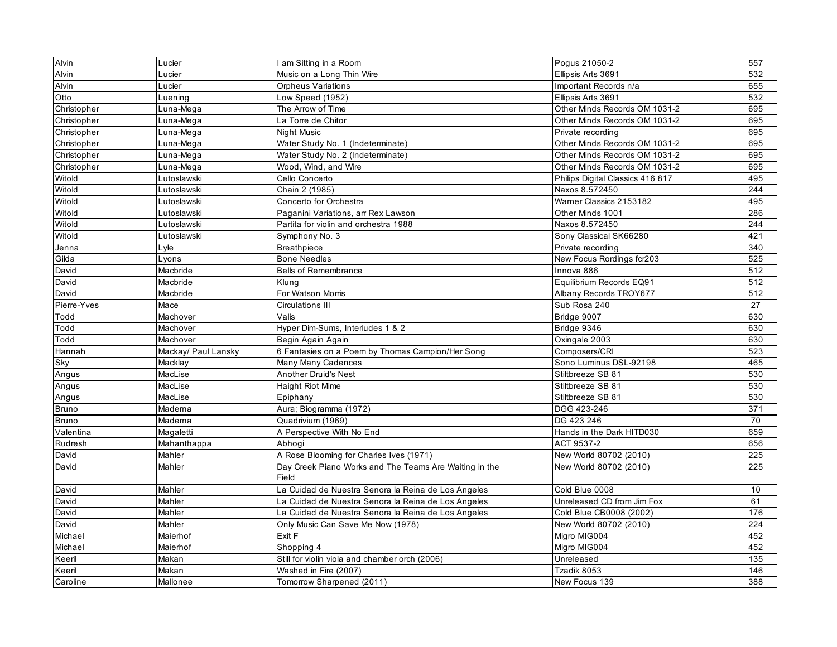| Alvin        | Lucier              | am Sitting in a Room                                            | Pogus 21050-2                    | 557 |
|--------------|---------------------|-----------------------------------------------------------------|----------------------------------|-----|
| Alvin        | Lucier              | Music on a Long Thin Wire                                       | Ellipsis Arts 3691               | 532 |
| Alvin        | Lucier              | <b>Orpheus Variations</b>                                       | Important Records n/a            | 655 |
| Otto         | Luening             | Low Speed (1952)                                                | Ellipsis Arts 3691               | 532 |
| Christopher  | Luna-Mega           | The Arrow of Time                                               | Other Minds Records OM 1031-2    | 695 |
| Christopher  | Luna-Mega           | La Torre de Chitor                                              | Other Minds Records OM 1031-2    | 695 |
| Christopher  | Luna-Mega           | Night Music                                                     | Private recording                | 695 |
| Christopher  | Luna-Mega           | Water Study No. 1 (Indeterminate)                               | Other Minds Records OM 1031-2    | 695 |
| Christopher  | Luna-Mega           | Water Study No. 2 (Indeterminate)                               | Other Minds Records OM 1031-2    | 695 |
| Christopher  | Luna-Mega           | Wood, Wind, and Wire                                            | Other Minds Records OM 1031-2    | 695 |
| Witold       | Lutoslawski         | Cello Concerto                                                  | Philips Digital Classics 416 817 | 495 |
| Witold       | Lutoslawski         | Chain 2 (1985)                                                  | Naxos 8.572450                   | 244 |
| Witold       | Lutoslawski         | Concerto for Orchestra                                          | Wamer Classics 2153182           | 495 |
| Witold       | Lutoslawski         | Paganini Variations, arr Rex Lawson                             | Other Minds 1001                 | 286 |
| Witold       | Lutoslawski         | Partita for violin and orchestra 1988                           | Naxos 8.572450                   | 244 |
| Witold       | Lutosławski         | Symphony No. 3                                                  | Sony Classical SK66280           | 421 |
| Jenna        | Lyle                | <b>Breathpiece</b>                                              | Private recording                | 340 |
| Gilda        | Lyons               | <b>Bone Needles</b>                                             | New Focus Rordings fcr203        | 525 |
| David        | Macbride            | <b>Bells of Remembrance</b>                                     | Innova 886                       | 512 |
| David        | Macbride            | Klung                                                           | Equilibrium Records EQ91         | 512 |
| David        | Macbride            | For Watson Morris                                               | Albany Records TROY677           | 512 |
| Pierre-Yves  | Mace                | <b>Circulations III</b>                                         | Sub Rosa 240                     | 27  |
| Todd         | Machover            | Valis                                                           | Bridge 9007                      | 630 |
| Todd         | Machover            | Hyper Dim-Sums, Interludes 1 & 2                                | Bridge 9346                      | 630 |
| Todd         | Machover            | Begin Again Again                                               | Oxingale 2003                    | 630 |
| Hannah       | Mackay/ Paul Lansky | 6 Fantasies on a Poem by Thomas Campion/Her Song                | Composers/CRI                    | 523 |
| Sky          | Macklay             | Many Many Cadences                                              | Sono Luminus DSL-92198           | 465 |
| Angus        | MacLise             | <b>Another Druid's Nest</b>                                     | Stiltbreeze SB 81                | 530 |
| Angus        | MacLise             | <b>Haight Riot Mime</b>                                         | Stiltbreeze SB 81                | 530 |
| Angus        | MacLise             | Epiphany                                                        | Stiltbreeze SB 81                | 530 |
| Bruno        | Maderna             | Aura; Biogramma (1972)                                          | DGG 423-246                      | 371 |
| <b>Bruno</b> | Maderna             | Quadrivium (1969)                                               | DG 423 246                       | 70  |
| Valentina    | Magaletti           | A Perspective With No End                                       | Hands in the Dark HITD030        | 659 |
| Rudresh      | Mahanthappa         | Abhogi                                                          | ACT 9537-2                       | 656 |
| David        | Mahler              | A Rose Blooming for Charles Ives (1971)                         | New World 80702 (2010)           | 225 |
| David        | Mahler              | Day Creek Piano Works and The Teams Are Waiting in the<br>Field | New World 80702 (2010)           | 225 |
| David        | Mahler              | La Cuidad de Nuestra Senora la Reina de Los Angeles             | Cold Blue 0008                   | 10  |
| David        | Mahler              | La Cuidad de Nuestra Senora la Reina de Los Angeles             | Unreleased CD from Jim Fox       | 61  |
| David        | Mahler              | La Cuidad de Nuestra Senora la Reina de Los Angeles             | Cold Blue CB0008 (2002)          | 176 |
| David        | Mahler              | Only Music Can Save Me Now (1978)                               | New World 80702 (2010)           | 224 |
| Michael      | Maierhof            | Exit F                                                          | Migro MIG004                     | 452 |
| Michael      | Maierhof            | Shopping 4                                                      | Migro MIG004                     | 452 |
| Keeril       | Makan               | Still for violin viola and chamber orch (2006)                  | Unreleased                       | 135 |
| Keeril       | Makan               | Washed in Fire (2007)                                           | Tzadik 8053                      | 146 |
| Caroline     | Mallonee            | Tomorrow Sharpened (2011)                                       | New Focus 139                    | 388 |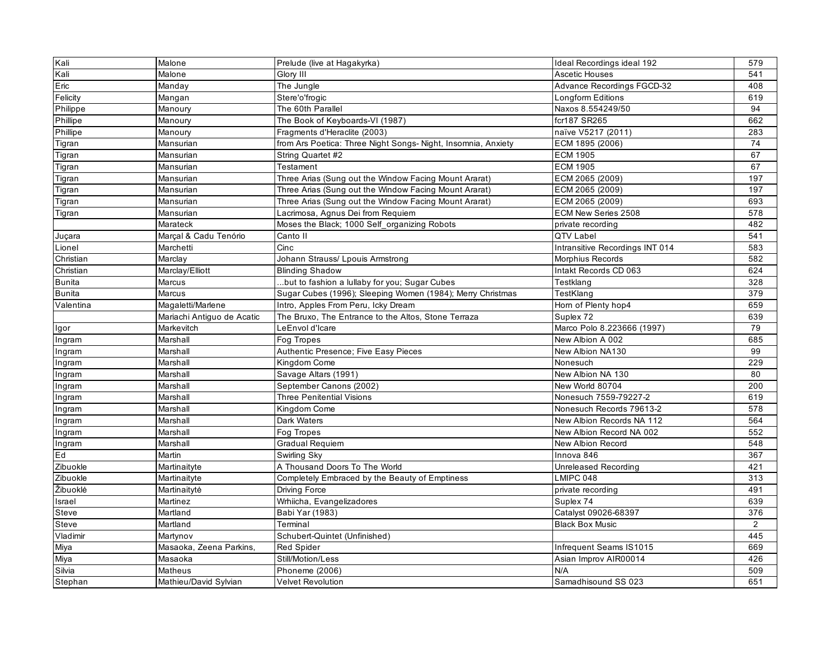| Kali          | Malone                     | Prelude (live at Hagakyrka)                                   | Ideal Recordings ideal 192        | 579 |
|---------------|----------------------------|---------------------------------------------------------------|-----------------------------------|-----|
| Kali          | Malone                     | Glory III                                                     | Ascetic Houses                    | 541 |
| Eric          | Manday                     | The Jungle                                                    | <b>Advance Recordings FGCD-32</b> | 408 |
| Felicity      | Mangan                     | Stere'o'frogic                                                | Longform Editions                 | 619 |
| Philippe      | Manoury                    | The 60th Parallel                                             | Naxos 8.554249/50                 | 94  |
| Phillipe      | Manoury                    | The Book of Keyboards-VI (1987)                               | fcr187 SR265                      | 662 |
| Phillipe      | Manoury                    | Fragments d'Heraclite (2003)                                  | naïve V5217 (2011)                | 283 |
| Tigran        | Mansurian                  | from Ars Poetica: Three Night Songs- Night, Insomnia, Anxiety | ECM 1895 (2006)                   | 74  |
| Tigran        | Mansurian                  | String Quartet #2                                             | <b>ECM 1905</b>                   | 67  |
| Tigran        | Mansurian                  | Testament                                                     | <b>ECM 1905</b>                   | 67  |
| Tigran        | Mansurian                  | Three Arias (Sung out the Window Facing Mount Ararat)         | ECM 2065 (2009)                   | 197 |
| Tigran        | Mansurian                  | Three Arias (Sung out the Window Facing Mount Ararat)         | ECM 2065 (2009)                   | 197 |
| Tigran        | Mansurian                  | Three Arias (Sung out the Window Facing Mount Ararat)         | ECM 2065 (2009)                   | 693 |
| Tigran        | Mansurian                  | Lacrimosa, Agnus Dei from Requiem                             | ECM New Series 2508               | 578 |
|               | Marateck                   | Moses the Black; 1000 Self_organizing Robots                  | private recording                 | 482 |
| Juçara        | Marçal & Cadu Tenório      | Canto II                                                      | QTV Label                         | 541 |
| Lionel        | Marchetti                  | Cinc                                                          | Intransitive Recordings INT 014   | 583 |
| Christian     | Marclay                    | Johann Strauss/ Lpouis Armstrong                              | Morphius Records                  | 582 |
| Christian     | Marclay/Elliott            | <b>Blinding Shadow</b>                                        | Intakt Records CD 063             | 624 |
| <b>Bunita</b> | Marcus                     | but to fashion a lullaby for you; Sugar Cubes.                | Testklang                         | 328 |
| <b>Bunita</b> | Marcus                     | Sugar Cubes (1996); Sleeping Women (1984); Merry Christmas    | TestKlang                         | 379 |
| Valentina     | Magaletti/Marlene          | Intro, Apples From Peru, Icky Dream                           | Horn of Plenty hop4               | 659 |
|               | Mariachi Antiguo de Acatic | The Bruxo, The Entrance to the Altos, Stone Terraza           | Suplex 72                         | 639 |
| Igor          | Markevitch                 | LeEnvol d'Icare                                               | Marco Polo 8.223666 (1997)        | 79  |
| Ingram        | Marshall                   | Fog Tropes                                                    | New Albion A 002                  | 685 |
| Ingram        | Marshall                   | Authentic Presence; Five Easy Pieces                          | New Albion NA130                  | 99  |
| Ingram        | Marshall                   | Kingdom Come                                                  | Nonesuch                          | 229 |
| Ingram        | Marshall                   | Savage Altars (1991)                                          | New Albion NA 130                 | 80  |
| Ingram        | Marshall                   | September Canons (2002)                                       | New World 80704                   | 200 |
| Ingram        | Marshall                   | Three Penitential Visions                                     | Nonesuch 7559-79227-2             | 619 |
| Ingram        | Marshall                   | Kingdom Come                                                  | Nonesuch Records 79613-2          | 578 |
| Ingram        | Marshall                   | Dark Waters                                                   | New Albion Records NA 112         | 564 |
| Ingram        | Marshall                   | Fog Tropes                                                    | New Albion Record NA 002          | 552 |
| Ingram        | Marshall                   | Gradual Requiem                                               | New Albion Record                 | 548 |
| Ed            | Martin                     | Swirling Sky                                                  | Innova 846                        | 367 |
| Zibuokle      | Martinaityte               | A Thousand Doors To The World                                 | <b>Unreleased Recording</b>       | 421 |
| Zibuokle      | Martinaityte               | Completely Embraced by the Beauty of Emptiness                | LMIPC 048                         | 313 |
| Žibuoklė      | Martinaitytė               | Driving Force                                                 | private recording                 | 491 |
| Israel        | Martinez                   | Wrhiicha, Evangelizadores                                     | Suplex 74                         | 639 |
| Steve         | Martland                   | Babi Yar (1983)                                               | Catalyst 09026-68397              | 376 |
| Steve         | Martland                   | Terminal                                                      | <b>Black Box Music</b>            | 2   |
| Vladimir      | Martynov                   | Schubert-Quintet (Unfinished)                                 |                                   | 445 |
| Miya          | Masaoka, Zeena Parkins,    | <b>Red Spider</b>                                             | Infrequent Seams IS1015           | 669 |
| Miya          | Masaoka                    | Still/Motion/Less                                             | Asian Improv AIR00014             | 426 |
| Silvia        | Matheus                    | Phoneme (2006)                                                | N/A                               | 509 |
| Stephan       | Mathieu/David Sylvian      | <b>Velvet Revolution</b>                                      | Samadhisound SS 023               | 651 |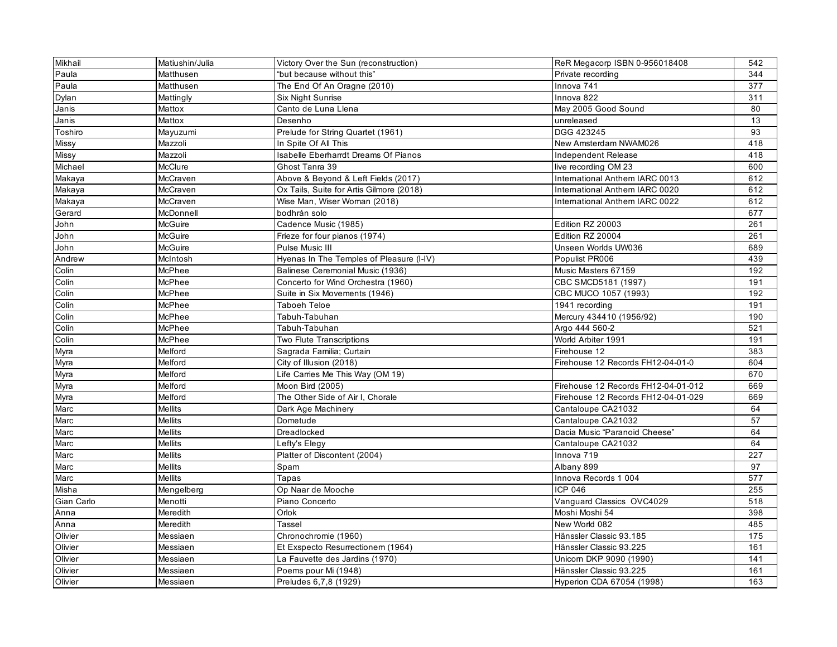| <b>Mikhail</b> | Matiushin/Julia | Victory Over the Sun (reconstruction)    | ReR Megacorp ISBN 0-956018408       | 542 |
|----------------|-----------------|------------------------------------------|-------------------------------------|-----|
| Paula          | Matthusen       | "but because without this"               | Private recording                   | 344 |
| Paula          | Matthusen       | The End Of An Oragne (2010)              | Innova 741                          | 377 |
| Dylan          | Mattingly       | Six Night Sunrise                        | Innova 822                          | 311 |
| Janis          | Mattox          | Canto de Luna Llena                      | May 2005 Good Sound                 | 80  |
| Janis          | Mattox          | Desenho                                  | unreleased                          | 13  |
| Toshiro        | Mayuzumi        | Prelude for String Quartet (1961)        | DGG 423245                          | 93  |
| Missy          | Mazzoli         | In Spite Of All This                     | New Amsterdam NWAM026               | 418 |
| <b>Missy</b>   | Mazzoli         | Isabelle Eberharrdt Dreams Of Pianos     | Independent Release                 | 418 |
| Michael        | McClure         | Ghost Tanra 39                           | live recording OM 23                | 600 |
| Makaya         | McCraven        | Above & Beyond & Left Fields (2017)      | International Anthem IARC 0013      | 612 |
| Makaya         | McCraven        | Ox Tails, Suite for Artis Gilmore (2018) | International Anthem IARC 0020      | 612 |
| Makaya         | McCraven        | Wise Man, Wiser Woman (2018)             | International Anthem IARC 0022      | 612 |
| Gerard         | McDonnell       | bodhrán solo                             |                                     | 677 |
| John           | McGuire         | Cadence Music (1985)                     | Edition RZ 20003                    | 261 |
| John           | McGuire         | Frieze for four pianos (1974)            | Edition RZ 20004                    | 261 |
| John           | McGuire         | Pulse Music III                          | Unseen Worlds UW036                 | 689 |
| Andrew         | McIntosh        | Hyenas In The Temples of Pleasure (I-IV) | Populist PR006                      | 439 |
| Colin          | McPhee          | Balinese Ceremonial Music (1936)         | Music Masters 67159                 | 192 |
| Colin          | McPhee          | Concerto for Wind Orchestra (1960)       | CBC SMCD5181 (1997)                 | 191 |
| Colin          | McPhee          | Suite in Six Movements (1946)            | CBC MUCO 1057 (1993)                | 192 |
| Colin          | McPhee          | Taboeh Teloe                             | 1941 recording                      | 191 |
| Colin          | McPhee          | Tabuh-Tabuhan                            | Mercury 434410 (1956/92)            | 190 |
| Colin          | McPhee          | Tabuh-Tabuhan                            | Argo 444 560-2                      | 521 |
| Colin          | McPhee          | Two Flute Transcriptions                 | World Arbiter 1991                  | 191 |
| Myra           | Melford         | Sagrada Familia; Curtain                 | Firehouse 12                        | 383 |
| Myra           | Melford         | City of Illusion (2018)                  | Firehouse 12 Records FH12-04-01-0   | 604 |
| Myra           | Melford         | Life Carries Me This Way (OM 19)         |                                     | 670 |
| Myra           | Melford         | Moon Bird (2005)                         | Firehouse 12 Records FH12-04-01-012 | 669 |
| Myra           | Melford         | The Other Side of Air I, Chorale         | Firehouse 12 Records FH12-04-01-029 | 669 |
| Marc           | <b>Mellits</b>  | Dark Age Machinery                       | Cantaloupe CA21032                  | 64  |
| Marc           | <b>Mellits</b>  | Dometude                                 | Cantaloupe CA21032                  | 57  |
| Marc           | <b>Mellits</b>  | Dreadlocked                              | Dacia Music "Paranoid Cheese"       | 64  |
| Marc           | Mellits         | Lefty's Elegy                            | Cantaloupe CA21032                  | 64  |
| Marc           | <b>Mellits</b>  | Platter of Discontent (2004)             | Innova 719                          | 227 |
| Marc           | <b>Mellits</b>  | Spam                                     | Albany 899                          | 97  |
| Marc           | <b>Mellits</b>  | Tapas                                    | Innova Records 1 004                | 577 |
| Misha          | Mengelberg      | Op Naar de Mooche                        | ICP 046                             | 255 |
| Gian Carlo     | Menotti         | Piano Concerto                           | Vanquard Classics OVC4029           | 518 |
| Anna           | Meredith        | Orlok                                    | Moshi Moshi 54                      | 398 |
| Anna           | Meredith        | Tassel                                   | New World 082                       | 485 |
| Olivier        | Messiaen        | Chronochromie (1960)                     | Hänssler Classic 93.185             | 175 |
| Olivier        | Messiaen        | Et Exspecto Resurrectionem (1964)        | Hänssler Classic 93.225             | 161 |
| Olivier        | Messiaen        | La Fauvette des Jardins (1970)           | Unicorn DKP 9090 (1990)             | 141 |
| Olivier        | Messiaen        | Poems pour Mi (1948)                     | Hänssler Classic 93.225             | 161 |
| Olivier        | Messiaen        | Preludes 6,7,8 (1929)                    | Hyperion CDA 67054 (1998)           | 163 |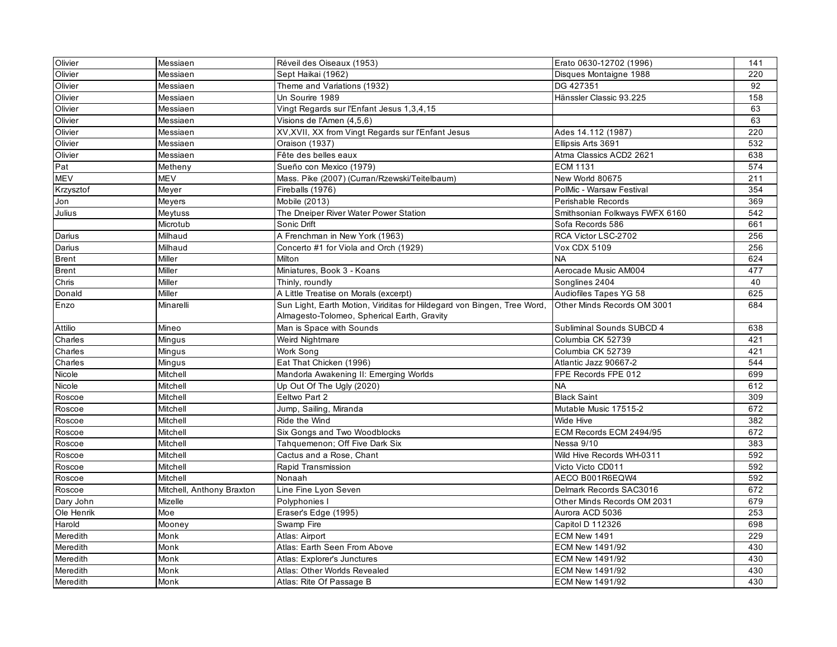| Olivier<br>Messiaen<br>Sept Haikai (1962)<br>Disques Montaigne 1988<br>Olivier<br>Messiaen<br>Theme and Variations (1932)<br>DG 427351<br>Olivier<br>Un Sourire 1989<br>Hänssler Classic 93.225<br>Messiaen<br>Vingt Regards sur l'Enfant Jesus 1,3,4,15<br>Olivier<br>Messiaen | 220<br>92<br>158<br>63<br>63<br>220 |
|---------------------------------------------------------------------------------------------------------------------------------------------------------------------------------------------------------------------------------------------------------------------------------|-------------------------------------|
|                                                                                                                                                                                                                                                                                 |                                     |
|                                                                                                                                                                                                                                                                                 |                                     |
|                                                                                                                                                                                                                                                                                 |                                     |
|                                                                                                                                                                                                                                                                                 |                                     |
| Olivier<br>Messiaen<br>Visions de l'Amen (4,5,6)                                                                                                                                                                                                                                |                                     |
| Olivier<br>XV, XVII, XX from Vingt Regards sur l'Enfant Jesus<br>Messiaen<br>Ades 14.112 (1987)                                                                                                                                                                                 |                                     |
| Messiaen<br>Oraison (1937)<br>Ellipsis Arts 3691<br>Olivier                                                                                                                                                                                                                     | 532                                 |
| Olivier<br>Messiaen<br>Fête des belles eaux<br>Atma Classics ACD2 2621                                                                                                                                                                                                          | 638                                 |
| Pat<br>Sueño con Mexico (1979)<br><b>ECM 1131</b><br>Metheny                                                                                                                                                                                                                    | 574                                 |
| <b>MEV</b><br>MEV<br>Mass. Pike (2007) (Curran/Rzewski/Teitelbaum)<br>New World 80675                                                                                                                                                                                           | 211                                 |
| Fireballs (1976)<br>PolMic - Warsaw Festival<br>Krzysztof<br>Meyer                                                                                                                                                                                                              | 354                                 |
| Jon<br>Mobile (2013)<br>Perishable Records<br>Meyers                                                                                                                                                                                                                            | 369                                 |
| Julius<br>The Dneiper River Water Power Station<br>Meytuss<br>Smithsonian Folkways FWFX 6160                                                                                                                                                                                    | 542                                 |
| Sonic Drift<br>Sofa Records 586<br>Microtub                                                                                                                                                                                                                                     | 661                                 |
| Milhaud<br>A Frenchman in New York (1963)<br>RCA Victor LSC-2702<br>Darius                                                                                                                                                                                                      | 256                                 |
| Concerto #1 for Viola and Orch (1929)<br>Darius<br>Milhaud<br><b>Vox CDX 5109</b>                                                                                                                                                                                               | 256                                 |
| <b>Brent</b><br>Miller<br>Milton<br><b>NA</b>                                                                                                                                                                                                                                   | 624                                 |
| Miniatures, Book 3 - Koans<br><b>Brent</b><br>Miller<br>Aerocade Music AM004                                                                                                                                                                                                    | 477                                 |
| Chris<br>Miller<br>Thinly, roundly<br>Songlines 2404                                                                                                                                                                                                                            | 40                                  |
| A Little Treatise on Morals (excerpt)<br>Audiofiles Tapes YG 58<br>Donald<br>Miller                                                                                                                                                                                             | 625                                 |
| Sun Light, Earth Motion, Viriditas for Hildegard von Bingen, Tree Word,<br>Other Minds Records OM 3001<br>Enzo<br>Minarelli                                                                                                                                                     | 684                                 |
| Almagesto-Tolomeo, Spherical Earth, Gravity                                                                                                                                                                                                                                     |                                     |
| Attilio<br>Man is Space with Sounds<br>Subliminal Sounds SUBCD 4<br>Mineo                                                                                                                                                                                                       | 638                                 |
| Charles<br>Weird Nightmare<br>Columbia CK 52739<br>Mingus                                                                                                                                                                                                                       | 421                                 |
| Charles<br>Work Song<br>Columbia CK 52739<br>Mingus                                                                                                                                                                                                                             | 421                                 |
| Eat That Chicken (1996)<br>Mingus<br>Atlantic Jazz 90667-2<br>Charles                                                                                                                                                                                                           | 544                                 |
| Mandorla Awakening II: Emerging Worlds<br>Nicole<br>Mitchell<br>FPE Records FPE 012                                                                                                                                                                                             | 699                                 |
| Nicole<br>Mitchell<br>Up Out Of The Ugly (2020)<br><b>NA</b>                                                                                                                                                                                                                    | 612                                 |
| Roscoe<br>Mitchell<br>Eeltwo Part 2<br><b>Black Saint</b>                                                                                                                                                                                                                       | 309                                 |
| Mutable Music 17515-2<br>Roscoe<br>Mitchell<br>Jump, Sailing, Miranda                                                                                                                                                                                                           | 672                                 |
| Ride the Wind<br>Roscoe<br>Mitchell<br>Wide Hive                                                                                                                                                                                                                                | 382                                 |
| Mitchell<br>Six Gongs and Two Woodblocks<br>ECM Records ECM 2494/95<br>Roscoe                                                                                                                                                                                                   | 672                                 |
| Roscoe<br>Mitchell<br>Tahquemenon; Off Five Dark Six<br>Nessa 9/10                                                                                                                                                                                                              | 383                                 |
| Cactus and a Rose, Chant<br>Wild Hive Records WH-0311<br>Roscoe<br>Mitchell                                                                                                                                                                                                     | 592                                 |
| Mitchell<br>Rapid Transmission<br>Victo Victo CD011<br>Roscoe                                                                                                                                                                                                                   | 592                                 |
| Roscoe<br>AECO B001R6EQW4<br>Mitchell<br>Nonaah                                                                                                                                                                                                                                 | 592                                 |
| Delmark Records SAC3016<br>Roscoe<br>Mitchell, Anthony Braxton<br>Line Fine Lyon Seven                                                                                                                                                                                          | 672                                 |
| Polyphonies I<br>Other Minds Records OM 2031<br>Dary John<br>Mizelle                                                                                                                                                                                                            | 679                                 |
| Ole Henrik<br>Moe<br>Eraser's Edge (1995)<br>Aurora ACD 5036                                                                                                                                                                                                                    | 253                                 |
| Swamp Fire<br>Capitol D 112326<br>Harold<br>Mooney                                                                                                                                                                                                                              | 698                                 |
| ECM New 1491<br>Meredith<br>Atlas: Airport<br>Monk                                                                                                                                                                                                                              | 229                                 |
| Meredith<br>Atlas: Earth Seen From Above<br>ECM New 1491/92<br>Monk                                                                                                                                                                                                             | 430                                 |
| Meredith<br><b>ECM New 1491/92</b><br>Monk<br>Atlas: Explorer's Junctures                                                                                                                                                                                                       | 430                                 |
| Meredith<br>Monk<br>Atlas: Other Worlds Revealed<br>ECM New 1491/92                                                                                                                                                                                                             | 430                                 |
| Meredith<br>Monk<br>Atlas: Rite Of Passage B<br>ECM New 1491/92                                                                                                                                                                                                                 | 430                                 |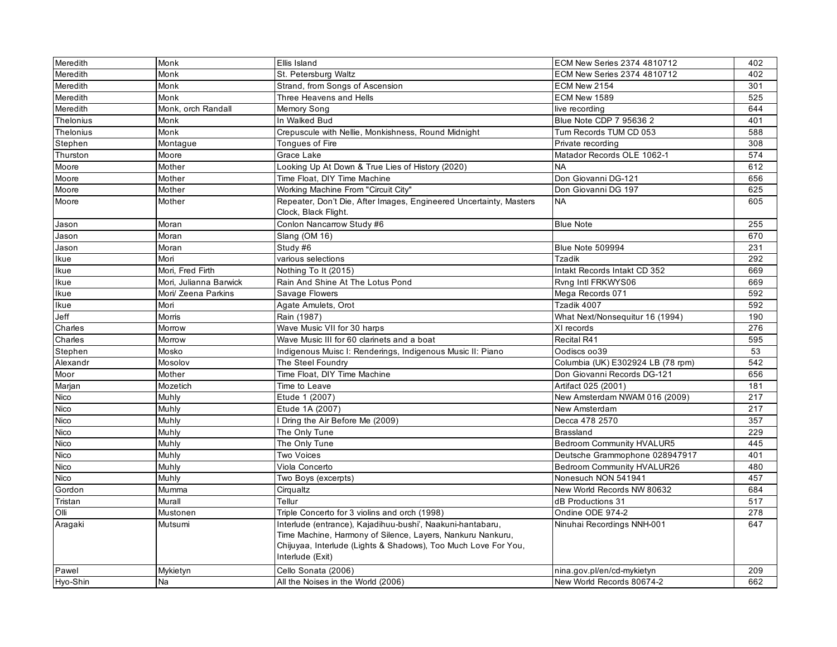| Meredith    | Monk                   | Ellis Island                                                                                                                                                                                                   | ECM New Series 2374 4810712       | 402 |
|-------------|------------------------|----------------------------------------------------------------------------------------------------------------------------------------------------------------------------------------------------------------|-----------------------------------|-----|
| Meredith    | Monk                   | St. Petersburg Waltz                                                                                                                                                                                           | ECM New Series 2374 4810712       | 402 |
| Meredith    | Monk                   | Strand, from Songs of Ascension                                                                                                                                                                                | ECM New 2154                      | 301 |
| Meredith    | Monk                   | Three Heavens and Hells                                                                                                                                                                                        | ECM New 1589                      | 525 |
| Meredith    | Monk, orch Randall     | Memory Song                                                                                                                                                                                                    | live recording                    | 644 |
| Thelonius   | Monk                   | In Walked Bud                                                                                                                                                                                                  | Blue Note CDP 7 95636 2           | 401 |
| Thelonius   | Monk                   | Crepuscule with Nellie, Monkishness, Round Midnight                                                                                                                                                            | Tum Records TUM CD 053            | 588 |
| Stephen     | Montague               | <b>Tongues of Fire</b>                                                                                                                                                                                         | Private recording                 | 308 |
| Thurston    | Moore                  | Grace Lake                                                                                                                                                                                                     | Matador Records OLE 1062-1        | 574 |
| Moore       | Mother                 | Looking Up At Down & True Lies of History (2020)                                                                                                                                                               | <b>NA</b>                         | 612 |
| Moore       | Mother                 | Time Float, DIY Time Machine                                                                                                                                                                                   | Don Giovanni DG-121               | 656 |
| Moore       | Mother                 | Working Machine From "Circuit City"                                                                                                                                                                            | Don Giovanni DG 197               | 625 |
| Moore       | Mother                 | Repeater, Don't Die, After Images, Engineered Uncertainty, Masters<br>Clock, Black Flight.                                                                                                                     | <b>NA</b>                         | 605 |
| Jason       | Moran                  | Conlon Nancarrow Study #6                                                                                                                                                                                      | <b>Blue Note</b>                  | 255 |
| Jason       | Moran                  | Slang (OM 16)                                                                                                                                                                                                  |                                   | 670 |
| Jason       | Moran                  | Study #6                                                                                                                                                                                                       | Blue Note 509994                  | 231 |
| Ikue        | Mori                   | various selections                                                                                                                                                                                             | <b>Tzadik</b>                     | 292 |
| Ikue        | Mori, Fred Firth       | Nothing To It (2015)                                                                                                                                                                                           | Intakt Records Intakt CD 352      | 669 |
| Ikue        | Mori. Julianna Barwick | Rain And Shine At The Lotus Pond                                                                                                                                                                               | Rvng Intl FRKWYS06                | 669 |
| Ikue        | Mori/ Zeena Parkins    | Savage Flowers                                                                                                                                                                                                 | Mega Records 071                  | 592 |
| Ikue        | Mori                   | Agate Amulets, Orot                                                                                                                                                                                            | Tzadik 4007                       | 592 |
| Jeff        | Morris                 | Rain (1987)                                                                                                                                                                                                    | What Next/Nonsequitur 16 (1994)   | 190 |
| Charles     | Morrow                 | Wave Music VII for 30 harps                                                                                                                                                                                    | XI records                        | 276 |
| Charles     | Morrow                 | Wave Music III for 60 clarinets and a boat                                                                                                                                                                     | Recital R41                       | 595 |
| Stephen     | Mosko                  | Indigenous Muisc I: Renderings, Indigenous Music II: Piano                                                                                                                                                     | Oodiscs oo39                      | 53  |
| Alexandr    | Mosolov                | The Steel Foundry                                                                                                                                                                                              | Columbia (UK) E302924 LB (78 rpm) | 542 |
| Moor        | Mother                 | Time Float, DIY Time Machine                                                                                                                                                                                   | Don Giovanni Records DG-121       | 656 |
| Marjan      | Mozetich               | Time to Leave                                                                                                                                                                                                  | Artifact 025 (2001)               | 181 |
| Nico        | Muhly                  | Etude 1 (2007)                                                                                                                                                                                                 | New Amsterdam NWAM 016 (2009)     | 217 |
| Nico        | Muhly                  | Etude 1A (2007)                                                                                                                                                                                                | New Amsterdam                     | 217 |
| Nico        | Muhly                  | Dring the Air Before Me (2009)                                                                                                                                                                                 | Decca 478 2570                    | 357 |
| <b>Nico</b> | Muhly                  | The Only Tune                                                                                                                                                                                                  | Brassland                         | 229 |
| Nico        | Muhly                  | The Only Tune                                                                                                                                                                                                  | Bedroom Community HVALUR5         | 445 |
| <b>Nico</b> | Muhly                  | Two Voices                                                                                                                                                                                                     | Deutsche Grammophone 028947917    | 401 |
| Nico        | Muhly                  | Viola Concerto                                                                                                                                                                                                 | Bedroom Community HVALUR26        | 480 |
| <b>Nico</b> | Muhly                  | Two Boys (excerpts)                                                                                                                                                                                            | Nonesuch NON 541941               | 457 |
| Gordon      | Mumma                  | Cirqualtz                                                                                                                                                                                                      | New World Records NW 80632        | 684 |
| Tristan     | Murall                 | Tellur                                                                                                                                                                                                         | dB Productions 31                 | 517 |
| Olli        | Mustonen               | Triple Concerto for 3 violins and orch (1998)                                                                                                                                                                  | Ondine ODE 974-2                  | 278 |
| Aragaki     | Mutsumi                | Interlude (entrance), Kajadihuu-bushi', Naakuni-hantabaru,<br>Time Machine, Harmony of Silence, Layers, Nankuru Nankuru,<br>Chijuyaa, Interlude (Lights & Shadows), Too Much Love For You,<br>Interlude (Exit) | Ninuhai Recordings NNH-001        | 647 |
| Pawel       | Mykietyn               | Cello Sonata (2006)                                                                                                                                                                                            | nina.gov.pl/en/cd-mykietyn        | 209 |
| Hyo-Shin    | <b>Na</b>              | All the Noises in the World (2006)                                                                                                                                                                             | New World Records 80674-2         | 662 |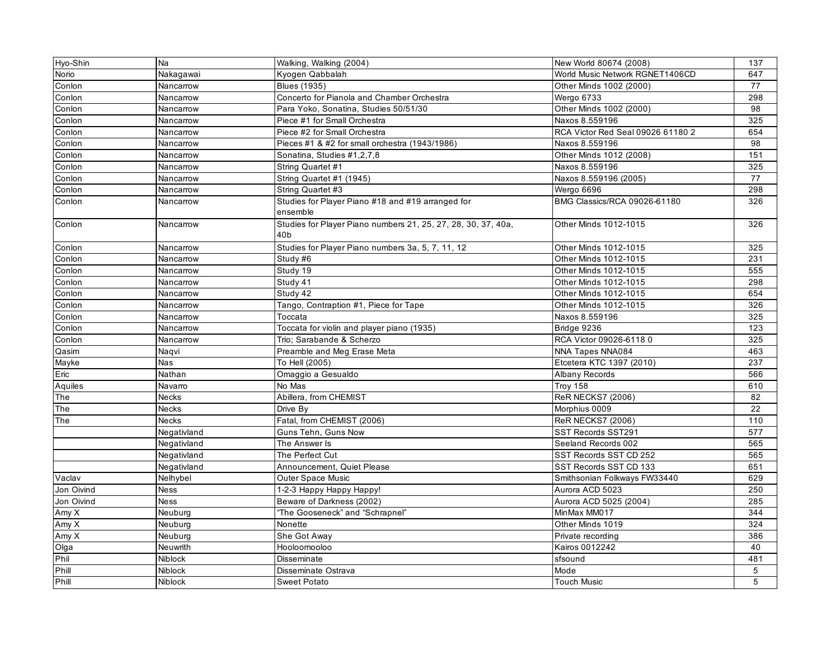| Hyo-Shin   | Na           | Walking, Walking (2004)                                              | New World 80674 (2008)              | 137 |
|------------|--------------|----------------------------------------------------------------------|-------------------------------------|-----|
| Norio      | Nakagawai    | Kyogen Qabbalah                                                      | World Music Network RGNET1406CD     | 647 |
| Conlon     | Nancarrow    | Blues (1935)                                                         | Other Minds 1002 (2000)             | 77  |
| Conlon     | Nancarrow    | Concerto for Pianola and Chamber Orchestra                           | Wergo 6733                          | 298 |
| Conlon     | Nancarrow    | Para Yoko, Sonatina, Studies 50/51/30                                | Other Minds 1002 (2000)             | 98  |
| Conlon     | Nancarrow    | Piece #1 for Small Orchestra                                         | Naxos 8.559196                      | 325 |
| Conlon     | Nancarrow    | Piece #2 for Small Orchestra                                         | RCA Victor Red Seal 09026 61180 2   | 654 |
| Conlon     | Nancarrow    | Pieces #1 & #2 for small orchestra (1943/1986)                       | Naxos 8.559196                      | 98  |
| Conlon     | Nancarrow    | Sonatina, Studies #1,2,7,8                                           | Other Minds 1012 (2008)             | 151 |
| Conlon     | Nancarrow    | String Quartet #1                                                    | Naxos 8.559196                      | 325 |
| Conlon     | Nancarrow    | String Quartet #1 (1945)                                             | Naxos 8.559196 (2005)               | 77  |
| Conlon     | Nancarrow    | String Quartet #3                                                    | Wergo 6696                          | 298 |
| Conlon     | Nancarrow    | Studies for Player Piano #18 and #19 arranged for<br>ensemble        | <b>BMG Classics/RCA 09026-61180</b> | 326 |
| Conlon     | Nancarrow    | Studies for Player Piano numbers 21, 25, 27, 28, 30, 37, 40a,<br>40b | Other Minds 1012-1015               | 326 |
| Conlon     | Nancarrow    | Studies for Player Piano numbers 3a, 5, 7, 11, 12                    | Other Minds 1012-1015               | 325 |
| Conlon     | Nancarrow    | Study #6                                                             | Other Minds 1012-1015               | 231 |
| Conlon     | Nancarrow    | Study 19                                                             | Other Minds 1012-1015               | 555 |
| Conlon     | Nancarrow    | Study 41                                                             | Other Minds 1012-1015               | 298 |
| Conlon     | Nancarrow    | Study 42                                                             | Other Minds 1012-1015               | 654 |
| Conlon     | Nancarrow    | Tango, Contraption #1, Piece for Tape                                | Other Minds 1012-1015               | 326 |
| Conlon     | Nancarrow    | Toccata                                                              | Naxos 8.559196                      | 325 |
| Conlon     | Nancarrow    | Toccata for violin and player piano (1935)                           | Bridge 9236                         | 123 |
| Conlon     | Nancarrow    | Trio; Sarabande & Scherzo                                            | RCA Victor 09026-6118 0             | 325 |
| Qasim      | Naqvi        | Preamble and Meg Erase Meta                                          | NNA Tapes NNA084                    | 463 |
| Mayke      | Nas          | To Hell (2005)                                                       | Etcetera KTC 1397 (2010)            | 237 |
| Eric       | Nathan       | Omaggio a Gesualdo                                                   | Albany Records                      | 566 |
| Aquiles    | Navarro      | No Mas                                                               | Troy 158                            | 610 |
| The        | Necks        | Abillera, from CHEMIST                                               | <b>ReR NECKS7 (2006)</b>            | 82  |
| The        | <b>Necks</b> | Drive By                                                             | Morphius 0009                       | 22  |
| The        | <b>Necks</b> | Fatal, from CHEMIST (2006)                                           | <b>ReR NECKS7 (2006)</b>            | 110 |
|            | Negativland  | Guns Tehn, Guns Now                                                  | SST Records SST291                  | 577 |
|            | Negativland  | The Answer Is                                                        | Seeland Records 002                 | 565 |
|            | Negativland  | The Perfect Cut                                                      | SST Records SST CD 252              | 565 |
|            | Negativland  | Announcement, Quiet Please                                           | SST Records SST CD 133              | 651 |
| Vaclav     | Nelhybel     | Outer Space Music                                                    | Smithsonian Folkways FW33440        | 629 |
| Jon Oivind | Ness         | 1-2-3 Happy Happy Happy!                                             | Aurora ACD 5023                     | 250 |
| Jon Oivind | <b>Ness</b>  | Beware of Darkness (2002)                                            | Aurora ACD 5025 (2004)              | 285 |
| Amy X      | Neuburg      | "The Gooseneck" and "Schrapnel"                                      | MinMax MM017                        | 344 |
| Amy X      | Neuburg      | Nonette                                                              | Other Minds 1019                    | 324 |
| Amy X      | Neuburg      | She Got Away                                                         | Private recording                   | 386 |
| Olga       | Neuwrith     | Hooloomooloo                                                         | Kairos 0012242                      | 40  |
| Phil       | Niblock      | Disseminate                                                          | sfsound                             | 481 |
| Phill      | Niblock      | Disseminate Ostrava                                                  | Mode                                | 5   |
| Phill      | Niblock      | <b>Sweet Potato</b>                                                  | <b>Touch Music</b>                  | 5   |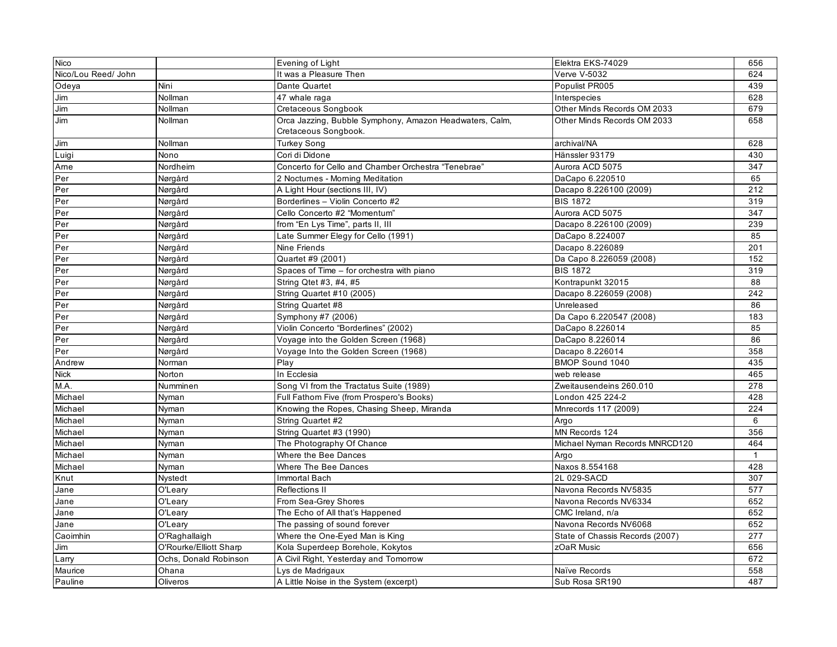| Nico                |                        | Evening of Light                                        | Elektra EKS-74029               | 656          |
|---------------------|------------------------|---------------------------------------------------------|---------------------------------|--------------|
| Nico/Lou Reed/ John |                        | It was a Pleasure Then                                  | <b>Verve V-5032</b>             | 624          |
| Odeya               | Nini                   | Dante Quartet                                           | Populist PR005                  | 439          |
| Jim                 | Nollman                | 47 whale raga                                           | Interspecies                    | 628          |
| Jim                 | Nollman                | Cretaceous Songbook                                     | Other Minds Records OM 2033     | 679          |
| Jim                 | Nollman                | Orca Jazzing, Bubble Symphony, Amazon Headwaters, Calm, | Other Minds Records OM 2033     | 658          |
|                     |                        | Cretaceous Songbook.                                    |                                 |              |
| Jim                 | Nollman                | Turkey Song                                             | archival/NA                     | 628          |
| Luigi               | Nono                   | Cori di Didone                                          | Hänssler 93179                  | 430          |
| Arne                | Nordheim               | Concerto for Cello and Chamber Orchestra "Tenebrae"     | Aurora ACD 5075                 | 347          |
| Per                 | Nørgård                | 2 Nocturnes - Morning Meditation                        | DaCapo 6.220510                 | 65           |
| Per                 | Nørgård                | A Light Hour (sections III, IV)                         | Dacapo 8.226100 (2009)          | 212          |
| Per                 | Nørgård                | Borderlines - Violin Concerto #2                        | <b>BIS 1872</b>                 | 319          |
| Per                 | Nørgård                | Cello Concerto #2 "Momentum"                            | Aurora ACD 5075                 | 347          |
| Per                 | Nørgård                | from "En Lys Time", parts II, III                       | Dacapo 8.226100 (2009)          | 239          |
| Per                 | Nørgård                | Late Summer Elegy for Cello (1991)                      | DaCapo 8.224007                 | 85           |
| Per                 | Nørgård                | Nine Friends                                            | Dacapo 8.226089                 | 201          |
| Per                 | Nørgård                | Quartet #9 (2001)                                       | Da Capo 8.226059 (2008)         | 152          |
| Per                 | Nørgård                | Spaces of Time - for orchestra with piano               | <b>BIS 1872</b>                 | 319          |
| Per                 | Nørgård                | String Qtet #3, #4, #5                                  | Kontrapunkt 32015               | 88           |
| Per                 | Nørgård                | String Quartet #10 (2005)                               | Dacapo 8.226059 (2008)          | 242          |
| Per                 | Nørgård                | String Quartet #8                                       | Unreleased                      | 86           |
| Per                 | Nørgård                | Symphony #7 (2006)                                      | Da Capo 6.220547 (2008)         | 183          |
| Per                 | Nørgård                | Violin Concerto "Borderlines" (2002)                    | DaCapo 8.226014                 | 85           |
| Per                 | Nørgård                | Voyage into the Golden Screen (1968)                    | DaCapo 8.226014                 | 86           |
| Per                 | Nørgård                | Voyage Into the Golden Screen (1968)                    | Dacapo 8.226014                 | 358          |
| Andrew              | Norman                 | Play                                                    | BMOP Sound 1040                 | 435          |
| <b>Nick</b>         | Norton                 | In Ecclesia                                             | web release                     | 465          |
| M.A.                | Numminen               | Song VI from the Tractatus Suite (1989)                 | Zweitausendeins 260.010         | 278          |
| Michael             | Nyman                  | Full Fathom Five (from Prospero's Books)                | London 425 224-2                | 428          |
| Michael             | Nyman                  | Knowing the Ropes, Chasing Sheep, Miranda               | Mnrecords 117 (2009)            | 224          |
| Michael             | Nyman                  | String Quartet #2                                       | Argo                            | 6            |
| Michael             | Nyman                  | String Quartet #3 (1990)                                | MN Records 124                  | 356          |
| Michael             | Nyman                  | The Photography Of Chance                               | Michael Nyman Records MNRCD120  | 464          |
| Michael             | Nyman                  | Where the Bee Dances                                    | Argo                            | $\mathbf{1}$ |
| Michael             | Nyman                  | Where The Bee Dances                                    | Naxos 8.554168                  | 428          |
| Knut                | Nystedt                | Immortal Bach                                           | 2L 029-SACD                     | 307          |
| Jane                | O'Leary                | Reflections II                                          | Navona Records NV5835           | 577          |
| Jane                | O'Leary                | From Sea-Grey Shores                                    | Navona Records NV6334           | 652          |
| Jane                | O'Leary                | The Echo of All that's Happened                         | CMC Ireland, n/a                | 652          |
| Jane                | O'Leary                | The passing of sound forever                            | Navona Records NV6068           | 652          |
| Caoimhin            | O'Raghallaigh          | Where the One-Eyed Man is King                          | State of Chassis Records (2007) | 277          |
| Jim                 | O'Rourke/Elliott Sharp | Kola Superdeep Borehole, Kokytos                        | zOaR Music                      | 656          |
| Larry               | Ochs, Donald Robinson  | A Civil Right, Yesterday and Tomorrow                   |                                 | 672          |
| Maurice             | Ohana                  | Lys de Madrigaux                                        | Naïve Records                   | 558          |
| Pauline             | Oliveros               | A Little Noise in the System (excerpt)                  | Sub Rosa SR190                  | 487          |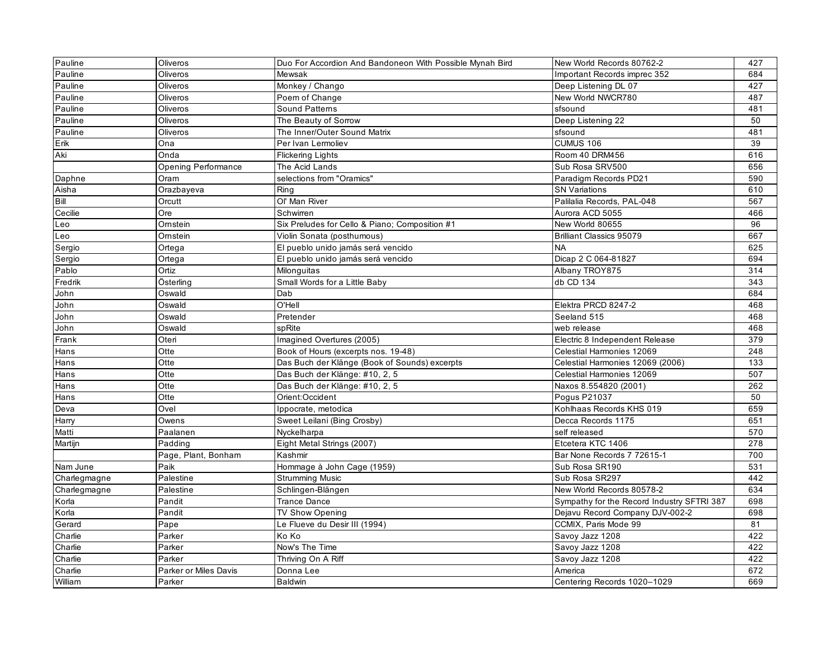| Pauline      | Oliveros                   | Duo For Accordion And Bandoneon With Possible Mynah Bird | New World Records 80762-2                  | 427 |
|--------------|----------------------------|----------------------------------------------------------|--------------------------------------------|-----|
| Pauline      | Oliveros                   | Mewsak                                                   | Important Records imprec 352               | 684 |
| Pauline      | Oliveros                   | Monkey / Chango                                          | Deep Listening DL 07                       | 427 |
| Pauline      | Oliveros                   | Poem of Change                                           | New World NWCR780                          | 487 |
| Pauline      | Oliveros                   | <b>Sound Patterns</b>                                    | sfsound                                    | 481 |
| Pauline      | Oliveros                   | The Beauty of Sorrow                                     | Deep Listening 22                          | 50  |
| Pauline      | Oliveros                   | The Inner/Outer Sound Matrix                             | sfsound                                    | 481 |
| Erik         | Ona                        | Per Ivan Lermoliev                                       | CUMUS 106                                  | 39  |
| Aki          | Onda                       | <b>Flickering Lights</b>                                 | Room 40 DRM456                             | 616 |
|              | <b>Opening Performance</b> | The Acid Lands                                           | Sub Rosa SRV500                            | 656 |
| Daphne       | Oram                       | selections from "Oramics"                                | Paradigm Records PD21                      | 590 |
| Aisha        | Orazbayeva                 | Rina                                                     | <b>SN Variations</b>                       | 610 |
| Bill         | Orcutt                     | Ol' Man River                                            | Palilalia Records, PAL-048                 | 567 |
| Cecilie      | Ore                        | Schwirren                                                | Aurora ACD 5055                            | 466 |
| Leo          | Omstein                    | Six Preludes for Cello & Piano; Composition #1           | New World 80655                            | 96  |
| Leo          | Omstein                    | Violin Sonata (posthumous)                               | <b>Brilliant Classics 95079</b>            | 667 |
| Sergio       | Ortega                     | El pueblo unido jamás será vencido                       | <b>NA</b>                                  | 625 |
| Sergio       | Ortega                     | El pueblo unido jamás será vencido                       | Dicap 2 C 064-81827                        | 694 |
| Pablo        | Ortiz                      | Milonguitas                                              | Albany TROY875                             | 314 |
| Fredrik      | Österling                  | Small Words for a Little Baby                            | db CD 134                                  | 343 |
| John         | Oswald                     | Dab                                                      |                                            | 684 |
| John         | Oswald                     | O'Hell                                                   | Elektra PRCD 8247-2                        | 468 |
| John         | Oswald                     | Pretender                                                | Seeland 515                                | 468 |
| John         | Oswald                     | spRite                                                   | web release                                | 468 |
| Frank        | Oteri                      | Imagined Overtures (2005)                                | Electric 8 Independent Release             | 379 |
| Hans         | Otte                       | Book of Hours (excerpts nos. 19-48)                      | Celestial Harmonies 12069                  | 248 |
| Hans         | Otte                       | Das Buch der Klänge (Book of Sounds) excerpts            | Celestial Harmonies 12069 (2006)           | 133 |
| Hans         | Otte                       | Das Buch der Klänge: #10, 2, 5                           | Celestial Harmonies 12069                  | 507 |
| Hans         | Otte                       | Das Buch der Klänge: #10, 2, 5                           | Naxos 8.554820 (2001)                      | 262 |
| Hans         | Otte                       | Orient:Occident                                          | Pogus P21037                               | 50  |
| Deva         | Ovel                       | Ippocrate, metodica                                      | Kohlhaas Records KHS 019                   | 659 |
| Harry        | Owens                      | Sweet Leilani (Bing Crosby)                              | Decca Records 1175                         | 651 |
| Matti        | Paalanen                   | Nyckelharpa                                              | self released                              | 570 |
| Martijn      | Padding                    | Eight Metal Strings (2007)                               | Etcetera KTC 1406                          | 278 |
|              | Page, Plant, Bonham        | Kashmir                                                  | Bar None Records 7 72615-1                 | 700 |
| Nam June     | Paik                       | Hommage à John Cage (1959)                               | Sub Rosa SR190                             | 531 |
| Charlegmagne | Palestine                  | <b>Strumming Music</b>                                   | Sub Rosa SR297                             | 442 |
| Charlegmagne | Palestine                  | Schlingen-Blängen                                        | New World Records 80578-2                  | 634 |
| Korla        | Pandit                     | <b>Trance Dance</b>                                      | Sympathy for the Record Industry SFTRI 387 | 698 |
| Korla        | Pandit                     | TV Show Opening                                          | Dejavu Record Company DJV-002-2            | 698 |
| Gerard       | Pape                       | Le Flueve du Desir III (1994)                            | CCMIX, Paris Mode 99                       | 81  |
| Charlie      | Parker                     | Ko Ko                                                    | Savoy Jazz 1208                            | 422 |
| Charlie      | Parker                     | Now's The Time                                           | Savoy Jazz 1208                            | 422 |
| Charlie      | Parker                     | Thriving On A Riff                                       | Savoy Jazz 1208                            | 422 |
| Charlie      | Parker or Miles Davis      | Donna Lee                                                | America                                    | 672 |
| William      | Parker                     | <b>Baldwin</b>                                           | Centering Records 1020-1029                | 669 |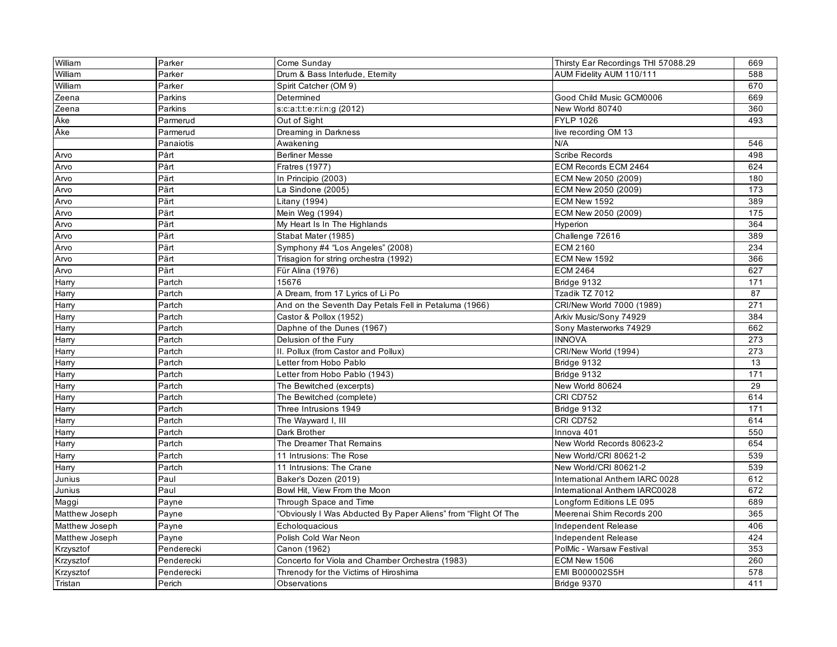| William        | Parker     | Come Sunday                                                    | Thirsty Ear Recordings THI 57088.29 | 669 |
|----------------|------------|----------------------------------------------------------------|-------------------------------------|-----|
| William        | Parker     | Drum & Bass Interlude, Eternity                                | AUM Fidelity AUM 110/111            | 588 |
| William        | Parker     | Spirit Catcher (OM 9)                                          |                                     | 670 |
| Zeena          | Parkins    | Determined                                                     | Good Child Music GCM0006            | 669 |
| Zeena          | Parkins    | s:c:a:t:t:e:r:i:n:g (2012)                                     | New World 80740                     | 360 |
| Åke            | Parmerud   | Out of Sight                                                   | <b>FYLP 1026</b>                    | 493 |
| Åke            | Parmerud   | Dreaming in Darkness                                           | live recording OM 13                |     |
|                | Panaiotis  | Awakening                                                      | N/A                                 | 546 |
| Arvo           | Pårt       | <b>Berliner Messe</b>                                          | Scribe Records                      | 498 |
| Arvo           | Pårt       | <b>Fratres (1977)</b>                                          | ECM Records ECM 2464                | 624 |
| Arvo           | Pärt       | In Principio (2003)                                            | ECM New 2050 (2009)                 | 180 |
| Arvo           | Pärt       | La Sindone (2005)                                              | ECM New 2050 (2009)                 | 173 |
| Arvo           | Pärt       | Litany (1994)                                                  | ECM New 1592                        | 389 |
| Arvo           | Pärt       | Mein Weg (1994)                                                | ECM New 2050 (2009)                 | 175 |
| Arvo           | Pärt       | My Heart Is In The Highlands                                   | Hyperion                            | 364 |
| Arvo           | Pärt       | Stabat Mater (1985)                                            | Challenge 72616                     | 389 |
| Arvo           | Pärt       | Symphony #4 "Los Angeles" (2008)                               | <b>ECM 2160</b>                     | 234 |
| Arvo           | Pärt       | Trisagion for string orchestra (1992)                          | ECM New 1592                        | 366 |
| Arvo           | Pärt       | Für Alina (1976)                                               | <b>ECM 2464</b>                     | 627 |
| Harry          | Partch     | 15676                                                          | Bridge 9132                         | 171 |
| Harry          | Partch     | A Dream, from 17 Lyrics of Li Po                               | Tzadik TZ 7012                      | 87  |
| Harry          | Partch     | And on the Seventh Day Petals Fell in Petaluma (1966)          | CRI/New World 7000 (1989)           | 271 |
| Harry          | Partch     | Castor & Pollox (1952)                                         | Arkiv Music/Sony 74929              | 384 |
| Harry          | Partch     | Daphne of the Dunes (1967)                                     | Sony Masterworks 74929              | 662 |
| Harry          | Partch     | Delusion of the Fury                                           | <b>INNOVA</b>                       | 273 |
| Harry          | Partch     | II. Pollux (from Castor and Pollux)                            | CRI/New World (1994)                | 273 |
| Harry          | Partch     | Letter from Hobo Pablo                                         | Bridge 9132                         | 13  |
| Harry          | Partch     | Letter from Hobo Pablo (1943)                                  | Bridge 9132                         | 171 |
| Harry          | Partch     | The Bewitched (excerpts)                                       | New World 80624                     | 29  |
| Harry          | Partch     | The Bewitched (complete)                                       | CRI CD752                           | 614 |
| Harry          | Partch     | Three Intrusions 1949                                          | Bridge 9132                         | 171 |
| Harry          | Partch     | The Wayward I, III                                             | CRI CD752                           | 614 |
| Harry          | Partch     | Dark Brother                                                   | Innova 401                          | 550 |
| Harry          | Partch     | The Dreamer That Remains                                       | New World Records 80623-2           | 654 |
| Harry          | Partch     | 11 Intrusions: The Rose                                        | New World/CRI 80621-2               | 539 |
| Harry          | Partch     | 11 Intrusions: The Crane                                       | New World/CRI 80621-2               | 539 |
| Junius         | Paul       | Baker's Dozen (2019)                                           | International Anthem IARC 0028      | 612 |
| Junius         | Paul       | Bowl Hit, View From the Moon                                   | International Anthem IARC0028       | 672 |
| Maggi          | Payne      | Through Space and Time                                         | Longform Editions LE 095            | 689 |
| Matthew Joseph | Payne      | 'Obviously I Was Abducted By Paper Aliens" from "Flight Of The | Meerenai Shim Records 200           | 365 |
| Matthew Joseph | Payne      | Echologuacious                                                 | Independent Release                 | 406 |
| Matthew Joseph | Payne      | Polish Cold War Neon                                           | Independent Release                 | 424 |
| Krzysztof      | Penderecki | Canon (1962)                                                   | PolMic - Warsaw Festival            | 353 |
| Krzysztof      | Penderecki | Concerto for Viola and Chamber Orchestra (1983)                | ECM New 1506                        | 260 |
| Krzysztof      | Penderecki | Threnody for the Victims of Hiroshima                          | EMI B000002S5H                      | 578 |
| Tristan        | Perich     | Observations                                                   | Bridge 9370                         | 411 |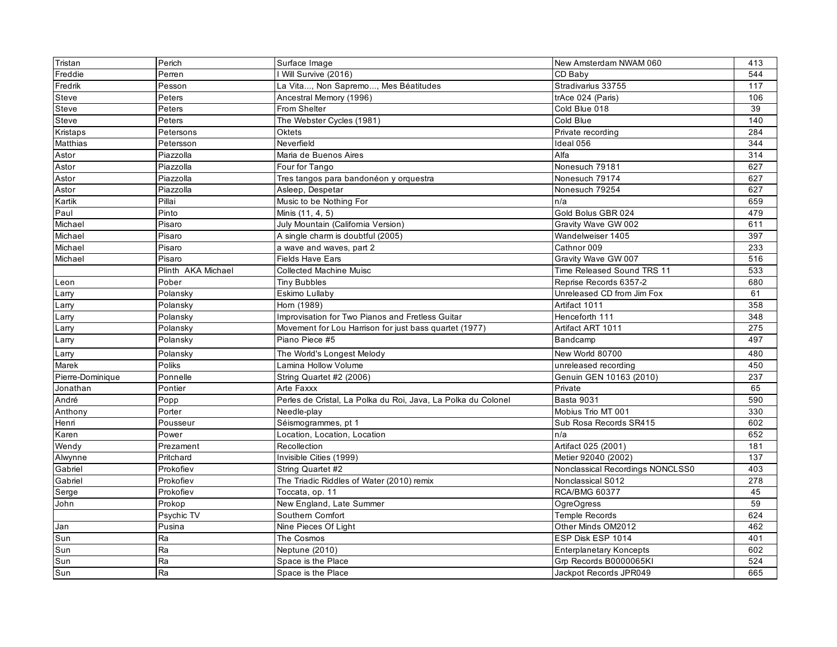| Tristan          | Perich             | Surface Image                                                 | New Amsterdam NWAM 060           | 413 |
|------------------|--------------------|---------------------------------------------------------------|----------------------------------|-----|
| Freddie          | Perren             | Will Survive (2016)                                           | CD Baby                          | 544 |
| Fredrik          | Pesson             | La Vita, Non Sapremo, Mes Béatitudes                          | Stradivarius 33755               | 117 |
| Steve            | Peters             | Ancestral Memory (1996)                                       | trAce 024 (Paris)                | 106 |
| Steve            | Peters             | From Shelter                                                  | Cold Blue 018                    | 39  |
| Steve            | Peters             | The Webster Cycles (1981)                                     | Cold Blue                        | 140 |
| Kristaps         | Petersons          | <b>Oktets</b>                                                 | Private recording                | 284 |
| Matthias         | Petersson          | Neverfield                                                    | Ideal 056                        | 344 |
| Astor            | Piazzolla          | Maria de Buenos Aires                                         | Alfa                             | 314 |
| Astor            | Piazzolla          | Four for Tango                                                | Nonesuch 79181                   | 627 |
| Astor            | Piazzolla          | Tres tangos para bandonéon y orquestra                        | Nonesuch 79174                   | 627 |
| Astor            | Piazzolla          | Asleep, Despetar                                              | Nonesuch 79254                   | 627 |
| Kartik           | Pillai             | Music to be Nothing For                                       | n/a                              | 659 |
| Paul             | Pinto              | Minis (11, 4, 5)                                              | Gold Bolus GBR 024               | 479 |
| Michael          | Pisaro             | July Mountain (California Version)                            | Gravity Wave GW 002              | 611 |
| Michael          | Pisaro             | A single charm is doubtful (2005)                             | Wandelweiser 1405                | 397 |
| Michael          | Pisaro             | a wave and waves, part 2                                      | Cathnor 009                      | 233 |
| Michael          | Pisaro             | Fields Have Ears                                              | Gravity Wave GW 007              | 516 |
|                  | Plinth AKA Michael | <b>Collected Machine Muisc</b>                                | Time Released Sound TRS 11       | 533 |
| Leon             | Pober              | <b>Tiny Bubbles</b>                                           | Reprise Records 6357-2           | 680 |
| Larry            | Polansky           | Eskimo Lullaby                                                | Unreleased CD from Jim Fox       | 61  |
| Larry            | Polansky           | Horn (1989)                                                   | Artifact 1011                    | 358 |
| Larry            | Polansky           | Improvisation for Two Pianos and Fretless Guitar              | Henceforth 111                   | 348 |
| Larry            | Polansky           | Movement for Lou Harrison for just bass quartet (1977)        | Artifact ART 1011                | 275 |
| Larry            | Polansky           | Piano Piece #5                                                | Bandcamp                         | 497 |
| Larry            | Polansky           | The World's Longest Melody                                    | New World 80700                  | 480 |
| Marek            | Poliks             | Lamina Hollow Volume                                          | unreleased recording             | 450 |
| Pierre-Dominique | Ponnelle           | String Quartet #2 (2006)                                      | Genuin GEN 10163 (2010)          | 237 |
| Jonathan         | Pontier            | Arte Faxxx                                                    | Private                          | 65  |
| André            | Popp               | Perles de Cristal, La Polka du Roi, Java, La Polka du Colonel | <b>Basta 9031</b>                | 590 |
| Anthony          | Porter             | Needle-play                                                   | Mobius Trio MT 001               | 330 |
| Henri            | Pousseur           | Séismogrammes, pt 1                                           | Sub Rosa Records SR415           | 602 |
| Karen            | Power              | Location, Location, Location                                  | n/a                              | 652 |
| Wendy            | Prezament          | Recollection                                                  | Artifact 025 (2001)              | 181 |
| Alwynne          | Pritchard          | Invisible Cities (1999)                                       | Metier 92040 (2002)              | 137 |
| Gabriel          | Prokofiev          | String Quartet #2                                             | Nonclassical Recordings NONCLSS0 | 403 |
| Gabriel          | Prokofiev          | The Triadic Riddles of Water (2010) remix                     | Nonclassical S012                | 278 |
| Serge            | Prokofiev          | Toccata, op. 11                                               | <b>RCA/BMG 60377</b>             | 45  |
| John             | Prokop             | New England, Late Summer                                      | <b>OgreOgress</b>                | 59  |
|                  | Psychic TV         | Southern Comfort                                              | <b>Temple Records</b>            | 624 |
| Jan              | Pusina             | Nine Pieces Of Light                                          | Other Minds OM2012               | 462 |
| Sun              | Ra                 | The Cosmos                                                    | ESP Disk ESP 1014                | 401 |
| Sun              | Ra                 | Neptune (2010)                                                | <b>Enterplanetary Koncepts</b>   | 602 |
| Sun              | Ra                 | Space is the Place                                            | Grp Records B0000065KI           | 524 |
| Sun              | Ra                 | Space is the Place                                            | Jackpot Records JPR049           | 665 |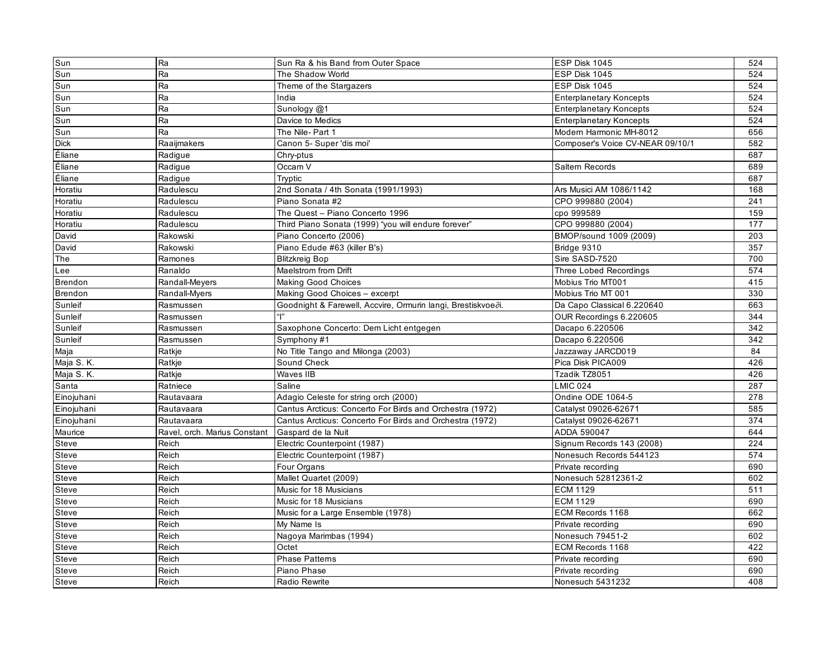| Sun            | Ra                           | Sun Ra & his Band from Outer Space                           | ESP Disk 1045                    | 524 |
|----------------|------------------------------|--------------------------------------------------------------|----------------------------------|-----|
| Sun            | Ra                           | The Shadow World                                             | ESP Disk 1045                    | 524 |
| Sun            | Ra                           | Theme of the Stargazers                                      | ESP Disk 1045                    | 524 |
| Sun            | Ra                           | India                                                        | <b>Enterplanetary Koncepts</b>   | 524 |
| Sun            | Ra                           | Sunology @1                                                  | <b>Enterplanetary Koncepts</b>   | 524 |
| Sun            | Ra                           | Davice to Medics                                             | <b>Enterplanetary Koncepts</b>   | 524 |
| Sun            | Ra                           | The Nile- Part 1                                             | Modern Harmonic MH-8012          | 656 |
| <b>Dick</b>    | Raaijmakers                  | Canon 5- Super 'dis moi'                                     | Composer's Voice CV-NEAR 09/10/1 | 582 |
| Éliane         | Radigue                      | Chry-ptus                                                    |                                  | 687 |
| Éliane         | Radigue                      | Occam V                                                      | Saltern Records                  | 689 |
| Éliane         | Radigue                      | Trvptic                                                      |                                  | 687 |
| Horatiu        | Radulescu                    | 2nd Sonata / 4th Sonata (1991/1993)                          | Ars Musici AM 1086/1142          | 168 |
| Horatiu        | Radulescu                    | Piano Sonata #2                                              | CPO 999880 (2004)                | 241 |
| Horatiu        | Radulescu                    | The Quest - Piano Concerto 1996                              | cpo 999589                       | 159 |
| Horatiu        | Radulescu                    | Third Piano Sonata (1999) "you will endure forever"          | CPO 999880 (2004)                | 177 |
| David          | Rakowski                     | Piano Concerto (2006)                                        | BMOP/sound 1009 (2009)           | 203 |
| David          | Rakowski                     | Piano Edude #63 (killer B's)                                 | Bridge 9310                      | 357 |
| The            | Ramones                      | <b>Blitzkreig Bop</b>                                        | Sire SASD-7520                   | 700 |
| Lee            | Ranaldo                      | Maelstrom from Drift                                         | Three Lobed Recordings           | 574 |
| <b>Brendon</b> | Randall-Meyers               | <b>Making Good Choices</b>                                   | Mobius Trio MT001                | 415 |
| <b>Brendon</b> | Randall-Myers                | Making Good Choices - excerpt                                | Mobius Trio MT 001               | 330 |
| Sunleif        | Rasmussen                    | Goodnight & Farewell, Accvire, Ormurin langi, Brestiskvoedi. | Da Capo Classical 6.220640       | 663 |
| Sunleif        | Rasmussen                    | պո                                                           | OUR Recordings 6.220605          | 344 |
| Sunleif        | Rasmussen                    | Saxophone Concerto: Dem Licht entgegen                       | Dacapo 6.220506                  | 342 |
| Sunleif        | Rasmussen                    | Symphony #1                                                  | Dacapo 6.220506                  | 342 |
| Maja           | Ratkje                       | No Title Tango and Milonga (2003)                            | Jazzaway JARCD019                | 84  |
| Maja S.K.      | Ratkje                       | Sound Check                                                  | Pica Disk PICA009                | 426 |
| Maja S. K.     | Ratkje                       | Waves IIB                                                    | Tzadik TZ8051                    | 426 |
| Santa          | Ratniece                     | Saline                                                       | <b>LMIC 024</b>                  | 287 |
| Einojuhani     | Rautavaara                   | Adagio Celeste for string orch (2000)                        | Ondine ODE 1064-5                | 278 |
| Einojuhani     | Rautavaara                   | Cantus Arcticus: Concerto For Birds and Orchestra (1972)     | Catalyst 09026-62671             | 585 |
| Einojuhani     | Rautavaara                   | Cantus Arcticus: Concerto For Birds and Orchestra (1972)     | Catalyst 09026-62671             | 374 |
| Maurice        | Ravel, orch. Marius Constant | Gaspard de la Nuit                                           | ADDA 590047                      | 644 |
| Steve          | Reich                        | Electric Counterpoint (1987)                                 | Signum Records 143 (2008)        | 224 |
| Steve          | Reich                        | Electric Counterpoint (1987)                                 | Nonesuch Records 544123          | 574 |
| Steve          | Reich                        | Four Organs                                                  | Private recording                | 690 |
| Steve          | Reich                        | Mallet Quartet (2009)                                        | Nonesuch 52812361-2              | 602 |
| Steve          | Reich                        | Music for 18 Musicians                                       | <b>ECM 1129</b>                  | 511 |
| Steve          | Reich                        | Music for 18 Musicians                                       | <b>ECM 1129</b>                  | 690 |
| Steve          | Reich                        | Music for a Large Ensemble (1978)                            | ECM Records 1168                 | 662 |
| Steve          | Reich                        | My Name Is                                                   | Private recording                | 690 |
| Steve          | Reich                        | Nagoya Marimbas (1994)                                       | Nonesuch 79451-2                 | 602 |
| Steve          | Reich                        | Octet                                                        | ECM Records 1168                 | 422 |
| Steve          | Reich                        | <b>Phase Patterns</b>                                        | Private recording                | 690 |
| Steve          | Reich                        | Piano Phase                                                  | Private recording                | 690 |
| Steve          | Reich                        | Radio Rewrite                                                | Nonesuch 5431232                 | 408 |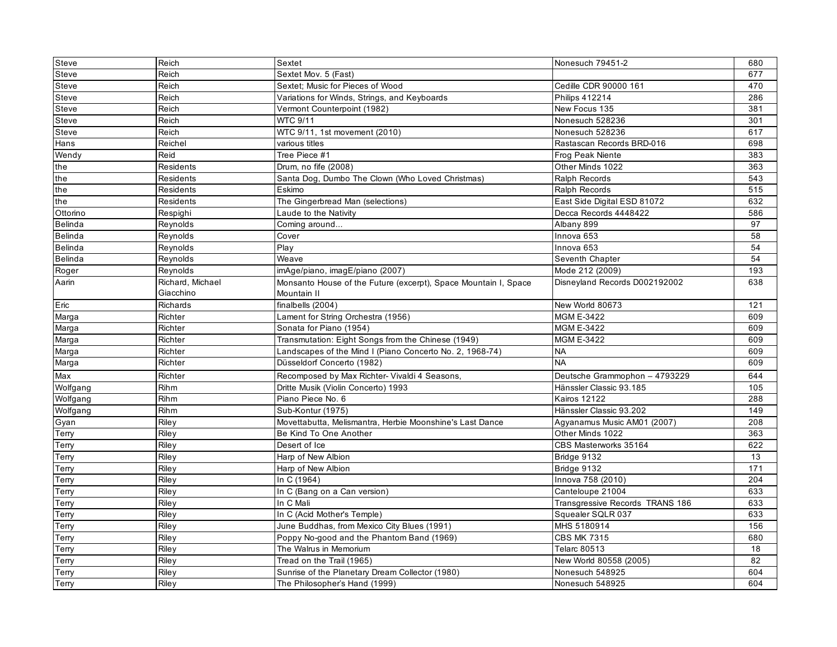| <b>Steve</b>   | Reich            | Sextet                                                          | Nonesuch 79451-2                | 680 |
|----------------|------------------|-----------------------------------------------------------------|---------------------------------|-----|
| Steve          | Reich            | Sextet Mov. 5 (Fast)                                            |                                 | 677 |
| Steve          | Reich            | Sextet; Music for Pieces of Wood                                | Cedille CDR 90000 161           | 470 |
| Steve          | Reich            | Variations for Winds, Strings, and Keyboards                    | Philips 412214                  | 286 |
| Steve          | Reich            | Vermont Counterpoint (1982)                                     | New Focus 135                   | 381 |
| Steve          | Reich            | WTC 9/11                                                        | Nonesuch 528236                 | 301 |
| Steve          | Reich            | WTC 9/11, 1st movement (2010)                                   | Nonesuch 528236                 | 617 |
| Hans           | Reichel          | various titles                                                  | Rastascan Records BRD-016       | 698 |
| Wendy          | Reid             | Tree Piece #1                                                   | Frog Peak Niente                | 383 |
| the            | Residents        | Drum, no fife (2008)                                            | Other Minds 1022                | 363 |
| the            | Residents        | Santa Dog, Dumbo The Clown (Who Loved Christmas)                | Ralph Records                   | 543 |
| the            | Residents        | Eskimo                                                          | Ralph Records                   | 515 |
| the            | Residents        | The Gingerbread Man (selections)                                | East Side Digital ESD 81072     | 632 |
| Ottorino       | Respighi         | Laude to the Nativity                                           | Decca Records 4448422           | 586 |
| <b>Belinda</b> | Reynolds         | Coming around                                                   | Albany 899                      | 97  |
| <b>Belinda</b> | Reynolds         | Cover                                                           | Innova 653                      | 58  |
| <b>Belinda</b> | Reynolds         | Play                                                            | Innova 653                      | 54  |
| Belinda        | Reynolds         | Weave                                                           | Seventh Chapter                 | 54  |
| Roger          | Reynolds         | imAge/piano, imagE/piano (2007)                                 | Mode 212 (2009)                 | 193 |
| Aarin          | Richard, Michael | Monsanto House of the Future (excerpt), Space Mountain I, Space | Disneyland Records D002192002   | 638 |
|                | Giacchino        | Mountain II                                                     |                                 |     |
| Eric           | Richards         | finalbells (2004)                                               | New World 80673                 | 121 |
| Marga          | Richter          | Lament for String Orchestra (1956)                              | <b>MGM E-3422</b>               | 609 |
| Marga          | Richter          | Sonata for Piano (1954)                                         | <b>MGM E-3422</b>               | 609 |
| Marga          | Richter          | Transmutation: Eight Songs from the Chinese (1949)              | <b>MGM E-3422</b>               | 609 |
| Marga          | Richter          | Landscapes of the Mind I (Piano Concerto No. 2, 1968-74)        | <b>NA</b>                       | 609 |
| Marga          | Richter          | Düsseldorf Concerto (1982)                                      | <b>NA</b>                       | 609 |
| Max            | Richter          | Recomposed by Max Richter- Vivaldi 4 Seasons,                   | Deutsche Grammophon - 4793229   | 644 |
| Wolfgang       | Rihm             | Dritte Musik (Violin Concerto) 1993                             | Hänssler Classic 93.185         | 105 |
| Wolfgang       | <b>Rihm</b>      | Piano Piece No. 6                                               | <b>Kairos 12122</b>             | 288 |
| Wolfgang       | Rihm             | Sub-Kontur (1975)                                               | Hänssler Classic 93.202         | 149 |
| Gyan           | Riley            | Movettabutta, Melismantra, Herbie Moonshine's Last Dance        | Agyanamus Music AM01 (2007)     | 208 |
| Terry          | Riley            | Be Kind To One Another                                          | Other Minds 1022                | 363 |
| Terry          | Riley            | Desert of Ice                                                   | CBS Masterworks 35164           | 622 |
| Terry          | Riley            | Harp of New Albion                                              | Bridge 9132                     | 13  |
| Terry          | Riley            | Harp of New Albion                                              | Bridge 9132                     | 171 |
| Terry          | Riley            | In C (1964)                                                     | Innova 758 (2010)               | 204 |
| Terry          | Riley            | In C (Bang on a Can version)                                    | Canteloupe 21004                | 633 |
| Terry          | Riley            | In C Mali                                                       | Transgressive Records TRANS 186 | 633 |
| Terry          | Riley            | In C (Acid Mother's Temple)                                     | Squealer SQLR 037               | 633 |
| Terry          | Riley            | June Buddhas, from Mexico City Blues (1991)                     | MHS 5180914                     | 156 |
| Terry          | Riley            | Poppy No-good and the Phantom Band (1969)                       | <b>CBS MK 7315</b>              | 680 |
| Terry          | Riley            | The Walrus in Memorium                                          | <b>Telarc 80513</b>             | 18  |
| Terry          | Rilev            | Tread on the Trail (1965)                                       | New World 80558 (2005)          | 82  |
| Terry          | Riley            | Sunrise of the Planetary Dream Collector (1980)                 | Nonesuch 548925                 | 604 |
| Terry          | Riley            | The Philosopher's Hand (1999)                                   | Nonesuch 548925                 | 604 |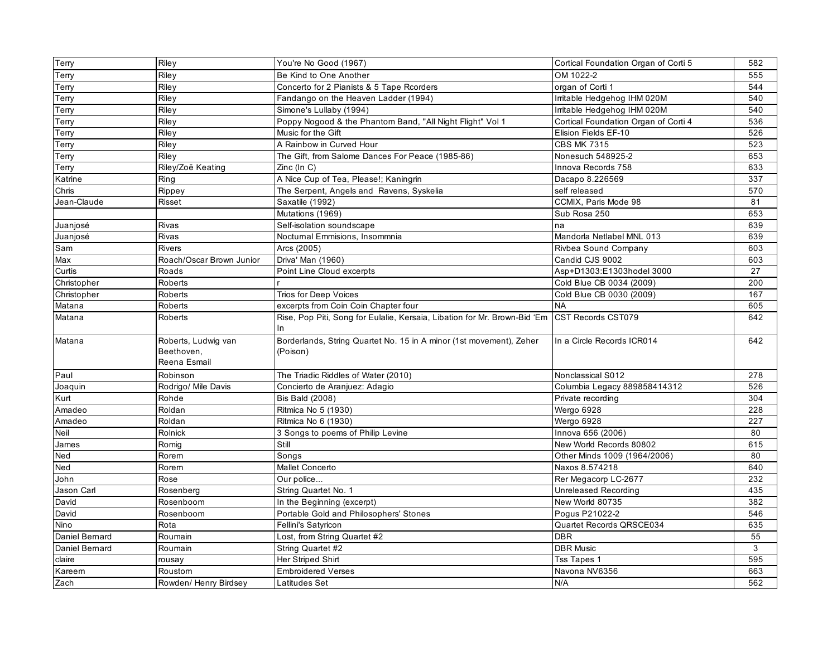| <b>Terry</b>   | Riley                    | You're No Good (1967)                                                     | Cortical Foundation Organ of Corti 5 | 582 |
|----------------|--------------------------|---------------------------------------------------------------------------|--------------------------------------|-----|
| Terry          | Riley                    | Be Kind to One Another                                                    | OM 1022-2                            | 555 |
| Terry          | Riley                    | Concerto for 2 Pianists & 5 Tape Rcorders                                 | organ of Corti 1                     | 544 |
| Terry          | Riley                    | Fandango on the Heaven Ladder (1994)                                      | Irritable Hedgehog IHM 020M          | 540 |
| Terry          | Riley                    | Simone's Lullaby (1994)                                                   | Irritable Hedgehog IHM 020M          | 540 |
| Terry          | Riley                    | Poppy Nogood & the Phantom Band, "All Night Flight" Vol 1                 | Cortical Foundation Organ of Corti 4 | 536 |
| Terry          | Riley                    | Music for the Gift                                                        | Elision Fields EF-10                 | 526 |
| Terry          | Riley                    | A Rainbow in Curved Hour                                                  | <b>CBS MK 7315</b>                   | 523 |
| Terry          | Rilev                    | The Gift, from Salome Dances For Peace (1985-86)                          | Nonesuch 548925-2                    | 653 |
| Terry          | Riley/Zoë Keating        | Zinc (In C)                                                               | Innova Records 758                   | 633 |
| Katrine        | Ring                     | A Nice Cup of Tea, Please!; Kaningrin                                     | Dacapo 8.226569                      | 337 |
| Chris          | Rippey                   | The Serpent, Angels and Ravens, Syskelia                                  | self released                        | 570 |
| Jean-Claude    | Risset                   | Saxatile (1992)                                                           | CCMIX. Paris Mode 98                 | 81  |
|                |                          | Mutations (1969)                                                          | Sub Rosa 250                         | 653 |
| Juanjosé       | <b>Rivas</b>             | Self-isolation soundscape                                                 | na                                   | 639 |
| Juanjosé       | Rivas                    | Nocturnal Emmisions, Insommnia                                            | Mandorla Netlabel MNL 013            | 639 |
| Sam            | <b>Rivers</b>            | Arcs (2005)                                                               | Rivbea Sound Company                 | 603 |
| Max            | Roach/Oscar Brown Junior | Driva' Man (1960)                                                         | Candid CJS 9002                      | 603 |
| Curtis         | Roads                    | Point Line Cloud excerpts                                                 | Asp+D1303:E1303hodel 3000            | 27  |
| Christopher    | Roberts                  |                                                                           | Cold Blue CB 0034 (2009)             | 200 |
| Christopher    | Roberts                  | Trios for Deep Voices                                                     | Cold Blue CB 0030 (2009)             | 167 |
| Matana         | Roberts                  | excerpts from Coin Coin Chapter four                                      | <b>NA</b>                            | 605 |
| Matana         | Roberts                  | Rise, Pop Piti, Song for Eulalie, Kersaia, Libation for Mr. Brown-Bid 'Em | CST Records CST079                   | 642 |
|                |                          | In.                                                                       |                                      |     |
| Matana         | Roberts, Ludwig van      | Borderlands, String Quartet No. 15 in A minor (1st movement), Zeher       | In a Circle Records ICR014           | 642 |
|                | Beethoven.               | (Poison)                                                                  |                                      |     |
|                | Reena Esmail             |                                                                           |                                      |     |
| Paul           | Robinson                 | The Triadic Riddles of Water (2010)                                       | Nonclassical S012                    | 278 |
| Joaquin        | Rodrigo/ Mile Davis      | Concierto de Aranjuez: Adagio                                             | Columbia Legacy 889858414312         | 526 |
| Kurt           | Rohde                    | <b>Bis Bald (2008)</b>                                                    | Private recording                    | 304 |
| Amadeo         | Roldan                   | Ritmica No 5 (1930)                                                       | Wergo 6928                           | 228 |
| Amadeo         | Roldan                   | Ritmica No 6 (1930)                                                       | Wergo 6928                           | 227 |
| Neil           | Rolnick                  | 3 Songs to poems of Philip Levine                                         | Innova 656 (2006)                    | 80  |
| James          | Romig                    | Still                                                                     | New World Records 80802              | 615 |
| Ned            | Rorem                    | Songs                                                                     | Other Minds 1009 (1964/2006)         | 80  |
| Ned            | Rorem                    | <b>Mallet Concerto</b>                                                    | Naxos 8.574218                       | 640 |
| John           | Rose                     | Our police                                                                | Rer Megacorp LC-2677                 | 232 |
| Jason Carl     | Rosenberg                | String Quartet No. 1                                                      | Unreleased Recording                 | 435 |
| David          | Rosenboom                | In the Beginning (excerpt)                                                | New World 80735                      | 382 |
| David          | Rosenboom                | Portable Gold and Philosophers' Stones                                    | Pogus P21022-2                       | 546 |
| Nino           | Rota                     | Fellini's Satyricon                                                       | Quartet Records QRSCE034             | 635 |
| Daniel Bernard | Roumain                  | Lost, from String Quartet #2                                              | <b>DBR</b>                           | 55  |
| Daniel Bernard | Roumain                  | String Quartet #2                                                         | <b>DBR Music</b>                     | 3   |
| claire         | rousay                   | Her Striped Shirt                                                         | <b>Tss Tapes 1</b>                   | 595 |
| Kareem         | Roustom                  | <b>Embroidered Verses</b>                                                 | Navona NV6356                        | 663 |
| Zach           | Rowden/ Henry Birdsey    | Latitudes Set                                                             | N/A                                  | 562 |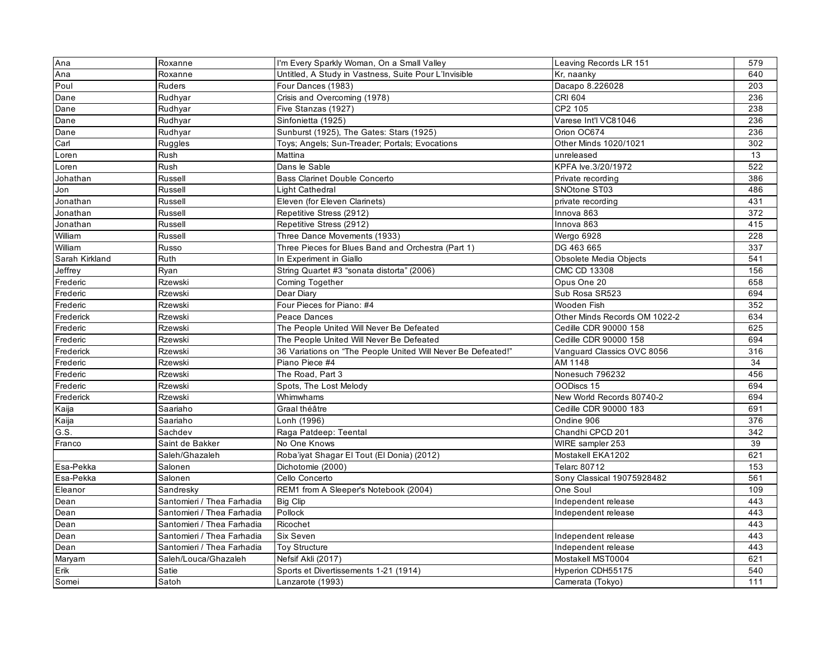| Ana            | Roxanne                    | I'm Every Sparkly Woman, On a Small Valley                   | Leaving Records LR 151        | 579 |
|----------------|----------------------------|--------------------------------------------------------------|-------------------------------|-----|
| Ana            | Roxanne                    | Untitled, A Study in Vastness, Suite Pour L'Invisible        | Kr, naanky                    | 640 |
| Poul           | Ruders                     | Four Dances (1983)                                           | Dacapo 8.226028               | 203 |
| Dane           | Rudhyar                    | Crisis and Overcoming (1978)                                 | <b>CRI 604</b>                | 236 |
| Dane           | Rudhyar                    | Five Stanzas (1927)                                          | CP2 105                       | 238 |
| Dane           | Rudhyar                    | Sinfonietta (1925)                                           | Varese Int'l VC81046          | 236 |
| Dane           | Rudhyar                    | Sunburst (1925), The Gates: Stars (1925)                     | Orion OC674                   | 236 |
| Carl           | Ruggles                    | Toys; Angels; Sun-Treader; Portals; Evocations               | Other Minds 1020/1021         | 302 |
| Loren          | Rush                       | Mattina                                                      | unreleased                    | 13  |
| Loren          | Rush                       | Dans le Sable                                                | KPFA lve.3/20/1972            | 522 |
| Johathan       | Russell                    | Bass Clarinet Double Concerto                                | Private recording             | 386 |
| Jon            | Russell                    | Light Cathedral                                              | SNOtone ST03                  | 486 |
| Jonathan       | Russell                    | Eleven (for Eleven Clarinets)                                | private recording             | 431 |
| Jonathan       | Russell                    | Repetitive Stress (2912)                                     | Innova 863                    | 372 |
| Jonathan       | Russell                    | Repetitive Stress (2912)                                     | Innova 863                    | 415 |
| William        | Russell                    | Three Dance Movements (1933)                                 | Wergo 6928                    | 228 |
| William        | Russo                      | Three Pieces for Blues Band and Orchestra (Part 1)           | DG 463 665                    | 337 |
| Sarah Kirkland | Ruth                       | In Experiment in Giallo                                      | Obsolete Media Objects        | 541 |
| Jeffrey        | Ryan                       | String Quartet #3 "sonata distorta" (2006)                   | CMC CD 13308                  | 156 |
| Frederic       | Rzewski                    | Coming Together                                              | Opus One 20                   | 658 |
| Frederic       | <b>Rzewski</b>             | Dear Diary                                                   | Sub Rosa SR523                | 694 |
| Frederic       | Rzewski                    | Four Pieces for Piano: #4                                    | Wooden Fish                   | 352 |
| Frederick      | Rzewski                    | Peace Dances                                                 | Other Minds Records OM 1022-2 | 634 |
| Frederic       | Rzewski                    | The People United Will Never Be Defeated                     | Cedille CDR 90000 158         | 625 |
| Frederic       | <b>Rzewski</b>             | The People United Will Never Be Defeated                     | Cedille CDR 90000 158         | 694 |
| Frederick      | Rzewski                    | 36 Variations on "The People United Will Never Be Defeated!" | Vanguard Classics OVC 8056    | 316 |
| Frederic       | Rzewski                    | Piano Piece #4                                               | AM 1148                       | 34  |
| Frederic       | <b>Rzewski</b>             | The Road, Part 3                                             | Nonesuch 796232               | 456 |
| Frederic       | Rzewski                    | Spots, The Lost Melody                                       | OODiscs 15                    | 694 |
| Frederick      | Rzewski                    | Whimwhams                                                    | New World Records 80740-2     | 694 |
| Kaija          | Saariaho                   | Graal théâtre                                                | Cedille CDR 90000 183         | 691 |
| Kaija          | Saariaho                   | Lonh (1996)                                                  | Ondine 906                    | 376 |
| G.S.           | Sachdev                    | Raga Patdeep: Teental                                        | Chandhi CPCD 201              | 342 |
| Franco         | Saint de Bakker            | No One Knows                                                 | WIRE sampler 253              | 39  |
|                | Saleh/Ghazaleh             | Roba'iyat Shagar El Tout (El Donia) (2012)                   | Mostakell EKA1202             | 621 |
| Esa-Pekka      | Salonen                    | Dichotomie (2000)                                            | <b>Telarc 80712</b>           | 153 |
| Esa-Pekka      | Salonen                    | Cello Concerto                                               | Sony Classical 19075928482    | 561 |
| Eleanor        | Sandresky                  | REM1 from A Sleeper's Notebook (2004)                        | One Soul                      | 109 |
| Dean           | Santomieri / Thea Farhadia | <b>Big Clip</b>                                              | Independent release           | 443 |
| Dean           | Santomieri / Thea Farhadia | Pollock                                                      | Independent release           | 443 |
| Dean           | Santomieri / Thea Farhadia | Ricochet                                                     |                               | 443 |
| Dean           | Santomieri / Thea Farhadia | Six Seven                                                    | Independent release           | 443 |
| Dean           | Santomieri / Thea Farhadia | <b>Toy Structure</b>                                         | Independent release           | 443 |
| Maryam         | Saleh/Louca/Ghazaleh       | Nefsif Akli (2017)                                           | Mostakell MST0004             | 621 |
| Erik           | Satie                      | Sports et Divertissements 1-21 (1914)                        | Hyperion CDH55175             | 540 |
| Somei          | Satoh                      | Lanzarote (1993)                                             | Camerata (Tokyo)              | 111 |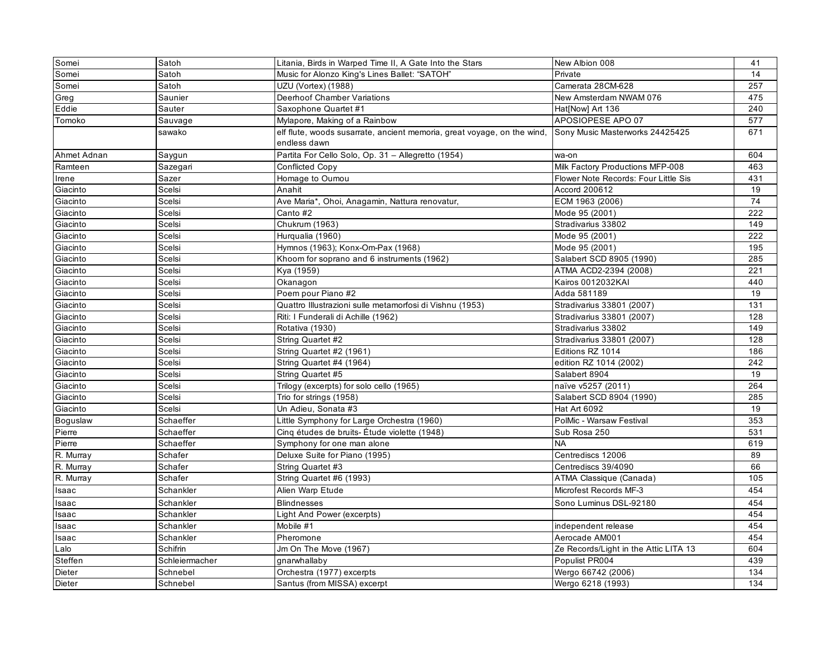| Somei       | Satoh          | Litania, Birds in Warped Time II, A Gate Into the Stars                                 | New Albion 008                        | 41  |
|-------------|----------------|-----------------------------------------------------------------------------------------|---------------------------------------|-----|
| Somei       | Satoh          | Music for Alonzo King's Lines Ballet: "SATOH"                                           | Private                               | 14  |
| Somei       | Satoh          | UZU (Vortex) (1988)                                                                     | Camerata 28CM-628                     | 257 |
| Greg        | Saunier        | Deerhoof Chamber Variations                                                             | New Amsterdam NWAM 076                | 475 |
| Eddie       | Sauter         | Saxophone Quartet #1                                                                    | Hat[Now] Art 136                      | 240 |
| Tomoko      | Sauvage        | Mylapore, Making of a Rainbow                                                           | APOSIOPESE APO 07                     | 577 |
|             | sawako         | elf flute, woods susarrate, ancient memoria, great voyage, on the wind,<br>endless dawn | Sony Music Masterworks 24425425       | 671 |
| Ahmet Adnan | Saygun         | Partita For Cello Solo, Op. 31 - Allegretto (1954)                                      | wa-on                                 | 604 |
| Ramteen     | Sazegari       | <b>Conflicted Copy</b>                                                                  | Milk Factory Productions MFP-008      | 463 |
| Irene       | Sazer          | Homage to Oumou                                                                         | Flower Note Records: Four Little Sis  | 431 |
| Giacinto    | Scelsi         | Anahit                                                                                  | Accord 200612                         | 19  |
| Giacinto    | Scelsi         | Ave Maria*, Ohoi, Anagamin, Nattura renovatur,                                          | ECM 1963 (2006)                       | 74  |
| Giacinto    | Scelsi         | Canto #2                                                                                | Mode 95 (2001)                        | 222 |
| Giacinto    | Scelsi         | Chukrum (1963)                                                                          | Stradivarius 33802                    | 149 |
| Giacinto    | Scelsi         | Hurqualia (1960)                                                                        | Mode 95 (2001)                        | 222 |
| Giacinto    | Scelsi         | Hymnos (1963); Konx-Om-Pax (1968)                                                       | Mode 95 (2001)                        | 195 |
| Giacinto    | Scelsi         | Khoom for soprano and 6 instruments (1962)                                              | Salabert SCD 8905 (1990)              | 285 |
| Giacinto    | Scelsi         | Kya (1959)                                                                              | ATMA ACD2-2394 (2008)                 | 221 |
| Giacinto    | Scelsi         | Okanagon                                                                                | Kairos 0012032KAI                     | 440 |
| Giacinto    | Scelsi         | Poem pour Piano #2                                                                      | Adda 581189                           | 19  |
| Giacinto    | Scelsi         | Quattro Illustrazioni sulle metamorfosi di Vishnu (1953)                                | Stradivarius 33801 (2007)             | 131 |
| Giacinto    | Scelsi         | Riti: I Funderali di Achille (1962)                                                     | Stradivarius 33801 (2007)             | 128 |
| Giacinto    | Scelsi         | Rotativa (1930)                                                                         | Stradivarius 33802                    | 149 |
| Giacinto    | Scelsi         | String Quartet #2                                                                       | Stradivarius 33801 (2007)             | 128 |
| Giacinto    | Scelsi         | String Quartet #2 (1961)                                                                | Editions RZ 1014                      | 186 |
| Giacinto    | Scelsi         | String Quartet #4 (1964)                                                                | edition RZ 1014 (2002)                | 242 |
| Giacinto    | Scelsi         | String Quartet #5                                                                       | Salabert 8904                         | 19  |
| Giacinto    | Scelsi         | Trilogy (excerpts) for solo cello (1965)                                                | naïve v5257 (2011)                    | 264 |
| Giacinto    | Scelsi         | Trio for strings (1958)                                                                 | Salabert SCD 8904 (1990)              | 285 |
| Giacinto    | Scelsi         | Un Adieu, Sonata #3                                                                     | Hat Art 6092                          | 19  |
| Boguslaw    | Schaeffer      | Little Symphony for Large Orchestra (1960)                                              | PolMic - Warsaw Festival              | 353 |
| Pierre      | Schaeffer      | Cinq études de bruits-Étude violette (1948)                                             | Sub Rosa 250                          | 531 |
| Pierre      | Schaeffer      | Symphony for one man alone                                                              | <b>NA</b>                             | 619 |
| R. Murray   | Schafer        | Deluxe Suite for Piano (1995)                                                           | Centrediscs 12006                     | 89  |
| R. Murray   | Schafer        | String Quartet #3                                                                       | Centrediscs 39/4090                   | 66  |
| R. Murray   | Schafer        | String Quartet #6 (1993)                                                                | ATMA Classique (Canada)               | 105 |
| Isaac       | Schankler      | Alien Warp Etude                                                                        | Microfest Records MF-3                | 454 |
| Isaac       | Schankler      | <b>Blindnesses</b>                                                                      | Sono Luminus DSL-92180                | 454 |
| Isaac       | Schankler      | Light And Power (excerpts)                                                              |                                       | 454 |
| Isaac       | Schankler      | Mobile #1                                                                               | independent release                   | 454 |
| Isaac       | Schankler      | Pheromone                                                                               | Aerocade AM001                        | 454 |
| Lalo        | Schifrin       | Jm On The Move (1967)                                                                   | Ze Records/Light in the Attic LITA 13 | 604 |
| Steffen     | Schleiermacher | gnarwhallaby                                                                            | Populist PR004                        | 439 |
| Dieter      | Schnebel       | Orchestra (1977) excerpts                                                               | Wergo 66742 (2006)                    | 134 |
| Dieter      | Schnebel       | Santus (from MISSA) excerpt                                                             | Wergo 6218 (1993)                     | 134 |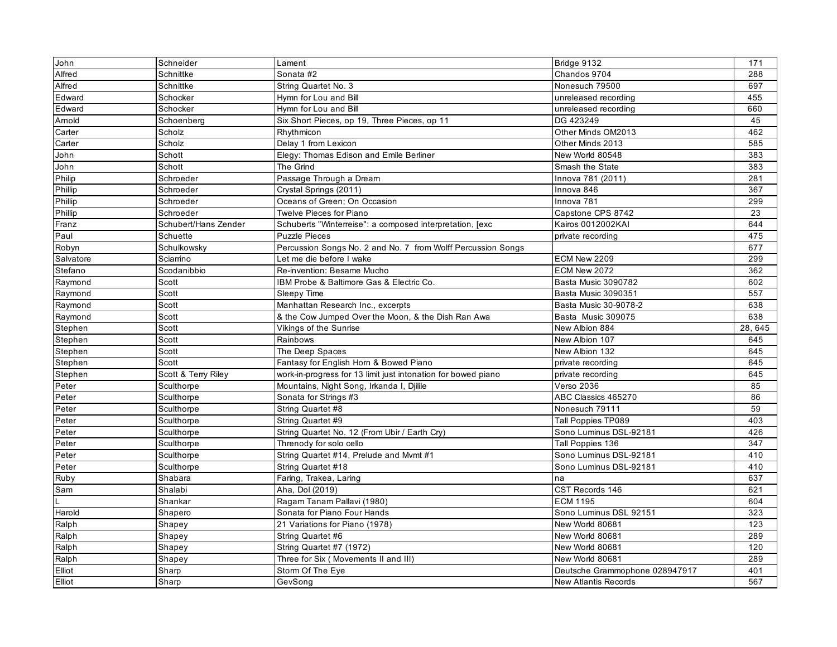| John           | Schneider            | Lament                                                        | Bridge 9132                    | 171     |
|----------------|----------------------|---------------------------------------------------------------|--------------------------------|---------|
| Alfred         | Schnittke            | Sonata #2                                                     | Chandos 9704                   | 288     |
| Alfred         | Schnittke            | String Quartet No. 3                                          | Nonesuch 79500                 | 697     |
| Edward         | Schocker             | Hymn for Lou and Bill                                         | unreleased recording           | 455     |
| Edward         | Schocker             | Hymn for Lou and Bill                                         | unreleased recording           | 660     |
| Arnold         | Schoenberg           | Six Short Pieces, op 19, Three Pieces, op 11                  | DG 423249                      | 45      |
| Carter         | Scholz               | Rhythmicon                                                    | Other Minds OM2013             | 462     |
| Carter         | Scholz               | Delay 1 from Lexicon                                          | Other Minds 2013               | 585     |
| John           | Schott               | Elegy: Thomas Edison and Emile Berliner                       | New World 80548                | 383     |
| John           | Schott               | The Grind                                                     | Smash the State                | 383     |
| Philip         | Schroeder            | Passage Through a Dream                                       | Innova 781 (2011)              | 281     |
| Phillip        | Schroeder            | Crystal Springs (2011)                                        | Innova 846                     | 367     |
| Phillip        | Schroeder            | Oceans of Green: On Occasion                                  | Innova 781                     | 299     |
| Phillip        | Schroeder            | Twelve Pieces for Piano                                       | Capstone CPS 8742              | 23      |
| Franz          | Schubert/Hans Zender | Schuberts "Winterreise": a composed interpretation, [exc      | Kairos 0012002KAI              | 644     |
| Paul           | Schuette             | <b>Puzzle Pieces</b>                                          | private recording              | 475     |
| Robyn          | Schulkowsky          | Percussion Songs No. 2 and No. 7 from Wolff Percussion Songs  |                                | 677     |
| Salvatore      | Sciarrino            | Let me die before I wake                                      | ECM New 2209                   | 299     |
| Stefano        | Scodanibbio          | Re-invention: Besame Mucho                                    | ECM New 2072                   | 362     |
| Raymond        | Scott                | IBM Probe & Baltimore Gas & Electric Co.                      | Basta Music 3090782            | 602     |
| Raymond        | Scott                | Sleepy Time                                                   | Basta Music 3090351            | 557     |
| Raymond        | Scott                | Manhattan Research Inc., excerpts                             | Basta Music 30-9078-2          | 638     |
| Raymond        | Scott                | & the Cow Jumped Over the Moon, & the Dish Ran Awa            | Basta Music 309075             | 638     |
|                |                      |                                                               |                                |         |
| Stephen        | Scott                | Vikings of the Sunrise                                        | New Albion 884                 | 28, 645 |
| Stephen        | Scott                | Rainbows                                                      | New Albion 107                 | 645     |
| Stephen        | Scott                | The Deep Spaces                                               | New Albion 132                 | 645     |
| Stephen        | Scott                | Fantasy for English Horn & Bowed Piano                        | private recording              | 645     |
| Stephen        | Scott & Terry Riley  | work-in-progress for 13 limit just intonation for bowed piano | private recording              | 645     |
| Peter          | Sculthorpe           | Mountains, Night Song, Irkanda I, Djilile                     | <b>Verso 2036</b>              | 85      |
| Peter          | Sculthorpe           | Sonata for Strings #3                                         | ABC Classics 465270            | 86      |
| Peter          | Sculthorpe           | String Quartet #8                                             | Nonesuch 79111                 | 59      |
| Peter          | Sculthorpe           | String Quartet #9                                             | Tall Poppies TP089             | 403     |
| Peter          | Sculthorpe           | String Quartet No. 12 (From Ubir / Earth Cry)                 | Sono Luminus DSL-92181         | 426     |
| Peter          | Sculthorpe           | Threnody for solo cello                                       | Tall Poppies 136               | 347     |
| Peter          | Sculthorpe           | String Quartet #14, Prelude and Mvmt #1                       | Sono Luminus DSL-92181         | 410     |
| Peter          | Sculthorpe           | String Quartet #18                                            | Sono Luminus DSL-92181         | 410     |
| Ruby           | Shabara              | Faring, Trakea, Laring                                        | na                             | 637     |
| Sam            | Shalabi              | Aha, Dol (2019)                                               | CST Records 146                | 621     |
|                | Shankar              | Ragam Tanam Pallavi (1980)                                    | <b>ECM 1195</b>                | 604     |
| Harold         | Shapero              | Sonata for Piano Four Hands                                   | Sono Luminus DSL 92151         | 323     |
|                | Shapey               | 21 Variations for Piano (1978)                                | New World 80681                | 123     |
| Ralph<br>Ralph | Shapey               | String Quartet #6                                             | New World 80681                | 289     |
| Ralph          | Shapey               | String Quartet #7 (1972)                                      | New World 80681                | 120     |
| Ralph          | Shapey               | Three for Six (Movements II and III)                          | New World 80681                | 289     |
| Elliot         | Sharp                | Storm Of The Eye                                              | Deutsche Grammophone 028947917 | 401     |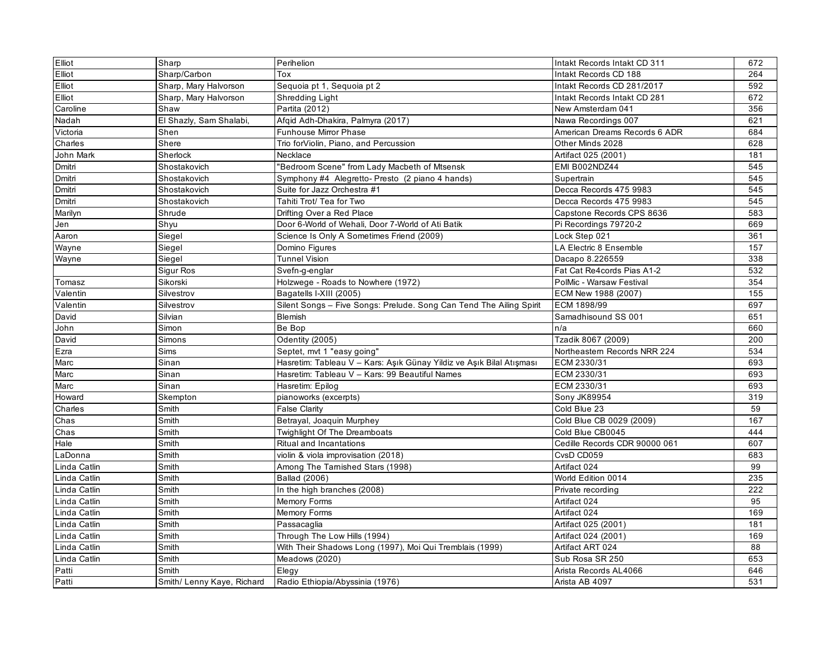| Elliot       | Sharp                   | Perihelion                                                           | Intakt Records Intakt CD 311  | 672 |
|--------------|-------------------------|----------------------------------------------------------------------|-------------------------------|-----|
| Elliot       | Sharp/Carbon            | Tox                                                                  | Intakt Records CD 188         | 264 |
| Elliot       | Sharp, Mary Halvorson   | Sequoia pt 1, Sequoia pt 2                                           | Intakt Records CD 281/2017    | 592 |
| Elliot       | Sharp, Mary Halvorson   | Shredding Light                                                      | Intakt Records Intakt CD 281  | 672 |
| Caroline     | Shaw                    | Partita (2012)                                                       | New Amsterdam 041             | 356 |
| Nadah        | El Shazly, Sam Shalabi, | Afqid Adh-Dhakira, Palmyra (2017)                                    | Nawa Recordings 007           | 621 |
| Victoria     | Shen                    | <b>Funhouse Mirror Phase</b>                                         | American Dreams Records 6 ADR | 684 |
| Charles      | Shere                   | Trio forViolin, Piano, and Percussion                                | Other Minds 2028              | 628 |
| John Mark    | Sherlock                | Necklace                                                             | Artifact 025 (2001)           | 181 |
| Dmitri       | Shostakovich            | 'Bedroom Scene" from Lady Macbeth of Mtsensk                         | EMI B002NDZ44                 | 545 |
| Dmitri       | Shostakovich            | Symphony #4 Alegretto- Presto (2 piano 4 hands)                      | Supertrain                    | 545 |
| Dmitri       | Shostakovich            | Suite for Jazz Orchestra #1                                          | Decca Records 475 9983        | 545 |
| Dmitri       | Shostakovich            | Tahiti Trot/ Tea for Two                                             | Decca Records 475 9983        | 545 |
| Marilyn      | Shrude                  | Drifting Over a Red Place                                            | Capstone Records CPS 8636     | 583 |
| Jen          | Shyu                    | Door 6-World of Wehali, Door 7-World of Ati Batik                    | Pi Recordings 79720-2         | 669 |
| Aaron        | Siegel                  | Science Is Only A Sometimes Friend (2009)                            | Lock Step 021                 | 361 |
| Wayne        | Siegel                  | Domino Figures                                                       | LA Electric 8 Ensemble        | 157 |
| Wayne        | Siegel                  | <b>Tunnel Vision</b>                                                 | Dacapo 8.226559               | 338 |
|              | Sigur Ros               | Svefn-g-englar                                                       | Fat Cat Re4cords Pias A1-2    | 532 |
| Tomasz       | Sikorski                | Holzwege - Roads to Nowhere (1972)                                   | PolMic - Warsaw Festival      | 354 |
| Valentin     | Silvestrov              | Bagatells I-XIII (2005)                                              | ECM New 1988 (2007)           | 155 |
| Valentin     | Silvestrov              | Silent Songs - Five Songs: Prelude. Song Can Tend The Ailing Spirit  | ECM 1898/99                   | 697 |
| David        | Silvian                 | <b>Blemish</b>                                                       | Samadhisound SS 001           | 651 |
| John         | Simon                   | Be Bop                                                               | n/a                           | 660 |
| David        | Simons                  | Odentity (2005)                                                      | Tzadik 8067 (2009)            | 200 |
| Ezra         | Sims                    | Septet, mvt 1 "easy going"                                           | Northeastern Records NRR 224  | 534 |
| Marc         | Sinan                   | Hasretim: Tableau V – Kars: Aşık Günay Yildiz ve Aşık Bilal Atışması | ECM 2330/31                   | 693 |
| Marc         | Sinan                   | Hasretim: Tableau V - Kars: 99 Beautiful Names                       | ECM 2330/31                   | 693 |
| Marc         | Sinan                   | Hasretim: Epilog                                                     | ECM 2330/31                   | 693 |
| Howard       | Skempton                | pianoworks (excerpts)                                                | Sony JK89954                  | 319 |
| Charles      | Smith                   | <b>False Clarity</b>                                                 | Cold Blue 23                  | 59  |
| Chas         | Smith                   | Betrayal, Joaquin Murphey                                            | Cold Blue CB 0029 (2009)      | 167 |
| Chas         | Smith                   | Twighlight Of The Dreamboats                                         | Cold Blue CB0045              | 444 |
| Hale         | Smith                   | Ritual and Incantations                                              | Cedille Records CDR 90000 061 | 607 |
| LaDonna      | Smith                   | violin & viola improvisation (2018)                                  | CvsD CD059                    | 683 |
| Linda Catlin | Smith                   | Among The Tamished Stars (1998)                                      | Artifact 024                  | 99  |
| Linda Catlin | Smith                   | <b>Ballad</b> (2006)                                                 | World Edition 0014            | 235 |
| Linda Catlin | Smith                   | In the high branches (2008)                                          | Private recording             | 222 |
| Linda Catlin | Smith                   | Memory Forms                                                         | Artifact 024                  | 95  |
| Linda Catlin | Smith                   | Memory Forms                                                         | Artifact 024                  | 169 |
| Linda Catlin | Smith                   | Passacaglia                                                          | Artifact 025 (2001)           | 181 |
| Linda Catlin | Smith                   | Through The Low Hills (1994)                                         | Artifact 024 (2001)           | 169 |
| Linda Catlin | Smith                   | With Their Shadows Long (1997), Moi Qui Tremblais (1999)             | Artifact ART 024              | 88  |
| Linda Catlin | Smith                   | Meadows (2020)                                                       | Sub Rosa SR 250               | 653 |
| Patti        | Smith                   | Elegy                                                                | Arista Records AL4066         | 646 |
|              |                         |                                                                      |                               |     |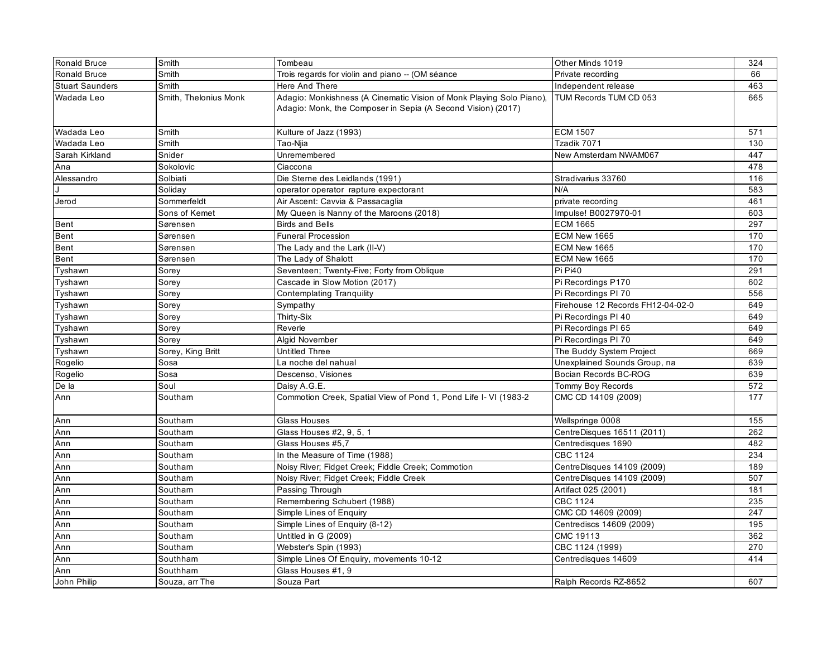| <b>Ronald Bruce</b>    | Smith                 | Tombeau                                                                                                                              | Other Minds 1019                  | 324 |
|------------------------|-----------------------|--------------------------------------------------------------------------------------------------------------------------------------|-----------------------------------|-----|
| Ronald Bruce           | Smith                 | Trois regards for violin and piano -- (OM séance                                                                                     | Private recording                 | 66  |
| <b>Stuart Saunders</b> | Smith                 | Here And There                                                                                                                       | Independent release               | 463 |
| Wadada Leo             | Smith, Thelonius Monk | Adagio: Monkishness (A Cinematic Vision of Monk Playing Solo Piano),<br>Adagio: Monk, the Composer in Sepia (A Second Vision) (2017) | TUM Records TUM CD 053            | 665 |
| Wadada Leo             | Smith                 | Kulture of Jazz (1993)                                                                                                               | <b>ECM 1507</b>                   | 571 |
| Wadada Leo             | Smith                 | Tao-Niia                                                                                                                             | Tzadik 7071                       | 130 |
| Sarah Kirkland         | Snider                | Unremembered                                                                                                                         | New Amsterdam NWAM067             | 447 |
| Ana                    | Sokolovic             | Ciaccona                                                                                                                             |                                   | 478 |
| Alessandro             | Solbiati              | Die Sterne des Leidlands (1991)                                                                                                      | Stradivarius 33760                | 116 |
|                        | Solidav               | operator operator rapture expectorant                                                                                                | N/A                               | 583 |
| Jerod                  | Sommerfeldt           | Air Ascent: Cavvia & Passacaglia                                                                                                     | private recording                 | 461 |
|                        | Sons of Kemet         | My Queen is Nanny of the Maroons (2018)                                                                                              | Impulse! B0027970-01              | 603 |
| Bent                   | Sørensen              | <b>Birds and Bells</b>                                                                                                               | <b>ECM 1665</b>                   | 297 |
| Bent                   | Sørensen              | <b>Funeral Procession</b>                                                                                                            | ECM New 1665                      | 170 |
| Bent                   | Sørensen              | The Lady and the Lark (II-V)                                                                                                         | ECM New 1665                      | 170 |
| Bent                   | Sørensen              | The Lady of Shalott                                                                                                                  | ECM New 1665                      | 170 |
| Tyshawn                | Sorey                 | Seventeen; Twenty-Five; Forty from Oblique                                                                                           | Pi Pi40                           | 291 |
| Tyshawn                | Sorey                 | Cascade in Slow Motion (2017)                                                                                                        | Pi Recordings P170                | 602 |
| Tyshawn                | Sorey                 | <b>Contemplating Tranquility</b>                                                                                                     | Pi Recordings PI 70               | 556 |
| Tyshawn                | Sorey                 | Sympathy                                                                                                                             | Firehouse 12 Records FH12-04-02-0 | 649 |
| Tyshawn                | Sorey                 | Thirty-Six                                                                                                                           | Pi Recordings PI 40               | 649 |
| Tyshawn                | Sorey                 | Reverie                                                                                                                              | Pi Recordings PI 65               | 649 |
| Tyshawn                | Sorey                 | Algid November                                                                                                                       | Pi Recordings PI 70               | 649 |
| Tyshawn                | Sorey, King Britt     | <b>Untitled Three</b>                                                                                                                | The Buddy System Project          | 669 |
| Rogelio                | Sosa                  | La noche del nahual                                                                                                                  | Unexplained Sounds Group, na      | 639 |
| Rogelio                | Sosa                  | Descenso, Visiones                                                                                                                   | Bocian Records BC-ROG             | 639 |
| De la                  | Soul                  | Daisy A.G.E.                                                                                                                         | Tommy Boy Records                 | 572 |
| Ann                    | Southam               | Commotion Creek, Spatial View of Pond 1, Pond Life I- VI (1983-2                                                                     | CMC CD 14109 (2009)               | 177 |
| Ann                    | Southam               | Glass Houses                                                                                                                         | Wellspringe 0008                  | 155 |
| Ann                    | Southam               | Glass Houses #2, 9, 5, 1                                                                                                             | CentreDisques 16511 (2011)        | 262 |
| Ann                    | Southam               | Glass Houses #5.7                                                                                                                    | Centredisques 1690                | 482 |
| Ann                    | Southam               | In the Measure of Time (1988)                                                                                                        | <b>CBC 1124</b>                   | 234 |
| Ann                    | Southam               | Noisy River; Fidget Creek; Fiddle Creek; Commotion                                                                                   | CentreDisques 14109 (2009)        | 189 |
| Ann                    | Southam               | Noisy River; Fidget Creek; Fiddle Creek                                                                                              | CentreDisques 14109 (2009)        | 507 |
| Ann                    | Southam               | Passing Through                                                                                                                      | Artifact 025 (2001)               | 181 |
| Ann                    | Southam               | Remembering Schubert (1988)                                                                                                          | <b>CBC 1124</b>                   | 235 |
| Ann                    | Southam               | Simple Lines of Enquiry                                                                                                              | CMC CD 14609 (2009)               | 247 |
| Ann                    | Southam               | Simple Lines of Enquiry (8-12)                                                                                                       | Centrediscs 14609 (2009)          | 195 |
| Ann                    | Southam               | Untitled in G (2009)                                                                                                                 | CMC 19113                         | 362 |
| Ann                    | Southam               | Webster's Spin (1993)                                                                                                                | CBC 1124 (1999)                   | 270 |
| Ann                    | Southham              | Simple Lines Of Enquiry, movements 10-12                                                                                             | Centredisques 14609               | 414 |
| Ann                    | Southham              | Glass Houses #1, 9                                                                                                                   |                                   |     |
| John Philip            | Souza, arr The        | Souza Part                                                                                                                           | Ralph Records RZ-8652             | 607 |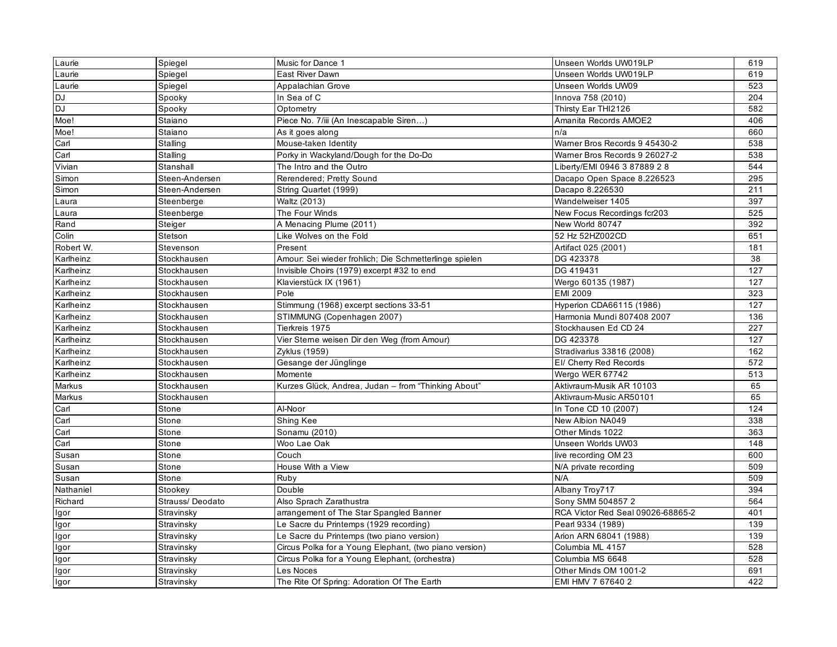| Laurie                     | Spiegel         | Music for Dance 1                                      | Unseen Worlds UW019LP             | 619 |
|----------------------------|-----------------|--------------------------------------------------------|-----------------------------------|-----|
| Laurie                     | Spiegel         | East River Dawn                                        | Unseen Worlds UW019LP             | 619 |
|                            | Spiegel         | Appalachian Grove                                      | Unseen Worlds UW09                | 523 |
|                            | Spooky          | In Sea of C                                            | Innova 758 (2010)                 | 204 |
|                            | Spooky          | Optometry                                              | Thirsty Ear THI2126               | 582 |
| Laurie<br>DJ<br>DJ<br>Moe! | Staiano         | Piece No. 7/iii (An Inescapable Siren)                 | Amanita Records AMOE2             | 406 |
| Moe!                       | Staiano         | As it goes along                                       | n/a                               | 660 |
| Carl                       | Stalling        | Mouse-taken Identity                                   | Warner Bros Records 9 45430-2     | 538 |
| $\overline{$ Carl          | Stalling        | Porky in Wackyland/Dough for the Do-Do                 | Warner Bros Records 9 26027-2     | 538 |
| Vivian                     | Stanshall       | The Intro and the Outro                                | Liberty/EMI 0946 3 87889 2 8      | 544 |
| Simon                      | Steen-Andersen  | Rerendered; Pretty Sound                               | Dacapo Open Space 8.226523        | 295 |
| Simon                      | Steen-Andersen  | String Quartet (1999)                                  | Dacapo 8.226530                   | 211 |
| Laura                      | Steenberge      | Waltz (2013)                                           | Wandelweiser 1405                 | 397 |
| Laura                      | Steenberge      | The Four Winds                                         | New Focus Recordings fcr203       | 525 |
| Rand                       | Steiger         | A Menacing Plume (2011)                                | New World 80747                   | 392 |
| Colin                      | Stetson         | Like Wolves on the Fold                                | 52 Hz 52HZ002CD                   | 651 |
| Robert W.                  | Stevenson       | Present                                                | Artifact 025 (2001)               | 181 |
| Karlheinz                  | Stockhausen     | Amour: Sei wieder frohlich; Die Schmetterlinge spielen | DG 423378                         | 38  |
| Karlheinz                  | Stockhausen     | Invisible Choirs (1979) excerpt #32 to end             | DG 419431                         | 127 |
| Karlheinz                  | Stockhausen     | Klavierstück IX (1961)                                 | Wergo 60135 (1987)                | 127 |
| Karlheinz                  | Stockhausen     | Pole                                                   | <b>EMI 2009</b>                   | 323 |
| Karlheinz                  | Stockhausen     | Stimmung (1968) excerpt sections 33-51                 | Hyperion CDA66115 (1986)          | 127 |
| Karlheinz                  | Stockhausen     | STIMMUNG (Copenhagen 2007)                             | Harmonia Mundi 807408 2007        | 136 |
| Karlheinz                  | Stockhausen     | Tierkreis 1975                                         | Stockhausen Ed CD 24              | 227 |
| Karlheinz                  | Stockhausen     | Vier Sterne weisen Dir den Weg (from Amour)            | DG 423378                         | 127 |
| Karlheinz                  | Stockhausen     | Zyklus (1959)                                          | Stradivarius 33816 (2008)         | 162 |
| Karlheinz                  | Stockhausen     | Gesange der Jünglinge                                  | EI/ Cherry Red Records            | 572 |
| Karlheinz                  | Stockhausen     | Momente                                                | Wergo WER 67742                   | 513 |
| Markus                     | Stockhausen     | Kurzes Glück, Andrea, Judan - from "Thinking About"    | Aktivraum-Musik AR 10103          | 65  |
| Markus                     | Stockhausen     |                                                        | Aktivraum-Music AR50101           | 65  |
| Carl                       | Stone           | Al-Noor                                                | In Tone CD 10 (2007)              | 124 |
| Carl                       | Stone           | Shing Kee                                              | New Albion NA049                  | 338 |
| Carl                       | Stone           | Sonamu (2010)                                          | Other Minds 1022                  | 363 |
| Carl                       | Stone           | Woo Lae Oak                                            | Unseen Worlds UW03                | 148 |
| Susan                      | Stone           | Couch                                                  | live recording OM 23              | 600 |
| Susan                      | Stone           | House With a View                                      | N/A private recording             | 509 |
| Susan                      | Stone           | Ruby                                                   | N/A                               | 509 |
| Nathaniel                  | Stookey         | Double                                                 | Albany Troy717                    | 394 |
| Richard                    | Strauss/Deodato | Also Sprach Zarathustra                                | Sony SMM 504857 2                 | 564 |
| Igor                       | Stravinsky      | arrangement of The Star Spangled Banner                | RCA Victor Red Seal 09026-68865-2 | 401 |
| Igor                       | Stravinsky      | Le Sacre du Printemps (1929 recording)                 | Pearl 9334 (1989)                 | 139 |
| Igor                       | Stravinsky      | Le Sacre du Printemps (two piano version)              | Arion ARN 68041 (1988)            | 139 |
| Igor                       | Stravinsky      | Circus Polka for a Young Elephant, (two piano version) | Columbia ML 4157                  | 528 |
| Igor                       | Stravinsky      | Circus Polka for a Young Elephant, (orchestra)         | Columbia MS 6648                  | 528 |
| Igor                       | Stravinsky      | Les Noces                                              | Other Minds OM 1001-2             | 691 |
| Igor                       | Stravinsky      | The Rite Of Spring: Adoration Of The Earth             | EMI HMV 7 67640 2                 | 422 |
|                            |                 |                                                        |                                   |     |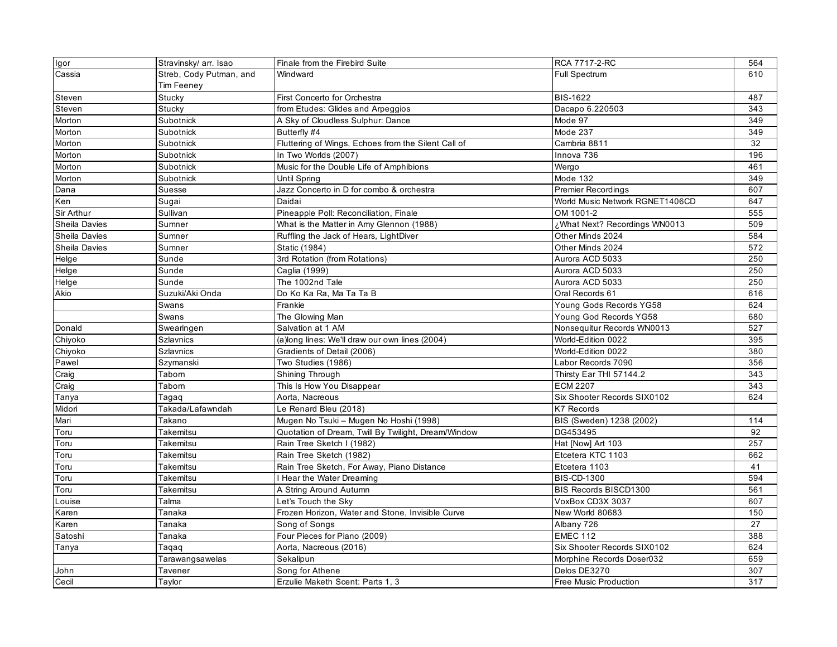| Igor                 | Stravinsky/ arr. Isao   | Finale from the Firebird Suite                      | RCA 7717-2-RC                   | 564 |
|----------------------|-------------------------|-----------------------------------------------------|---------------------------------|-----|
| Cassia               | Streb, Cody Putman, and | Windward                                            | Full Spectrum                   | 610 |
|                      | Tim Feeney              |                                                     |                                 |     |
| Steven               | Stucky                  | First Concerto for Orchestra                        | <b>BIS-1622</b>                 | 487 |
| Steven               | Stucky                  | from Etudes: Glides and Arpeggios                   | Dacapo 6.220503                 | 343 |
| Morton               | Subotnick               | A Sky of Cloudless Sulphur: Dance                   | Mode 97                         | 349 |
| Morton               | Subotnick               | Butterfly #4                                        | Mode 237                        | 349 |
| Morton               | Subotnick               | Fluttering of Wings, Echoes from the Silent Call of | Cambria 8811                    | 32  |
| Morton               | Subotnick               | In Two Worlds (2007)                                | Innova 736                      | 196 |
| Morton               | Subotnick               | Music for the Double Life of Amphibions             | Wergo                           | 461 |
| Morton               | Subotnick               | Until Spring                                        | Mode 132                        | 349 |
| Dana                 | Suesse                  | Jazz Concerto in D for combo & orchestra            | <b>Premier Recordings</b>       | 607 |
| Ken                  | Sugai                   | Daidai                                              | World Music Network RGNET1406CD | 647 |
| Sir Arthur           | Sullivan                | Pineapple Poll: Reconciliation, Finale              | OM 1001-2                       | 555 |
| <b>Sheila Davies</b> | Sumner                  | What is the Matter in Amy Glennon (1988)            | ¿What Next? Recordings WN0013   | 509 |
| Sheila Davies        | Sumner                  | Ruffling the Jack of Hears, LightDiver              | Other Minds 2024                | 584 |
| <b>Sheila Davies</b> | Sumner                  | <b>Static (1984)</b>                                | Other Minds 2024                | 572 |
| Helge                | Sunde                   | 3rd Rotation (from Rotations)                       | Aurora ACD 5033                 | 250 |
| Helge                | Sunde                   | Caglia (1999)                                       | Aurora ACD 5033                 | 250 |
| Helge                | Sunde                   | The 1002nd Tale                                     | Aurora ACD 5033                 | 250 |
| Akio                 | Suzuki/Aki Onda         | Do Ko Ka Ra, Ma Ta Ta B                             | Oral Records 61                 | 616 |
|                      | Swans                   | Frankie                                             | Young Gods Records YG58         | 624 |
|                      | Swans                   | The Glowing Man                                     | Young God Records YG58          | 680 |
| Donald               | Swearingen              | Salvation at 1 AM                                   | Nonsequitur Records WN0013      | 527 |
| Chiyoko              | <b>Szlavnics</b>        | (a)long lines: We'll draw our own lines (2004)      | World-Edition 0022              | 395 |
| Chiyoko              | <b>Szlavnics</b>        | Gradients of Detail (2006)                          | World-Edition 0022              | 380 |
| Pawel                | Szymanski               | Two Studies (1986)                                  | Labor Records 7090              | 356 |
| Craig                | Taborn                  | Shining Through                                     | Thirsty Ear THI 57144.2         | 343 |
| Craig                | Taborn                  | This Is How You Disappear                           | <b>ECM 2207</b>                 | 343 |
| Tanya                | Tagaq                   | Aorta, Nacreous                                     | Six Shooter Records SIX0102     | 624 |
| Midori               | Takada/Lafawndah        | Le Renard Bleu (2018)                               | <b>K7 Records</b>               |     |
| Mari                 | Takano                  | Mugen No Tsuki - Mugen No Hoshi (1998)              | BIS (Sweden) 1238 (2002)        | 114 |
| Toru                 | Takemitsu               | Quotation of Dream, Twill By Twilight, Dream/Window | DG453495                        | 92  |
| Toru                 | Takemitsu               | Rain Tree Sketch I (1982)                           | Hat [Now] Art 103               | 257 |
| Toru                 | Takemitsu               | Rain Tree Sketch (1982)                             | Etcetera KTC 1103               | 662 |
| Toru                 | Takemitsu               | Rain Tree Sketch, For Away, Piano Distance          | Etcetera 1103                   | 41  |
| Toru                 | Takemitsu               | Hear the Water Dreaming                             | <b>BIS-CD-1300</b>              | 594 |
| Toru                 | Takemitsu               | A String Around Autumn                              | BIS Records BISCD1300           | 561 |
| Louise               | Talma                   | Let's Touch the Sky                                 | VoxBox CD3X 3037                | 607 |
| Karen                | Tanaka                  | Frozen Horizon, Water and Stone, Invisible Curve    | New World 80683                 | 150 |
| Karen                | Tanaka                  | Song of Songs                                       | Albany 726                      | 27  |
| Satoshi              | Tanaka                  | Four Pieces for Piano (2009)                        | <b>EMEC 112</b>                 | 388 |
| Tanya                | Taqaq                   | Aorta, Nacreous (2016)                              | Six Shooter Records SIX0102     | 624 |
|                      | Tarawangsawelas         | Sekalipun                                           | Morphine Records Doser032       | 659 |
| John                 | Tavener                 | Song for Athene                                     | Delos DE3270                    | 307 |
| Cecil                | Taylor                  | Erzulie Maketh Scent: Parts 1, 3                    | Free Music Production           | 317 |
|                      |                         |                                                     |                                 |     |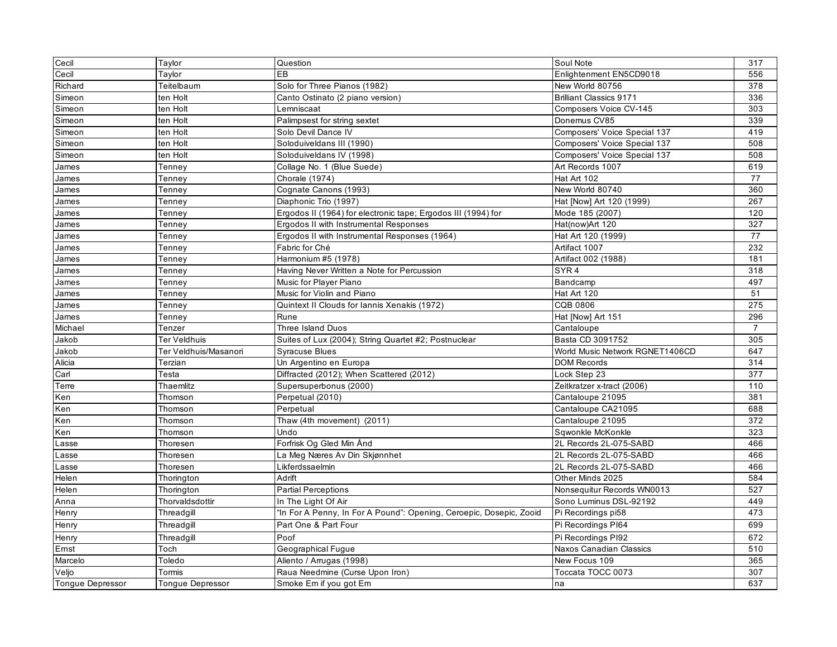| Cecil                   | Taylor                  | Question                                                            | Soul Note                       | 317              |
|-------------------------|-------------------------|---------------------------------------------------------------------|---------------------------------|------------------|
| Cecil                   | Taylor                  | EВ                                                                  | Enlightenment EN5CD9018         | 556              |
| Richard                 | Teitelbaum              | Solo for Three Pianos (1982)                                        | New World 80756                 | 378              |
| Simeon                  | ten Holt                | Canto Ostinato (2 piano version)                                    | <b>Brilliant Classics 9171</b>  | 336              |
| Simeon                  | ten Holt                | Lemniscaat                                                          | Composers Voice CV-145          | 303              |
| Simeon                  | ten Holt                | Palimpsest for string sextet                                        | Donemus CV85                    | 339              |
| Simeon                  | ten Holt                | Solo Devil Dance IV                                                 | Composers' Voice Special 137    | 419              |
| Simeon                  | ten Holt                | Soloduiveldans III (1990)                                           | Composers' Voice Special 137    | 508              |
| Simeon                  | ten Holt                | Soloduiveldans IV (1998)                                            | Composers' Voice Special 137    | 508              |
| James                   | Tenney                  | Collage No. 1 (Blue Suede)                                          | Art Records 1007                | 619              |
| James                   | Tenney                  | Chorale (1974)                                                      | Hat Art 102                     | 77               |
| James                   | Tenney                  | Cognate Canons (1993)                                               | New World 80740                 | 360              |
| James                   | Tenney                  | Diaphonic Trio (1997)                                               | Hat [Now] Art 120 (1999)        | 267              |
| James                   | Tenney                  | Ergodos II (1964) for electronic tape; Ergodos III (1994) for       | Mode 185 (2007)                 | 120              |
| James                   | Tenney                  | Ergodos II with Instrumental Responses                              | Hat(now)Art 120                 | 327              |
| James                   | Tenney                  | Ergodos II with Instrumental Responses (1964)                       | Hat Art 120 (1999)              | 77               |
| James                   | Tenney                  | Fabric for Ché                                                      | Artifact 1007                   | 232              |
| James                   | Tenney                  | Harmonium #5 (1978)                                                 | Artifact 002 (1988)             | 181              |
| James                   | Tenney                  | Having Never Written a Note for Percussion                          | SYR <sub>4</sub>                | 318              |
| James                   | Tenney                  | Music for Player Piano                                              | Bandcamp                        | 497              |
| James                   | Tenney                  | Music for Violin and Piano                                          | Hat Art 120                     | 51               |
| James                   | Tenney                  | Quintext II Clouds for Iannis Xenakis (1972)                        | <b>CQB 0806</b>                 | 275              |
| James                   | Tennev                  | Rune                                                                | Hat [Now] Art 151               | 296              |
| Michael                 | Tenzer                  | <b>Three Island Duos</b>                                            | Cantaloupe                      | $\overline{7}$   |
| Jakob                   | Ter Veldhuis            | Suites of Lux (2004); String Quartet #2; Postnuclear                | Basta CD 3091752                | 305              |
| Jakob                   | Ter Veldhuis/Masanori   | <b>Syracuse Blues</b>                                               | World Music Network RGNET1406CD | 647              |
| Alicia                  | Terzian                 | Un Argentino en Europa                                              | <b>DOM Records</b>              | 314              |
| Carl                    | Testa                   | Diffracted (2012); When Scattered (2012)                            | Lock Step 23                    | $\overline{377}$ |
| Terre                   | Thaemlitz               | Supersuperbonus (2000)                                              | Zeitkratzer x-tract (2006)      | 110              |
| Ken                     | Thomson                 | Perpetual (2010)                                                    | Cantaloupe 21095                | 381              |
| Ken                     | Thomson                 | Perpetual                                                           | Cantaloupe CA21095              | 688              |
| Ken                     | Thomson                 | Thaw (4th movement) (2011)                                          | Cantaloupe 21095                | 372              |
| Ken                     | Thomson                 | Undo                                                                | Sqwonkle McKonkle               | 323              |
| _asse                   | Thoresen                | Forfrisk Og Gled Min Ånd                                            | 2L Records 2L-075-SABD          | 466              |
| _asse                   | Thoresen                | a Meg Næres Av Din Skjønnhet                                        | 2L Records 2L-075-SABD          | 466              |
| Lasse                   | Thoresen                | Likferdssaelmin                                                     | 2L Records 2L-075-SABD          | 466              |
| Helen                   | Thorington              | Adrift                                                              | Other Minds 2025                | 584              |
| Helen                   | Thorington              | <b>Partial Perceptions</b>                                          | Nonsequitur Records WN0013      | 527              |
| Anna                    | Thorvaldsdottir         | In The Light Of Air                                                 | Sono Luminus DSL-92192          | 449              |
| Henry                   | Threadgill              | 'In For A Penny, In For A Pound": Opening, Ceroepic, Dosepic, Zooid | Pi Recordings pi58              | 473              |
| Henry                   | Threadgill              | Part One & Part Four                                                | Pi Recordings PI64              | 699              |
| Henry                   | Threadgill              | Poof                                                                | Pi Recordings PI92              | 672              |
| Ernst                   | Toch                    | Geographical Fugue                                                  | Naxos Canadian Classics         | 510              |
| Marcelo                 | Toledo                  | Aliento / Arrugas (1998)                                            | New Focus 109                   | 365              |
| Veljo                   | Tormis                  | Raua Needmine (Curse Upon Iron)                                     | Toccata TOCC 0073               | 307              |
| <b>Tonque Depressor</b> | <b>Tongue Depressor</b> | Smoke Em if you got Em                                              | na                              | 637              |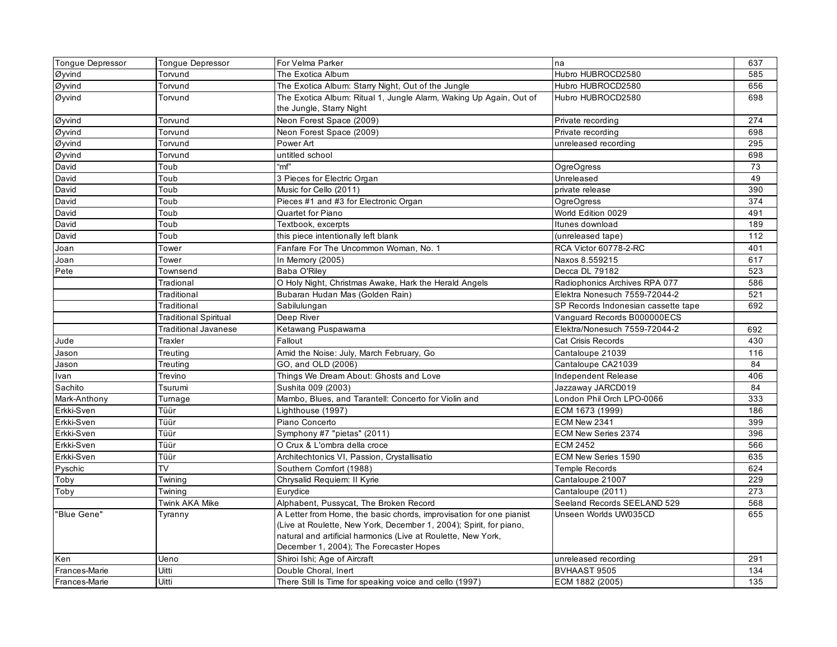| Tonque Depressor          | <b>Tongue Depressor</b>      | For Velma Parker                                                    | na                                  | 637 |
|---------------------------|------------------------------|---------------------------------------------------------------------|-------------------------------------|-----|
| Øyvind                    | Torvund                      | The Exotica Album                                                   | Hubro HUBROCD2580                   | 585 |
| Øyvind                    | Torvund                      | The Exotica Album: Starry Night, Out of the Jungle                  | Hubro HUBROCD2580                   | 656 |
| Øyvind                    | Torvund                      | The Exotica Album: Ritual 1, Jungle Alarm, Waking Up Again, Out of  | Hubro HUBROCD2580                   | 698 |
|                           |                              | the Jungle, Starry Night                                            |                                     |     |
| Øyvind                    | Torvund                      | Neon Forest Space (2009)                                            | Private recording                   | 274 |
| $\overline{\omega}$ yvind | Torvund                      | Neon Forest Space (2009)                                            | Private recording                   | 698 |
| Øyvind                    | Torvund                      | Power Art                                                           | unreleased recording                | 295 |
| Øyvind                    | Torvund                      | untitled school                                                     |                                     | 698 |
| David                     | Toub                         | "mf"                                                                | <b>OgreOgress</b>                   | 73  |
| David                     | Toub                         | 3 Pieces for Electric Organ                                         | Unreleased                          | 49  |
| David                     | Toub                         | Music for Cello (2011)                                              | private release                     | 390 |
| David                     | Toub                         | Pieces #1 and #3 for Electronic Organ                               | <b>OgreOgress</b>                   | 374 |
| David                     | Toub                         | Quartet for Piano                                                   | World Edition 0029                  | 491 |
| David                     | Toub                         | Textbook, excerpts                                                  | Itunes download                     | 189 |
| David                     | Toub                         | this piece intentionally left blank                                 | (unreleased tape)                   | 112 |
| Joan                      | Tower                        | Fanfare For The Uncommon Woman, No. 1                               | RCA Victor 60778-2-RC               | 401 |
| Joan                      | Tower                        | In Memory (2005)                                                    | Naxos 8.559215                      | 617 |
| Pete                      | Townsend                     | Baba O'Riley                                                        | Decca DL 79182                      | 523 |
|                           | Tradional                    | O Holy Night, Christmas Awake, Hark the Herald Angels               | Radiophonics Archives RPA 077       | 586 |
|                           | Traditional                  | Bubaran Hudan Mas (Golden Rain)                                     | Elektra Nonesuch 7559-72044-2       | 521 |
|                           | Traditional                  | Sabilulungan                                                        | SP Records Indonesian cassette tape | 692 |
|                           | <b>Traditional Spiritual</b> | Deep River                                                          | Vanguard Records B000000ECS         |     |
|                           | Traditional Javanese         | Ketawang Puspawarna                                                 | Elektra/Nonesuch 7559-72044-2       | 692 |
| Jude                      | Traxler                      | Fallout                                                             | Cat Crisis Records                  | 430 |
| Jason                     | Treuting                     | Amid the Noise: July, March February, Go                            | Cantaloupe 21039                    | 116 |
| Jason                     | Treutina                     | GO, and OLD (2006)                                                  | Cantaloupe CA21039                  | 84  |
| Ivan                      | Trevino                      | Things We Dream About: Ghosts and Love                              | Independent Release                 | 406 |
| Sachito                   | Tsurumi                      | Sushita 009 (2003)                                                  | Jazzaway JARCD019                   | 84  |
| Mark-Anthony              | Turnage                      | Mambo, Blues, and Tarantell: Concerto for Violin and                | London Phil Orch LPO-0066           | 333 |
| Erkki-Sven                | Tüür                         | Lighthouse (1997)                                                   | ECM 1673 (1999)                     | 186 |
| Erkki-Sven                | Tüür                         | Piano Concerto                                                      | ECM New 2341                        | 399 |
| Erkki-Sven                | Tüür                         | Symphony #7 "pietas" (2011)                                         | ECM New Series 2374                 | 396 |
| Erkki-Sven                | Tüür                         | O Crux & L'ombra della croce                                        | <b>ECM 2452</b>                     | 566 |
| Erkki-Sven                | Tüür                         | Architechtonics VI, Passion, Crystallisatio                         | ECM New Series 1590                 | 635 |
| Pyschic                   | TV                           | Southern Comfort (1988)                                             | <b>Temple Records</b>               | 624 |
| Toby                      | Twining                      | Chrysalid Requiem: II Kyrie                                         | Cantaloupe 21007                    | 229 |
| Toby                      | Twining                      | Eurydice                                                            | Cantaloupe (2011)                   | 273 |
|                           | Twink AKA Mike               | Alphabent, Pussycat, The Broken Record                              | Seeland Records SEELAND 529         | 568 |
| "Blue Gene"               | Tyranny                      | A Letter from Home, the basic chords, improvisation for one pianist | Unseen Worlds UW035CD               | 655 |
|                           |                              | (Live at Roulette, New York, December 1, 2004); Spirit, for piano,  |                                     |     |
|                           |                              | natural and artificial harmonics (Live at Roulette, New York,       |                                     |     |
|                           |                              | December 1, 2004); The Forecaster Hopes                             |                                     |     |
| Ken                       | Ueno                         | Shiroi Ishi; Age of Aircraft                                        | unreleased recording                | 291 |
| Frances-Marie             | Uitti                        | Double Choral, Inert                                                | BVHAAST 9505                        | 134 |
| Frances-Marie             | Uitti                        | There Still Is Time for speaking voice and cello (1997)             | ECM 1882 (2005)                     | 135 |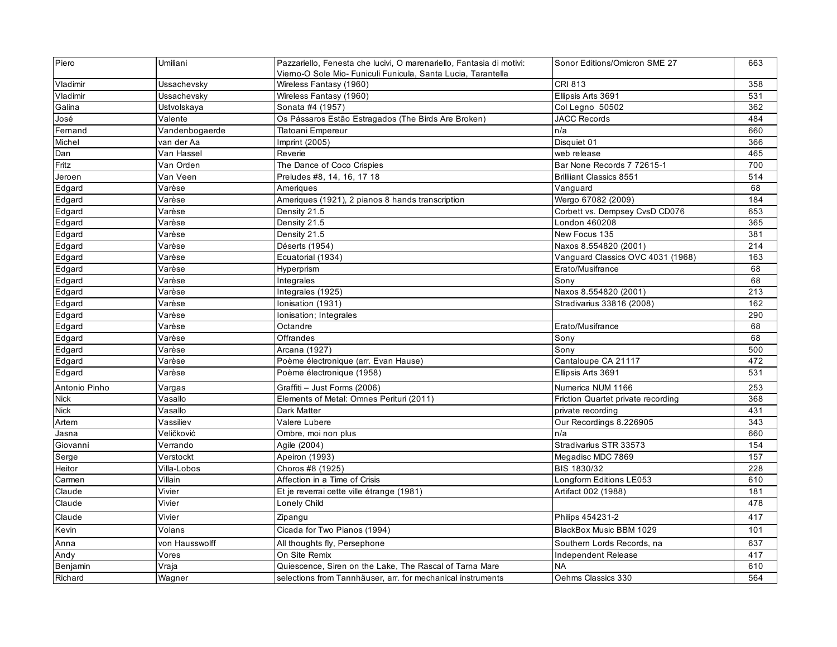| Piero         | Umiliani       | Pazzariello, Fenesta che lucivi, O marenariello, Fantasia di motivi: | Sonor Editions/Omicron SME 27      | 663 |
|---------------|----------------|----------------------------------------------------------------------|------------------------------------|-----|
|               |                | Viemo-O Sole Mio- Funiculi Funicula, Santa Lucia, Tarantella         |                                    |     |
| Vladimir      | Ussachevsky    | Wireless Fantasy (1960)                                              | <b>CRI 813</b>                     | 358 |
| Vladimir      | Ussachevsky    | Wireless Fantasy (1960)                                              | Ellipsis Arts 3691                 | 531 |
| Galina        | Ustvolskaya    | Sonata #4 (1957)                                                     | Col Legno 50502                    | 362 |
| José          | Valente        | Os Pássaros Estão Estragados (The Birds Are Broken)                  | <b>JACC Records</b>                | 484 |
| Fernand       | Vandenbogaerde | Tlatoani Empereur                                                    | n/a                                | 660 |
| Michel        | van der Aa     | Imprint (2005)                                                       | Disquiet 01                        | 366 |
| Dan           | Van Hassel     | Reverie                                                              | web release                        | 465 |
| Fritz         | Van Orden      | The Dance of Coco Crispies                                           | Bar None Records 7 72615-1         | 700 |
| Jeroen        | Van Veen       | Preludes #8, 14, 16, 17 18                                           | <b>Brilliant Classics 8551</b>     | 514 |
| Edgard        | Varèse         | Ameriques                                                            | Vanguard                           | 68  |
| Edgard        | Varèse         | Ameriques (1921), 2 pianos 8 hands transcription                     | Wergo 67082 (2009)                 | 184 |
| Edgard        | Varèse         | Density 21.5                                                         | Corbett vs. Dempsey CvsD CD076     | 653 |
| Edgard        | Varèse         | Density 21.5                                                         | London 460208                      | 365 |
| Edgard        | Varèse         | Density 21.5                                                         | New Focus 135                      | 381 |
| Edgard        | Varèse         | Déserts (1954)                                                       | Naxos 8.554820 (2001)              | 214 |
| Edgard        | Varèse         | Ecuatorial (1934)                                                    | Vanguard Classics OVC 4031 (1968)  | 163 |
| Edgard        | Varèse         | Hyperprism                                                           | Erato/Musifrance                   | 68  |
| Edgard        | Varèse         | Integrales                                                           | Sony                               | 68  |
| Edgard        | Varèse         | Integrales (1925)                                                    | Naxos 8.554820 (2001)              | 213 |
| Edgard        | Varèse         | Ionisation (1931)                                                    | Stradivarius 33816 (2008)          | 162 |
| Edgard        | Varèse         | Ionisation; Integrales                                               |                                    | 290 |
| Edgard        | Varèse         | Octandre                                                             | Erato/Musifrance                   | 68  |
| Edgard        | Varèse         | Offrandes                                                            | Sony                               | 68  |
| Edgard        | Varèse         | Arcana (1927)                                                        | Sony                               | 500 |
| Edgard        | Varèse         | Poème électronique (arr. Evan Hause)                                 | Cantaloupe CA 21117                | 472 |
| Edgard        | Varèse         | Poème électronique (1958)                                            | Ellipsis Arts 3691                 | 531 |
| Antonio Pinho | Vargas         | Graffiti - Just Forms (2006)                                         | Numerica NUM 1166                  | 253 |
| <b>Nick</b>   | Vasallo        | Elements of Metal: Omnes Perituri (2011)                             | Friction Quartet private recording | 368 |
| <b>Nick</b>   | Vasallo        | Dark Matter                                                          | private recording                  | 431 |
| Artem         | Vassiliev      | Valere Lubere                                                        | Our Recordings 8.226905            | 343 |
| Jasna         | Veličković     | Ombre, moi non plus                                                  | n/a                                | 660 |
| Giovanni      | Verrando       | Agile (2004)                                                         | Stradivarius STR 33573             | 154 |
| Serge         | Verstockt      | Apeiron (1993)                                                       | Megadisc MDC 7869                  | 157 |
| Heitor        | Villa-Lobos    | Choros #8 (1925)                                                     | BIS 1830/32                        | 228 |
| Carmen        | Villain        | Affection in a Time of Crisis                                        | Longform Editions LE053            | 610 |
| Claude        | Vivier         | Et je reverrai cette ville étrange (1981)                            | Artifact 002 (1988)                | 181 |
| Claude        | Vivier         | Lonely Child                                                         |                                    | 478 |
| Claude        | Vivier         | Zipangu                                                              | Philips 454231-2                   | 417 |
| Kevin         | Volans         | Cicada for Two Pianos (1994)                                         | BlackBox Music BBM 1029            | 101 |
| Anna          | von Hausswolff | All thoughts fly, Persephone                                         | Southern Lords Records, na         | 637 |
| Andy          | Vores          | On Site Remix                                                        | Independent Release                | 417 |
| Benjamin      | Vraja          | Quiescence, Siren on the Lake, The Rascal of Tarna Mare              | <b>NA</b>                          | 610 |
| Richard       | Wagner         | selections from Tannhäuser, arr. for mechanical instruments          | Oehms Classics 330                 | 564 |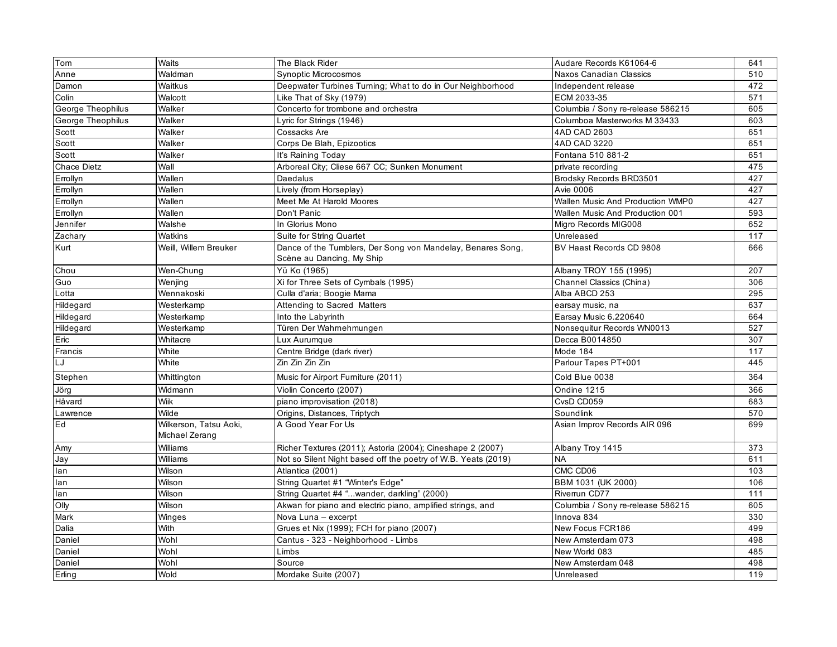| Tom                | Waits                                    | The Black Rider                                                                          | Audare Records K61064-6           | 641 |
|--------------------|------------------------------------------|------------------------------------------------------------------------------------------|-----------------------------------|-----|
| Anne               | Waldman                                  | Synoptic Microcosmos                                                                     | Naxos Canadian Classics           | 510 |
| Damon              | Waitkus                                  | Deepwater Turbines Turning; What to do in Our Neighborhood                               | Independent release               | 472 |
| Colin              | Walcott                                  | Like That of Sky (1979)                                                                  | ECM 2033-35                       | 571 |
| George Theophilus  | Walker                                   | Concerto for trombone and orchestra                                                      | Columbia / Sony re-release 586215 | 605 |
| George Theophilus  | Walker                                   | Lyric for Strings (1946)                                                                 | Columboa Masterworks M 33433      | 603 |
| Scott              | Walker                                   | Cossacks Are                                                                             | 4AD CAD 2603                      | 651 |
| Scott              | Walker                                   | Corps De Blah, Epizootics                                                                | 4AD CAD 3220                      | 651 |
| Scott              | Walker                                   | It's Raining Today                                                                       | Fontana 510 881-2                 | 651 |
| <b>Chace Dietz</b> | Wall                                     | Arboreal City; Cliese 667 CC; Sunken Monument                                            | private recording                 | 475 |
| Errollyn           | Wallen                                   | Daedalus                                                                                 | Brodsky Records BRD3501           | 427 |
| Errollyn           | Wallen                                   | Lively (from Horseplay)                                                                  | <b>Avie 0006</b>                  | 427 |
| Errollyn           | Wallen                                   | Meet Me At Harold Moores                                                                 | Wallen Music And Production WMP0  | 427 |
| Errollyn           | Wallen                                   | Don't Panic                                                                              | Wallen Music And Production 001   | 593 |
| Jennifer           | Walshe                                   | In Glorius Mono                                                                          | Migro Records MIG008              | 652 |
| Zachary            | Watkins                                  | Suite for String Quartet                                                                 | Unreleased                        | 117 |
| Kurt               | Weill, Willem Breuker                    | Dance of the Tumblers, Der Song von Mandelay, Benares Song,<br>Scène au Dancing, My Ship | BV Haast Records CD 9808          | 666 |
| Chou               | Wen-Chung                                | Yü Ko (1965)                                                                             | Albany TROY 155 (1995)            | 207 |
| Guo                | Wenjing                                  | Xi for Three Sets of Cymbals (1995)                                                      | Channel Classics (China)          | 306 |
| _otta              | Wennakoski                               | Culla d'aria; Boogie Mama                                                                | Alba ABCD 253                     | 295 |
| Hildegard          | Westerkamp                               | Attending to Sacred Matters                                                              | earsay music, na                  | 637 |
| Hildegard          | Westerkamp                               | Into the Labyrinth                                                                       | Earsay Music 6.220640             | 664 |
| Hildegard          | Westerkamp                               | Türen Der Wahrnehmungen                                                                  | Nonsequitur Records WN0013        | 527 |
| Eric               | Whitacre                                 | ux Aurumque                                                                              | Decca B0014850                    | 307 |
| Francis            | White                                    | Centre Bridge (dark river)                                                               | Mode 184                          | 117 |
| LJ                 | White                                    | Zin Zin Zin Zin                                                                          | Parlour Tapes PT+001              | 445 |
| Stephen            | Whittington                              | Music for Airport Furniture (2011)                                                       | Cold Blue 0038                    | 364 |
| Jörg               | Widmann                                  | Violin Concerto (2007)                                                                   | Ondine 1215                       | 366 |
| Håvard             | <b>Wiik</b>                              | piano improvisation (2018)                                                               | CvsD CD059                        | 683 |
| Lawrence           | Wilde                                    | Origins, Distances, Triptych                                                             | Soundlink                         | 570 |
| Ed                 | Wilkerson, Tatsu Aoki,<br>Michael Zerang | A Good Year For Us                                                                       | Asian Improv Records AIR 096      | 699 |
| Amy                | Williams                                 | Richer Textures (2011); Astoria (2004); Cineshape 2 (2007)                               | Albany Troy 1415                  | 373 |
| Jay                | Williams                                 | Not so Silent Night based off the poetry of W.B. Yeats (2019)                            | <b>NA</b>                         | 611 |
| lan                | Wilson                                   | Atlantica (2001)                                                                         | CMC CD06                          | 103 |
| lan                | Wilson                                   | String Quartet #1 "Winter's Edge"                                                        | BBM 1031 (UK 2000)                | 106 |
| lan                | Wilson                                   | String Quartet #4 "wander, darkling" (2000)                                              | Riverrun CD77                     | 111 |
| Olly               | Wilson                                   | Akwan for piano and electric piano, amplified strings, and                               | Columbia / Sony re-release 586215 | 605 |
| Mark               | Winges                                   | Nova Luna - excerpt                                                                      | Innova 834                        | 330 |
| Dalia              | With                                     | Grues et Nix (1999); FCH for piano (2007)                                                | New Focus FCR186                  | 499 |
| Daniel             | Wohl                                     | Cantus - 323 - Neighborhood - Limbs                                                      | New Amsterdam 073                 | 498 |
| Daniel             | Wohl                                     | Limbs                                                                                    | New World 083                     | 485 |
| Daniel             | Wohl                                     | Source                                                                                   | New Amsterdam 048                 | 498 |
| Erling             | Wold                                     | Mordake Suite (2007)                                                                     | Unreleased                        | 119 |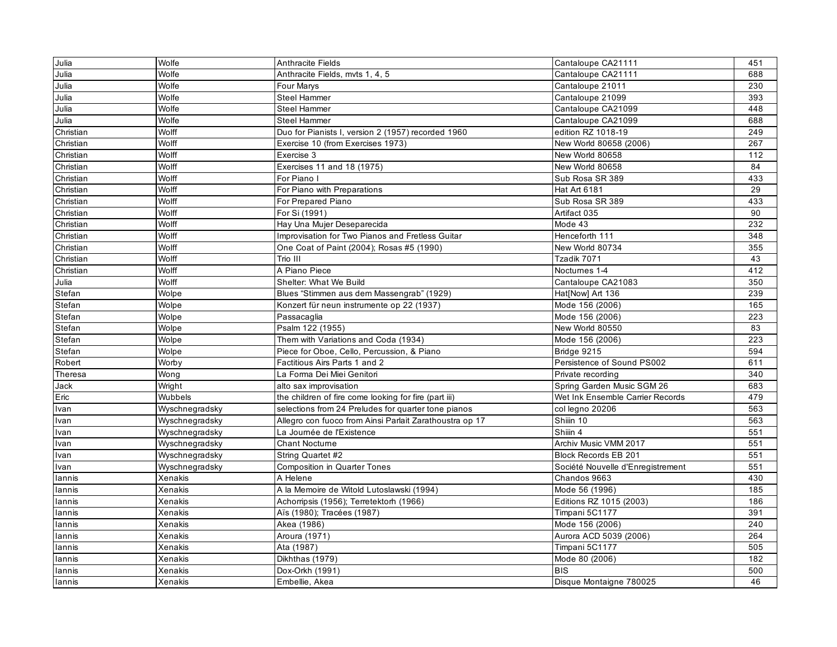| Julia     | Wolfe          | <b>Anthracite Fields</b>                                | Cantaloupe CA21111                | 451 |
|-----------|----------------|---------------------------------------------------------|-----------------------------------|-----|
| Julia     | Wolfe          | Anthracite Fields, myts 1, 4, 5                         | Cantaloupe CA21111                | 688 |
| Julia     | Wolfe          | Four Marys                                              | Cantaloupe 21011                  | 230 |
| Julia     | Wolfe          | Steel Hammer                                            | Cantaloupe 21099                  | 393 |
| Julia     | Wolfe          | <b>Steel Hammer</b>                                     | Cantaloupe CA21099                | 448 |
| Julia     | Wolfe          | <b>Steel Hammer</b>                                     | Cantaloupe CA21099                | 688 |
| Christian | Wolff          | Duo for Pianists I, version 2 (1957) recorded 1960      | edition RZ 1018-19                | 249 |
| Christian | Wolff          | Exercise 10 (from Exercises 1973)                       | New World 80658 (2006)            | 267 |
| Christian | Wolff          | Exercise 3                                              | New World 80658                   | 112 |
| Christian | Wolff          | Exercises 11 and 18 (1975)                              | New World 80658                   | 84  |
| Christian | Wolff          | For Piano I                                             | Sub Rosa SR 389                   | 433 |
| Christian | Wolff          | For Piano with Preparations                             | Hat Art 6181                      | 29  |
| Christian | Wolff          | For Prepared Piano                                      | Sub Rosa SR 389                   | 433 |
| Christian | Wolff          | For Si (1991)                                           | Artifact 035                      | 90  |
| Christian | Wolff          | Hay Una Mujer Deseparecida                              | Mode 43                           | 232 |
| Christian | Wolff          | Improvisation for Two Pianos and Fretless Guitar        | Henceforth 111                    | 348 |
| Christian | Wolff          | One Coat of Paint (2004); Rosas #5 (1990)               | New World 80734                   | 355 |
| Christian | Wolff          | Trio III                                                | Tzadik 7071                       | 43  |
| Christian | Wolff          | A Piano Piece                                           | Noctumes 1-4                      | 412 |
| Julia     | Wolff          | Shelter: What We Build                                  | Cantaloupe CA21083                | 350 |
| Stefan    | Wolpe          | Blues "Stimmen aus dem Massengrab" (1929)               | Hat[Now] Art 136                  | 239 |
| Stefan    | Wolpe          | Konzert für neun instrumente op 22 (1937)               | Mode 156 (2006)                   | 165 |
| Stefan    | Wolpe          | Passacaglia                                             | Mode 156 (2006)                   | 223 |
| Stefan    | Wolpe          | Psalm 122 (1955)                                        | New World 80550                   | 83  |
| Stefan    | Wolpe          | Them with Variations and Coda (1934)                    | Mode 156 (2006)                   | 223 |
| Stefan    | Wolpe          | Piece for Oboe, Cello, Percussion, & Piano              | Bridge 9215                       | 594 |
| Robert    | Worby          | Factitious Airs Parts 1 and 2                           | Persistence of Sound PS002        | 611 |
| Theresa   | Wong           | La Forma Dei Miei Genitori                              | Private recording                 | 340 |
| Jack      | Wright         | alto sax improvisation                                  | Spring Garden Music SGM 26        | 683 |
| Eric      | Wubbels        | the children of fire come looking for fire (part iii)   | Wet Ink Ensemble Carrier Records  | 479 |
| Ivan      | Wyschnegradsky | selections from 24 Preludes for quarter tone pianos     | col legno 20206                   | 563 |
| Ivan      | Wyschnegradsky | Allegro con fuoco from Ainsi Parlait Zarathoustra op 17 | Shiiin 10                         | 563 |
| Ivan      | Wyschnegradsky | La Journée de l'Existence                               | Shiiin 4                          | 551 |
| Ivan      | Wyschnegradsky | <b>Chant Nocturne</b>                                   | Archiv Music VMM 2017             | 551 |
| Ivan      | Wyschnegradsky | String Quartet #2                                       | <b>Block Records EB 201</b>       | 551 |
| Ivan      | Wyschnegradsky | <b>Composition in Quarter Tones</b>                     | Société Nouvelle d'Enregistrement | 551 |
| lannis    | Xenakis        | A Helene                                                | Chandos 9663                      | 430 |
| lannis    | Xenakis        | A la Memoire de Witold Lutoslawski (1994)               | Mode 56 (1996)                    | 185 |
| lannis    | Xenakis        | Achorripsis (1956); Terretektorh (1966)                 | Editions RZ 1015 (2003)           | 186 |
| lannis    | Xenakis        | Aïs (1980); Tracées (1987)                              | Timpani 5C1177                    | 391 |
| lannis    | Xenakis        | Akea (1986)                                             | Mode 156 (2006)                   | 240 |
| lannis    | Xenakis        | Aroura (1971)                                           | Aurora ACD 5039 (2006)            | 264 |
| lannis    | Xenakis        | Ata (1987)                                              | Timpani 5C1177                    | 505 |
| lannis    | <b>Xenakis</b> | Dikhthas (1979)                                         | Mode 80 (2006)                    | 182 |
| lannis    | Xenakis        | Dox-Orkh (1991)                                         | <b>BIS</b>                        | 500 |
| lannis    | Xenakis        | Embellie, Akea                                          | Disque Montaigne 780025           | 46  |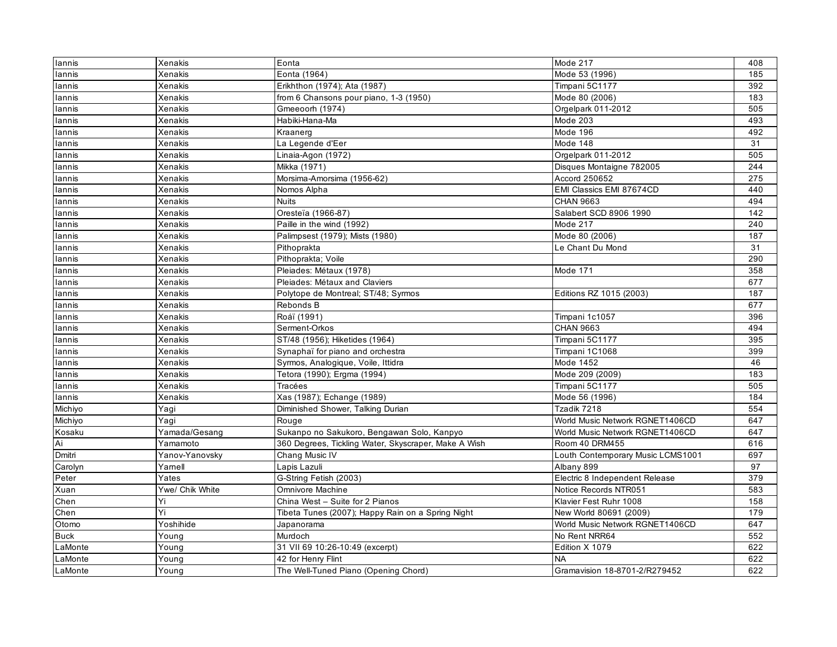| lannis      | Xenakis         | Eonta                                                | Mode 217                          | 408 |
|-------------|-----------------|------------------------------------------------------|-----------------------------------|-----|
| lannis      | Xenakis         | Eonta (1964)                                         | Mode 53 (1996)                    | 185 |
| lannis      | Xenakis         | Erikhthon (1974); Ata (1987)                         | Timpani 5C1177                    | 392 |
| lannis      | <b>Xenakis</b>  | from 6 Chansons pour piano, 1-3 (1950)               | Mode 80 (2006)                    | 183 |
| lannis      | <b>Xenakis</b>  | Gmeeoorh (1974)                                      | Orgelpark 011-2012                | 505 |
| lannis      | Xenakis         | Habiki-Hana-Ma                                       | Mode 203                          | 493 |
| lannis      | Xenakis         | Kraanerg                                             | Mode 196                          | 492 |
| lannis      | Xenakis         | La Legende d'Eer                                     | Mode 148                          | 31  |
| lannis      | Xenakis         | Linaia-Agon (1972)                                   | Orgelpark 011-2012                | 505 |
| lannis      | Xenakis         | Mikka (1971)                                         | Disques Montaigne 782005          | 244 |
| lannis      | Xenakis         | Morsima-Amorsima (1956-62)                           | Accord 250652                     | 275 |
| lannis      | Xenakis         | Nomos Alpha                                          | EMI Classics EMI 87674CD          | 440 |
| lannis      | Xenakis         | <b>Nuits</b>                                         | <b>CHAN 9663</b>                  | 494 |
| lannis      | Xenakis         | Oresteïa (1966-87)                                   | Salabert SCD 8906 1990            | 142 |
| lannis      | Xenakis         | Paille in the wind (1992)                            | Mode 217                          | 240 |
| lannis      | Xenakis         | Palimpsest (1979); Mists (1980)                      | Mode 80 (2006)                    | 187 |
| lannis      | Xenakis         | Pithoprakta                                          | Le Chant Du Mond                  | 31  |
| lannis      | Xenakis         | Pithoprakta; Voile                                   |                                   | 290 |
| lannis      | <b>Xenakis</b>  | Pleiades: Métaux (1978)                              | Mode 171                          | 358 |
| lannis      | Xenakis         | Pleiades: Métaux and Claviers                        |                                   | 677 |
| lannis      | Xenakis         | Polytope de Montreal; ST/48; Syrmos                  | Editions RZ 1015 (2003)           | 187 |
| lannis      | <b>Xenakis</b>  | Rebonds B                                            |                                   | 677 |
| lannis      | Xenakis         | Roáï (1991)                                          | Timpani 1c1057                    | 396 |
| lannis      | Xenakis         | Serment-Orkos                                        | <b>CHAN 9663</b>                  | 494 |
| lannis      | <b>Xenakis</b>  | ST/48 (1956); Hiketides (1964)                       | Timpani 5C1177                    | 395 |
| lannis      | Xenakis         | Synaphaï for piano and orchestra                     | Timpani 1C1068                    | 399 |
| lannis      | <b>Xenakis</b>  | Syrmos, Analogique, Voile, Ittidra                   | Mode 1452                         | 46  |
| lannis      | Xenakis         | Tetora (1990); Ergma (1994)                          | Mode 209 (2009)                   | 183 |
| lannis      | Xenakis         | Tracées                                              | Timpani 5C1177                    | 505 |
| lannis      | Xenakis         | Xas (1987); Echange (1989)                           | Mode 56 (1996)                    | 184 |
| Michiyo     | Yagi            | Diminished Shower, Talking Durian                    | Tzadik 7218                       | 554 |
| Michiyo     | Yaqi            | Rouge                                                | World Music Network RGNET1406CD   | 647 |
| Kosaku      | Yamada/Gesang   | Sukanpo no Sakukoro, Bengawan Solo, Kanpyo           | World Music Network RGNET1406CD   | 647 |
| Ai          | Yamamoto        | 360 Degrees, Tickling Water, Skyscraper, Make A Wish | Room 40 DRM455                    | 616 |
| Dmitri      | Yanov-Yanovsky  | Chang Music IV                                       | Louth Contemporary Music LCMS1001 | 697 |
| Carolyn     | Yamell          | Lapis Lazuli                                         | Albany 899                        | 97  |
| Peter       | Yates           | G-String Fetish (2003)                               | Electric 8 Independent Release    | 379 |
| Xuan        | Ywe/ Chik White | Omnivore Machine                                     | Notice Records NTR051             | 583 |
| Chen        | Yi              | China West - Suite for 2 Pianos                      | Klavier Fest Ruhr 1008            | 158 |
| Chen        | Yi              | Tibeta Tunes (2007); Happy Rain on a Spring Night    | New World 80691 (2009)            | 179 |
| Otomo       | Yoshihide       | Japanorama                                           | World Music Network RGNET1406CD   | 647 |
| <b>Buck</b> | Young           | Murdoch                                              | No Rent NRR64                     | 552 |
| LaMonte     | Young           | 31 VII 69 10:26-10:49 (excerpt)                      | Edition X 1079                    | 622 |
| LaMonte     | Young           | 42 for Henry Flint                                   | <b>NA</b>                         | 622 |
| LaMonte     | Young           | The Well-Tuned Piano (Opening Chord)                 | Gramavision 18-8701-2/R279452     | 622 |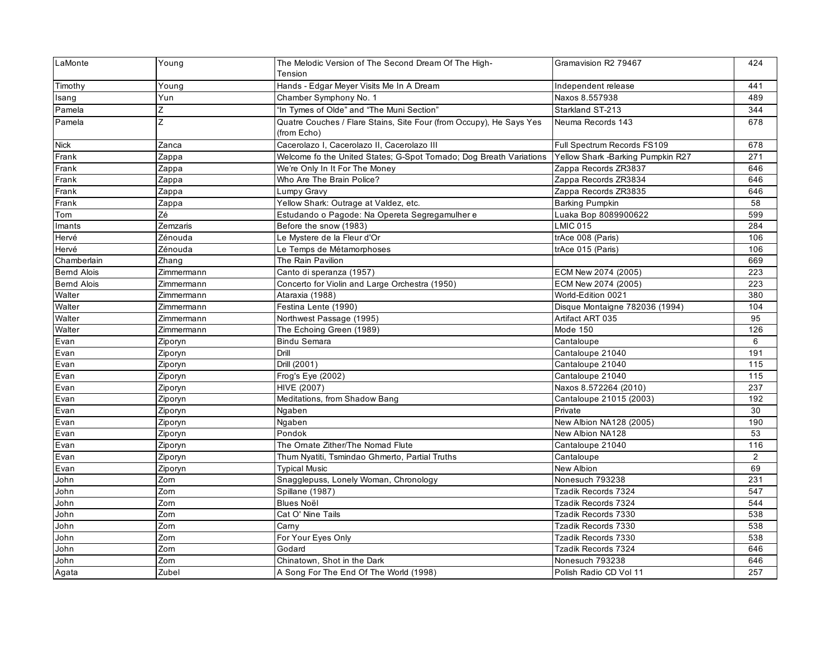| LaMonte            | Young      | The Melodic Version of The Second Dream Of The High-<br>Tension                    | Gramavision R2 79467              | 424 |
|--------------------|------------|------------------------------------------------------------------------------------|-----------------------------------|-----|
| Timothy            | Young      | Hands - Edgar Meyer Visits Me In A Dream                                           | Independent release               | 441 |
| Isang              | Yun        | Chamber Symphony No. 1                                                             | Naxos 8.557938                    | 489 |
| Pamela             | Z          | "In Tymes of Olde" and "The Muni Section"                                          | Starkland ST-213                  | 344 |
| Pamela             | z          | Quatre Couches / Flare Stains, Site Four (from Occupy), He Says Yes<br>(from Echo) | Neuma Records 143                 | 678 |
| <b>Nick</b>        | Zanca      | Cacerolazo I, Cacerolazo II, Cacerolazo III                                        | Full Spectrum Records FS109       | 678 |
| Frank              | Zappa      | Welcome fo the United States; G-Spot Tornado; Dog Breath Variations                | Yellow Shark -Barking Pumpkin R27 | 271 |
| Frank              | Zappa      | We're Only In It For The Money                                                     | Zappa Records ZR3837              | 646 |
| Frank              | Zappa      | Who Are The Brain Police?                                                          | Zappa Records ZR3834              | 646 |
| Frank              | Zappa      | Lumpy Gravy                                                                        | Zappa Records ZR3835              | 646 |
| Frank              | Zappa      | Yellow Shark: Outrage at Valdez, etc.                                              | <b>Barking Pumpkin</b>            | 58  |
| Tom                | Zé         | Estudando o Pagode: Na Opereta Segregamulher e                                     | Luaka Bop 8089900622              | 599 |
| Imants             | Zemzaris   | Before the snow (1983)                                                             | <b>LMIC 015</b>                   | 284 |
| Hervé              | Zénouda    | Le Mystere de la Fleur d'Or                                                        | trAce 008 (Paris)                 | 106 |
| Hervé              | Zénouda    | Le Temps de Métamorphoses                                                          | trAce 015 (Paris)                 | 106 |
| Chamberlain        | Zhang      | The Rain Pavilion                                                                  |                                   | 669 |
| <b>Bernd Alois</b> | Zimmermann | Canto di speranza (1957)                                                           | ECM New 2074 (2005)               | 223 |
| <b>Bernd Alois</b> | Zimmermann | Concerto for Violin and Large Orchestra (1950)                                     | ECM New 2074 (2005)               | 223 |
| Walter             | Zimmermann | Ataraxia (1988)                                                                    | World-Edition 0021                | 380 |
| Walter             | Zimmermann | Festina Lente (1990)                                                               | Disque Montaigne 782036 (1994)    | 104 |
| Walter             | Zimmermann | Northwest Passage (1995)                                                           | Artifact ART 035                  | 95  |
| Walter             | Zimmermann | The Echoing Green (1989)                                                           | Mode 150                          | 126 |
| Evan               | Ziporyn    | <b>Bindu Semara</b>                                                                | Cantaloupe                        | 6   |
| Evan               | Ziporyn    | Drill                                                                              | Cantaloupe 21040                  | 191 |
| Evan               | Ziporyn    | Drill (2001)                                                                       | Cantaloupe 21040                  | 115 |
| Evan               | Ziporyn    | Frog's Eye (2002)                                                                  | Cantaloupe 21040                  | 115 |
| Evan               | Ziporyn    | HIVE (2007)                                                                        | Naxos 8.572264 (2010)             | 237 |
| Evan               | Ziporyn    | Meditations, from Shadow Bang                                                      | Cantaloupe 21015 (2003)           | 192 |
| Evan               | Ziporyn    | Ngaben                                                                             | Private                           | 30  |
| Evan               | Ziporyn    | Ngaben                                                                             | New Albion NA128 (2005)           | 190 |
| Evan               | Ziporyn    | Pondok                                                                             | New Albion NA128                  | 53  |
| Evan               | Ziporyn    | The Ornate Zither/The Nomad Flute                                                  | Cantaloupe 21040                  | 116 |
| Evan               | Ziporyn    | Thum Nyatiti, Tsmindao Ghmerto, Partial Truths                                     | Cantaloupe                        | 2   |
| Evan               | Ziporyn    | <b>Typical Music</b>                                                               | New Albion                        | 69  |
| John               | Zorn       | Snagglepuss, Lonely Woman, Chronology                                              | Nonesuch 793238                   | 231 |
| John               | Zorn       | Spillane (1987)                                                                    | Tzadik Records 7324               | 547 |
| John               | Zorn       | <b>Blues Noël</b>                                                                  | Tzadik Records 7324               | 544 |
| John               | Zorn       | Cat O' Nine Tails                                                                  | Tzadik Records 7330               | 538 |
| John               | Zorn       | Carny                                                                              | Tzadik Records 7330               | 538 |
| John               | Zorn       | For Your Eyes Only                                                                 | Tzadik Records 7330               | 538 |
| John               | Zorn       | Godard                                                                             | Tzadik Records 7324               | 646 |
| John               | Zorn       | Chinatown, Shot in the Dark                                                        | Nonesuch 793238                   | 646 |
| Agata              | Zubel      | A Song For The End Of The World (1998)                                             | Polish Radio CD Vol 11            | 257 |